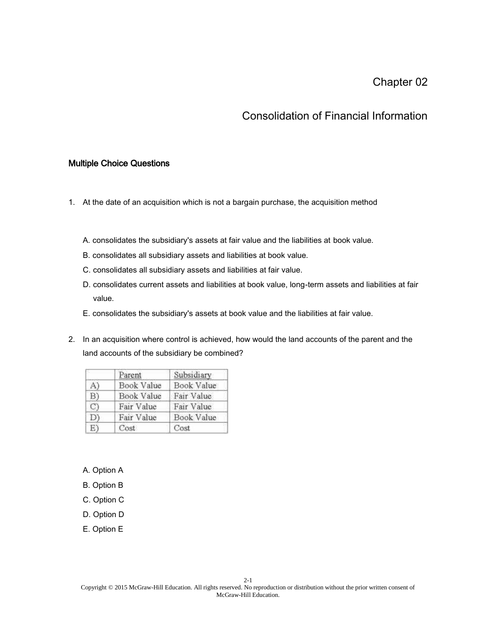## Chapter 02

## Consolidation of Financial Information

## Multiple Choice Questions

- 1. At the date of an acquisition which is not a bargain purchase, the acquisition method
	- A. consolidates the subsidiary's assets at fair value and the liabilities at book value.
	- B. consolidates all subsidiary assets and liabilities at book value.
	- C. consolidates all subsidiary assets and liabilities at fair value.
	- D. consolidates current assets and liabilities at book value, long-term assets and liabilities at fair value.
	- E. consolidates the subsidiary's assets at book value and the liabilities at fair value.
- 2. In an acquisition where control is achieved, how would the land accounts of the parent and the land accounts of the subsidiary be combined?

|    | Parent     | Subsidiary |
|----|------------|------------|
| A) | Book Value | Book Value |
| B) | Book Value | Fair Value |
| C) | Fair Value | Fair Value |
| D) | Fair Value | Book Value |
| E) | Cost       | Cost       |

- A. Option A
- B. Option B
- C. Option C
- D. Option D
- E. Option E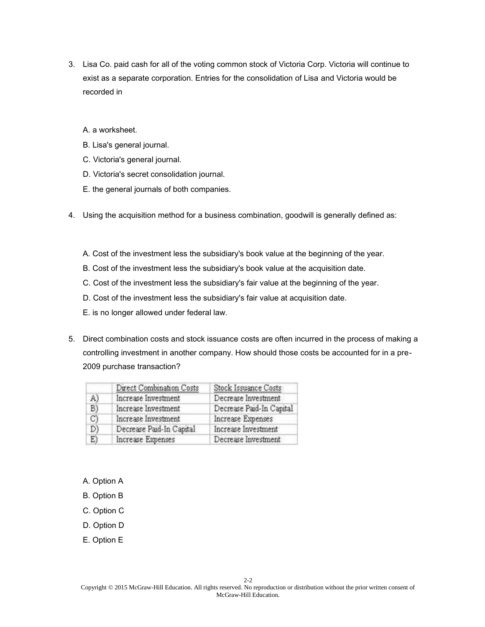- 3. Lisa Co. paid cash for all of the voting common stock of Victoria Corp. Victoria will continue to exist as a separate corporation. Entries for the consolidation of Lisa and Victoria would be recorded in
	- A. a worksheet.
	- B. Lisa's general journal.
	- C. Victoria's general journal.
	- D. Victoria's secret consolidation journal.
	- E. the general journals of both companies.
- 4. Using the acquisition method for a business combination, goodwill is generally defined as:
	- A. Cost of the investment less the subsidiary's book value at the beginning of the year.
	- B. Cost of the investment less the subsidiary's book value at the acquisition date.
	- C. Cost of the investment less the subsidiary's fair value at the beginning of the year.
	- D. Cost of the investment less the subsidiary's fair value at acquisition date.
	- E. is no longer allowed under federal law.
- 5. Direct combination costs and stock issuance costs are often incurred in the process of making a controlling investment in another company. How should those costs be accounted for in a pre-2009 purchase transaction?

|    | Direct Combination Costs | Stock Issuance Costs     |
|----|--------------------------|--------------------------|
| A) | Increase Investment      | Decrease Investment      |
| B) | Increase Investment      | Decrease Paid-In Capital |
| C) | Increase Investment      | Increase Expenses        |
| D  | Decrease Paid-In Capital | Increase Investment      |
| E) | Increase Expenses        | Decrease Investment      |

- A. Option A
- B. Option B
- C. Option C
- D. Option D
- E. Option E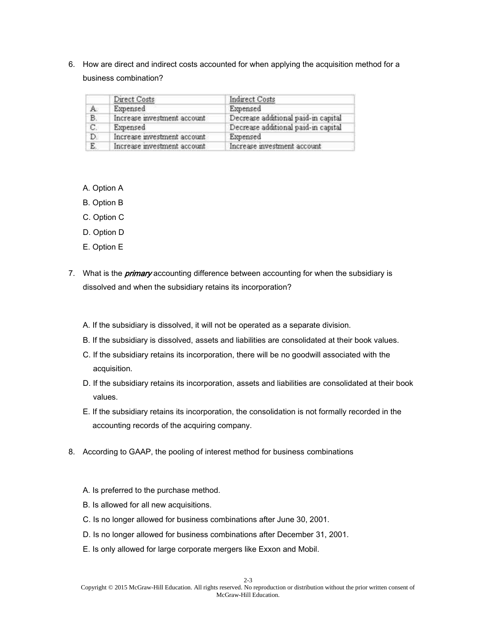6. How are direct and indirect costs accounted for when applying the acquisition method for a business combination?

|    | Direct Costs                | Indirect Costs                      |
|----|-----------------------------|-------------------------------------|
| A. | Expensed                    | Expensed                            |
| B. | Increase investment account | Decrease additional paid-in capital |
| C. | Expensed                    | Decrease additional paid-in capital |
| D. | Increase investment account | Expensed                            |
| E  | Increase investment account | Increase investment account         |

- A. Option A
- B. Option B
- C. Option C
- D. Option D
- E. Option E
- 7. What is the *primary* accounting difference between accounting for when the subsidiary is dissolved and when the subsidiary retains its incorporation?
	- A. If the subsidiary is dissolved, it will not be operated as a separate division.
	- B. If the subsidiary is dissolved, assets and liabilities are consolidated at their book values.
	- C. If the subsidiary retains its incorporation, there will be no goodwill associated with the acquisition.
	- D. If the subsidiary retains its incorporation, assets and liabilities are consolidated at their book values.
	- E. If the subsidiary retains its incorporation, the consolidation is not formally recorded in the accounting records of the acquiring company.
- 8. According to GAAP, the pooling of interest method for business combinations
	- A. Is preferred to the purchase method.
	- B. Is allowed for all new acquisitions.
	- C. Is no longer allowed for business combinations after June 30, 2001.
	- D. Is no longer allowed for business combinations after December 31, 2001.
	- E. Is only allowed for large corporate mergers like Exxon and Mobil.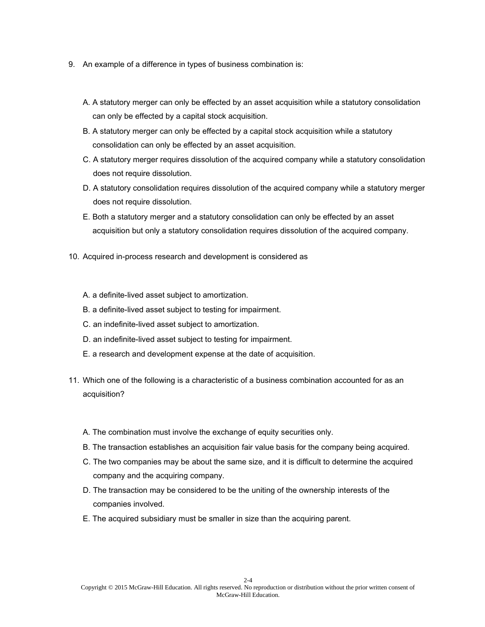- 9. An example of a difference in types of business combination is:
	- A. A statutory merger can only be effected by an asset acquisition while a statutory consolidation can only be effected by a capital stock acquisition.
	- B. A statutory merger can only be effected by a capital stock acquisition while a statutory consolidation can only be effected by an asset acquisition.
	- C. A statutory merger requires dissolution of the acquired company while a statutory consolidation does not require dissolution.
	- D. A statutory consolidation requires dissolution of the acquired company while a statutory merger does not require dissolution.
	- E. Both a statutory merger and a statutory consolidation can only be effected by an asset acquisition but only a statutory consolidation requires dissolution of the acquired company.
- 10. Acquired in-process research and development is considered as
	- A. a definite-lived asset subject to amortization.
	- B. a definite-lived asset subject to testing for impairment.
	- C. an indefinite-lived asset subject to amortization.
	- D. an indefinite-lived asset subject to testing for impairment.
	- E. a research and development expense at the date of acquisition.
- 11. Which one of the following is a characteristic of a business combination accounted for as an acquisition?
	- A. The combination must involve the exchange of equity securities only.
	- B. The transaction establishes an acquisition fair value basis for the company being acquired.
	- C. The two companies may be about the same size, and it is difficult to determine the acquired company and the acquiring company.
	- D. The transaction may be considered to be the uniting of the ownership interests of the companies involved.
	- E. The acquired subsidiary must be smaller in size than the acquiring parent.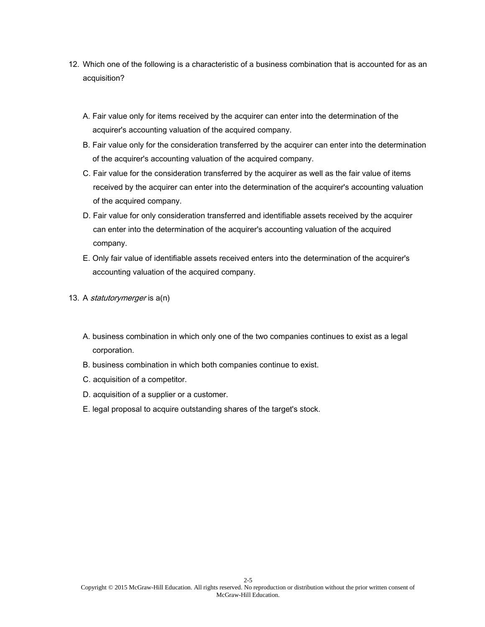- 12. Which one of the following is a characteristic of a business combination that is accounted for as an acquisition?
	- A. Fair value only for items received by the acquirer can enter into the determination of the acquirer's accounting valuation of the acquired company.
	- B. Fair value only for the consideration transferred by the acquirer can enter into the determination of the acquirer's accounting valuation of the acquired company.
	- C. Fair value for the consideration transferred by the acquirer as well as the fair value of items received by the acquirer can enter into the determination of the acquirer's accounting valuation of the acquired company.
	- D. Fair value for only consideration transferred and identifiable assets received by the acquirer can enter into the determination of the acquirer's accounting valuation of the acquired company.
	- E. Only fair value of identifiable assets received enters into the determination of the acquirer's accounting valuation of the acquired company.
- 13. A *statutorymerger* is a(n)
	- A. business combination in which only one of the two companies continues to exist as a legal corporation.
	- B. business combination in which both companies continue to exist.
	- C. acquisition of a competitor.
	- D. acquisition of a supplier or a customer.
	- E. legal proposal to acquire outstanding shares of the target's stock.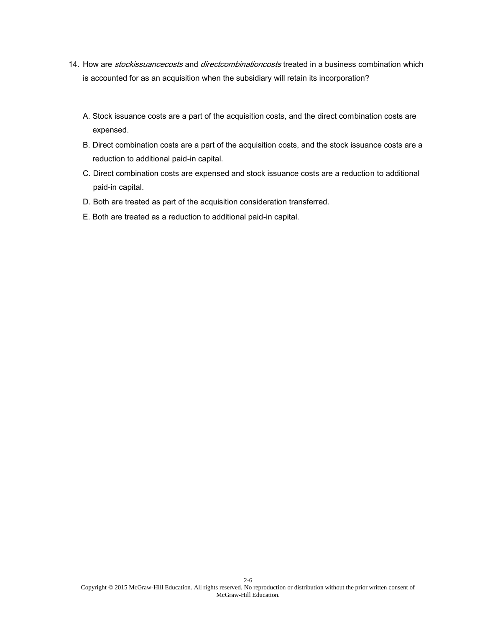- 14. How are *stockissuancecosts* and *directcombinationcosts* treated in a business combination which is accounted for as an acquisition when the subsidiary will retain its incorporation?
	- A. Stock issuance costs are a part of the acquisition costs, and the direct combination costs are expensed.
	- B. Direct combination costs are a part of the acquisition costs, and the stock issuance costs are a reduction to additional paid-in capital.
	- C. Direct combination costs are expensed and stock issuance costs are a reduction to additional paid-in capital.
	- D. Both are treated as part of the acquisition consideration transferred.
	- E. Both are treated as a reduction to additional paid-in capital.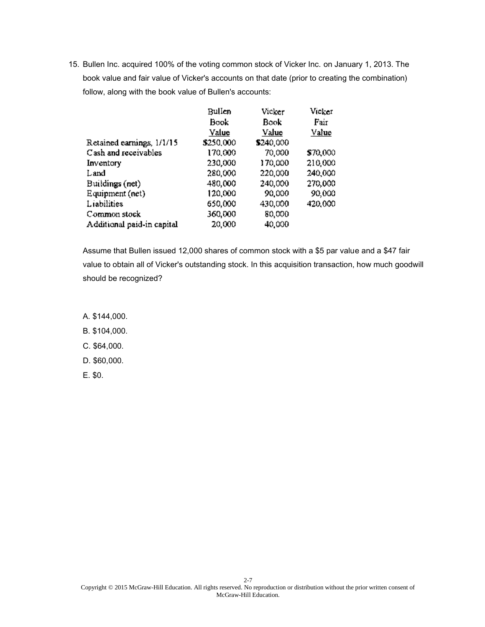|                            | Bullen    | Vicker    | Vicker   |
|----------------------------|-----------|-----------|----------|
|                            | Book      | Book      | Fair     |
|                            | Value     | Value     | Value    |
| Retained earnings, 1/1/15  | \$250,000 | \$240,000 |          |
| Cash and receivables       | 170,000   | 70,000    | \$70,000 |
| Inventory                  | 230,000   | 170,000   | 210,000  |
| Land                       | 280,000   | 220,000   | 240,000  |
| Buildings (net)            | 480,000   | 240,000   | 270,000  |
| Equipment (net)            | 120,000   | 90,000    | 90,000   |
| Liabilities                | 650,000   | 430,000   | 420,000  |
| Common stock               | 360,000   | 80,000    |          |
| Additional paid-in capital | 20,000    | 40,000    |          |

Assume that Bullen issued 12,000 shares of common stock with a \$5 par value and a \$47 fair value to obtain all of Vicker's outstanding stock. In this acquisition transaction, how much goodwill should be recognized?

- A. \$144,000.
- B. \$104,000.
- C. \$64,000.
- D. \$60,000.
- E. \$0.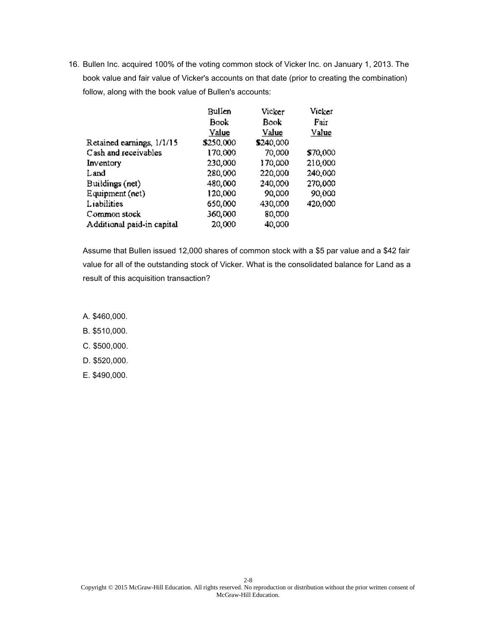|                            | Bullen    | Vicker    | Vicker   |
|----------------------------|-----------|-----------|----------|
|                            | Book      | Book      | Fair     |
|                            | Value     | Value     | Value    |
| Retained earnings, 1/1/15  | \$250,000 | \$240,000 |          |
| Cash and receivables       | 170,000   | 70,000    | \$70,000 |
| Inventory                  | 230,000   | 170,000   | 210,000  |
| Land                       | 280,000   | 220,000   | 240,000  |
| Buildings (net)            | 480,000   | 240,000   | 270,000  |
| Equipment (net)            | 120,000   | 90,000    | 90,000   |
| Liabilities                | 650,000   | 430,000   | 420,000  |
| Common stock               | 360,000   | 80,000    |          |
| Additional paid-in capital | 20,000    | 40,000    |          |

Assume that Bullen issued 12,000 shares of common stock with a \$5 par value and a \$42 fair value for all of the outstanding stock of Vicker. What is the consolidated balance for Land as a result of this acquisition transaction?

- A. \$460,000.
- B. \$510,000.
- C. \$500,000.
- D. \$520,000.
- E. \$490,000.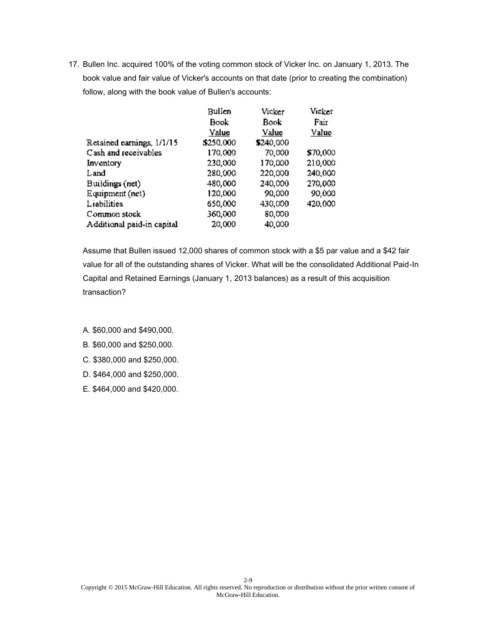|                            | Bullen    | Vicker    | Vicker   |
|----------------------------|-----------|-----------|----------|
|                            | Book      | Book      | Fair     |
|                            | Value     | Value     | Value    |
| Retained earnings, 1/1/15  | \$250,000 | \$240,000 |          |
| Cash and receivables       | 170,000   | 70,000    | \$70,000 |
| Inventory                  | 230,000   | 170,000   | 210,000  |
| Land                       | 280,000   | 220,000   | 240,000  |
| Buildings (net)            | 480,000   | 240,000   | 270,000  |
| Equipment (net)            | 120,000   | 90,000    | 90,000   |
| Liabilities                | 650,000   | 430,000   | 420,000  |
| Common stock               | 360,000   | 80,000    |          |
| Additional paid-in capital | 20,000    | 40,000    |          |

Assume that Bullen issued 12,000 shares of common stock with a \$5 par value and a \$42 fair value for all of the outstanding shares of Vicker. What will be the consolidated Additional Paid-In Capital and Retained Earnings (January 1, 2013 balances) as a result of this acquisition transaction?

A. \$60,000 and \$490,000.

- B. \$60,000 and \$250,000.
- C. \$380,000 and \$250,000.
- D. \$464,000 and \$250,000.
- E. \$464,000 and \$420,000.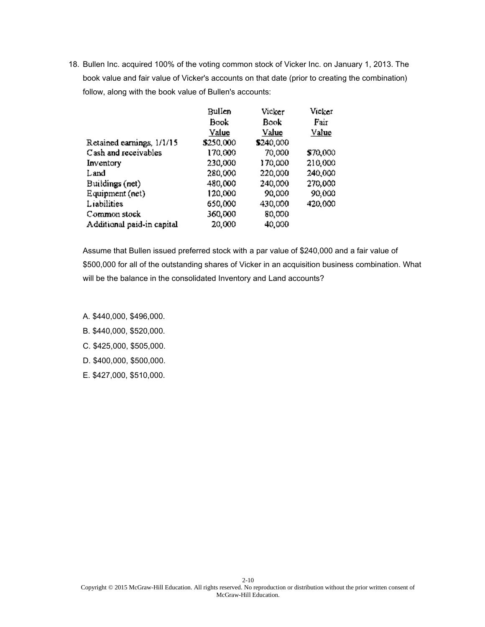|                            | Bullen    | Vicker    | Vicker   |
|----------------------------|-----------|-----------|----------|
|                            | Book      | Book      | Fair     |
|                            | Value     | Value     | Value    |
| Retained earnings, 1/1/15  | \$250,000 | \$240,000 |          |
| Cash and receivables       | 170,000   | 70,000    | \$70,000 |
| Inventory                  | 230,000   | 170,000   | 210,000  |
| Land                       | 280,000   | 220,000   | 240,000  |
| Buildings (net)            | 480,000   | 240,000   | 270,000  |
| Equipment (net)            | 120,000   | 90,000    | 90,000   |
| Liabilities                | 650,000   | 430,000   | 420,000  |
| Common stock               | 360,000   | 80,000    |          |
| Additional paid-in capital | 20,000    | 40,000    |          |

Assume that Bullen issued preferred stock with a par value of \$240,000 and a fair value of \$500,000 for all of the outstanding shares of Vicker in an acquisition business combination. What will be the balance in the consolidated Inventory and Land accounts?

- A. \$440,000, \$496,000.
- B. \$440,000, \$520,000.
- C. \$425,000, \$505,000.
- D. \$400,000, \$500,000.
- E. \$427,000, \$510,000.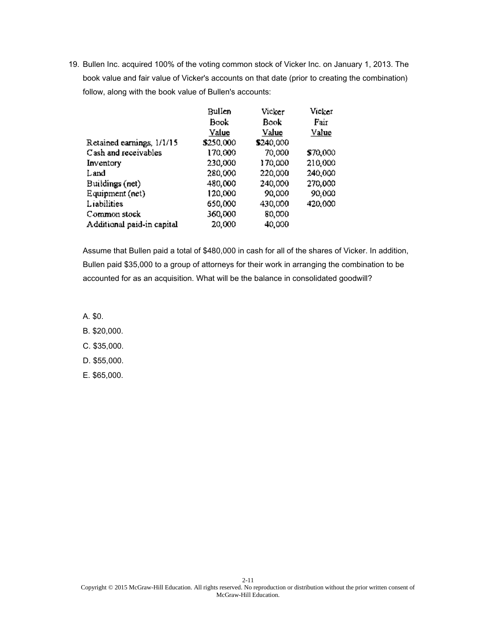|                            | Bullen    | Vicker    | Vicker   |
|----------------------------|-----------|-----------|----------|
|                            | Book      | Book      | Fair     |
|                            | Value     | Value     | Value    |
| Retained earnings, 1/1/15  | \$250,000 | \$240,000 |          |
| Cash and receivables       | 170,000   | 70,000    | \$70,000 |
| Inventory                  | 230,000   | 170,000   | 210,000  |
| Land                       | 280,000   | 220,000   | 240,000  |
| Buildings (net)            | 480,000   | 240,000   | 270,000  |
| Equipment (net)            | 120,000   | 90,000    | 90,000   |
| Liabilities                | 650,000   | 430,000   | 420,000  |
| Common stock               | 360,000   | 80,000    |          |
| Additional paid-in capital | 20,000    | 40,000    |          |

Assume that Bullen paid a total of \$480,000 in cash for all of the shares of Vicker. In addition, Bullen paid \$35,000 to a group of attorneys for their work in arranging the combination to be accounted for as an acquisition. What will be the balance in consolidated goodwill?

A. \$0.

- B. \$20,000.
- C. \$35,000.
- D. \$55,000.
- E. \$65,000.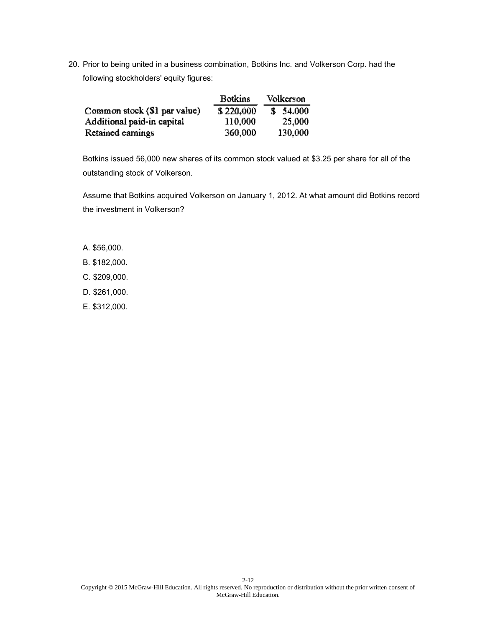20. Prior to being united in a business combination, Botkins Inc. and Volkerson Corp. had the following stockholders' equity figures:

|                              | <b>Botkins</b> | Volkerson  |
|------------------------------|----------------|------------|
| Common stock (\$1 par value) | \$220,000      | \$3,54,000 |
| Additional paid-in capital   | 110,000        | 25,000     |
| Retained earnings            | 360,000        | 130,000    |

Botkins issued 56,000 new shares of its common stock valued at \$3.25 per share for all of the outstanding stock of Volkerson.

Assume that Botkins acquired Volkerson on January 1, 2012. At what amount did Botkins record the investment in Volkerson?

- A. \$56,000.
- B. \$182,000.
- C. \$209,000.
- D. \$261,000.
- E. \$312,000.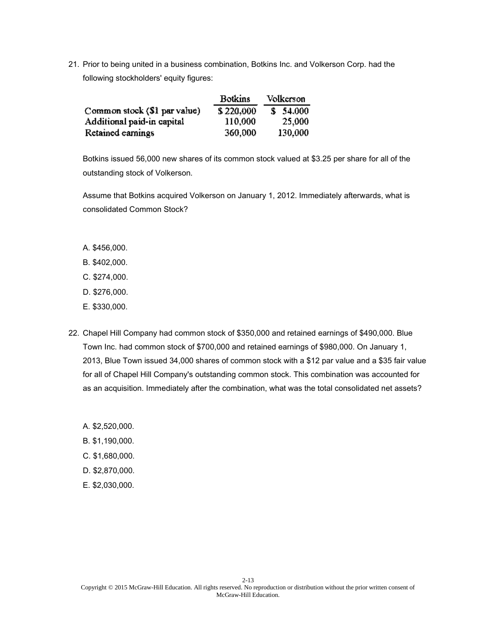21. Prior to being united in a business combination, Botkins Inc. and Volkerson Corp. had the following stockholders' equity figures:

|                                | <b>Botkins</b> | Volkerson |
|--------------------------------|----------------|-----------|
| Common stock $(\$1$ par value) | \$220,000      | \$54,000  |
| Additional paid-in capital     | 110,000        | 25,000    |
| Retained earnings              | 360,000        | 130,000   |

Botkins issued 56,000 new shares of its common stock valued at \$3.25 per share for all of the outstanding stock of Volkerson.

Assume that Botkins acquired Volkerson on January 1, 2012. Immediately afterwards, what is consolidated Common Stock?

- A. \$456,000.
- B. \$402,000.
- C. \$274,000.
- D. \$276,000.
- E. \$330,000.
- 22. Chapel Hill Company had common stock of \$350,000 and retained earnings of \$490,000. Blue Town Inc. had common stock of \$700,000 and retained earnings of \$980,000. On January 1, 2013, Blue Town issued 34,000 shares of common stock with a \$12 par value and a \$35 fair value for all of Chapel Hill Company's outstanding common stock. This combination was accounted for as an acquisition. Immediately after the combination, what was the total consolidated net assets?
	- A. \$2,520,000.
	- B. \$1,190,000.
	- C. \$1,680,000.
	- D. \$2,870,000.
	- E. \$2,030,000.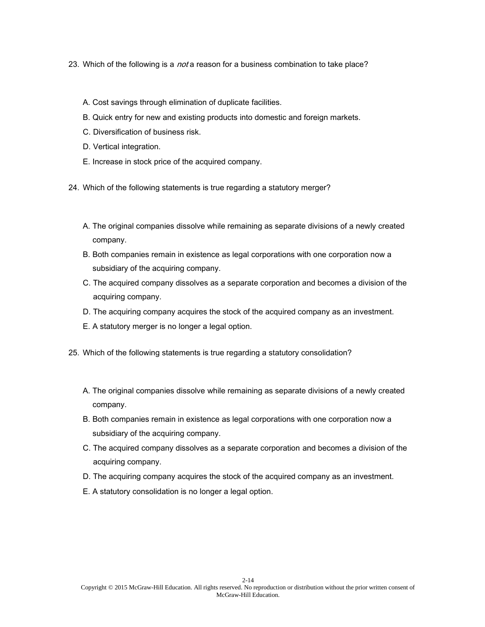- 23. Which of the following is a *not* a reason for a business combination to take place?
	- A. Cost savings through elimination of duplicate facilities.
	- B. Quick entry for new and existing products into domestic and foreign markets.
	- C. Diversification of business risk.
	- D. Vertical integration.
	- E. Increase in stock price of the acquired company.
- 24. Which of the following statements is true regarding a statutory merger?
	- A. The original companies dissolve while remaining as separate divisions of a newly created company.
	- B. Both companies remain in existence as legal corporations with one corporation now a subsidiary of the acquiring company.
	- C. The acquired company dissolves as a separate corporation and becomes a division of the acquiring company.
	- D. The acquiring company acquires the stock of the acquired company as an investment.
	- E. A statutory merger is no longer a legal option.
- 25. Which of the following statements is true regarding a statutory consolidation?
	- A. The original companies dissolve while remaining as separate divisions of a newly created company.
	- B. Both companies remain in existence as legal corporations with one corporation now a subsidiary of the acquiring company.
	- C. The acquired company dissolves as a separate corporation and becomes a division of the acquiring company.
	- D. The acquiring company acquires the stock of the acquired company as an investment.
	- E. A statutory consolidation is no longer a legal option.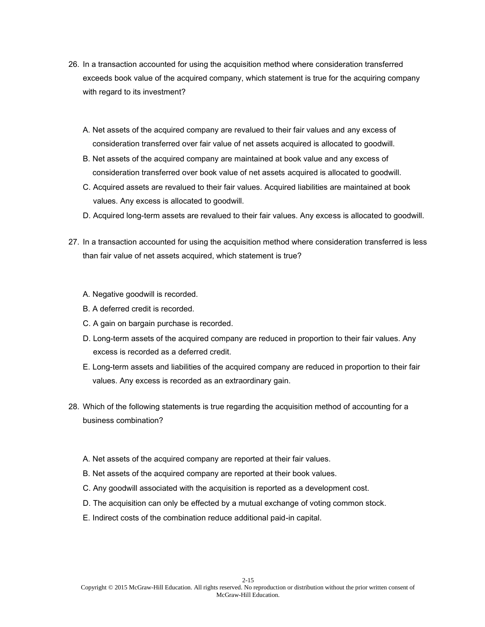- 26. In a transaction accounted for using the acquisition method where consideration transferred exceeds book value of the acquired company, which statement is true for the acquiring company with regard to its investment?
	- A. Net assets of the acquired company are revalued to their fair values and any excess of consideration transferred over fair value of net assets acquired is allocated to goodwill.
	- B. Net assets of the acquired company are maintained at book value and any excess of consideration transferred over book value of net assets acquired is allocated to goodwill.
	- C. Acquired assets are revalued to their fair values. Acquired liabilities are maintained at book values. Any excess is allocated to goodwill.
	- D. Acquired long-term assets are revalued to their fair values. Any excess is allocated to goodwill.
- 27. In a transaction accounted for using the acquisition method where consideration transferred is less than fair value of net assets acquired, which statement is true?
	- A. Negative goodwill is recorded.
	- B. A deferred credit is recorded.
	- C. A gain on bargain purchase is recorded.
	- D. Long-term assets of the acquired company are reduced in proportion to their fair values. Any excess is recorded as a deferred credit.
	- E. Long-term assets and liabilities of the acquired company are reduced in proportion to their fair values. Any excess is recorded as an extraordinary gain.
- 28. Which of the following statements is true regarding the acquisition method of accounting for a business combination?
	- A. Net assets of the acquired company are reported at their fair values.
	- B. Net assets of the acquired company are reported at their book values.
	- C. Any goodwill associated with the acquisition is reported as a development cost.
	- D. The acquisition can only be effected by a mutual exchange of voting common stock.
	- E. Indirect costs of the combination reduce additional paid-in capital.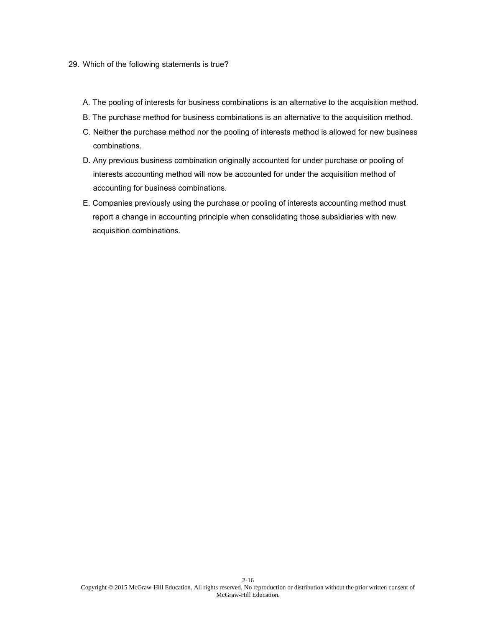## 29. Which of the following statements is true?

- A. The pooling of interests for business combinations is an alternative to the acquisition method.
- B. The purchase method for business combinations is an alternative to the acquisition method.
- C. Neither the purchase method nor the pooling of interests method is allowed for new business combinations.
- D. Any previous business combination originally accounted for under purchase or pooling of interests accounting method will now be accounted for under the acquisition method of accounting for business combinations.
- E. Companies previously using the purchase or pooling of interests accounting method must report a change in accounting principle when consolidating those subsidiaries with new acquisition combinations.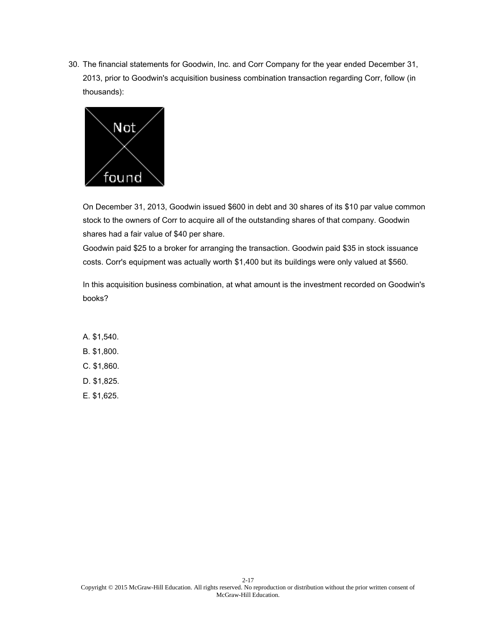

On December 31, 2013, Goodwin issued \$600 in debt and 30 shares of its \$10 par value common stock to the owners of Corr to acquire all of the outstanding shares of that company. Goodwin shares had a fair value of \$40 per share.

Goodwin paid \$25 to a broker for arranging the transaction. Goodwin paid \$35 in stock issuance costs. Corr's equipment was actually worth \$1,400 but its buildings were only valued at \$560.

In this acquisition business combination, at what amount is the investment recorded on Goodwin's books?

A. \$1,540. B. \$1,800. C. \$1,860. D. \$1,825. E. \$1,625.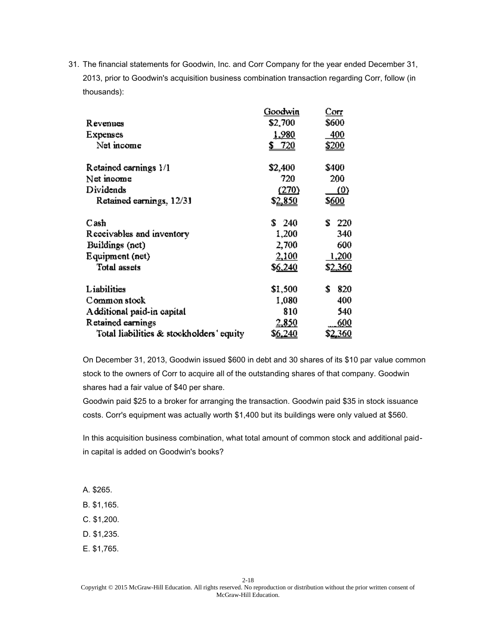|                                          | Goodwin         | Corr                |
|------------------------------------------|-----------------|---------------------|
| Revenues                                 | \$2,700         | \$600               |
| Expenses                                 | <u>1,980</u>    | <u>400</u>          |
| Net income                               | 720             | \$200               |
| Retained earnings 1/1                    | \$2,400         | \$400               |
| Net moome                                | 720             | 200                 |
| Dividends                                | (270)           | $\langle 0 \rangle$ |
| Retained earnings, 12/31                 | \$ <u>2,850</u> | \$ <u>600</u>       |
| Cash                                     | S<br>- 240      | £.<br>220           |
| Receivables and inventory                | 1,200           | 340                 |
| Buildings (net)                          | 2,700           | 600                 |
| Equipment (net)                          | 2,100           | 1,200               |
| <b>Total assets</b>                      | \$6,240         | \$ <u>2,360</u>     |
| Liabilities                              | \$1,500         | 820<br>\$           |
| Common stock                             | 1,080           | 400                 |
| Additional paid-in capital               | 810             | 540                 |
| Retained earnings                        | 2,850           | 600                 |
| Total liabilities & stockholders' equity | S <u>6,240</u>  | \$ <u>2,360</u>     |

On December 31, 2013, Goodwin issued \$600 in debt and 30 shares of its \$10 par value common stock to the owners of Corr to acquire all of the outstanding shares of that company. Goodwin shares had a fair value of \$40 per share.

Goodwin paid \$25 to a broker for arranging the transaction. Goodwin paid \$35 in stock issuance costs. Corr's equipment was actually worth \$1,400 but its buildings were only valued at \$560.

In this acquisition business combination, what total amount of common stock and additional paidin capital is added on Goodwin's books?

- A. \$265.
- B. \$1,165.
- C. \$1,200.
- D. \$1,235.
- E. \$1,765.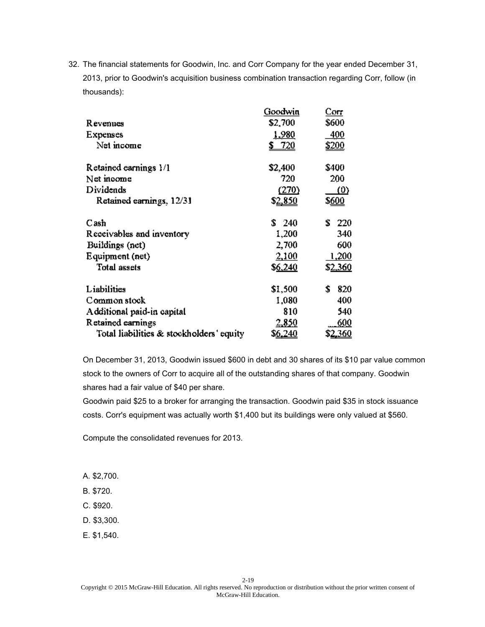|                                          | Goodwin         | Corr          |
|------------------------------------------|-----------------|---------------|
| Revenues                                 | \$2,700         | \$600         |
| Expenses                                 | <u>1,980</u>    | 400           |
| Net income                               | 720<br>S.       | <u>\$200</u>  |
| Retained earnings 1/1                    | \$2,400         | \$400         |
| Net moome                                | 720             | 200           |
| Dividends                                | (270)           | <u>(0)</u>    |
| Retained earnings, 12/31                 | \$ <u>2,850</u> | \$ <u>600</u> |
| Cash                                     | \$240           | ÷.<br>220     |
| Receivables and inventory                | 1,200           | 340           |
| Buildings (net)                          | 2,700           | 600           |
| Equipment (net)                          | 2,100           | 1,200         |
| <b>Total assets</b>                      | \$6,240         | \$2,360       |
| Liabilities                              | \$1,500         | 820<br>S      |
| Common stock                             | 1,080           | 400           |
| Additional paid-in capital               | 810             | 540           |
| Retained earnings                        | 2,850           | 600           |
| Total liabilities & stockholders' equity | S <u>6,240</u>  | 3 <u>.360</u> |

On December 31, 2013, Goodwin issued \$600 in debt and 30 shares of its \$10 par value common stock to the owners of Corr to acquire all of the outstanding shares of that company. Goodwin shares had a fair value of \$40 per share.

Goodwin paid \$25 to a broker for arranging the transaction. Goodwin paid \$35 in stock issuance costs. Corr's equipment was actually worth \$1,400 but its buildings were only valued at \$560.

Compute the consolidated revenues for 2013.

- A. \$2,700.
- B. \$720.
- C. \$920.
- D. \$3,300.
- E. \$1,540.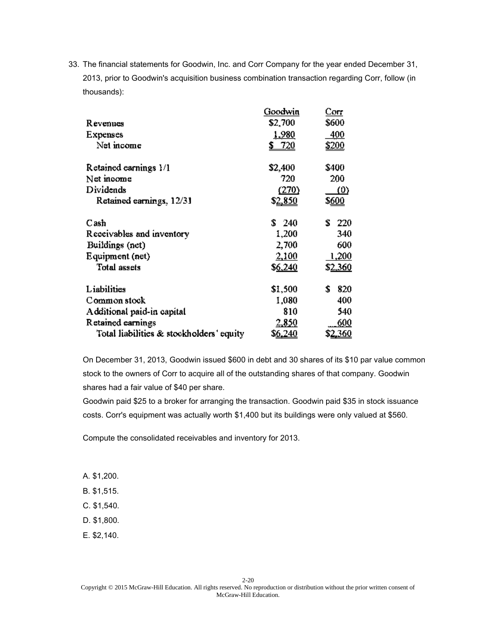|                                          | Goodwin         | Corr          |
|------------------------------------------|-----------------|---------------|
| Revenues                                 | \$2,700         | \$600         |
| Expenses                                 | <u>1,980</u>    | 400           |
| Net income                               | 720<br>S.       | <u>\$200</u>  |
| Retained earnings 1/1                    | \$2,400         | \$400         |
| Net moome                                | 720             | 200           |
| Dividends                                | (270)           | <u>(0)</u>    |
| Retained earnings, 12/31                 | \$ <u>2,850</u> | \$ <u>600</u> |
| Cash                                     | \$240           | ÷.<br>220     |
| Receivables and inventory                | 1,200           | 340           |
| Buildings (net)                          | 2,700           | 600           |
| Equipment (net)                          | 2,100           | 1,200         |
| <b>Total assets</b>                      | \$6,240         | \$2,360       |
| Liabilities                              | \$1,500         | 820<br>S      |
| Common stock                             | 1,080           | 400           |
| Additional paid-in capital               | 810             | 540           |
| Retained earnings                        | 2,850           | 600           |
| Total liabilities & stockholders' equity | S <u>6,240</u>  | 3 <u>.360</u> |

On December 31, 2013, Goodwin issued \$600 in debt and 30 shares of its \$10 par value common stock to the owners of Corr to acquire all of the outstanding shares of that company. Goodwin shares had a fair value of \$40 per share.

Goodwin paid \$25 to a broker for arranging the transaction. Goodwin paid \$35 in stock issuance costs. Corr's equipment was actually worth \$1,400 but its buildings were only valued at \$560.

Compute the consolidated receivables and inventory for 2013.

- A. \$1,200.
- B. \$1,515.
- C. \$1,540.
- D. \$1,800.
- E. \$2,140.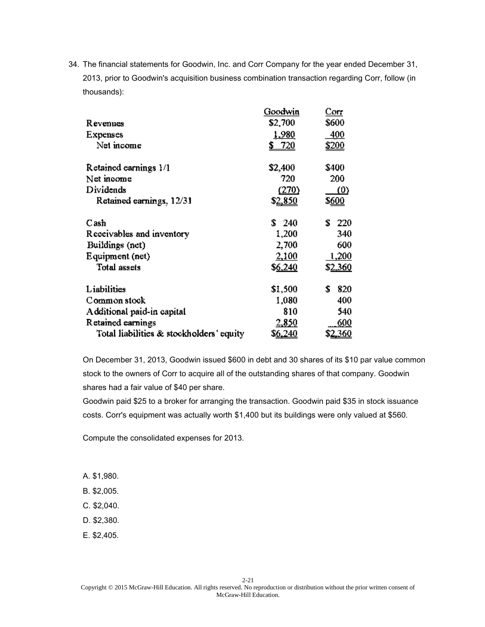|                                          | Goodwin         | Corr          |
|------------------------------------------|-----------------|---------------|
| Revenues                                 | \$2,700         | \$600         |
| Expenses                                 | <u>1,980</u>    | 400           |
| Net income                               | 720<br>S.       | <u>\$200</u>  |
| Retained earnings 1/1                    | \$2,400         | \$400         |
| Net moome                                | 720             | 200           |
| Dividends                                | (270)           | <u>(0)</u>    |
| Retained earnings, 12/31                 | \$ <u>2,850</u> | \$ <u>600</u> |
| Cash                                     | \$240           | ÷.<br>220     |
| Receivables and inventory                | 1,200           | 340           |
| Buildings (net)                          | 2,700           | 600           |
| Equipment (net)                          | 2,100           | 1,200         |
| <b>Total assets</b>                      | \$6,240         | \$2,360       |
| Liabilities                              | \$1,500         | 820<br>S      |
| Common stock                             | 1,080           | 400           |
| Additional paid-in capital               | 810             | 540           |
| Retained earnings                        | 2,850           | 600           |
| Total liabilities & stockholders' equity | S <u>6,240</u>  | 3 <u>.360</u> |

On December 31, 2013, Goodwin issued \$600 in debt and 30 shares of its \$10 par value common stock to the owners of Corr to acquire all of the outstanding shares of that company. Goodwin shares had a fair value of \$40 per share.

Goodwin paid \$25 to a broker for arranging the transaction. Goodwin paid \$35 in stock issuance costs. Corr's equipment was actually worth \$1,400 but its buildings were only valued at \$560.

Compute the consolidated expenses for 2013.

- A. \$1,980.
- B. \$2,005.
- C. \$2,040.
- D. \$2,380.
- E. \$2,405.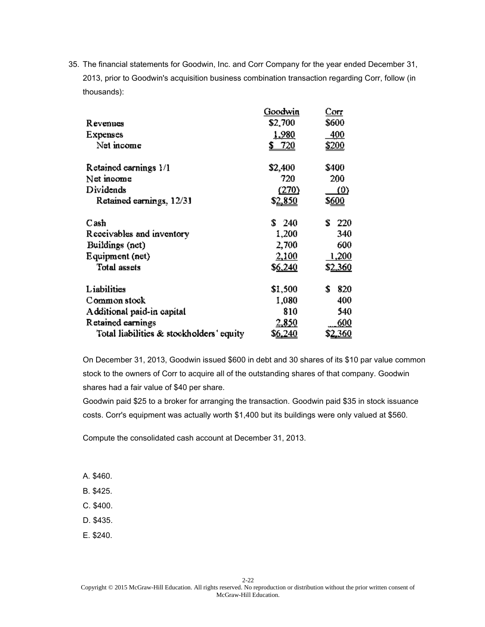|                                          | Goodwin         | Corr            |
|------------------------------------------|-----------------|-----------------|
| Revenues                                 | \$2,700         | \$600           |
| Expenses                                 | <u>1,980</u>    | <u>400</u>      |
| Net income                               | 720             | <u>\$200</u>    |
| Retained earnings 1/1                    | \$2,400         | \$400           |
| Net income                               | 720             | 200             |
| Dividends                                | (270)           | <u>(0)</u>      |
| Retained earnings, 12/31                 | \$ <u>2,850</u> | \$ <u>600</u>   |
| Cash                                     | \$240           | £.<br>220       |
| Receivables and inventory                | 1,200           | 340             |
| Buildings (net)                          | 2,700           | 600             |
| Equipment (net)                          | 2,100           | 1,200           |
| <b>Total assets</b>                      | \$6,240         | \$ <u>2,360</u> |
| Liabilities                              | \$1,500         | \$<br>820       |
| Common stock                             | 1,080           | 400             |
| Additional paid-in capital               | 810             | 540             |
| Retained earnings                        | 2,850           | 600             |
| Total liabilities & stockholders' equity | S <u>6,240</u>  | \$ <u>2,360</u> |

On December 31, 2013, Goodwin issued \$600 in debt and 30 shares of its \$10 par value common stock to the owners of Corr to acquire all of the outstanding shares of that company. Goodwin shares had a fair value of \$40 per share.

Goodwin paid \$25 to a broker for arranging the transaction. Goodwin paid \$35 in stock issuance costs. Corr's equipment was actually worth \$1,400 but its buildings were only valued at \$560.

Compute the consolidated cash account at December 31, 2013.

- A. \$460.
- B. \$425.
- C. \$400.
- D. \$435.
- E. \$240.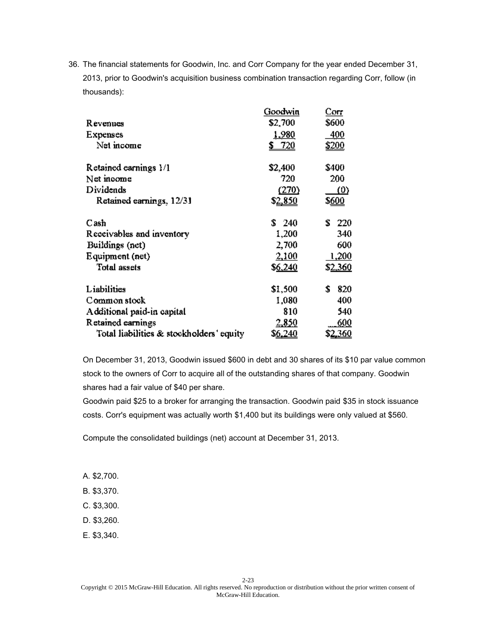|                                          | Goodwin        | Corr            |
|------------------------------------------|----------------|-----------------|
| Revenues                                 | \$2,700        | \$600           |
| Expenses                                 | <u>1,980</u>   | <u>400</u>      |
| Net income                               | <u>\$720</u>   | <u>\$200</u>    |
| Retained earnings 1/1                    | \$2,400        | \$400           |
| Net income                               | 720            | 200             |
| Dividends                                | (270)          | (0)             |
| Retained earnings, 12/31                 | \$2,850        | \$600           |
| Cash                                     | S.<br>- 240    | £.<br>220       |
| Receivables and inventory                | 1,200          | 340             |
| Buildings (net)                          | 2,700          | 600             |
| Equipment (net)                          | 2,100          | 1,200           |
| <b>Total assets</b>                      | \$6,240        | \$2,360         |
| Liabilities                              | \$1,500        | \$<br>820       |
| Common stock                             | 1,080          | 400             |
| Additional paid-in capital               | 810            | 540             |
| Retained earnings                        | 2,850          | 600             |
| Total liabilities & stockholders' equity | S <u>6,240</u> | \$ <u>2,360</u> |

On December 31, 2013, Goodwin issued \$600 in debt and 30 shares of its \$10 par value common stock to the owners of Corr to acquire all of the outstanding shares of that company. Goodwin shares had a fair value of \$40 per share.

Goodwin paid \$25 to a broker for arranging the transaction. Goodwin paid \$35 in stock issuance costs. Corr's equipment was actually worth \$1,400 but its buildings were only valued at \$560.

Compute the consolidated buildings (net) account at December 31, 2013.

- A. \$2,700.
- B. \$3,370.
- C. \$3,300.
- D. \$3,260.
- E. \$3,340.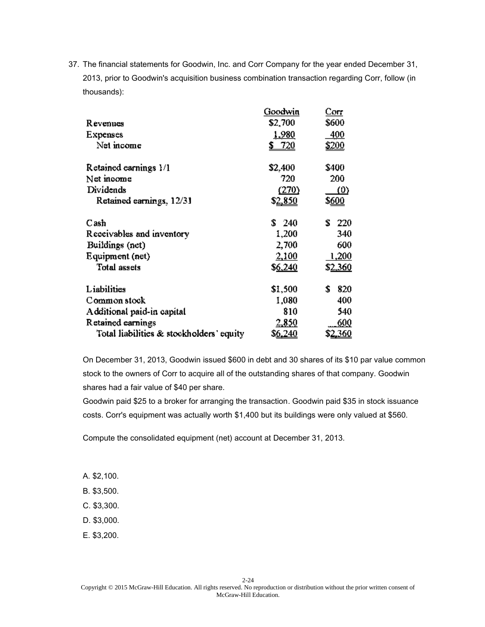| Revenues                                 | Goodwin<br>\$2,700 | Corr<br>\$600   |
|------------------------------------------|--------------------|-----------------|
| Expenses                                 | <u>1,980</u>       | 400             |
| Net income                               | -720<br>\$_        | <u>\$200</u>    |
| Retained earnings 1/1                    | \$2,400            | \$400           |
| Net income                               | 720                | 200             |
| Dividends                                | (270)              | <u>(0)</u>      |
| Retained earnings, 12/31                 | \$2,850            | \$ <u>600</u>   |
| Cash                                     | \$240              | Τ.<br>220       |
| Receivables and inventory                | 1,200              | 340             |
| Buildings (net)                          | 2,700              | 600             |
| Equipment (net)                          | 2,100              | 1,200           |
| <b>Total assets</b>                      | \$6,240            | \$2,360         |
| Liabilities                              | \$1,500            | 820<br>\$       |
| Common stock                             | 1,080              | 400             |
| Additional paid-in capital               | 810                | 540             |
| Retained earnings                        | 2,850              | 600             |
| Total liabilities & stockholders' equity | S <u>6,240</u>     | \$ <u>2,360</u> |

On December 31, 2013, Goodwin issued \$600 in debt and 30 shares of its \$10 par value common stock to the owners of Corr to acquire all of the outstanding shares of that company. Goodwin shares had a fair value of \$40 per share.

Goodwin paid \$25 to a broker for arranging the transaction. Goodwin paid \$35 in stock issuance costs. Corr's equipment was actually worth \$1,400 but its buildings were only valued at \$560.

Compute the consolidated equipment (net) account at December 31, 2013.

- A. \$2,100.
- B. \$3,500.
- C. \$3,300.
- D. \$3,000.
- E. \$3,200.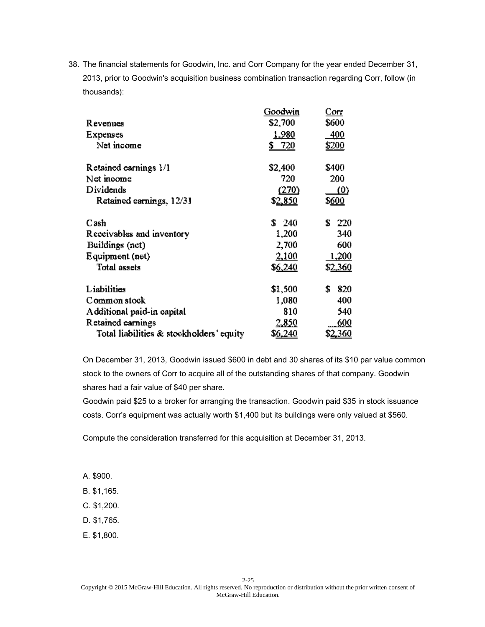|                                          | Goodwin        | Corr            |
|------------------------------------------|----------------|-----------------|
| Revenues                                 | \$2,700        | \$600           |
| Expenses                                 | <u>1,980</u>   | <u>400</u>      |
| Net income                               | <u>\$720</u>   | <u>\$200</u>    |
| Retained earnings 1/1                    | \$2,400        | \$400           |
| Net income                               | 720            | 200             |
| Dividends                                | (270)          | (0)             |
| Retained earnings, 12/31                 | \$2,850        | \$600           |
| Cash                                     | S.<br>- 240    | £.<br>220       |
| Receivables and inventory                | 1,200          | 340             |
| Buildings (net)                          | 2,700          | 600             |
| Equipment (net)                          | 2,100          | 1,200           |
| <b>Total assets</b>                      | \$6,240        | \$2,360         |
| Liabilities                              | \$1,500        | \$<br>820       |
| Common stock                             | 1,080          | 400             |
| Additional paid-in capital               | 810            | 540             |
| Retained earnings                        | 2,850          | 600             |
| Total liabilities & stockholders' equity | S <u>6,240</u> | \$ <u>2,360</u> |

On December 31, 2013, Goodwin issued \$600 in debt and 30 shares of its \$10 par value common stock to the owners of Corr to acquire all of the outstanding shares of that company. Goodwin shares had a fair value of \$40 per share.

Goodwin paid \$25 to a broker for arranging the transaction. Goodwin paid \$35 in stock issuance costs. Corr's equipment was actually worth \$1,400 but its buildings were only valued at \$560.

Compute the consideration transferred for this acquisition at December 31, 2013.

- A. \$900.
- B. \$1,165.
- C. \$1,200.
- D. \$1,765.
- E. \$1,800.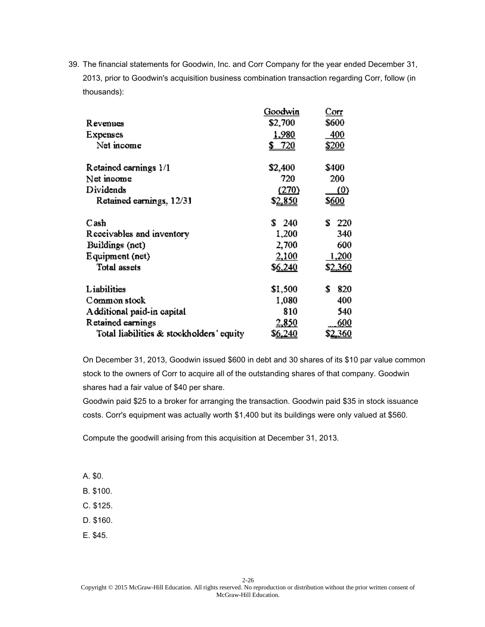|                                          | Goodwin         | Corr                |
|------------------------------------------|-----------------|---------------------|
| Revenues                                 | \$2,700         | \$600               |
| Expenses                                 | <u>1,980</u>    | 400                 |
| Net income                               | 720<br>\$       | <u>\$200</u>        |
| Retained earnings 1/1                    | \$2,400         | \$400               |
| Net income                               | 720             | 200                 |
| Dividends                                | (270)           | $\langle 0 \rangle$ |
| Retained earnings, 12/31                 | \$ <u>2,850</u> | \$ <u>600</u>       |
| Cash                                     | S<br>- 240      | £.<br>220           |
| Receivables and inventory                | 1,200           | 340                 |
| Buildings (net)                          | 2,700           | 600                 |
| Equipment (net)                          | 2,100           | 1,200               |
| <b>Total assets</b>                      | <u>\$6,240</u>  | \$2,360             |
| Liabilities                              | \$1,500         | \$<br>820           |
| Common stock                             | 1,080           | 400                 |
| Additional paid-in capital               | 810             | 540                 |
| Retained earnings                        | 2,850           | 600                 |
| Total liabilities & stockholders' equity | S <u>6,240</u>  | <u>2,360</u>        |

On December 31, 2013, Goodwin issued \$600 in debt and 30 shares of its \$10 par value common stock to the owners of Corr to acquire all of the outstanding shares of that company. Goodwin shares had a fair value of \$40 per share.

Goodwin paid \$25 to a broker for arranging the transaction. Goodwin paid \$35 in stock issuance costs. Corr's equipment was actually worth \$1,400 but its buildings were only valued at \$560.

Compute the goodwill arising from this acquisition at December 31, 2013.

- A. \$0.
- B. \$100.
- C. \$125.
- D. \$160.
- E. \$45.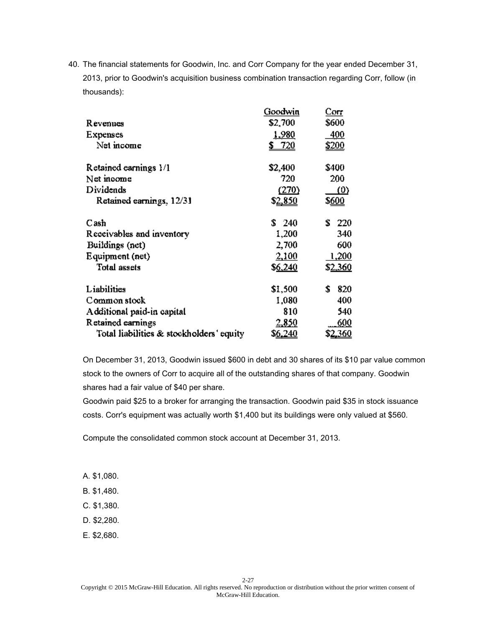|                                          | Goodwin         | Corr                |
|------------------------------------------|-----------------|---------------------|
| Revenues                                 | \$2,700         | \$600               |
| Expenses                                 | <u>1,980</u>    | 400                 |
| Net income                               | 720             | \$200               |
| Retained earnings 1/1                    | \$2,400         | \$400               |
| Net moome                                | 720             | 200                 |
| Dividends                                | (270)           | $\langle 0 \rangle$ |
| Retained earnings, 12/31                 | \$ <u>2,850</u> | \$ <u>600</u>       |
| Cash                                     | S<br>- 240      | £.<br>220           |
| Receivables and inventory                | 1,200           | 340                 |
| Buildings (net)                          | 2,700           | 600                 |
| Equipment (net)                          | 2,100           | 1,200               |
| <b>Total assets</b>                      | \$6,240         | \$ <u>2,360</u>     |
| Liabilities                              | \$1,500         | 820<br>\$           |
| Common stock                             | 1,080           | 400                 |
| Additional paid-in capital               | 810             | 540                 |
| Retained earnings                        | 2,850           | 600                 |
| Total liabilities & stockholders' equity | S <u>6,240</u>  | \$ <u>2,360</u>     |

On December 31, 2013, Goodwin issued \$600 in debt and 30 shares of its \$10 par value common stock to the owners of Corr to acquire all of the outstanding shares of that company. Goodwin shares had a fair value of \$40 per share.

Goodwin paid \$25 to a broker for arranging the transaction. Goodwin paid \$35 in stock issuance costs. Corr's equipment was actually worth \$1,400 but its buildings were only valued at \$560.

Compute the consolidated common stock account at December 31, 2013.

- A. \$1,080.
- B. \$1,480.
- C. \$1,380.
- D. \$2,280.
- E. \$2,680.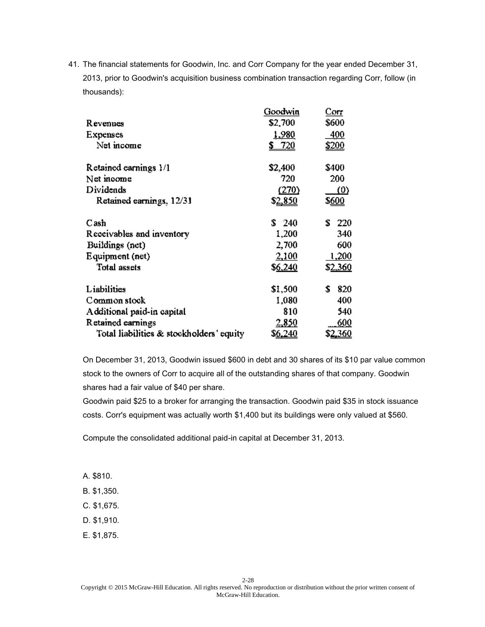|                                          | Goodwin        | Corr            |
|------------------------------------------|----------------|-----------------|
| Revenues                                 | \$2,700        | \$600           |
| Expenses                                 | <u>1,980</u>   | <u>400</u>      |
| Net income                               | <u>\$720</u>   | <u>\$200</u>    |
| Retained earnings 1/1                    | \$2,400        | \$400           |
| Net income                               | 720            | 200             |
| Dividends                                | (270)          | (0)             |
| Retained earnings, 12/31                 | \$2,850        | \$600           |
| Cash                                     | S.<br>- 240    | £.<br>220       |
| Receivables and inventory                | 1,200          | 340             |
| Buildings (net)                          | 2,700          | 600             |
| Equipment (net)                          | 2,100          | 1,200           |
| <b>Total assets</b>                      | \$6,240        | \$2,360         |
| Liabilities                              | \$1,500        | \$<br>820       |
| Common stock                             | 1,080          | 400             |
| Additional paid-in capital               | 810            | 540             |
| Retained earnings                        | 2,850          | 600             |
| Total liabilities & stockholders' equity | S <u>6,240</u> | \$ <u>2,360</u> |

On December 31, 2013, Goodwin issued \$600 in debt and 30 shares of its \$10 par value common stock to the owners of Corr to acquire all of the outstanding shares of that company. Goodwin shares had a fair value of \$40 per share.

Goodwin paid \$25 to a broker for arranging the transaction. Goodwin paid \$35 in stock issuance costs. Corr's equipment was actually worth \$1,400 but its buildings were only valued at \$560.

Compute the consolidated additional paid-in capital at December 31, 2013.

A. \$810.

B. \$1,350.

C. \$1,675.

D. \$1,910.

E. \$1,875.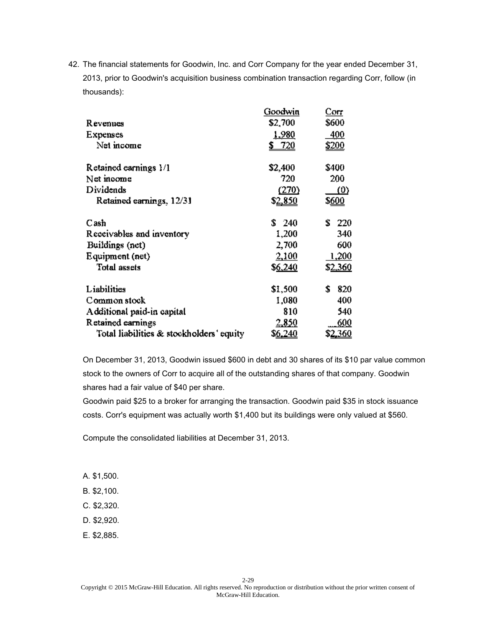|                                          | Goodwin         | Cor                 |
|------------------------------------------|-----------------|---------------------|
| Revenues                                 | \$2,700         | \$600               |
| Expenses                                 | <u>1,980</u>    | <u>400</u>          |
| Net income                               | 720             | <u>\$200</u>        |
| Retained earnings 1/1                    | \$2,400         | \$400               |
| Net income                               | 720             | 200                 |
| Dividends                                | (270)           | $\langle 0 \rangle$ |
| Retained earnings, 12/31                 | \$ <u>2,850</u> | \$ <u>600</u>       |
| Cash                                     | \$.<br>- 240    | £.<br>220           |
| Receivables and inventory                | 1,200           | 340                 |
| Buildings (net)                          | 2,700           | 600                 |
| Equipment (net)                          | 2,100           | 1,200               |
| <b>Total assets</b>                      | <u>\$6,240</u>  | \$2,360             |
| Liabilities                              | \$1,500         | \$<br>820           |
| Common stock                             | 1,080           | 400                 |
| Additional paid-in capital               | 810             | 540                 |
| Retained earnings                        | 2,850           | 600                 |
| Total liabilities & stockholders' equity | S <u>6,240</u>  | \$ <u>2,360</u>     |

On December 31, 2013, Goodwin issued \$600 in debt and 30 shares of its \$10 par value common stock to the owners of Corr to acquire all of the outstanding shares of that company. Goodwin shares had a fair value of \$40 per share.

Goodwin paid \$25 to a broker for arranging the transaction. Goodwin paid \$35 in stock issuance costs. Corr's equipment was actually worth \$1,400 but its buildings were only valued at \$560.

Compute the consolidated liabilities at December 31, 2013.

- A. \$1,500.
- B. \$2,100.
- C. \$2,320.
- D. \$2,920.
- E. \$2,885.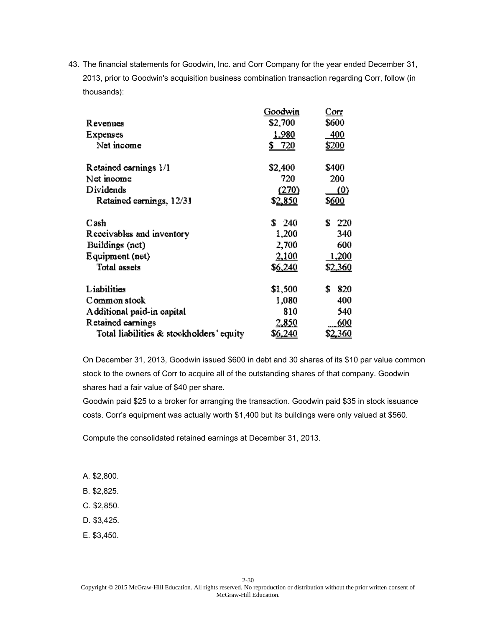|                                          | Goodwin        | Corr            |
|------------------------------------------|----------------|-----------------|
| Revenues                                 | \$2,700        | \$600           |
| Expenses                                 | <u>1,980</u>   | <u>400</u>      |
| Net income                               | <u>\$720</u>   | <u>\$200</u>    |
| Retained earnings 1/1                    | \$2,400        | \$400           |
| Net income                               | 720            | 200             |
| Dividends                                | (270)          | (0)             |
| Retained earnings, 12/31                 | \$2,850        | \$600           |
| Cash                                     | S.<br>- 240    | £.<br>220       |
| Receivables and inventory                | 1,200          | 340             |
| Buildings (net)                          | 2,700          | 600             |
| Equipment (net)                          | 2,100          | 1,200           |
| <b>Total assets</b>                      | \$6,240        | \$2,360         |
| Liabilities                              | \$1,500        | \$<br>820       |
| Common stock                             | 1,080          | 400             |
| Additional paid-in capital               | 810            | 540             |
| Retained earnings                        | 2,850          | 600             |
| Total liabilities & stockholders' equity | S <u>6,240</u> | \$ <u>2,360</u> |

On December 31, 2013, Goodwin issued \$600 in debt and 30 shares of its \$10 par value common stock to the owners of Corr to acquire all of the outstanding shares of that company. Goodwin shares had a fair value of \$40 per share.

Goodwin paid \$25 to a broker for arranging the transaction. Goodwin paid \$35 in stock issuance costs. Corr's equipment was actually worth \$1,400 but its buildings were only valued at \$560.

Compute the consolidated retained earnings at December 31, 2013.

- A. \$2,800.
- B. \$2,825.
- C. \$2,850.
- D. \$3,425.
- E. \$3,450.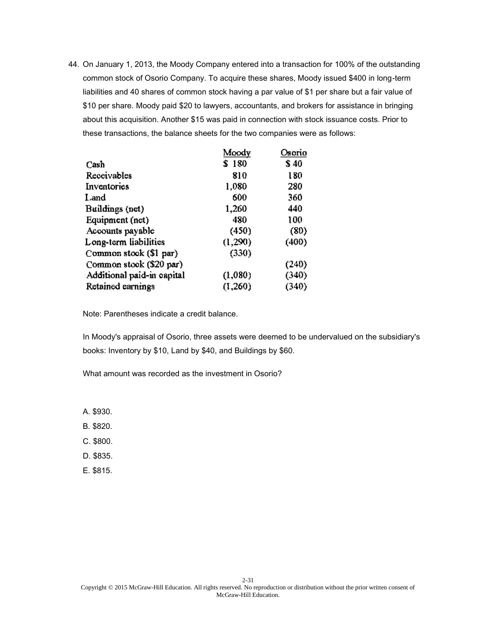|                            | Moody   | Osorio |
|----------------------------|---------|--------|
| Cash                       | \$180   | \$40   |
| Receivables                | 810     | 180    |
| Inventories                | 1,080   | 280    |
| Land                       | 600     | 360    |
| Buildings (net)            | 1,260   | 440    |
| Equipment (net)            | 480     | 100    |
| Accounts payable           | (450)   | (80)   |
| Long-term liabilities      | (1,290) | (400)  |
| Common stook (\$1 par)     | (330)   |        |
| Common stook (\$20 par)    |         | (240)  |
| Additional paid-in eapital | (1,080) | (340)  |
| Retained earnings          | (1,260) | (340)  |

Note: Parentheses indicate a credit balance.

In Moody's appraisal of Osorio, three assets were deemed to be undervalued on the subsidiary's books: Inventory by \$10, Land by \$40, and Buildings by \$60.

What amount was recorded as the investment in Osorio?

- A. \$930.
- B. \$820.
- C. \$800.
- D. \$835.
- E. \$815.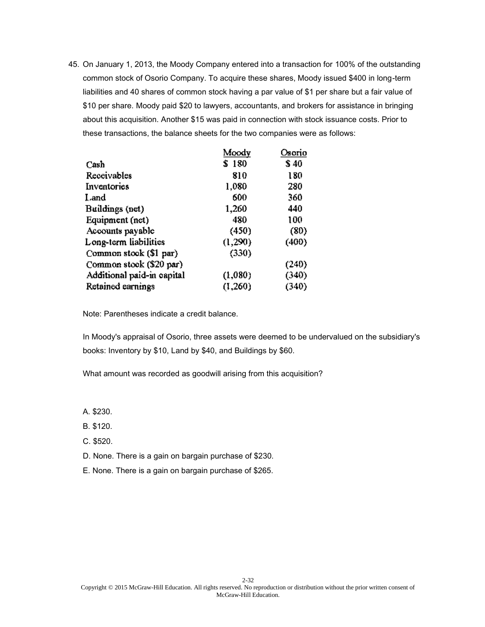|                            | Moody   | Osorio |
|----------------------------|---------|--------|
| Cash                       | \$180   | \$40   |
| Receivables                | 810     | 180    |
| Inventories                | 1,080   | 280    |
| Land                       | 600     | 360    |
| Buildings (net)            | 1,260   | 440    |
| Equipment (net)            | 480     | 100    |
| Accounts payable           | (450)   | (80)   |
| Long-term liabilities      | (1,290) | (400)  |
| Common stook (\$1 par)     | (330)   |        |
| Common stook (\$20 par)    |         | (240)  |
| Additional paid-in eapital | (1,080) | (340)  |
| Retained earnings          | (1,260) | (340)  |

Note: Parentheses indicate a credit balance.

In Moody's appraisal of Osorio, three assets were deemed to be undervalued on the subsidiary's books: Inventory by \$10, Land by \$40, and Buildings by \$60.

What amount was recorded as goodwill arising from this acquisition?

A. \$230.

- B. \$120.
- C. \$520.
- D. None. There is a gain on bargain purchase of \$230.
- E. None. There is a gain on bargain purchase of \$265.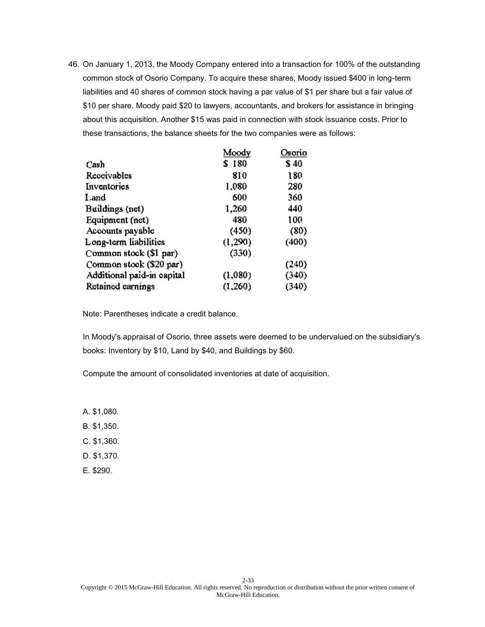|                            | Moody   | Osorio |
|----------------------------|---------|--------|
| Cash                       | \$180   | \$40   |
| Receivables                | 810     | 180    |
| Inventories                | 1,080   | 280    |
| Land                       | 600     | 360    |
| Buildings (net)            | 1,260   | 440    |
| Equipment (net)            | 480     | 100    |
| Accounts payable           | (450)   | (80)   |
| Long-term liabilities      | (1,290) | (400)  |
| Common stock (\$1 par)     | (330)   |        |
| Common stook (\$20 par)    |         | (240)  |
| Additional paid-in eapital | (1,080) | (340)  |
| Retained earnings          | (1,260) | (340)  |

Note: Parentheses indicate a credit balance.

In Moody's appraisal of Osorio, three assets were deemed to be undervalued on the subsidiary's books: Inventory by \$10, Land by \$40, and Buildings by \$60.

Compute the amount of consolidated inventories at date of acquisition.

- A. \$1,080.
- B. \$1,350.
- C. \$1,360.
- D. \$1,370.
- E. \$290.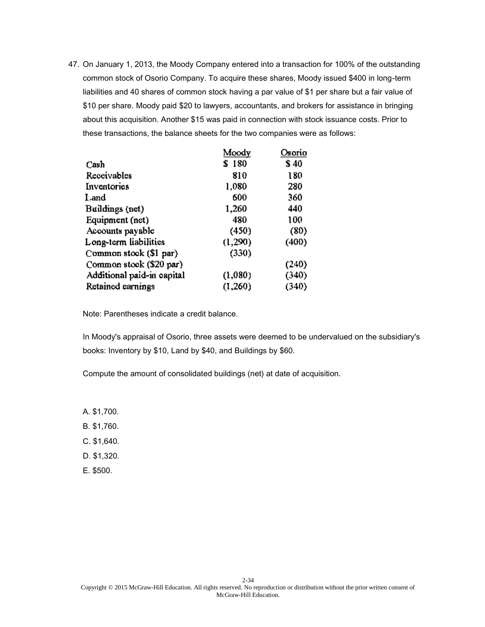|                            | Moody   | Osorio |
|----------------------------|---------|--------|
| Cash                       | \$180   | \$40   |
| Receivables                | 810     | 180    |
| Inventories                | 1,080   | 280    |
| Land                       | 600     | 360    |
| Buildings (net)            | 1,260   | 440    |
| Equipment (net)            | 480     | 100    |
| Accounts payable           | (450)   | (80)   |
| Long-term liabilities      | (1,290) | (400)  |
| Common stook (\$1 par)     | (330)   |        |
| Common stook (\$20 par)    |         | (240)  |
| Additional paid-in eapital | (1,080) | (340)  |
| Retained earnings          | (1,260) | (340)  |

Note: Parentheses indicate a credit balance.

In Moody's appraisal of Osorio, three assets were deemed to be undervalued on the subsidiary's books: Inventory by \$10, Land by \$40, and Buildings by \$60.

Compute the amount of consolidated buildings (net) at date of acquisition.

- A. \$1,700.
- B. \$1,760.
- C. \$1,640.
- D. \$1,320.
- E. \$500.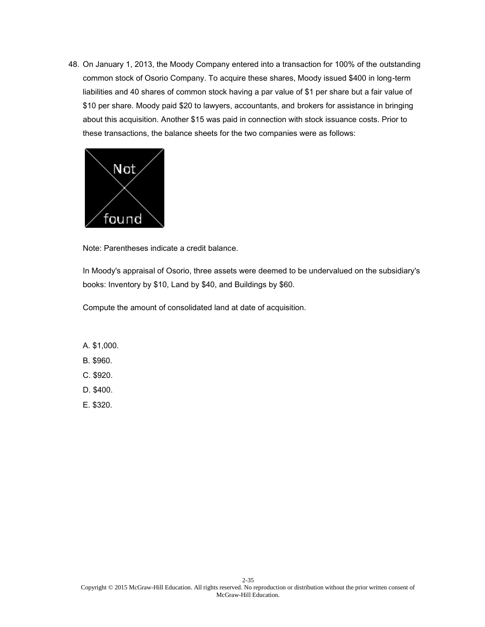

Note: Parentheses indicate a credit balance.

In Moody's appraisal of Osorio, three assets were deemed to be undervalued on the subsidiary's books: Inventory by \$10, Land by \$40, and Buildings by \$60.

Compute the amount of consolidated land at date of acquisition.

- A. \$1,000.
- B. \$960.
- C. \$920.
- D. \$400.
- E. \$320.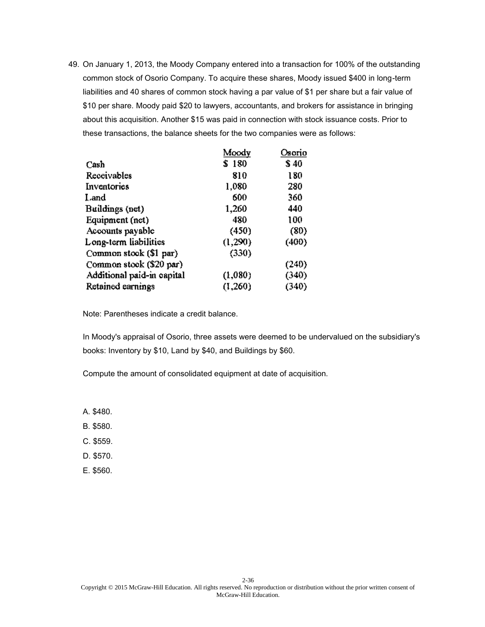|                            | Moody   | Osorio |
|----------------------------|---------|--------|
| Cash                       | \$180   | \$40   |
| Receivables                | 810     | 180    |
| Inventories                | 1,080   | 280    |
| Land                       | 600     | 360    |
| Buildings (net)            | 1,260   | 440    |
| Equipment (net)            | 480     | 100    |
| Accounts payable           | (450)   | (80)   |
| Long-term liabilities      | (1,290) | (400)  |
| Common stook (\$1 par)     | (330)   |        |
| Common stook (\$20 par)    |         | (240)  |
| Additional paid-in eapital | (1,080) | (340)  |
| Retained earnings          | (1,260) | (340)  |

Note: Parentheses indicate a credit balance.

In Moody's appraisal of Osorio, three assets were deemed to be undervalued on the subsidiary's books: Inventory by \$10, Land by \$40, and Buildings by \$60.

Compute the amount of consolidated equipment at date of acquisition.

- A. \$480.
- B. \$580.
- C. \$559.
- D. \$570.
- E. \$560.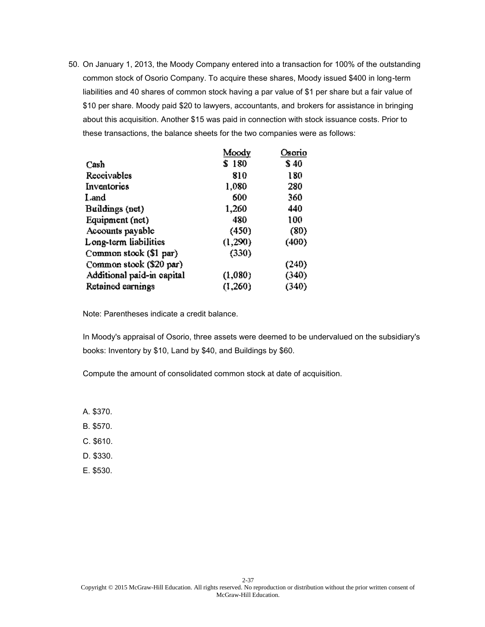50. On January 1, 2013, the Moody Company entered into a transaction for 100% of the outstanding common stock of Osorio Company. To acquire these shares, Moody issued \$400 in long-term liabilities and 40 shares of common stock having a par value of \$1 per share but a fair value of \$10 per share. Moody paid \$20 to lawyers, accountants, and brokers for assistance in bringing about this acquisition. Another \$15 was paid in connection with stock issuance costs. Prior to these transactions, the balance sheets for the two companies were as follows:

|                            | Moody   | Osorio |
|----------------------------|---------|--------|
| Cash                       | \$180   | \$40   |
| Receivables                | 810     | 180    |
| Inventories                | 1,080   | 280    |
| Land                       | 600     | 360    |
| Buildings (net)            | 1,260   | 440    |
| Equipment (net)            | 480     | 100    |
| Accounts payable           | (450)   | (80)   |
| Long-term liabilities      | (1,290) | (400)  |
| Common stook (\$1 par)     | (330)   |        |
| Common stook (\$20 par)    |         | (240)  |
| Additional paid-in eapital | (1,080) | (340)  |
| Retained earnings          | (1,260) | (340)  |

Note: Parentheses indicate a credit balance.

In Moody's appraisal of Osorio, three assets were deemed to be undervalued on the subsidiary's books: Inventory by \$10, Land by \$40, and Buildings by \$60.

Compute the amount of consolidated common stock at date of acquisition.

- A. \$370.
- B. \$570.
- C. \$610.
- D. \$330.
- E. \$530.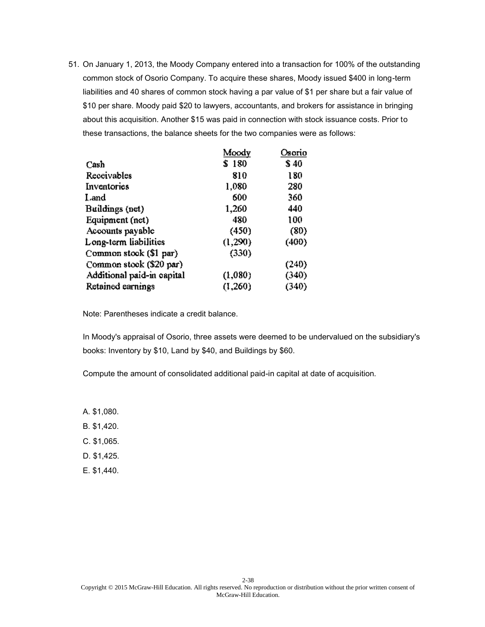51. On January 1, 2013, the Moody Company entered into a transaction for 100% of the outstanding common stock of Osorio Company. To acquire these shares, Moody issued \$400 in long-term liabilities and 40 shares of common stock having a par value of \$1 per share but a fair value of \$10 per share. Moody paid \$20 to lawyers, accountants, and brokers for assistance in bringing about this acquisition. Another \$15 was paid in connection with stock issuance costs. Prior to these transactions, the balance sheets for the two companies were as follows:

|                            | Moody   | Osorio |
|----------------------------|---------|--------|
| Cash                       | \$180   | \$40   |
| Receivables                | 810     | 180    |
| Inventories                | 1,080   | 280    |
| Land                       | 600     | 360    |
| Buildings (net)            | 1,260   | 440    |
| Equipment (net)            | 480     | 100    |
| Accounts payable           | (450)   | (80)   |
| Long-term liabilities      | (1,290) | (400)  |
| Common stook (\$1 par)     | (330)   |        |
| Common stook (\$20 par)    |         | (240)  |
| Additional paid-in eapital | (1,080) | (340)  |
| Retained earnings          | (1,260) | (340)  |

Note: Parentheses indicate a credit balance.

In Moody's appraisal of Osorio, three assets were deemed to be undervalued on the subsidiary's books: Inventory by \$10, Land by \$40, and Buildings by \$60.

Compute the amount of consolidated additional paid-in capital at date of acquisition.

- A. \$1,080.
- B. \$1,420.
- C. \$1,065.
- D. \$1,425.
- E. \$1,440.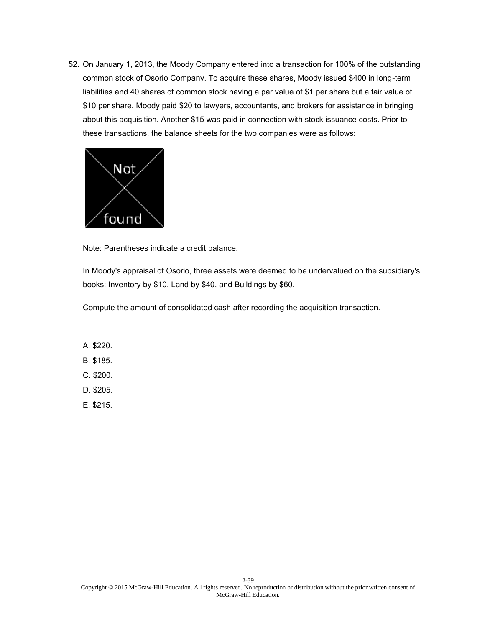52. On January 1, 2013, the Moody Company entered into a transaction for 100% of the outstanding common stock of Osorio Company. To acquire these shares, Moody issued \$400 in long-term liabilities and 40 shares of common stock having a par value of \$1 per share but a fair value of \$10 per share. Moody paid \$20 to lawyers, accountants, and brokers for assistance in bringing about this acquisition. Another \$15 was paid in connection with stock issuance costs. Prior to these transactions, the balance sheets for the two companies were as follows:



Note: Parentheses indicate a credit balance.

In Moody's appraisal of Osorio, three assets were deemed to be undervalued on the subsidiary's books: Inventory by \$10, Land by \$40, and Buildings by \$60.

Compute the amount of consolidated cash after recording the acquisition transaction.

- A. \$220.
- B. \$185.
- C. \$200.
- D. \$205.
- E. \$215.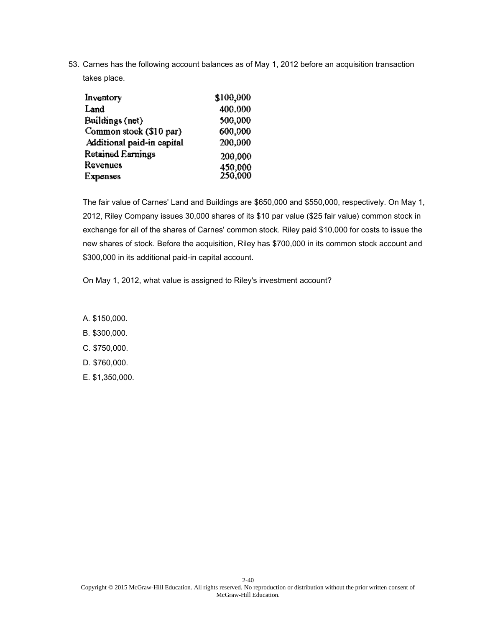| Inventory                  | \$100,000          |
|----------------------------|--------------------|
| Land                       | 400.000            |
| Buildings (net)            | 500,000            |
| Common stock (\$10 par)    | 600.000            |
| Additional paid-in capital | 200,000            |
| Retained Earnings          | 200,000            |
| Revenues                   | 450,000<br>250,000 |
| <b>Expenses</b>            |                    |

The fair value of Carnes' Land and Buildings are \$650,000 and \$550,000, respectively. On May 1, 2012, Riley Company issues 30,000 shares of its \$10 par value (\$25 fair value) common stock in exchange for all of the shares of Carnes' common stock. Riley paid \$10,000 for costs to issue the new shares of stock. Before the acquisition, Riley has \$700,000 in its common stock account and \$300,000 in its additional paid-in capital account.

On May 1, 2012, what value is assigned to Riley's investment account?

- A. \$150,000.
- B. \$300,000.
- C. \$750,000.
- D. \$760,000.
- E. \$1,350,000.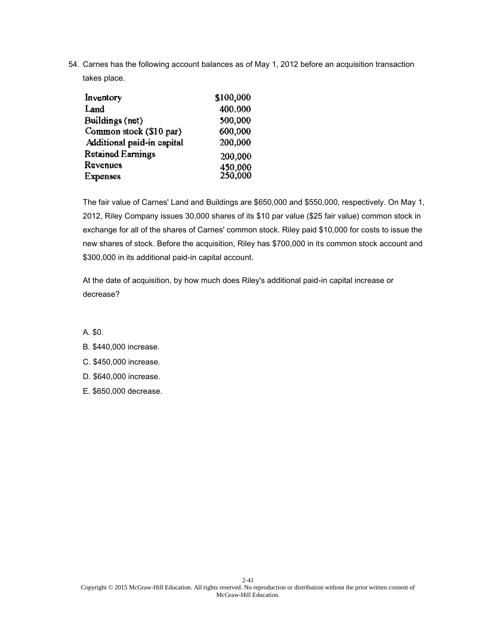| Inventory                  | \$100,000          |
|----------------------------|--------------------|
| Land                       | 400.000            |
| Buildings (net)            | 500,000            |
| Common stock (\$10 par)    | 600.000            |
| Additional paid-in capital | 200,000            |
| Retained Earnings          | 200,000            |
| Revenues                   | 450,000<br>250,000 |
| <b>Expenses</b>            |                    |

The fair value of Carnes' Land and Buildings are \$650,000 and \$550,000, respectively. On May 1, 2012, Riley Company issues 30,000 shares of its \$10 par value (\$25 fair value) common stock in exchange for all of the shares of Carnes' common stock. Riley paid \$10,000 for costs to issue the new shares of stock. Before the acquisition, Riley has \$700,000 in its common stock account and \$300,000 in its additional paid-in capital account.

At the date of acquisition, by how much does Riley's additional paid-in capital increase or decrease?

A. \$0.

#### B. \$440,000 increase.

- C. \$450,000 increase.
- D. \$640,000 increase.
- E. \$650,000 decrease.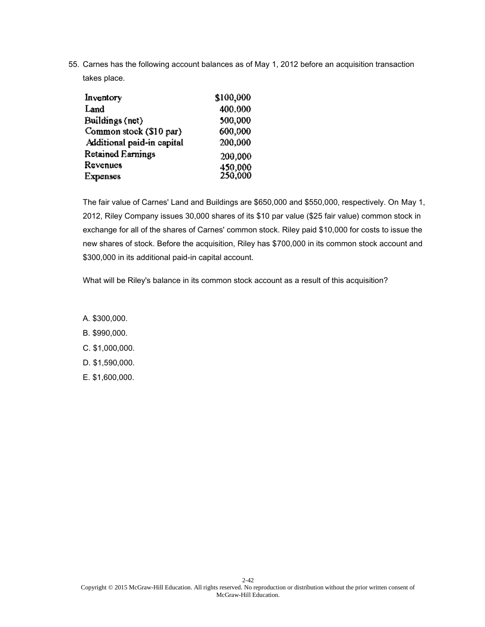| Inventory                  | \$100,000          |
|----------------------------|--------------------|
| Land                       | 400.000            |
| Buildings (net)            | 500,000            |
| Common stock (\$10 par)    | 600.000            |
| Additional paid-in capital | 200,000            |
| Retained Earnings          | 200,000            |
| Revenues                   | 450,000<br>250,000 |
| <b>Expenses</b>            |                    |

The fair value of Carnes' Land and Buildings are \$650,000 and \$550,000, respectively. On May 1, 2012, Riley Company issues 30,000 shares of its \$10 par value (\$25 fair value) common stock in exchange for all of the shares of Carnes' common stock. Riley paid \$10,000 for costs to issue the new shares of stock. Before the acquisition, Riley has \$700,000 in its common stock account and \$300,000 in its additional paid-in capital account.

What will be Riley's balance in its common stock account as a result of this acquisition?

- A. \$300,000.
- B. \$990,000.
- C. \$1,000,000.
- D. \$1,590,000.
- E. \$1,600,000.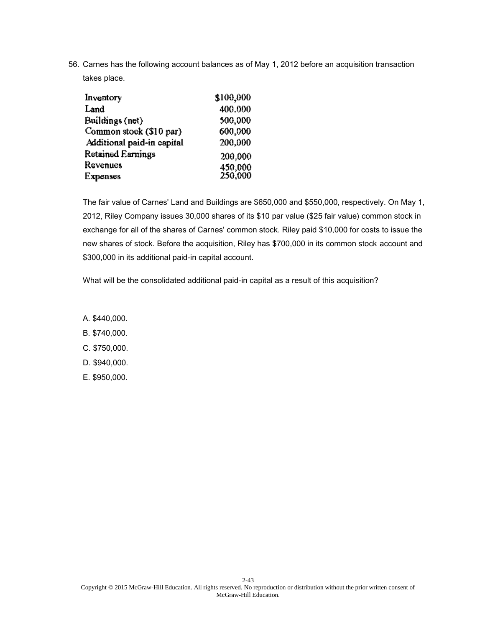| Inventory                  | \$100,000          |
|----------------------------|--------------------|
| Land                       | 400.000            |
| Buildings (net)            | 500,000            |
| Common stock (\$10 par)    | 600.000            |
| Additional paid-in capital | 200,000            |
| Retained Earnings          | 200,000            |
| Revenues                   | 450,000<br>250,000 |
| <b>Expenses</b>            |                    |

The fair value of Carnes' Land and Buildings are \$650,000 and \$550,000, respectively. On May 1, 2012, Riley Company issues 30,000 shares of its \$10 par value (\$25 fair value) common stock in exchange for all of the shares of Carnes' common stock. Riley paid \$10,000 for costs to issue the new shares of stock. Before the acquisition, Riley has \$700,000 in its common stock account and \$300,000 in its additional paid-in capital account.

What will be the consolidated additional paid-in capital as a result of this acquisition?

- A. \$440,000.
- B. \$740,000.
- C. \$750,000.
- D. \$940,000.
- E. \$950,000.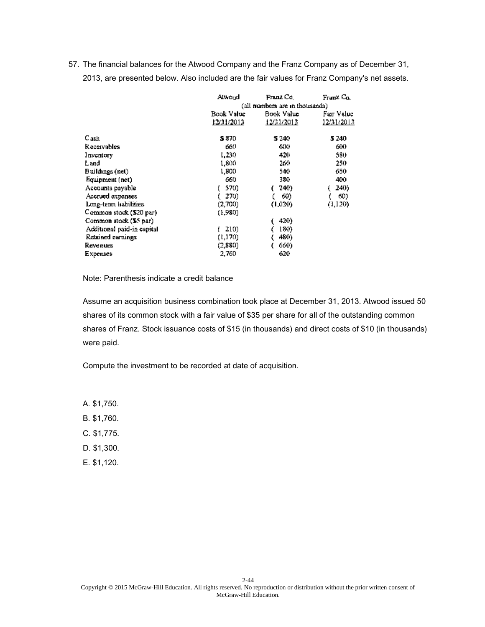|                            | Atwood                          | Franz Co.  | Franz Co.  |
|----------------------------|---------------------------------|------------|------------|
|                            | (all numbers are in thousands). |            |            |
|                            | Book Value                      | Book Value | Fair Value |
|                            | 12/31/2013                      | 12/31/2013 | 12/31/2013 |
| Cash                       | S 870.                          | S 240.     | 5 240      |
| <b>Receivables</b>         | 660                             | 600        | 600        |
| Inventory                  | 1,230                           | 420        | 580        |
| Land                       | 1,800                           | 260        | 250        |
| Buildings (net)            | 1,800                           | 540.       | 650        |
| Equipment (net)            | 660                             | 380.       | 400        |
| Accounts payable           | 570)                            | 240)       | 240)       |
| Accrued expenses           | 270)                            | 60)        | 60)        |
| Long-term habilities       | (2,700)                         | (1,020)    | (1,120)    |
| Common stock (\$20 par)    | (1,980)                         |            |            |
| Common stock (\$5 par)     |                                 | 420)       |            |
| Additional paid-in capital | 210)                            | 180)       |            |
| Retained earnings          | (1,170)                         | 480)       |            |
| <b>Revenues</b>            | (2,880)                         | 660)       |            |
| Expenses                   | 2,760                           | 620        |            |

Note: Parenthesis indicate a credit balance

Assume an acquisition business combination took place at December 31, 2013. Atwood issued 50 shares of its common stock with a fair value of \$35 per share for all of the outstanding common shares of Franz. Stock issuance costs of \$15 (in thousands) and direct costs of \$10 (in thousands) were paid.

Compute the investment to be recorded at date of acquisition.

A. \$1,750.

B. \$1,760.

C. \$1,775.

- D. \$1,300.
- E. \$1,120.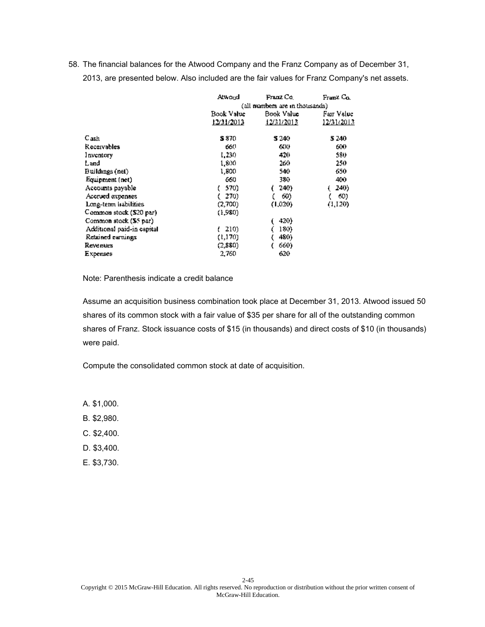|                            | Atwond                         | Franz Co.  | Franz Co.  |
|----------------------------|--------------------------------|------------|------------|
|                            | (all numbers are in thousands) |            |            |
|                            | Book Value                     | Book Value |            |
|                            | 12/31/2013                     | 12/31/2013 | 12/31/2013 |
| C <sub>ash</sub>           | S 870                          | S 240.     | 5 240      |
| Receivables                | 660                            | 600        | 600        |
| Inventory                  | 1,230                          | 420        | 580.       |
| Land                       | 1,800                          | 260        | 250        |
| Buildings (net).           | 1,800                          | 540.       | 650        |
| Equipment (net)            | 660                            | 380.       | 400        |
| Accounts payable           | 570)                           | 240)       | 240)       |
| Accrued expenses           | 270)                           | 60)        | 60)        |
| Long-term habilities       | (2,700)                        | (1,020)    | (1,120)    |
| Common stock (\$20 par)    | (1,980)                        |            |            |
| Common stock (S5 par)      |                                | 420)       |            |
| Additional paid-in capital | 210)                           | 180)       |            |
| Retained earnings          | (1,170)                        | 480)       |            |
| Revenues                   | (2,880)                        | 660)       |            |
| Expenses                   | 2,760                          | 620        |            |

Note: Parenthesis indicate a credit balance

Assume an acquisition business combination took place at December 31, 2013. Atwood issued 50 shares of its common stock with a fair value of \$35 per share for all of the outstanding common shares of Franz. Stock issuance costs of \$15 (in thousands) and direct costs of \$10 (in thousands) were paid.

Compute the consolidated common stock at date of acquisition.

A. \$1,000.

B. \$2,980.

C. \$2,400.

D. \$3,400.

E. \$3,730.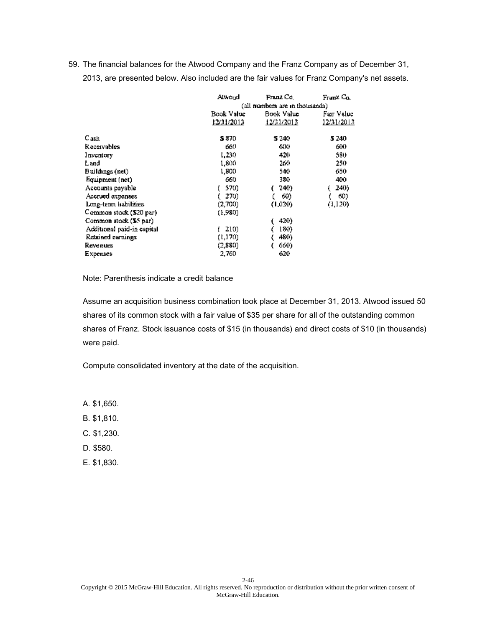|                            | Atwond                         | Franz Co.  | Franz Co.  |
|----------------------------|--------------------------------|------------|------------|
|                            | (all numbers are in thousands) |            |            |
|                            | Book Value                     | Book Value |            |
|                            | 12/31/2013                     | 12/31/2013 | 12/31/2013 |
| C <sub>ash</sub>           | S 870                          | S 240.     | 5 240      |
| Receivables                | 660                            | 600        | 600        |
| Inventory                  | 1,230                          | 420        | 580.       |
| Land                       | 1,800                          | 260        | 250        |
| Buildings (net)            | 1,800                          | 540.       | 650        |
| Equipment (net)            | 660                            | 380.       | 400        |
| Accounts payable           | 570)                           | 240)       | 240)       |
| Accrued expenses           | 270)                           | 60)        | 60)        |
| Long-term habilities       | (2,700)                        | (1,020)    | (1,120)    |
| Common stock (\$20 par)    | (1,980)                        |            |            |
| Common stock (S5 par)      |                                | 420)       |            |
| Additional paid-in capital | 210)                           | 180)       |            |
| Retained earnings          | (1,170)                        | 480)       |            |
| Revenues                   | (2,880)                        | 660)       |            |
| Expenses                   | 2,760                          | 620        |            |

Note: Parenthesis indicate a credit balance

Assume an acquisition business combination took place at December 31, 2013. Atwood issued 50 shares of its common stock with a fair value of \$35 per share for all of the outstanding common shares of Franz. Stock issuance costs of \$15 (in thousands) and direct costs of \$10 (in thousands) were paid.

Compute consolidated inventory at the date of the acquisition.

A. \$1,650.

B. \$1,810.

C. \$1,230.

D. \$580.

E. \$1,830.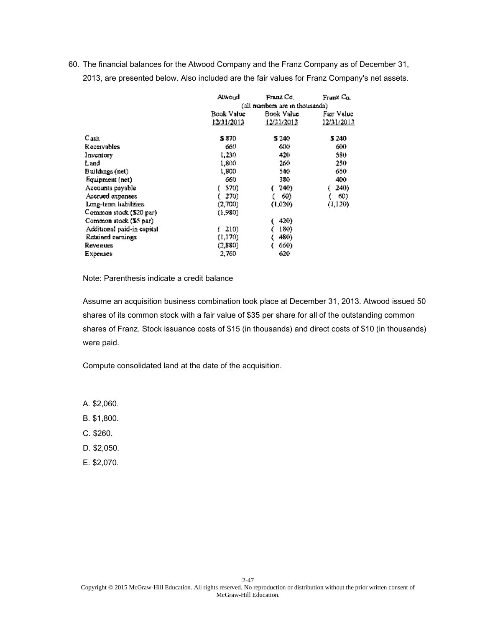|                            | Atwond                         | Franz Co.  | Franz Co.  |
|----------------------------|--------------------------------|------------|------------|
|                            | (all numbers are in thousands) |            |            |
|                            | Book Value                     | Book Value |            |
|                            | 12/31/2013                     | 12/31/2013 | 12/31/2013 |
| C <sub>ash</sub>           | S 870                          | S 240.     | 5 240      |
| Receivables                | 660                            | 600        | 600        |
| Inventory                  | 1,230                          | 420        | 580.       |
| Land                       | 1,800                          | 260        | 250        |
| Buildings (net)            | 1,800                          | 540.       | 650        |
| Equipment (net)            | 660                            | 380.       | 400        |
| Accounts payable           | 570)                           | 240)       | 240)       |
| Accrued expenses           | 270)                           | 60)        | 60)        |
| Long-term habilities       | (2,700)                        | (1,020)    | (1,120)    |
| Common stock (\$20 par)    | (1,980)                        |            |            |
| Common stock (S5 par)      |                                | 420)       |            |
| Additional paid-in capital | 210)                           | 180)       |            |
| Retained earnings          | (1,170)                        | 480)       |            |
| Revenues                   | (2,880)                        | 660)       |            |
| Expenses                   | 2,760                          | 620        |            |

Note: Parenthesis indicate a credit balance

Assume an acquisition business combination took place at December 31, 2013. Atwood issued 50 shares of its common stock with a fair value of \$35 per share for all of the outstanding common shares of Franz. Stock issuance costs of \$15 (in thousands) and direct costs of \$10 (in thousands) were paid.

Compute consolidated land at the date of the acquisition.

A. \$2,060.

B. \$1,800.

C. \$260.

D. \$2,050.

E. \$2,070.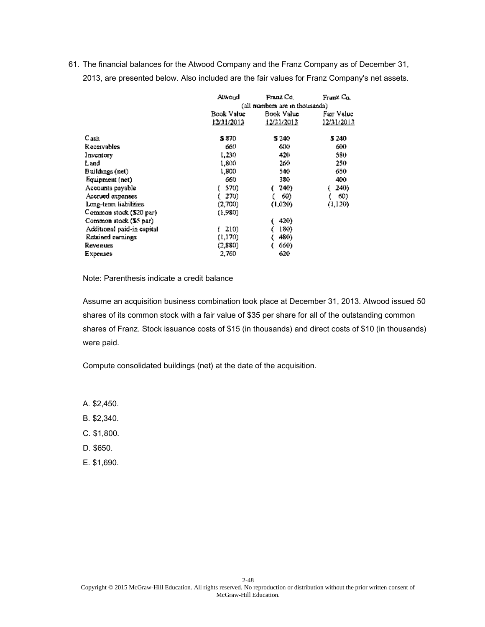|                            | Atwond                         | Franz Co.  | Franz Co.  |  |
|----------------------------|--------------------------------|------------|------------|--|
|                            | (all numbers are in thousands) |            |            |  |
|                            | Book Value                     | Book Value |            |  |
|                            | 12/31/2013                     | 12/31/2013 | 12/31/2013 |  |
| C <sub>ash</sub>           | S 870.                         | S 240      | 5 240      |  |
| Receivables                | 660                            | 600        | 600        |  |
| Inventory                  | 1,230                          | 420        | 580.       |  |
| Land                       | 1,800                          | 260        | 250        |  |
| Buildings (net)            | 1,800                          | 540        | 650        |  |
| Equipment (net)            | 660                            | 380.       | 400        |  |
| Accounts payable           | 570)                           | 240)       | 240)       |  |
| Accrued expenses           | 270)                           | 60)        | 60)        |  |
| Long-term liabilities      | (2,700)                        | (1,020)    | (1,120)    |  |
| Common stock (\$20 par)    | (1.980)                        |            |            |  |
| Common stock (S5 par)      |                                | 420)       |            |  |
| Additional paid-in capital | 210)                           | 180)       |            |  |
| Retained earnings          | (1,170)                        | 480)       |            |  |
| Revenues                   | (2,880)                        | 660)       |            |  |
| Expenses                   | 2,760                          | 620        |            |  |

Note: Parenthesis indicate a credit balance

Assume an acquisition business combination took place at December 31, 2013. Atwood issued 50 shares of its common stock with a fair value of \$35 per share for all of the outstanding common shares of Franz. Stock issuance costs of \$15 (in thousands) and direct costs of \$10 (in thousands) were paid.

Compute consolidated buildings (net) at the date of the acquisition.

A. \$2,450.

B. \$2,340.

C. \$1,800.

D. \$650.

E. \$1,690.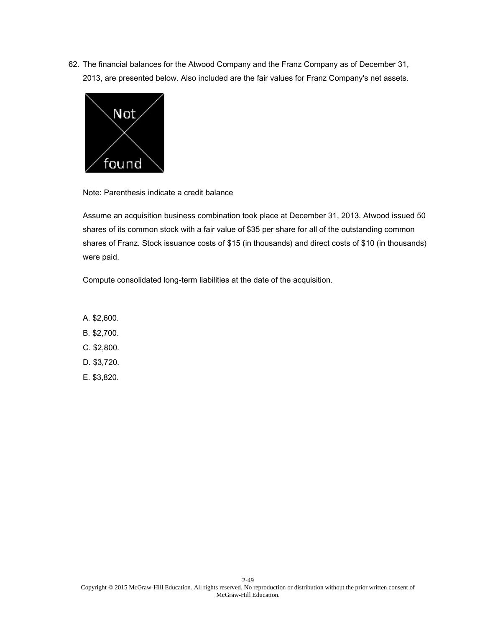

Note: Parenthesis indicate a credit balance

Assume an acquisition business combination took place at December 31, 2013. Atwood issued 50 shares of its common stock with a fair value of \$35 per share for all of the outstanding common shares of Franz. Stock issuance costs of \$15 (in thousands) and direct costs of \$10 (in thousands) were paid.

Compute consolidated long-term liabilities at the date of the acquisition.

A. \$2,600. B. \$2,700. C. \$2,800. D. \$3,720. E. \$3,820.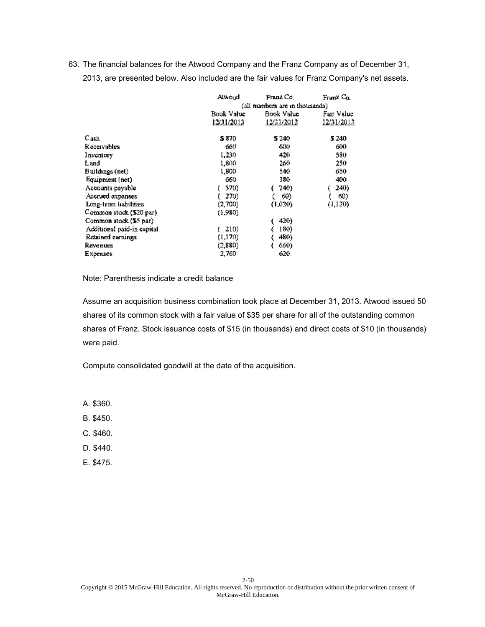|                            | Atwond                         | Franz Co.  | Franz Co.  |
|----------------------------|--------------------------------|------------|------------|
|                            | (all numbers are in thousands) |            |            |
|                            | Book Value                     | Book Value |            |
|                            | 12/31/2013                     | 12/31/2013 | 12/31/2013 |
| C <sub>ash</sub>           | S 870                          | S 240.     | 5 240      |
| Receivables                | 660                            | 600        | 600        |
| Inventory                  | 1,230                          | 420        | 580.       |
| Land                       | 1,800                          | 260        | 250        |
| Buildings (net)            | 1,800                          | 540.       | 650        |
| Equipment (net)            | 660                            | 380.       | 400        |
| Accounts payable           | 570)                           | 240)       | 240)       |
| Accrued expenses           | 270)                           | 60)        | 60)        |
| Long-term habilities       | (2,700)                        | (1,020)    | (1,120)    |
| Common stock (\$20 par)    | (1,980)                        |            |            |
| Common stock (S5 par)      |                                | 420)       |            |
| Additional paid-in capital | 210)                           | 180)       |            |
| Retained earnings          | (1,170)                        | 480)       |            |
| Revenues                   | (2,880)                        | 660)       |            |
| Expenses                   | 2,760                          | 620        |            |

Note: Parenthesis indicate a credit balance

Assume an acquisition business combination took place at December 31, 2013. Atwood issued 50 shares of its common stock with a fair value of \$35 per share for all of the outstanding common shares of Franz. Stock issuance costs of \$15 (in thousands) and direct costs of \$10 (in thousands) were paid.

Compute consolidated goodwill at the date of the acquisition.

A. \$360.

B. \$450.

C. \$460.

D. \$440.

E. \$475.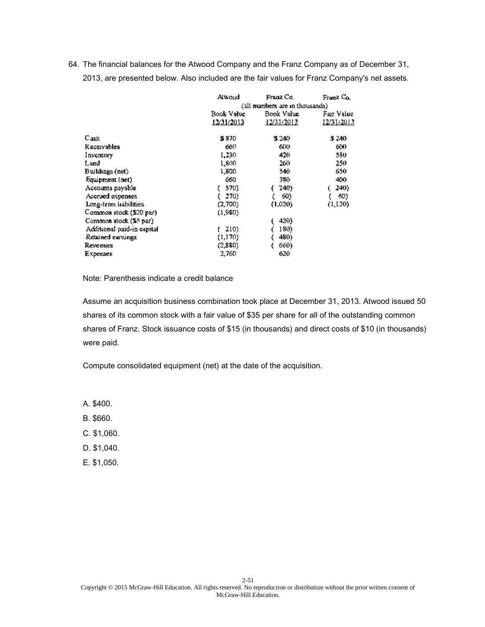|                            | Atwond                         | Franz Co.  | Franz Co.   |
|----------------------------|--------------------------------|------------|-------------|
|                            | (all numbers are in thousands) |            |             |
|                            | Book Value                     | Book Value | Fair Value. |
|                            | 12/31/2013                     | 12/31/2013 | 12/31/2013  |
| C <sub>ash</sub>           | S 870                          | S 240.     | 5 240       |
| Receivables                | 660                            | 600        | 600         |
| Inventory                  | 1,230                          | 420        | 580.        |
| Land                       | 1,800                          | 260        | 250         |
| Buildings (net)            | 1,800                          | 540.       | 650         |
| Equipment (net)            | 660                            | 380.       | 400         |
| Accounts payable           | 570)                           | 240)       | 240)        |
| Accrued expenses           | 270)                           | 60)        | 60)         |
| Long-term habilities       | (2,700)                        | (1,020)    | (1,120)     |
| Common stock (\$20 par)    | (1,980)                        |            |             |
| Common stock (S5 par)      |                                | 420)       |             |
| Additional paid-in capital | 210)                           | 180)       |             |
| Retained earnings          | (1,170)                        | 480)       |             |
| Revenues                   | (2,880)                        | 660)       |             |
| Expenses                   | 2,760                          | 620        |             |

Note: Parenthesis indicate a credit balance

Assume an acquisition business combination took place at December 31, 2013. Atwood issued 50 shares of its common stock with a fair value of \$35 per share for all of the outstanding common shares of Franz. Stock issuance costs of \$15 (in thousands) and direct costs of \$10 (in thousands) were paid.

Compute consolidated equipment (net) at the date of the acquisition.

A. \$400.

B. \$660.

C. \$1,060.

D. \$1,040.

E. \$1,050.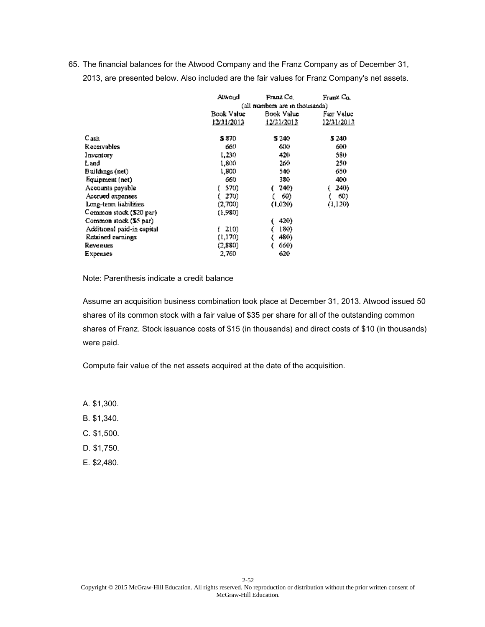|                            | Atwond                          | Franz Co.  | Franz Co.  |
|----------------------------|---------------------------------|------------|------------|
|                            | (all numbers are in thousands). |            |            |
|                            | Book Value                      | Book Value | Fair Value |
|                            | 12/31/2013                      | 12/31/2013 | 12/31/2013 |
| C <sub>ash</sub>           | S 870.                          | S 240.     | 5 240      |
| Receivables                | 660                             | 600        | 600        |
| Inventory                  | 1,230                           | 420        | 580.       |
| Land                       | 1,800                           | 260        | 250        |
| Buildings (net)            | 1,800                           | 540        | 650        |
| Equipment (net)            | 660                             | 380.       | 400        |
| Accounts payable           | 570)                            | 240)       | 240)       |
| Accrued expenses           | 270)                            | 60)        | 60)        |
| Long-term liabilities      | (2,700)                         | (1,020)    | (1,120)    |
| Common stock (\$20 par)    | (1,980)                         |            |            |
| Common stock (\$5 par)     |                                 | 420)       |            |
| Additional paid-in capital | 210)                            | 180)       |            |
| Retained earnings          | (1,170)                         | 480)       |            |
| Revenues                   | (2,880)                         | 660)       |            |
| Expenses                   | 2,760                           | 620        |            |

Note: Parenthesis indicate a credit balance

Assume an acquisition business combination took place at December 31, 2013. Atwood issued 50 shares of its common stock with a fair value of \$35 per share for all of the outstanding common shares of Franz. Stock issuance costs of \$15 (in thousands) and direct costs of \$10 (in thousands) were paid.

Compute fair value of the net assets acquired at the date of the acquisition.

A. \$1,300.

B. \$1,340.

C. \$1,500.

D. \$1,750.

E. \$2,480.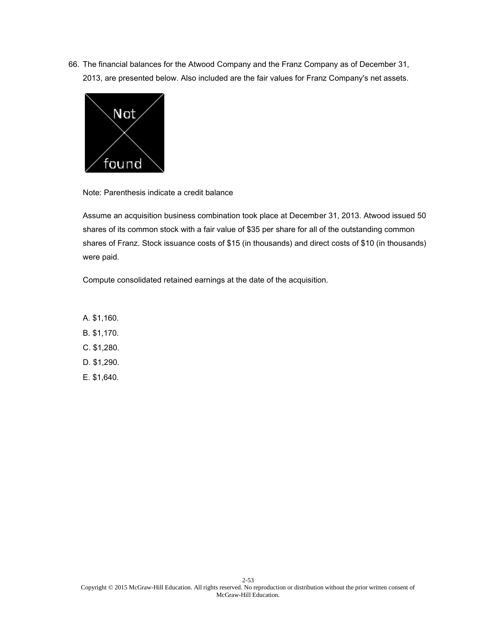

Note: Parenthesis indicate a credit balance

Assume an acquisition business combination took place at December 31, 2013. Atwood issued 50 shares of its common stock with a fair value of \$35 per share for all of the outstanding common shares of Franz. Stock issuance costs of \$15 (in thousands) and direct costs of \$10 (in thousands) were paid.

Compute consolidated retained earnings at the date of the acquisition.

A. \$1,160. B. \$1,170. C. \$1,280. D. \$1,290. E. \$1,640.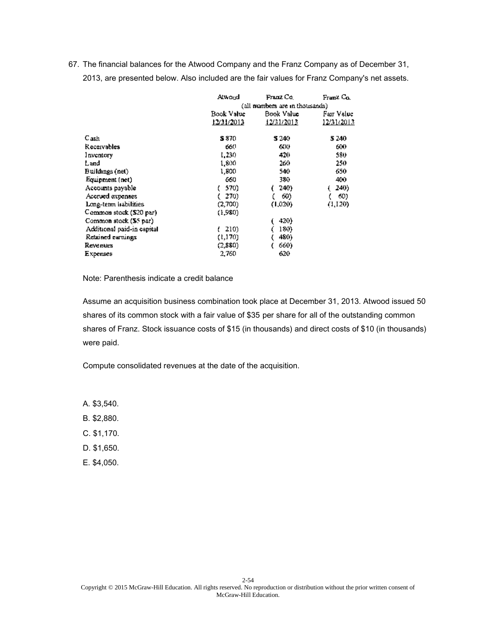|                            | Atwond                          | Franz Co.  | Franz Co.         |
|----------------------------|---------------------------------|------------|-------------------|
|                            | (all numbers are in thousands). |            |                   |
|                            | Book Value                      | Book Value | Fair Value        |
|                            | 12/31/2013                      | 12/31/2013 | <u>12/31/2013</u> |
| C <sub>ash</sub>           | S 870.                          | S 240.     | 5 240             |
| Receivables                | 660                             | 600        | 600               |
| Inventory                  | 1,230                           | 420        | 580               |
| Land.                      | 1,800.                          | 260        | 250               |
| Buildings (net)            | 1,800                           | 540.       | 650               |
| Equipment (net)            | 660                             | 380.       | 400               |
| Accounts payable           | 570)                            | 240)       | 240)              |
| Accrued expenses           | 270)                            | 60)        | 60)               |
| Long-term habilities       | (2,700)                         | (1,020)    | (1,120)           |
| Common stock (\$20 par)    | (1,980).                        |            |                   |
| Common stock (S5 par)      |                                 | 420)       |                   |
| Additional paid-in capital | 210)                            | 180)       |                   |
| Retained earnings          | (1,170)                         | 480)       |                   |
| <b>Revenues</b>            | (2,880)                         | 660)       |                   |
| Expenses                   | 2,760                           | 620        |                   |

Note: Parenthesis indicate a credit balance

Assume an acquisition business combination took place at December 31, 2013. Atwood issued 50 shares of its common stock with a fair value of \$35 per share for all of the outstanding common shares of Franz. Stock issuance costs of \$15 (in thousands) and direct costs of \$10 (in thousands) were paid.

Compute consolidated revenues at the date of the acquisition.

A. \$3,540.

B. \$2,880.

C. \$1,170.

D. \$1,650.

E. \$4,050.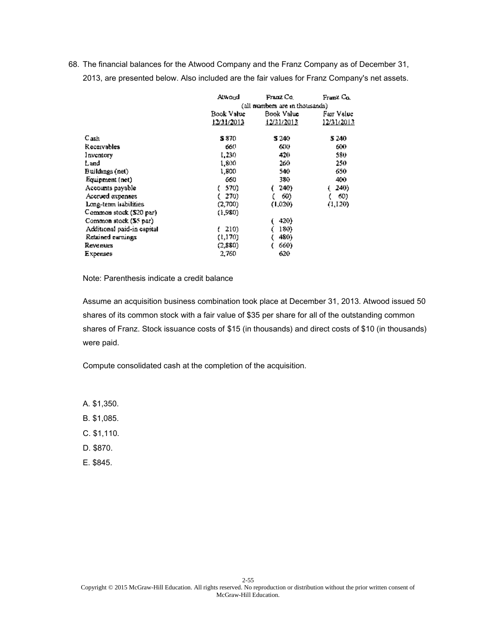|                            | Atwond                         | Franz Co.  | Franz Co.   |
|----------------------------|--------------------------------|------------|-------------|
|                            | (all numbers are in thousands) |            |             |
|                            | Book Value                     | Book Value | Fair Value. |
|                            | 12/31/2013                     | 12/31/2013 | 12/31/2013  |
| C <sub>ash</sub>           | S 870                          | S 240.     | 5 240       |
| Receivables                | 660                            | 600        | 600         |
| Inventory                  | 1,230                          | 420        | 580.        |
| Land                       | 1,800                          | 260        | 250         |
| Buildings (net)            | 1,800                          | 540.       | 650         |
| Equipment (net)            | 660                            | 380.       | 400         |
| Accounts payable           | 570)                           | 240)       | 240)        |
| Accrued expenses           | 270)                           | 60)        | 60)         |
| Long-term habilities       | (2,700)                        | (1,020)    | (1,120)     |
| Common stock (\$20 par)    | (1,980)                        |            |             |
| Common stock (S5 par)      |                                | 420)       |             |
| Additional paid-in capital | 210)                           | 180)       |             |
| Retained earnings          | (1,170)                        | 480)       |             |
| Revenues                   | (2,880)                        | 660)       |             |
| Expenses                   | 2,760                          | 620        |             |

Note: Parenthesis indicate a credit balance

Assume an acquisition business combination took place at December 31, 2013. Atwood issued 50 shares of its common stock with a fair value of \$35 per share for all of the outstanding common shares of Franz. Stock issuance costs of \$15 (in thousands) and direct costs of \$10 (in thousands) were paid.

Compute consolidated cash at the completion of the acquisition.

A. \$1,350.

B. \$1,085.

C. \$1,110.

D. \$870.

E. \$845.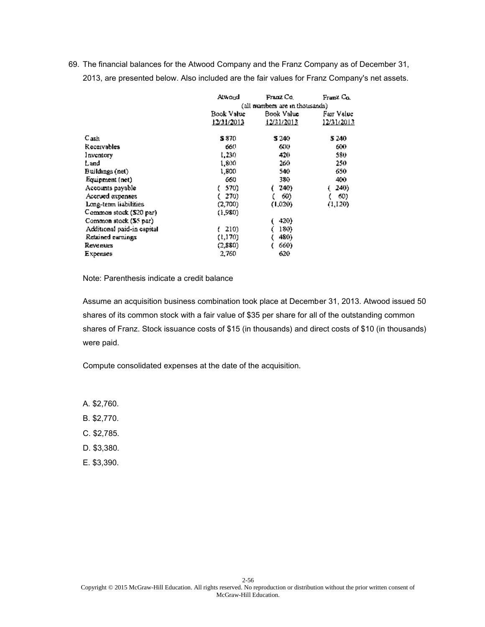|                            | Atwond                          | Franz Co.  | Franz Co.  |
|----------------------------|---------------------------------|------------|------------|
|                            | (all numbers are in thousands). |            |            |
|                            | Book Value                      | Book Value | Fair Value |
|                            | 12/31/2013                      | 12/31/2013 | 12/31/2013 |
| C <sub>ash</sub>           | S 870.                          | S 240.     | 5 240      |
| Receivables                | 660                             | 600        | 600        |
| Inventory                  | 1,230                           | 420        | 580.       |
| Land                       | 1,800                           | 260        | 250        |
| Buildings (net)            | 1,800                           | 540        | 650        |
| Equipment (net)            | 660                             | 380.       | 400        |
| Accounts payable           | 570)                            | 240)       | 240)       |
| Accrued expenses           | 270)                            | 60)        | 60)        |
| Long-term liabilities      | (2,700)                         | (1,020)    | (1,120)    |
| Common stock (\$20 par)    | (1,980)                         |            |            |
| Common stock (\$5 par)     |                                 | 420)       |            |
| Additional paid-in capital | 210)                            | 180)       |            |
| Retained earnings          | (1,170)                         | 480)       |            |
| Revenues                   | (2,880)                         | 660)       |            |
| Expenses                   | 2,760                           | 620        |            |

Note: Parenthesis indicate a credit balance

Assume an acquisition business combination took place at December 31, 2013. Atwood issued 50 shares of its common stock with a fair value of \$35 per share for all of the outstanding common shares of Franz. Stock issuance costs of \$15 (in thousands) and direct costs of \$10 (in thousands) were paid.

Compute consolidated expenses at the date of the acquisition.

A. \$2,760.

B. \$2,770.

C. \$2,785.

D. \$3,380.

E. \$3,390.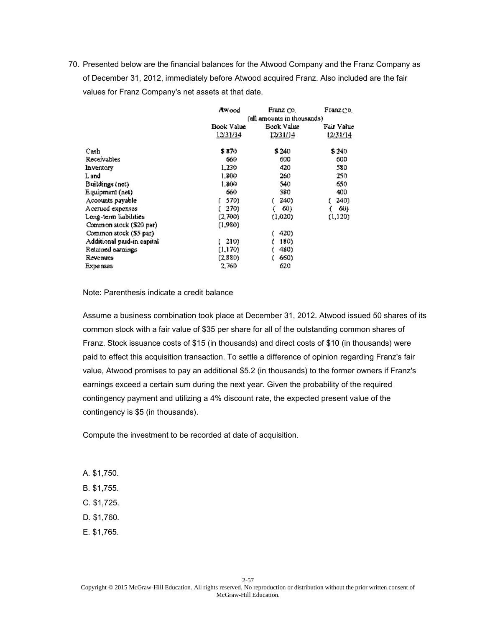|                            | Awood            | Franz co.                   | Franz do I |  |
|----------------------------|------------------|-----------------------------|------------|--|
|                            |                  | (all amounts in thousands). |            |  |
|                            | Book Value       | Book Value                  | Fair Value |  |
|                            | <u> 12/31/14</u> | 12/31/14                    | 1231/14    |  |
| Свsh                       | \$ 870           | \$240                       | \$240      |  |
| Receivables                | 660              | 600                         | 600        |  |
| Inventory                  | 1,230            | 420                         | 580        |  |
| L and                      | 1,800            | 260                         | 250.       |  |
| Buildings (net)            | 1.800            | 540                         | 650        |  |
| Equipment (net)            | 660              | 380                         | 400        |  |
| Accounts payable           | 570)             | 240)                        | 240)       |  |
| Accrued expenses           | 270)             | 60)                         | 60)        |  |
| Long-term liabilities      | (2,700)          | (1.020)                     | (1, 120)   |  |
| Common stock (\$20 par)    | (1.980)          |                             |            |  |
| Common stock (\$5 par)     |                  | 420)                        |            |  |
| Additional paid-in capital | 210)             | 180)                        |            |  |
| Retained earnings          | (1,170)          | 480)                        |            |  |
| Revenues                   | (2,880)          | 660)                        |            |  |
| <b>Expenses</b>            | 2,760            | 620                         |            |  |

Note: Parenthesis indicate a credit balance

Assume a business combination took place at December 31, 2012. Atwood issued 50 shares of its common stock with a fair value of \$35 per share for all of the outstanding common shares of Franz. Stock issuance costs of \$15 (in thousands) and direct costs of \$10 (in thousands) were paid to effect this acquisition transaction. To settle a difference of opinion regarding Franz's fair value, Atwood promises to pay an additional \$5.2 (in thousands) to the former owners if Franz's earnings exceed a certain sum during the next year. Given the probability of the required contingency payment and utilizing a 4% discount rate, the expected present value of the contingency is \$5 (in thousands).

Compute the investment to be recorded at date of acquisition.

- A. \$1,750.
- B. \$1,755.
- C. \$1,725.
- D. \$1,760.
- E. \$1,765.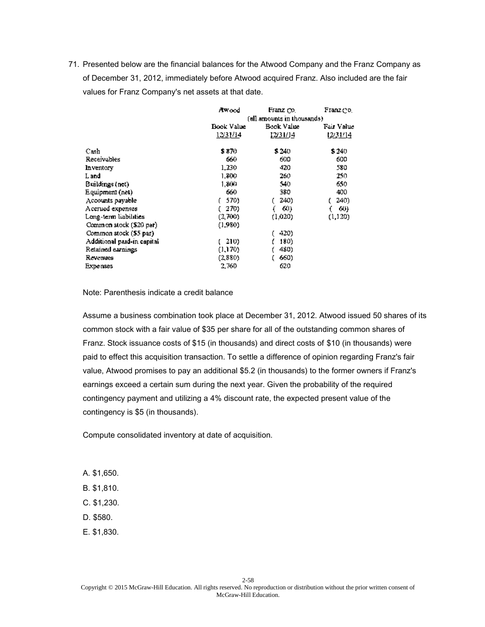|                            | Awood                      | Franz Co.  | Franz dol  |
|----------------------------|----------------------------|------------|------------|
|                            | (all amounts in thousands) |            |            |
|                            | Book Value                 | Book Value | Fair Value |
|                            | <u> 12/31/14</u>           | 12/31/14   | 1231/14    |
| Cash                       | \$ 870                     | \$240      | \$240      |
| Receivables                | 660                        | 600        | 600        |
| Inventory                  | 1,230                      | 420        | 580        |
| L and                      | 1,800                      | 260        | 250.       |
| Buildings (net)            | 1.800                      | 540        | 650        |
| Equipment (net)            | 660                        | 380        | 400        |
| Accounts payable           | 570)                       | 240)       | 240)       |
| Accrued expenses           | 270)                       | 60)        | 60)        |
| Long-term liabilities      | (2,700)                    | (1.020)    | (1, 120)   |
| Common stock (\$20 par)    | (1,980)                    |            |            |
| Common stock (\$5 par)     |                            | 420)       |            |
| Additional paid-in capital | 210)                       | 180)       |            |
| Retained earnings          | (1,170)                    | 480)       |            |
| Revenues                   | (2,880)                    | 660)       |            |
| Expenses                   | 2,760                      | 620        |            |

Note: Parenthesis indicate a credit balance

Assume a business combination took place at December 31, 2012. Atwood issued 50 shares of its common stock with a fair value of \$35 per share for all of the outstanding common shares of Franz. Stock issuance costs of \$15 (in thousands) and direct costs of \$10 (in thousands) were paid to effect this acquisition transaction. To settle a difference of opinion regarding Franz's fair value, Atwood promises to pay an additional \$5.2 (in thousands) to the former owners if Franz's earnings exceed a certain sum during the next year. Given the probability of the required contingency payment and utilizing a 4% discount rate, the expected present value of the contingency is \$5 (in thousands).

Compute consolidated inventory at date of acquisition.

- A. \$1,650.
- B. \$1,810.
- C. \$1,230.
- D. \$580.
- E. \$1,830.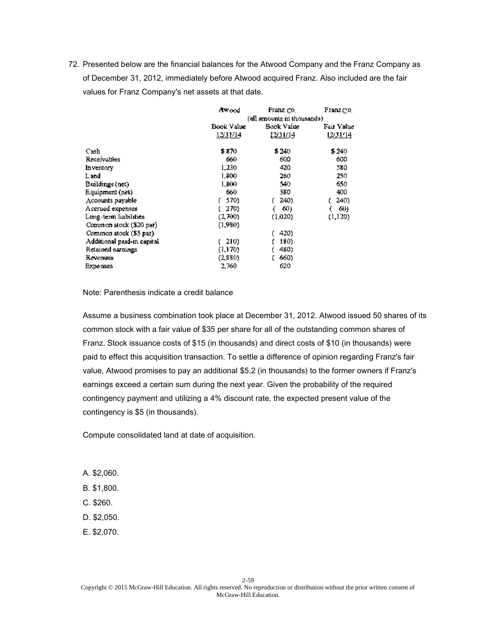|                            | Awood            | Franz co.                   | Franz do I |  |
|----------------------------|------------------|-----------------------------|------------|--|
|                            |                  | (all amounts in thousands). |            |  |
|                            | Book Value       | Book Value                  | Fair Value |  |
|                            | <u> 12/31/14</u> | 12/31/14                    | 1231/14    |  |
| Свsh                       | \$ 870           | \$240                       | \$240      |  |
| Receivables                | 660              | 600                         | 600        |  |
| Inventory                  | 1,230            | 420                         | 580        |  |
| L and                      | 1,800            | 260                         | 250.       |  |
| Buildings (net)            | 1.800            | 540                         | 650        |  |
| Equipment (net)            | 660              | 380                         | 400        |  |
| Accounts payable           | 570)             | 240)                        | 240)       |  |
| Accrued expenses           | 270)             | 60)                         | 60)        |  |
| Long-term liabilities      | (2,700)          | (1.020)                     | (1,120)    |  |
| Common stock (\$20 par)    | (1,980).         |                             |            |  |
| Common stock (\$5 par)     |                  | 420)                        |            |  |
| Additional paid-in capital | 210)             | 180)                        |            |  |
| Retained earnings          | (1,170)          | 480)                        |            |  |
| Revenues                   | (2,880)          | 660)                        |            |  |
| <b>Expenses</b>            | 2,760            | 620                         |            |  |

Note: Parenthesis indicate a credit balance

Assume a business combination took place at December 31, 2012. Atwood issued 50 shares of its common stock with a fair value of \$35 per share for all of the outstanding common shares of Franz. Stock issuance costs of \$15 (in thousands) and direct costs of \$10 (in thousands) were paid to effect this acquisition transaction. To settle a difference of opinion regarding Franz's fair value, Atwood promises to pay an additional \$5.2 (in thousands) to the former owners if Franz's earnings exceed a certain sum during the next year. Given the probability of the required contingency payment and utilizing a 4% discount rate, the expected present value of the contingency is \$5 (in thousands).

Compute consolidated land at date of acquisition.

- A. \$2,060.
- B. \$1,800.
- C. \$260.
- D. \$2,050.
- E. \$2,070.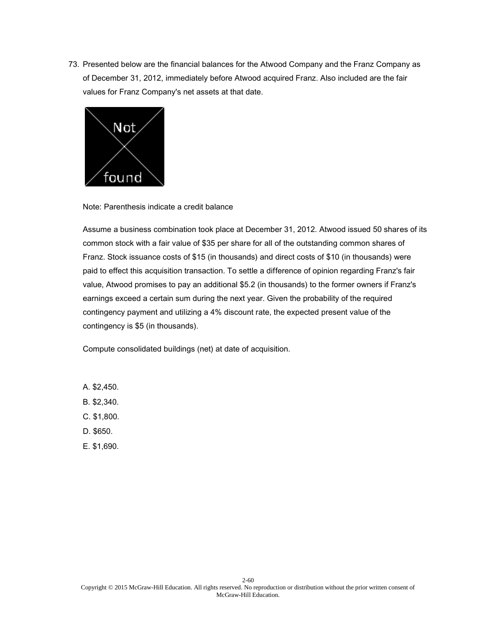

Note: Parenthesis indicate a credit balance

Assume a business combination took place at December 31, 2012. Atwood issued 50 shares of its common stock with a fair value of \$35 per share for all of the outstanding common shares of Franz. Stock issuance costs of \$15 (in thousands) and direct costs of \$10 (in thousands) were paid to effect this acquisition transaction. To settle a difference of opinion regarding Franz's fair value, Atwood promises to pay an additional \$5.2 (in thousands) to the former owners if Franz's earnings exceed a certain sum during the next year. Given the probability of the required contingency payment and utilizing a 4% discount rate, the expected present value of the contingency is \$5 (in thousands).

Compute consolidated buildings (net) at date of acquisition.

- A. \$2,450.
- B. \$2,340.
- C. \$1,800.
- D. \$650.
- E. \$1,690.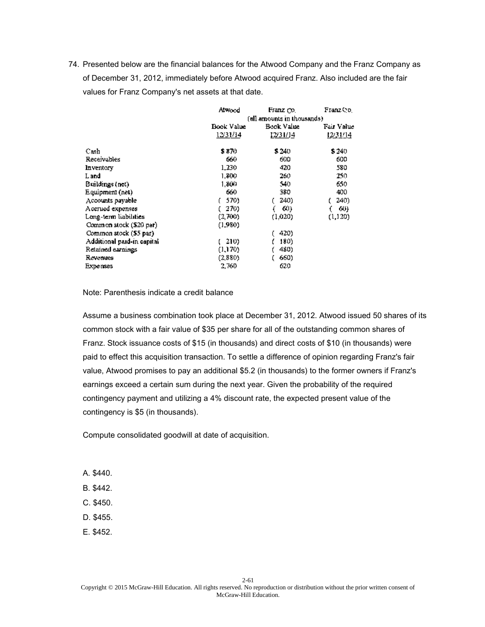|                             | Alwood     | Franz co.                   | Franz Co.  |  |
|-----------------------------|------------|-----------------------------|------------|--|
|                             |            | (all amounts in thousands). |            |  |
|                             | Book Value | Book Value.                 | Fair Value |  |
|                             | 12/31/14   | 12/31/14                    | 12/31/14   |  |
| Свsh                        | \$ 870     | \$240                       | \$240      |  |
| Receivables                 | 660        | 600                         | 600        |  |
| Inventory                   | 1,230      | 420                         | 580        |  |
| L and                       | 1,800      | 260                         | 250.       |  |
| Buildings (net)             | 1.800      | 540                         | 650        |  |
| Equipment (net)             | 660        | 380                         | 400        |  |
| Accounts payable            | 570)       | 240)                        | 240)       |  |
| Accrued expenses            | 270)       | 60)                         | 60)        |  |
| Long-term liabilities       | (2,700)    | (1.020)                     | (1,120)    |  |
| Common stock (\$20 par)     | (1.980)    |                             |            |  |
| Common stock (\$5 par)      |            | 420)                        |            |  |
| Additional paid-in capital. | 210)       | 180)                        |            |  |
| Retained earnings           | (1,170)    | 480)                        |            |  |
| Revenues                    | (2,880)    | 660)                        |            |  |
| <b>Expenses</b>             | 2,760      | 620                         |            |  |

Note: Parenthesis indicate a credit balance

Assume a business combination took place at December 31, 2012. Atwood issued 50 shares of its common stock with a fair value of \$35 per share for all of the outstanding common shares of Franz. Stock issuance costs of \$15 (in thousands) and direct costs of \$10 (in thousands) were paid to effect this acquisition transaction. To settle a difference of opinion regarding Franz's fair value, Atwood promises to pay an additional \$5.2 (in thousands) to the former owners if Franz's earnings exceed a certain sum during the next year. Given the probability of the required contingency payment and utilizing a 4% discount rate, the expected present value of the contingency is \$5 (in thousands).

Compute consolidated goodwill at date of acquisition.

- A. \$440.
- B. \$442.
- C. \$450.
- D. \$455.
- E. \$452.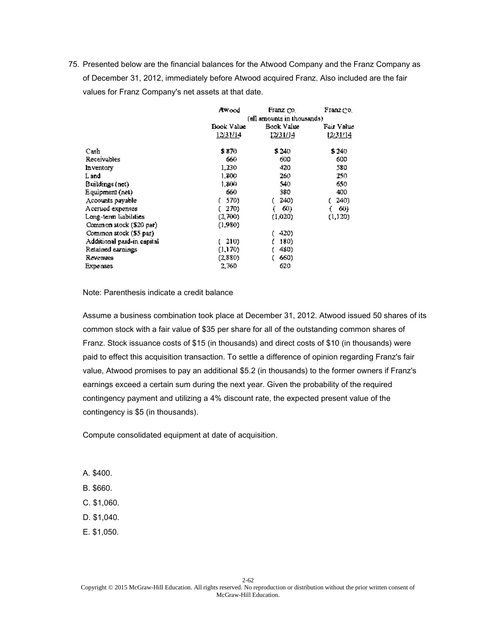|                            | Awood            | Franz Co.                   | Franz do I |  |
|----------------------------|------------------|-----------------------------|------------|--|
|                            |                  | (all amounts in thousands). |            |  |
|                            | Book Value       | Book Value                  | Fair Value |  |
|                            | <u> 12/31/14</u> | 12/31/14                    | 12/31/14   |  |
| Cash                       | \$ 870           | \$240                       | \$240      |  |
| Receivables                | 660              | 600                         | 600        |  |
| Inventory                  | 1,230            | 420                         | 580        |  |
| L and                      | 1,800            | 260                         | 250.       |  |
| Buildings (net)            | 1.800            | 540                         | 650        |  |
| Equipment (net)            | 660              | 380                         | 400        |  |
| Accounts payable           | 570)             | 240)                        | 240)       |  |
| Accrued expenses           | 270)             | 60)                         | 60)        |  |
| Long-term liabilities      | (2,700)          | (1.020)                     | (1, 120)   |  |
| Common stock (\$20 par)    | (1,980).         |                             |            |  |
| Common stock (\$5 par)     |                  | 420)                        |            |  |
| Additional paid-in capital | 210)             | 180)                        |            |  |
| Retained earnings          | (1,170)          | 480)                        |            |  |
| Revenues                   | (2,880)          | 660)                        |            |  |
| <b>Expenses</b>            | 2,760            | 620                         |            |  |

Note: Parenthesis indicate a credit balance

Assume a business combination took place at December 31, 2012. Atwood issued 50 shares of its common stock with a fair value of \$35 per share for all of the outstanding common shares of Franz. Stock issuance costs of \$15 (in thousands) and direct costs of \$10 (in thousands) were paid to effect this acquisition transaction. To settle a difference of opinion regarding Franz's fair value, Atwood promises to pay an additional \$5.2 (in thousands) to the former owners if Franz's earnings exceed a certain sum during the next year. Given the probability of the required contingency payment and utilizing a 4% discount rate, the expected present value of the contingency is \$5 (in thousands).

Compute consolidated equipment at date of acquisition.

- A. \$400.
- B. \$660.
- C. \$1,060.
- D. \$1,040.
- E. \$1,050.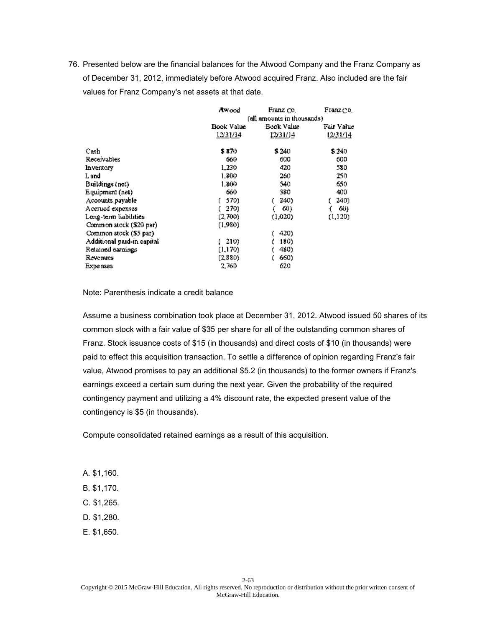|                            | Awood                       | Franz co.  | Franz do I |
|----------------------------|-----------------------------|------------|------------|
|                            | (all amounts in thousands). |            |            |
|                            | Book Value                  | Book Value | Fair Value |
|                            | <u> 12/31/14</u>            | 12/31/14   | 1231/14    |
| Свsh                       | \$ 870                      | \$240      | \$240      |
| Receivables                | 660                         | 600        | 600        |
| Inventory                  | 1,230                       | 420        | 580        |
| L and                      | 1,800                       | 260        | 250.       |
| Buildings (net)            | 1.800                       | 540        | 650        |
| Equipment (net)            | 660                         | 380        | 400        |
| Accounts payable           | 570)                        | 240)       | 240)       |
| Accrued expenses           | 270)                        | 60)        | 60)        |
| Long-term liabilities      | (2,700)                     | (1.020)    | (1,120)    |
| Common stock (\$20 par)    | (1,980).                    |            |            |
| Common stock (\$5 par)     |                             | 420)       |            |
| Additional paid-in capital | 210)                        | 180)       |            |
| Retained earnings          | (1,170)                     | 480)       |            |
| Revenues                   | (2,880)                     | 660)       |            |
| <b>Expenses</b>            | 2,760                       | 620        |            |

Note: Parenthesis indicate a credit balance

Assume a business combination took place at December 31, 2012. Atwood issued 50 shares of its common stock with a fair value of \$35 per share for all of the outstanding common shares of Franz. Stock issuance costs of \$15 (in thousands) and direct costs of \$10 (in thousands) were paid to effect this acquisition transaction. To settle a difference of opinion regarding Franz's fair value, Atwood promises to pay an additional \$5.2 (in thousands) to the former owners if Franz's earnings exceed a certain sum during the next year. Given the probability of the required contingency payment and utilizing a 4% discount rate, the expected present value of the contingency is \$5 (in thousands).

Compute consolidated retained earnings as a result of this acquisition.

- A. \$1,160.
- B. \$1,170.
- C. \$1,265.
- D. \$1,280.
- E. \$1,650.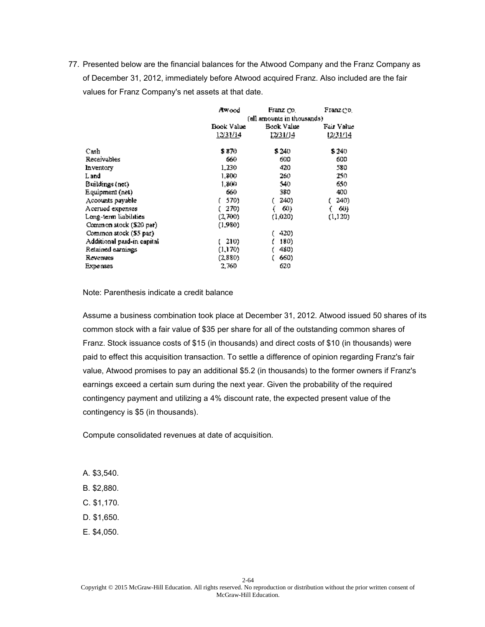|                            | Awood            | Franz co.                   | Franz do I |  |
|----------------------------|------------------|-----------------------------|------------|--|
|                            |                  | (all amounts in thousands). |            |  |
|                            | Book Value       | Book Value                  | Fair Value |  |
|                            | <u> 12/31/14</u> | 12/31/14                    | 1231/14    |  |
| Свsh                       | \$ 870           | \$240                       | \$240      |  |
| Receivables                | 660              | 600                         | 600        |  |
| Inventory                  | 1,230            | 420                         | 580        |  |
| L and                      | 1,800            | 260                         | 250.       |  |
| Buildings (net)            | 1.800            | 540                         | 650        |  |
| Equipment (net)            | 660              | 380                         | 400        |  |
| Accounts payable           | 570)             | 240)                        | 240)       |  |
| Accrued expenses           | 270)             | 60)                         | 60)        |  |
| Long-term liabilities      | (2,700)          | (1.020)                     | (1, 120)   |  |
| Common stock (\$20 par)    | (1.980)          |                             |            |  |
| Common stock (\$5 par)     |                  | 420)                        |            |  |
| Additional paid-in capital | 210)             | 180)                        |            |  |
| Retained earnings          | (1,170)          | 480)                        |            |  |
| Revenues                   | (2,880)          | 660)                        |            |  |
| <b>Expenses</b>            | 2,760            | 620                         |            |  |

Note: Parenthesis indicate a credit balance

Assume a business combination took place at December 31, 2012. Atwood issued 50 shares of its common stock with a fair value of \$35 per share for all of the outstanding common shares of Franz. Stock issuance costs of \$15 (in thousands) and direct costs of \$10 (in thousands) were paid to effect this acquisition transaction. To settle a difference of opinion regarding Franz's fair value, Atwood promises to pay an additional \$5.2 (in thousands) to the former owners if Franz's earnings exceed a certain sum during the next year. Given the probability of the required contingency payment and utilizing a 4% discount rate, the expected present value of the contingency is \$5 (in thousands).

Compute consolidated revenues at date of acquisition.

- A. \$3,540.
- B. \$2,880.
- C. \$1,170.
- D. \$1,650.
- E. \$4,050.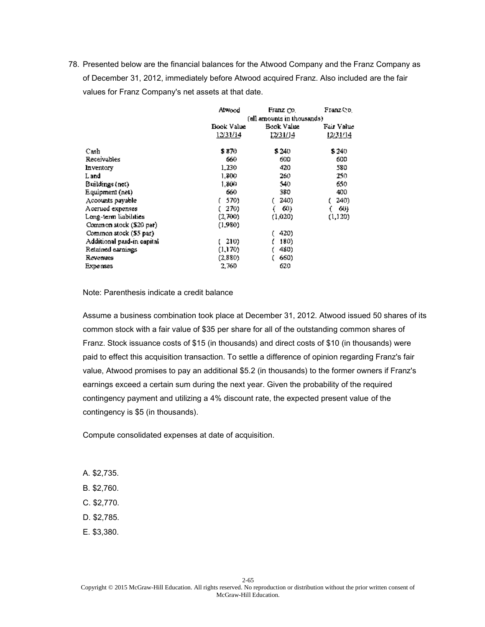|                             | Alwood     | Franz Co.                   | Franz Co.  |
|-----------------------------|------------|-----------------------------|------------|
|                             |            | (all amounts in thousands). |            |
|                             | Book Value | Book Value                  | Fair Value |
|                             | 12/31/14   | 12/31/14                    | 12/31/14   |
| Cash                        | \$ 870     | \$240                       | \$240      |
| Receivables                 | 660        | 600                         | 600        |
| Inventory                   | 1,230      | 420                         | 580        |
| L and                       | 1,800      | 260                         | 250.       |
| Buildings (net)             | 1.800      | 540                         | 650        |
| Equipment (net)             | 660        | 380                         | 400        |
| Accounts payable            | 570)       | 240)                        | 240)       |
| Accrued expenses            | 270)       | 60)                         | 60)        |
| Long-term liabilities       | (2,700)    | (1.020)                     | (1, 120)   |
| Common stock (\$20 par)     | (1,980).   |                             |            |
| Common stock (\$5 par)      |            | 420)                        |            |
| Additional paid-in capital. | 210)       | 180)                        |            |
| Retained earnings           | (1,170)    | 480)                        |            |
| Revenues                    | (2,880)    | 660)                        |            |
| <b>Expenses</b>             | 2,760      | 620                         |            |

Note: Parenthesis indicate a credit balance

Assume a business combination took place at December 31, 2012. Atwood issued 50 shares of its common stock with a fair value of \$35 per share for all of the outstanding common shares of Franz. Stock issuance costs of \$15 (in thousands) and direct costs of \$10 (in thousands) were paid to effect this acquisition transaction. To settle a difference of opinion regarding Franz's fair value, Atwood promises to pay an additional \$5.2 (in thousands) to the former owners if Franz's earnings exceed a certain sum during the next year. Given the probability of the required contingency payment and utilizing a 4% discount rate, the expected present value of the contingency is \$5 (in thousands).

Compute consolidated expenses at date of acquisition.

- A. \$2,735.
- B. \$2,760.
- C. \$2,770.
- D. \$2,785.
- E. \$3,380.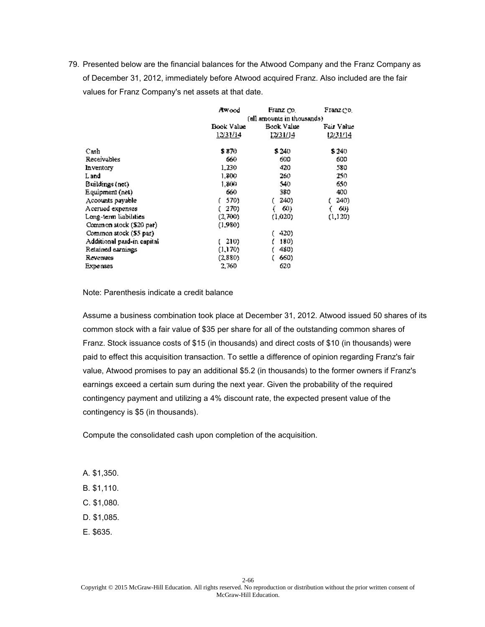|                            | Awood                       | Franz Co.  | Franz do I |  |
|----------------------------|-----------------------------|------------|------------|--|
|                            | (all amounts in thousands). |            |            |  |
|                            | Book Value                  | Fair Value |            |  |
|                            | 1231/14                     | 12/31/14   | 1231/14    |  |
| Свsh                       | \$ 870.                     | \$240      | \$240      |  |
| Receivables                | 660                         | 600        | 600        |  |
| Inventory                  | 1,230                       | 420        | 580        |  |
| L and                      | 1,800                       | 260        | 250.       |  |
| Buildings (net)            | 1.800                       | 540        | 650        |  |
| Equipment (net)            | 660                         | 380        | 400        |  |
| Accounts payable           | 570)                        | 240)       | 240)       |  |
| Accrued expenses           | 270)                        | 60)        | 60)        |  |
| Long-term liabilities      | (2,700)                     | (1.020)    | (1, 120)   |  |
| Common stock (\$20 par)    | (1.980)                     |            |            |  |
| Common stock (\$5 par)     |                             | 420)       |            |  |
| Additional paid-in capital | 210).                       | 180)       |            |  |
| Retained earnings          | (1,170)                     | 480)       |            |  |
| Revenues                   | (2,880)                     | 660)       |            |  |
| <b>Expenses</b>            | 2,760                       | 620        |            |  |

Note: Parenthesis indicate a credit balance

Assume a business combination took place at December 31, 2012. Atwood issued 50 shares of its common stock with a fair value of \$35 per share for all of the outstanding common shares of Franz. Stock issuance costs of \$15 (in thousands) and direct costs of \$10 (in thousands) were paid to effect this acquisition transaction. To settle a difference of opinion regarding Franz's fair value, Atwood promises to pay an additional \$5.2 (in thousands) to the former owners if Franz's earnings exceed a certain sum during the next year. Given the probability of the required contingency payment and utilizing a 4% discount rate, the expected present value of the contingency is \$5 (in thousands).

Compute the consolidated cash upon completion of the acquisition.

- A. \$1,350.
- B. \$1,110.
- C. \$1,080.
- D. \$1,085.
- E. \$635.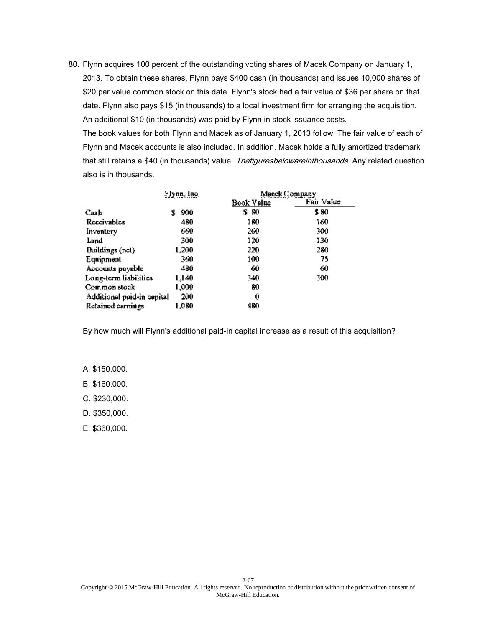The book values for both Flynn and Macek as of January 1, 2013 follow. The fair value of each of Flynn and Macek accounts is also included. In addition, Macek holds a fully amortized trademark that still retains a \$40 (in thousands) value. Thefiguresbelowareinthousands. Any related question also is in thousands.

|                            | Flynn, Inc. | Macek Company |            |
|----------------------------|-------------|---------------|------------|
|                            |             | Book Value    | Fair Value |
| Cash                       | 900<br>S    | S 80          | \$ 80      |
| Receivables                | 480         | 180           | 160        |
| Inventory                  | 660         | 260.          | 300.       |
| Land                       | 300         | 120           | 130        |
| Buildings (not)            | 1.200       | 220           | 280        |
| Equipment                  | 360         | 100           | 75         |
| Accounts pnyable           | 480         | 60            | 60         |
| Long-term liabilities      | 1.140       | 340           | 300        |
| Common stock               | 1,000       | 80            |            |
| Additional paid-in cepital | 200         | 0             |            |
| Retained earnings          | 1,080       | 480           |            |

By how much will Flynn's additional paid-in capital increase as a result of this acquisition?

A. \$150,000.

B. \$160,000.

C. \$230,000.

D. \$350,000.

E. \$360,000.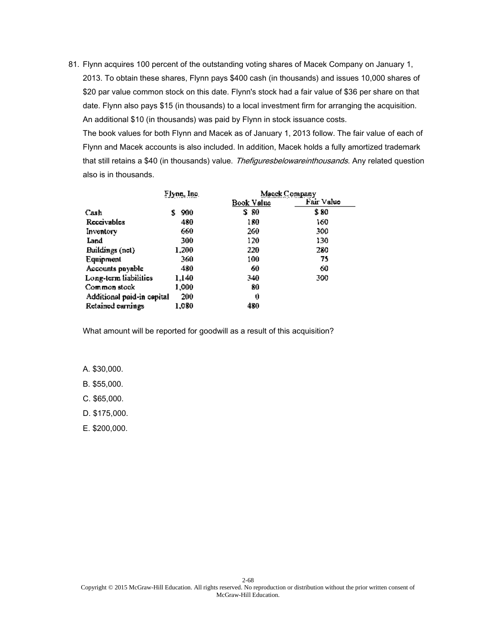The book values for both Flynn and Macek as of January 1, 2013 follow. The fair value of each of Flynn and Macek accounts is also included. In addition, Macek holds a fully amortized trademark that still retains a \$40 (in thousands) value. Thefiguresbelowareinthousands. Any related question also is in thousands.

|                            | Flynn, Inc. | Macek Company |            |
|----------------------------|-------------|---------------|------------|
|                            |             | Book Value    | Fair Value |
| Cash                       | 900<br>s    | S 80          | \$ 80      |
| Receivables                | 480         | 180           | 160        |
| Inventory                  | 660         | 260           | 300.       |
| Land                       | 300         | 120           | 130        |
| Buildings (net)            | 1.200       | 220           | 280        |
| Equipment                  | 360         | 100           | 75         |
| Accounts pnyable           | 480         | 60            | 60         |
| Long-term liabilities      | 1,140       | 340           | 300        |
| Common stock               | 1,000       | 80            |            |
| Additional paid-in capital | 200         | 0             |            |
| Retained earnings          | 1,080       | 480           |            |

What amount will be reported for goodwill as a result of this acquisition?

A. \$30,000.

B. \$55,000.

C. \$65,000.

D. \$175,000.

E. \$200,000.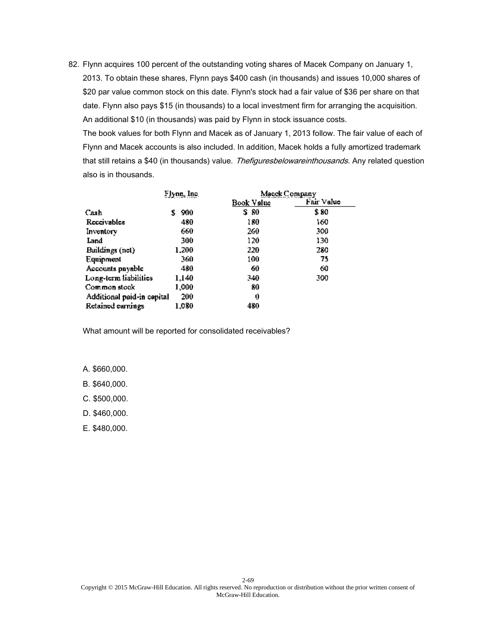The book values for both Flynn and Macek as of January 1, 2013 follow. The fair value of each of Flynn and Macek accounts is also included. In addition, Macek holds a fully amortized trademark that still retains a \$40 (in thousands) value. Thefiguresbelowareinthousands. Any related question also is in thousands.

|                            | Flynn, Inc. | Macek Company |            |
|----------------------------|-------------|---------------|------------|
|                            |             | Book Value    | Fair Value |
| Cash                       | 900<br>s    | S 80          | \$ 80      |
| Receivables                | 480         | 180           | 160        |
| Inventory                  | 660         | 260           | 500        |
| Land                       | 300         | 120           | 130        |
| Buildings (not)            | 1.200       | 220           | 280        |
| Equipment                  | 360         | 100           | 75         |
| Accounts pnyable           | 480         | 60            | 60         |
| Long-term liabilities      | 1.140       | 340           | 300        |
| Common stock               | 1,000       | 80            |            |
| Additional paid-in capital | 200         | 0             |            |
| Retained earnings          | 1,080       | 480           |            |

What amount will be reported for consolidated receivables?

A. \$660,000.

B. \$640,000.

C. \$500,000.

D. \$460,000.

E. \$480,000.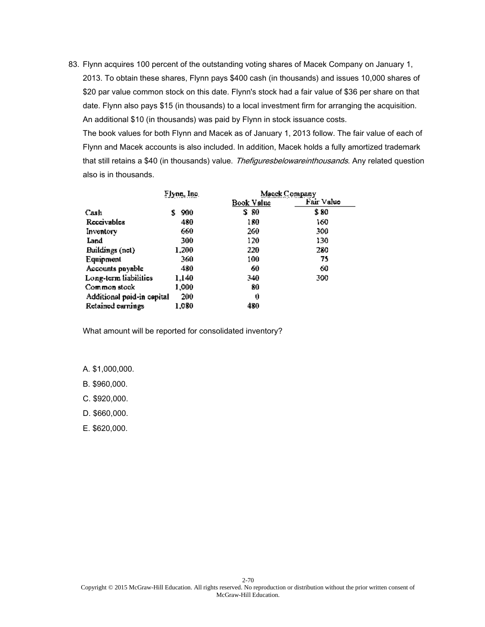The book values for both Flynn and Macek as of January 1, 2013 follow. The fair value of each of Flynn and Macek accounts is also included. In addition, Macek holds a fully amortized trademark that still retains a \$40 (in thousands) value. Thefiguresbelowareinthousands. Any related question also is in thousands.

|                            | Flynn, Inc. | Macek Company |            |
|----------------------------|-------------|---------------|------------|
|                            |             | Book Value    | Fair Value |
| Cash                       | 900<br>s    | S 80          | \$ 80      |
| Receivables                | 480         | 180           | 160        |
| Inventory                  | 660         | 260           | 500        |
| Land                       | 300         | 120           | 130        |
| Buildings (not)            | 1.200       | 220           | 280        |
| Equipment                  | 360         | 100           | 75         |
| Accounts pnyable           | 480         | 60            | 60         |
| Long-term liabilities      | 1.140       | 340           | 300        |
| Common stock               | 1,000       | 80            |            |
| Additional paid-in capital | 200         | 0             |            |
| Retained earnings          | 1,080       | 480           |            |

What amount will be reported for consolidated inventory?

A. \$1,000,000.

B. \$960,000.

C. \$920,000.

D. \$660,000.

E. \$620,000.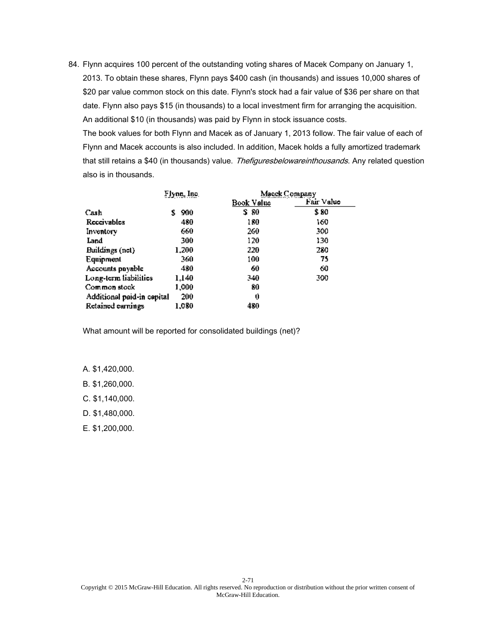The book values for both Flynn and Macek as of January 1, 2013 follow. The fair value of each of Flynn and Macek accounts is also included. In addition, Macek holds a fully amortized trademark that still retains a \$40 (in thousands) value. Thefiguresbelowareinthousands. Any related question also is in thousands.

|                            | Flynn, Inc. | Macek Company |            |
|----------------------------|-------------|---------------|------------|
|                            |             | Book Value    | Fair Value |
| Cash                       | 900<br>s    | S 80          | \$ 80      |
| Receivables                | 480         | 180           | 160        |
| Inventory                  | 660         | 260           | 300.       |
| Land                       | 300         | 120           | 130        |
| Buildings (not)            | 1.200       | 220           | 280        |
| Equipment                  | 360         | 100           | 75         |
| Accounts pnyable           | 480         | 60            | 60         |
| Long-term liabilities      | 1.140       | 340           | 300        |
| Common stock               | 1,000       | 80            |            |
| Additional paid-in capital | 200         | 0             |            |
| Retained earnings          | 1,080       | 480           |            |

What amount will be reported for consolidated buildings (net)?

A. \$1,420,000.

B. \$1,260,000.

C. \$1,140,000.

D. \$1,480,000.

E. \$1,200,000.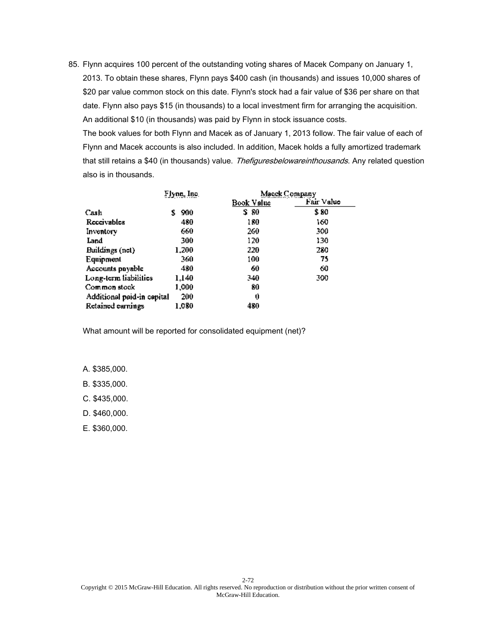The book values for both Flynn and Macek as of January 1, 2013 follow. The fair value of each of Flynn and Macek accounts is also included. In addition, Macek holds a fully amortized trademark that still retains a \$40 (in thousands) value. Thefiguresbelowareinthousands. Any related question also is in thousands.

|                            | Flynn, Inc. | Macek Company |            |
|----------------------------|-------------|---------------|------------|
|                            |             | Book Value    | Fair Value |
| Cash                       | 900<br>s    | S 80          | \$ 80      |
| Receivables                | 480         | 180           | 160        |
| Inventory                  | 660         | 260           | 500        |
| Land                       | 300         | 120           | 130        |
| Buildings (not)            | 1.200       | 220           | 280        |
| Equipment                  | 360         | 100           | 75         |
| Accounts pnyable           | 480         | 60            | 60         |
| Long-term liabilities      | 1.140       | 340           | 300        |
| Common stock               | 1,000       | 80            |            |
| Additional paid-in capital | 200         | 0             |            |
| Retained earnings          | 1,080       | 480           |            |

What amount will be reported for consolidated equipment (net)?

A. \$385,000.

B. \$335,000.

C. \$435,000.

D. \$460,000.

E. \$360,000.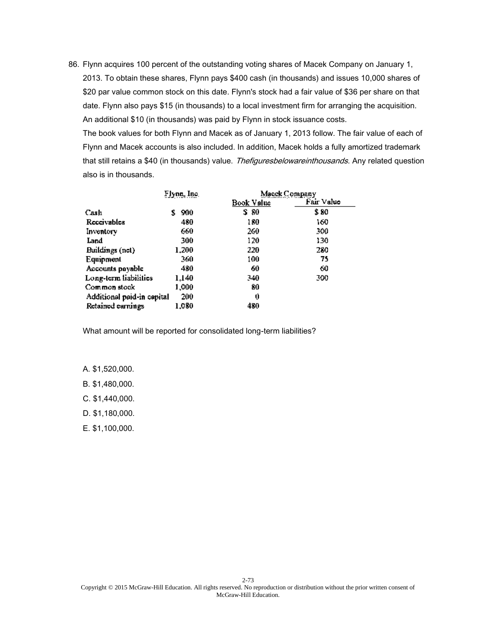The book values for both Flynn and Macek as of January 1, 2013 follow. The fair value of each of Flynn and Macek accounts is also included. In addition, Macek holds a fully amortized trademark that still retains a \$40 (in thousands) value. Thefiguresbelowareinthousands. Any related question also is in thousands.

|                            | Flynn, Inc. | Macek Company |            |
|----------------------------|-------------|---------------|------------|
|                            |             | Book Value    | Fair Value |
| Cash                       | 900<br>S    | S 80          | \$ 80      |
| Receivables                | 480         | 180           | 160        |
| Inventory                  | 660         | 260           | 300.       |
| Land                       | 300         | 120           | 130        |
| Buildings (not)            | 1.200       | 220           | 280        |
| Equipment                  | 360         | 100           | 75         |
| Accounts payable           | 480         | 60            | 60         |
| Long-term liabilities      | 1.140       | 340           | 300        |
| Common stock               | 1,000       | 80            |            |
| Additional paid-in capital | 200         | 0             |            |
| Retained earnings          | 1.080       | 480           |            |

What amount will be reported for consolidated long-term liabilities?

A. \$1,520,000.

B. \$1,480,000.

C. \$1,440,000.

D. \$1,180,000.

E. \$1,100,000.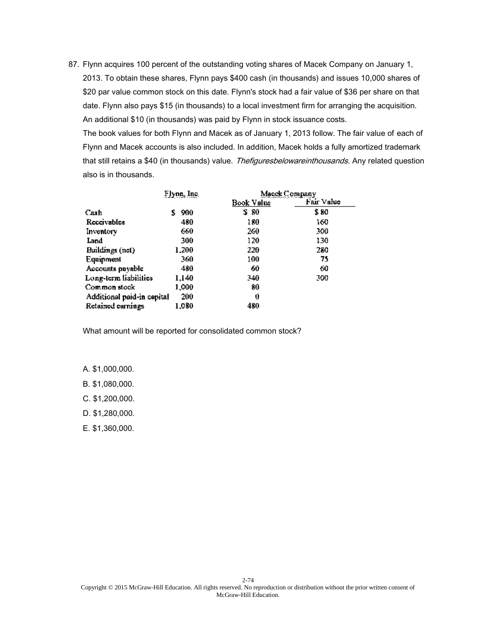The book values for both Flynn and Macek as of January 1, 2013 follow. The fair value of each of Flynn and Macek accounts is also included. In addition, Macek holds a fully amortized trademark that still retains a \$40 (in thousands) value. Thefiguresbelowareinthousands. Any related question also is in thousands.

|                            | Flynn, Inc. | Macek Company |            |
|----------------------------|-------------|---------------|------------|
|                            |             | Book Value    | Fair Value |
| Cash                       | 900<br>s    | S 80          | \$ 80      |
| Receivables                | 480         | 180           | 160        |
| Inventory                  | 660         | 260           | 300.       |
| Land                       | 300         | 120           | 130        |
| Buildings (net)            | 1.200       | 220           | 280        |
| Equipment                  | 360         | 100           | 75         |
| Accounts pnyable           | 480         | 60            | 60         |
| Long-term liabilities      | 1.140       | 340           | 300        |
| Common stock               | 1,000       | 80            |            |
| Additional paid-in capital | 200         | 0             |            |
| Retained earnings          | 1,080       | 480.          |            |

What amount will be reported for consolidated common stock?

A. \$1,000,000.

B. \$1,080,000.

C. \$1,200,000.

D. \$1,280,000.

E. \$1,360,000.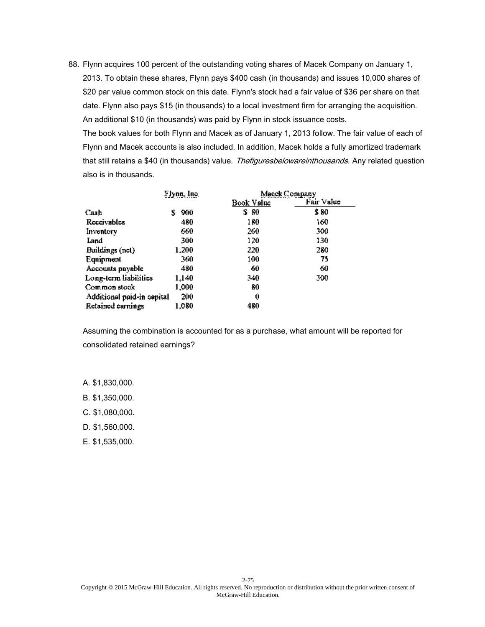The book values for both Flynn and Macek as of January 1, 2013 follow. The fair value of each of Flynn and Macek accounts is also included. In addition, Macek holds a fully amortized trademark that still retains a \$40 (in thousands) value. Thefiguresbelowareinthousands. Any related question also is in thousands.

|                            | Flynn, Inc. | Masek Company |            |
|----------------------------|-------------|---------------|------------|
|                            |             | Book Value    | Fair Value |
| Cash                       | 900<br>S    | S 80          | \$ 80      |
| Receivables                | 480         | 180           | 160        |
| Inventory                  | 660         | 260.          | 300.       |
| Land                       | 300         | 120           | 130        |
| Buildings (not)            | 1.200       | 220           | 280        |
| Equipment                  | 360         | 100           | 75         |
| Accounts pnyable           | 480         | 60            | 60         |
| Long-term liabilities      | 1.140       | 340           | 300        |
| Common stock               | 1,000       | 80            |            |
| Additional paid-in cepital | 200         | 0             |            |
| Retained earnings          | 1,080       | 480           |            |

Assuming the combination is accounted for as a purchase, what amount will be reported for consolidated retained earnings?

- A. \$1,830,000.
- B. \$1,350,000.
- C. \$1,080,000.
- D. \$1,560,000.
- E. \$1,535,000.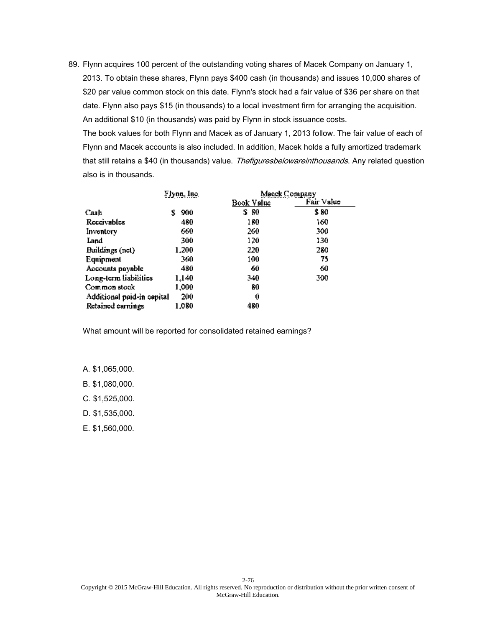The book values for both Flynn and Macek as of January 1, 2013 follow. The fair value of each of Flynn and Macek accounts is also included. In addition, Macek holds a fully amortized trademark that still retains a \$40 (in thousands) value. Thefiguresbelowareinthousands. Any related question also is in thousands.

|                            | Flynn, Inc. | Macek Company |            |
|----------------------------|-------------|---------------|------------|
|                            |             | Book Value    | Fair Value |
| Cash                       | 900<br>s    | S 80          | \$ 80      |
| Receivables                | 480         | 180           | 160        |
| Inventory                  | 660         | 260           | 300.       |
| Land                       | 300         | 120           | 130        |
| Buildings (net)            | 1.200       | 220           | 280        |
| Equipment                  | 360         | 100           | 75         |
| Accounts payable           | 480         | 60            | 60         |
| Long-term liabilities      | 1.140       | 340           | 300        |
| Common stock               | 1,000       | 80            |            |
| Additional paid-in capital | 200         | 0             |            |
| Retained earnings          | 1,080       | 480.          |            |

What amount will be reported for consolidated retained earnings?

A. \$1,065,000.

B. \$1,080,000.

C. \$1,525,000.

D. \$1,535,000.

E. \$1,560,000.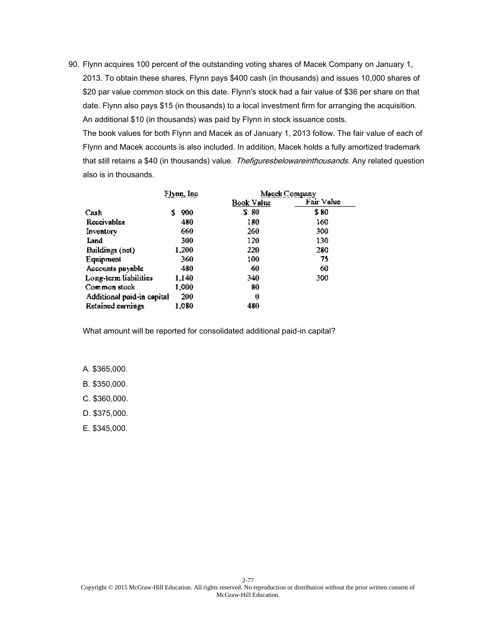The book values for both Flynn and Macek as of January 1, 2013 follow. The fair value of each of Flynn and Macek accounts is also included. In addition, Macek holds a fully amortized trademark that still retains a \$40 (in thousands) value. Thefiguresbelowareinthousands. Any related question also is in thousands.

|                            | Flynn, Inc. | Macek Company |            |
|----------------------------|-------------|---------------|------------|
|                            |             | Book Value    | Fair Value |
| Cash                       | 900<br>s    | S 80          | \$ 80      |
| Receivables                | 480         | 180           | 160        |
| Inventory                  | 660         | 260           | 300.       |
| Land                       | 300         | 120           | 130        |
| Buildings (net)            | 1.200       | 220           | 280        |
| Equipment                  | 360         | 100           | 75         |
| Accounts pnyable           | 480         | 60            | 60         |
| Long-term liabilities      | 1,140       | 340           | 300        |
| Common stock               | 1,000       | 80            |            |
| Additional paid-in capital | 200         | 0             |            |
| Retained earnings          | 1,080       | 480           |            |

What amount will be reported for consolidated additional paid-in capital?

A. \$365,000.

B. \$350,000.

C. \$360,000.

D. \$375,000.

E. \$345,000.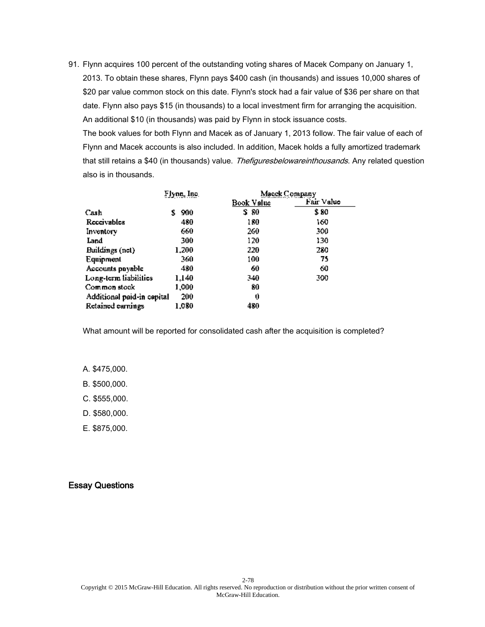The book values for both Flynn and Macek as of January 1, 2013 follow. The fair value of each of Flynn and Macek accounts is also included. In addition, Macek holds a fully amortized trademark that still retains a \$40 (in thousands) value. Thefiguresbelowareinthousands. Any related question also is in thousands.

|                            | Flynn, Inc. | Macek Company     |            |
|----------------------------|-------------|-------------------|------------|
|                            |             | <u>Book Value</u> | Fair Value |
| Cash                       | 900<br>s    | S 80              | \$ 80      |
| Receivables                | 480         | 180               | 160        |
| Inventory                  | 660         | 260.              | 300.       |
| Land                       | 300         | 120               | 130        |
| Buildings (net)            | 1.200       | 220               | 280        |
| Equipment                  | 360         | 100               | 75         |
| Accounts pnyable           | 480         | 60                | 60         |
| Long-term liabilities      | 1,140       | 340               | 300        |
| Common stock               | 1,000       | 80                |            |
| Additional paid-in cepital | 200         | 0                 |            |
| Retained earnings          | 1,080       | 480               |            |

What amount will be reported for consolidated cash after the acquisition is completed?

A. \$475,000.

B. \$500,000.

C. \$555,000.

D. \$580,000.

E. \$875,000.

#### Essay Questions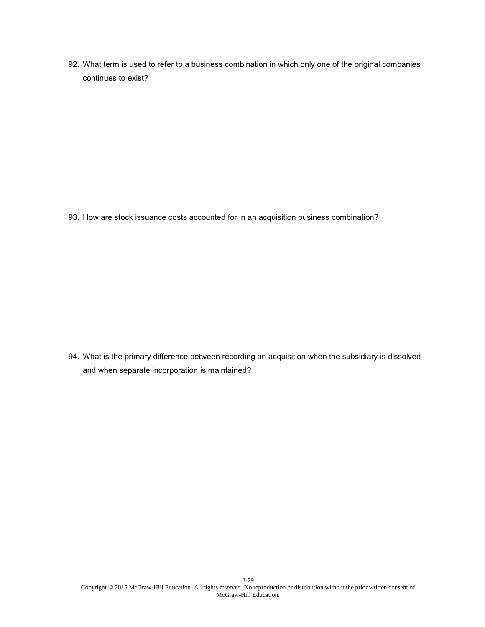92. What term is used to refer to a business combination in which only one of the original companies continues to exist?

93. How are stock issuance costs accounted for in an acquisition business combination?

94. What is the primary difference between recording an acquisition when the subsidiary is dissolved and when separate incorporation is maintained?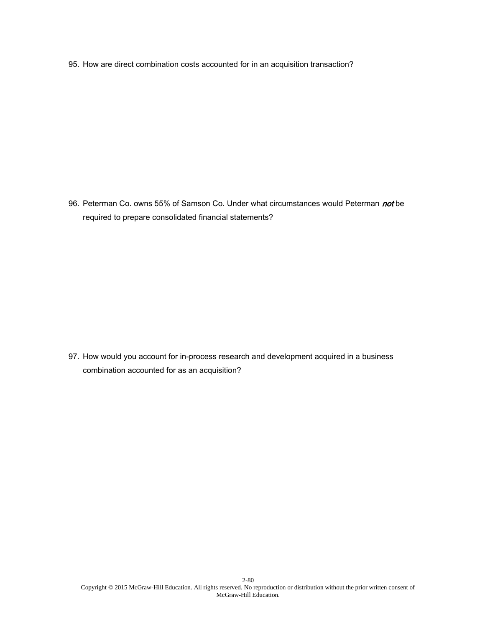95. How are direct combination costs accounted for in an acquisition transaction?

96. Peterman Co. owns 55% of Samson Co. Under what circumstances would Peterman not be required to prepare consolidated financial statements?

97. How would you account for in-process research and development acquired in a business combination accounted for as an acquisition?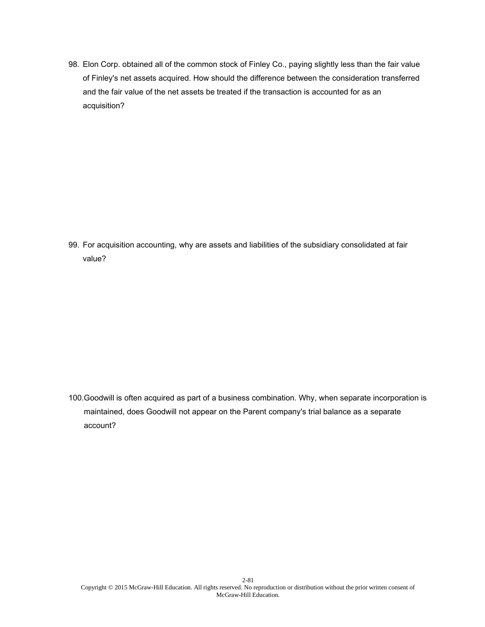98. Elon Corp. obtained all of the common stock of Finley Co., paying slightly less than the fair value of Finley's net assets acquired. How should the difference between the consideration transferred and the fair value of the net assets be treated if the transaction is accounted for as an acquisition?

99. For acquisition accounting, why are assets and liabilities of the subsidiary consolidated at fair value?

100.Goodwill is often acquired as part of a business combination. Why, when separate incorporation is maintained, does Goodwill not appear on the Parent company's trial balance as a separate account?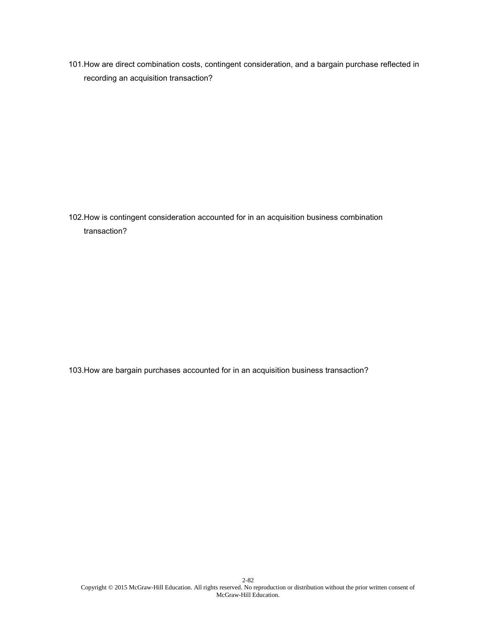101.How are direct combination costs, contingent consideration, and a bargain purchase reflected in recording an acquisition transaction?

102.How is contingent consideration accounted for in an acquisition business combination transaction?

103.How are bargain purchases accounted for in an acquisition business transaction?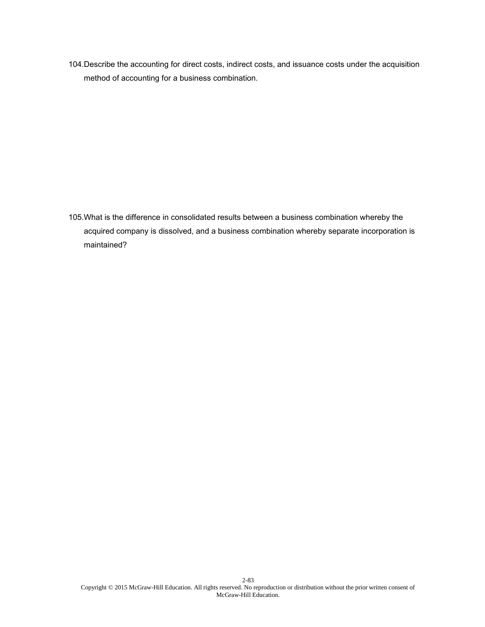104.Describe the accounting for direct costs, indirect costs, and issuance costs under the acquisition method of accounting for a business combination.

105.What is the difference in consolidated results between a business combination whereby the acquired company is dissolved, and a business combination whereby separate incorporation is maintained?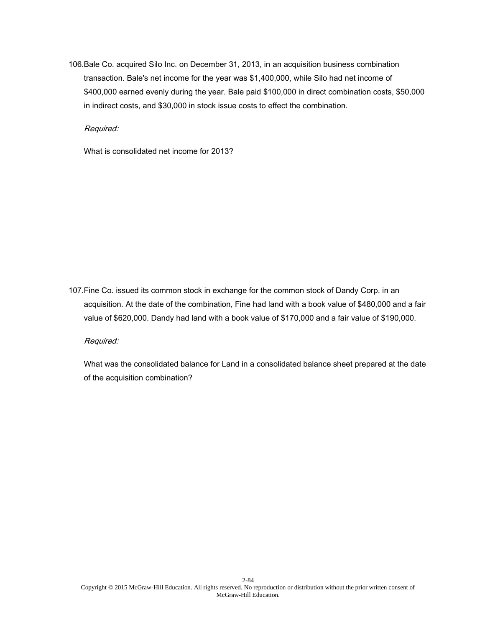106.Bale Co. acquired Silo Inc. on December 31, 2013, in an acquisition business combination transaction. Bale's net income for the year was \$1,400,000, while Silo had net income of \$400,000 earned evenly during the year. Bale paid \$100,000 in direct combination costs, \$50,000 in indirect costs, and \$30,000 in stock issue costs to effect the combination.

Required:

What is consolidated net income for 2013?

107.Fine Co. issued its common stock in exchange for the common stock of Dandy Corp. in an acquisition. At the date of the combination, Fine had land with a book value of \$480,000 and a fair value of \$620,000. Dandy had land with a book value of \$170,000 and a fair value of \$190,000.

Required:

What was the consolidated balance for Land in a consolidated balance sheet prepared at the date of the acquisition combination?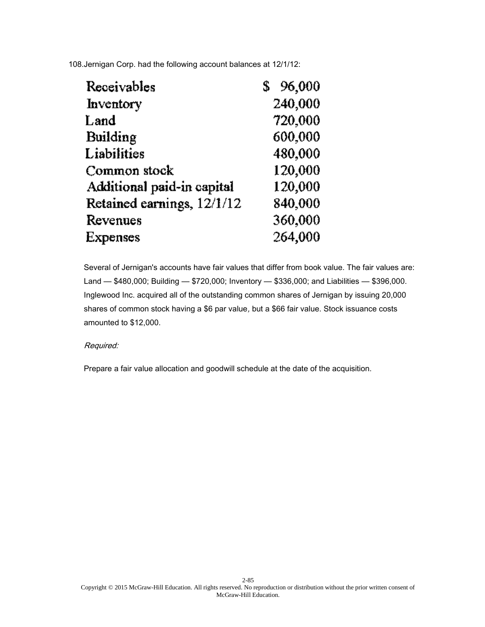108.Jernigan Corp. had the following account balances at 12/1/12:

| Receivables                | 96,000  |
|----------------------------|---------|
| Inventory                  | 240,000 |
| Land                       | 720,000 |
| Building                   | 600,000 |
| Liabilities                | 480,000 |
| Common stock               | 120,000 |
| Additional paid-in capital | 120,000 |
| Retained earnings, 12/1/12 | 840,000 |
| Revenues                   | 360,000 |
| Expenses                   | 264,000 |

Several of Jernigan's accounts have fair values that differ from book value. The fair values are: Land — \$480,000; Building — \$720,000; Inventory — \$336,000; and Liabilities — \$396,000. Inglewood Inc. acquired all of the outstanding common shares of Jernigan by issuing 20,000 shares of common stock having a \$6 par value, but a \$66 fair value. Stock issuance costs amounted to \$12,000.

## Required:

Prepare a fair value allocation and goodwill schedule at the date of the acquisition.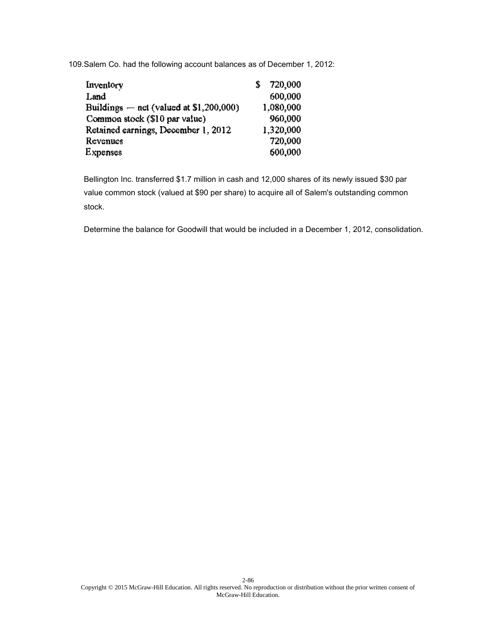109.Salem Co. had the following account balances as of December 1, 2012:

| Inventory                                 | 720,000   |
|-------------------------------------------|-----------|
| Land                                      | 600.000   |
| Buildings $-$ net (valued at \$1,200,000) | 1,080,000 |
| Common stock (\$10 par value)             | 960,000   |
| Retained earnings, December 1, 2012       | 1,320,000 |
| Revenues                                  | 720,000   |
| <b>Expenses</b>                           | 600,000   |

Bellington Inc. transferred \$1.7 million in cash and 12,000 shares of its newly issued \$30 par value common stock (valued at \$90 per share) to acquire all of Salem's outstanding common stock.

Determine the balance for Goodwill that would be included in a December 1, 2012, consolidation.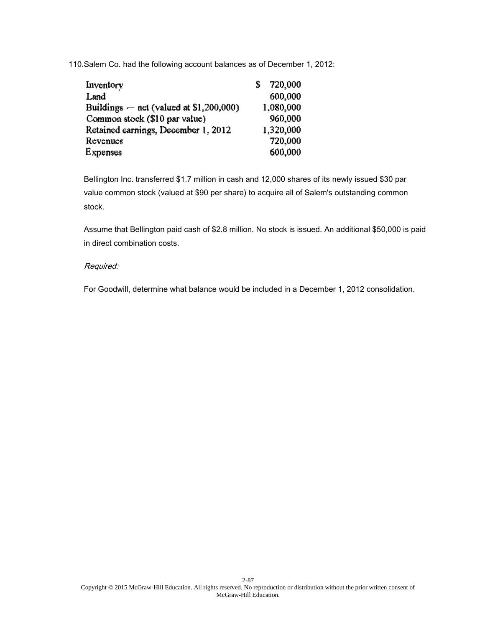110.Salem Co. had the following account balances as of December 1, 2012:

| Inventory                                 | 720,000   |
|-------------------------------------------|-----------|
| Land                                      | 600.000   |
| Buildings $-$ net (valued at \$1,200,000) | 1,080,000 |
| Common stock (\$10 par value)             | 960,000   |
| Retained earnings, December 1, 2012       | 1,320,000 |
| Revenues                                  | 720,000   |
| <b>Expenses</b>                           | 600,000   |

Bellington Inc. transferred \$1.7 million in cash and 12,000 shares of its newly issued \$30 par value common stock (valued at \$90 per share) to acquire all of Salem's outstanding common stock.

Assume that Bellington paid cash of \$2.8 million. No stock is issued. An additional \$50,000 is paid in direct combination costs.

## Required:

For Goodwill, determine what balance would be included in a December 1, 2012 consolidation.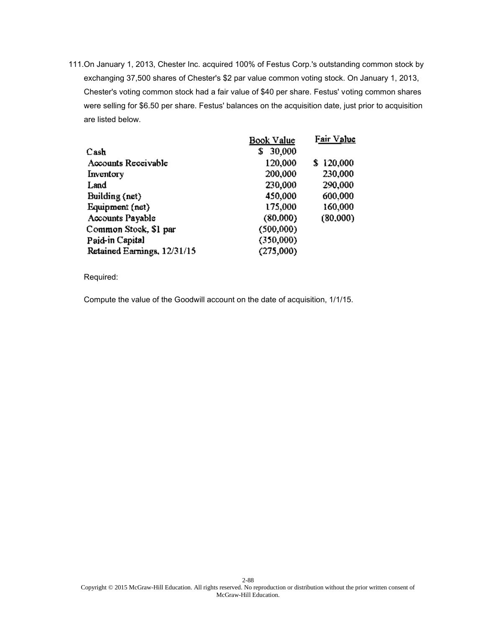111.On January 1, 2013, Chester Inc. acquired 100% of Festus Corp.'s outstanding common stock by exchanging 37,500 shares of Chester's \$2 par value common voting stock. On January 1, 2013, Chester's voting common stock had a fair value of \$40 per share. Festus' voting common shares were selling for \$6.50 per share. Festus' balances on the acquisition date, just prior to acquisition are listed below.

|                             | Book Value   | Fair Value |
|-----------------------------|--------------|------------|
| Cash                        | 30,000<br>\$ |            |
| Accounts Receivable         | 120,000      | \$120,000  |
| Inventory                   | 200,000      | 230,000    |
| Land                        | 230,000      | 290,000    |
| Building (net)              | 450,000      | 600,000    |
| Equipment (net)             | 175,000      | 160,000    |
| Accounts Payable            | (80.000)     | (80,000)   |
| Common Stock, \$1 par       | (500.000)    |            |
| Paid-in Capital             | (350,000)    |            |
| Retained Earnings, 12/31/15 | (275,000)    |            |
|                             |              |            |

Required:

Compute the value of the Goodwill account on the date of acquisition, 1/1/15.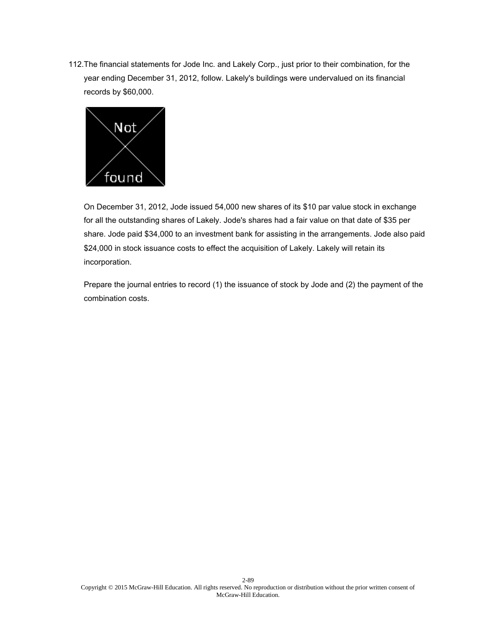112.The financial statements for Jode Inc. and Lakely Corp., just prior to their combination, for the year ending December 31, 2012, follow. Lakely's buildings were undervalued on its financial records by \$60,000.



On December 31, 2012, Jode issued 54,000 new shares of its \$10 par value stock in exchange for all the outstanding shares of Lakely. Jode's shares had a fair value on that date of \$35 per share. Jode paid \$34,000 to an investment bank for assisting in the arrangements. Jode also paid \$24,000 in stock issuance costs to effect the acquisition of Lakely. Lakely will retain its incorporation.

Prepare the journal entries to record (1) the issuance of stock by Jode and (2) the payment of the combination costs.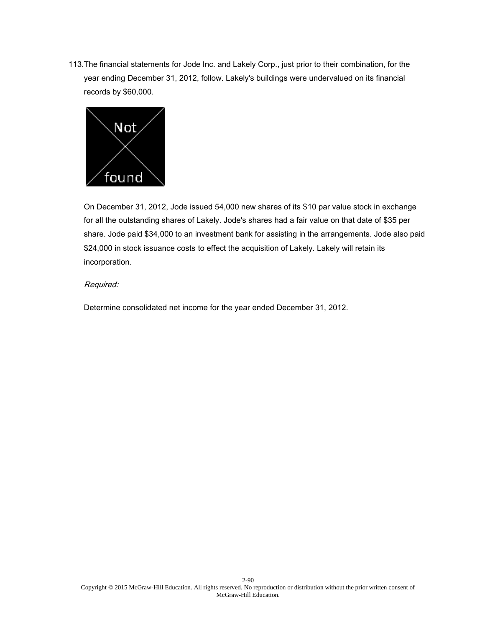113.The financial statements for Jode Inc. and Lakely Corp., just prior to their combination, for the year ending December 31, 2012, follow. Lakely's buildings were undervalued on its financial records by \$60,000.



On December 31, 2012, Jode issued 54,000 new shares of its \$10 par value stock in exchange for all the outstanding shares of Lakely. Jode's shares had a fair value on that date of \$35 per share. Jode paid \$34,000 to an investment bank for assisting in the arrangements. Jode also paid \$24,000 in stock issuance costs to effect the acquisition of Lakely. Lakely will retain its incorporation.

## Required:

Determine consolidated net income for the year ended December 31, 2012.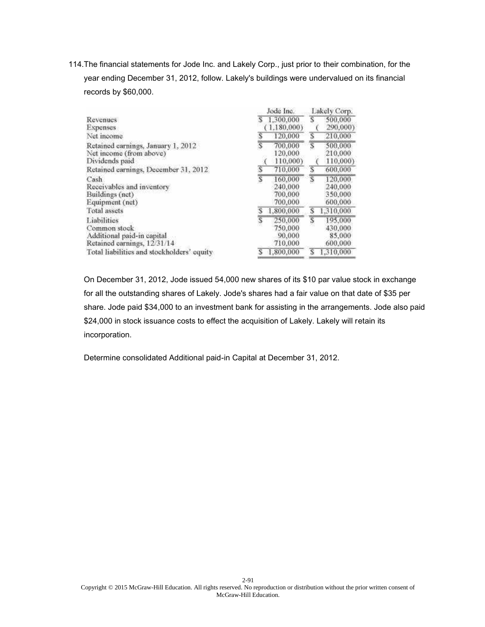114.The financial statements for Jode Inc. and Lakely Corp., just prior to their combination, for the year ending December 31, 2012, follow. Lakely's buildings were undervalued on its financial records by \$60,000.

|                                            | Jode Inc.                 | Lakely Corp.              |
|--------------------------------------------|---------------------------|---------------------------|
| Revenues                                   | 1.300,000<br>S            | s<br>500,000              |
| Expenses                                   | 1.180.000)                | 290,000)                  |
| Net moome                                  | 120,000                   | S<br>210,000              |
| Retained earnings, January 1, 2012         | Ï<br>700,000              | $\overline{s}$<br>500,000 |
| Net income (from above)                    | 120,000                   | 210,000                   |
| Dividends paid                             | 110,000)                  | 110,000)                  |
| Retained earnings, December 31, 2012.      | T<br>710,000              | S<br>600,000              |
| Cash                                       | T<br>160,000              | $\overline{s}$<br>120,000 |
| Receivables and inventory                  | 240,000                   | 240,000                   |
| Buildings (net)                            | 700,000                   | 350,000                   |
| Equipment (net)                            | 700,000                   | 600,000                   |
| Total assets                               | 1,800,000                 | s<br>1,310,000            |
| Liabilities                                | $\overline{s}$<br>250,000 | S<br>195,000              |
| Common stock                               | 750,000                   | 430,000                   |
| Additional paid-in capital                 | 90,000                    | 85,000                    |
| Retained earnings, 12/31/14                | 710,000                   | 600,000                   |
| Total liabilities and stockholders' equity | 1,800,000<br>s            | 1,310,000<br>s            |

On December 31, 2012, Jode issued 54,000 new shares of its \$10 par value stock in exchange for all the outstanding shares of Lakely. Jode's shares had a fair value on that date of \$35 per share. Jode paid \$34,000 to an investment bank for assisting in the arrangements. Jode also paid \$24,000 in stock issuance costs to effect the acquisition of Lakely. Lakely will retain its incorporation.

Determine consolidated Additional paid-in Capital at December 31, 2012.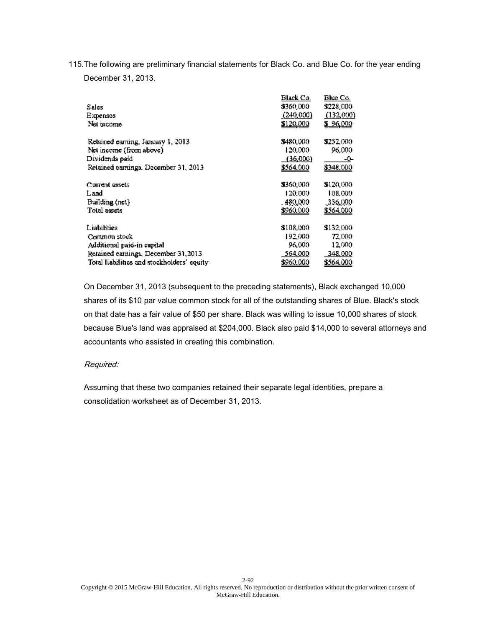115.The following are preliminary financial statements for Black Co. and Blue Co. for the year ending

December 31, 2013.

|                                            | Black Co.        | Blue Co.         |
|--------------------------------------------|------------------|------------------|
| Sales                                      | \$360,000        | \$228,000        |
| Expenses                                   | (240.000)        | (132,000)        |
| Net income                                 | \$120,000        | \$96,000         |
| Relained carning, January 1, 2013.         | \$480.000        | \$252,000        |
| Net income (from above)                    | 120,000          | 96.000           |
| Dividends paid                             | (36,000)         | -0-              |
| Retained carnings. December 31, 2013       | \$564,000        | \$348,000        |
| Current assets                             | \$360,000        | \$120,000        |
| Land                                       | 120,000          | 108,000          |
| Building (net)                             | - 480.000 .      | .336,000         |
| Total assets                               | <u>\$960.000</u> | <u>\$564.000</u> |
| Liabilities                                | \$108,000        | \$132,000        |
| Common stock                               | 192,000          | 72,000.          |
| Additional paid-in capital                 | 96.000           | 12,000           |
| Retained earnings, December 31, 2013       | 564,000          | 348,000          |
| Total liabilities and stockholders' equity | \$960,000        | \$564,000        |

On December 31, 2013 (subsequent to the preceding statements), Black exchanged 10,000 shares of its \$10 par value common stock for all of the outstanding shares of Blue. Black's stock on that date has a fair value of \$50 per share. Black was willing to issue 10,000 shares of stock because Blue's land was appraised at \$204,000. Black also paid \$14,000 to several attorneys and accountants who assisted in creating this combination.

## Required:

Assuming that these two companies retained their separate legal identities, prepare a consolidation worksheet as of December 31, 2013.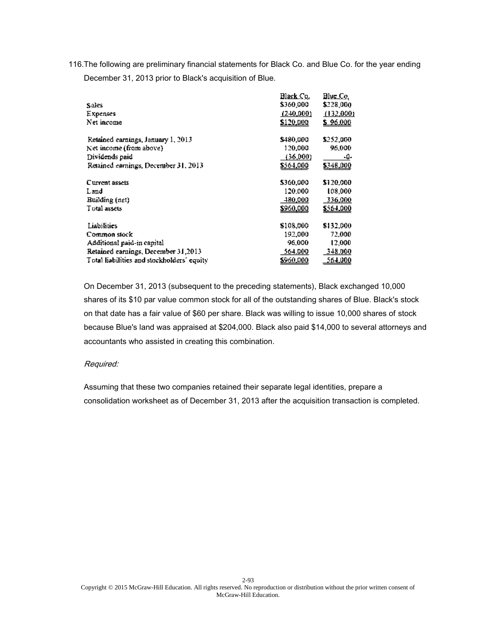116.The following are preliminary financial statements for Black Co. and Blue Co. for the year ending December 31, 2013 prior to Black's acquisition of Blue.

|                                            | Black Co.,       | BlueCo    |
|--------------------------------------------|------------------|-----------|
| Sales.                                     | \$360,000        | \$228,000 |
| Expenses                                   | (240,000)        | (132,000) |
| Net income                                 | \$120,000        | \$96.000  |
| Retained earnings, January 1, 2013         | \$480.000        | \$252,000 |
| Net income (from above)                    | 120,000          | 96,000    |
| Dividends paid                             | (36,000)         | -0-       |
| Retained earnings, December 31, 2013       | \$564,000        | 5348,000  |
| Current assets                             | \$360,000        | \$120,000 |
| Land                                       | 120.000          | 108,000   |
| Building (net)                             | 480,000          | 336,000   |
| Total assets                               | <u>\$960,000</u> | \$564,000 |
| <b>Liabilities</b>                         | \$108,000        | \$132,000 |
| Common stock                               | 192,000          | 72,000    |
| Additional paid-in capital                 | 96,000           | 12,000    |
| Retained earnings, December 31,2013        | 564.000          | 348.000   |
| Total liabilities and stockholders' equity | \$960,000        | 564,000   |

On December 31, 2013 (subsequent to the preceding statements), Black exchanged 10,000 shares of its \$10 par value common stock for all of the outstanding shares of Blue. Black's stock on that date has a fair value of \$60 per share. Black was willing to issue 10,000 shares of stock because Blue's land was appraised at \$204,000. Black also paid \$14,000 to several attorneys and accountants who assisted in creating this combination.

## Required:

Assuming that these two companies retained their separate legal identities, prepare a consolidation worksheet as of December 31, 2013 after the acquisition transaction is completed.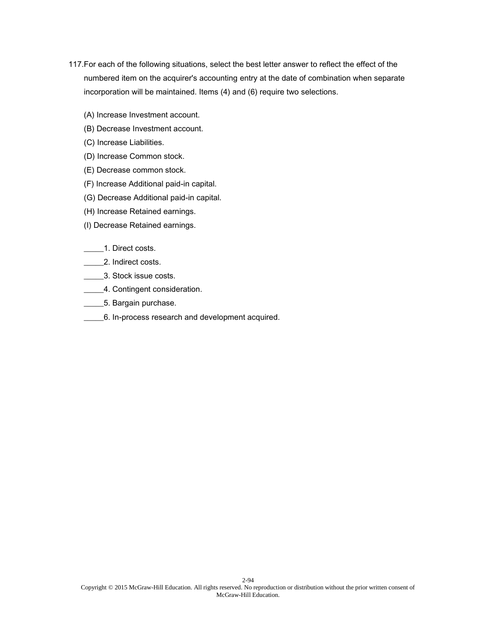- 117.For each of the following situations, select the best letter answer to reflect the effect of the numbered item on the acquirer's accounting entry at the date of combination when separate incorporation will be maintained. Items (4) and (6) require two selections.
	- (A) Increase Investment account.
	- (B) Decrease Investment account.
	- (C) Increase Liabilities.
	- (D) Increase Common stock.
	- (E) Decrease common stock.
	- (F) Increase Additional paid-in capital.
	- (G) Decrease Additional paid-in capital.
	- (H) Increase Retained earnings.
	- (I) Decrease Retained earnings.

#### \_\_\_\_\_1. Direct costs.

- **2.** Indirect costs.
- \_\_\_\_\_3. Stock issue costs.
- **\_\_\_\_\_4.** Contingent consideration.
- **\_\_\_\_\_\_5. Bargain purchase.**
- \_\_\_\_\_6. In-process research and development acquired.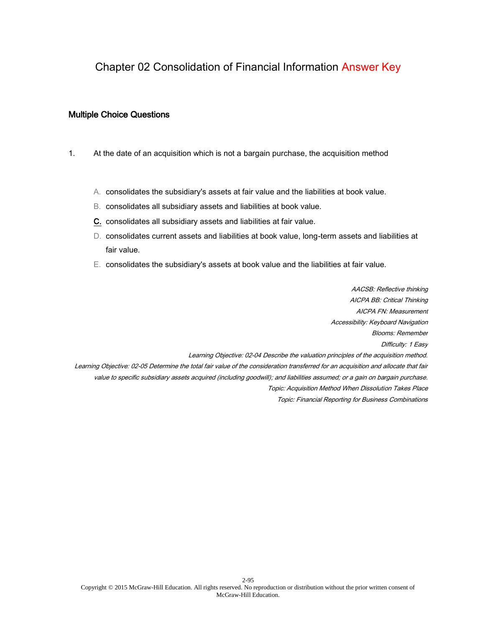# Chapter 02 Consolidation of Financial Information Answer Key

#### Multiple Choice Questions

- 1. At the date of an acquisition which is not a bargain purchase, the acquisition method
	- A. consolidates the subsidiary's assets at fair value and the liabilities at book value.
	- B. consolidates all subsidiary assets and liabilities at book value.
	- C. consolidates all subsidiary assets and liabilities at fair value.
	- D. consolidates current assets and liabilities at book value, long-term assets and liabilities at fair value.
	- E. consolidates the subsidiary's assets at book value and the liabilities at fair value.

AACSB: Reflective thinking AICPA BB: Critical Thinking AICPA FN: Measurement Accessibility: Keyboard Navigation Blooms: Remember Difficulty: 1 Easy Learning Objective: 02-04 Describe the valuation principles of the acquisition method. Learning Objective: 02-05 Determine the total fair value of the consideration transferred for an acquisition and allocate that fair value to specific subsidiary assets acquired (including goodwill); and liabilities assumed; or a gain on bargain purchase. Topic: Acquisition Method When Dissolution Takes Place Topic: Financial Reporting for Business Combinations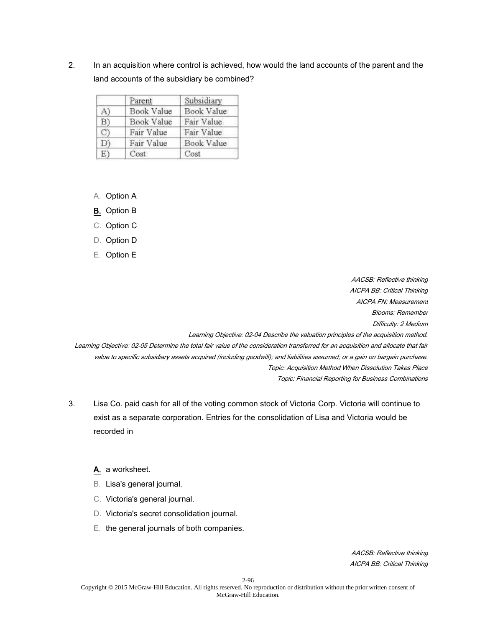2. In an acquisition where control is achieved, how would the land accounts of the parent and the land accounts of the subsidiary be combined?

|              | Parent     | Subsidiary |
|--------------|------------|------------|
| $\mathbf{A}$ | Book Value | Book Value |
| B)           | Book Value | Fair Value |
| O            | Fair Value | Fair Value |
| D)           | Fair Value | Book Value |
| E)           | Cost       | Cost       |

- A. Option A
- B. Option B
- C. Option C
- D. Option D
- E. Option E

AACSB: Reflective thinking AICPA BB: Critical Thinking AICPA FN: Measurement Blooms: Remember Difficulty: 2 Medium

Learning Objective: 02-04 Describe the valuation principles of the acquisition method.

Learning Objective: 02-05 Determine the total fair value of the consideration transferred for an acquisition and allocate that fair value to specific subsidiary assets acquired (including goodwill); and liabilities assumed; or a gain on bargain purchase. Topic: Acquisition Method When Dissolution Takes Place Topic: Financial Reporting for Business Combinations

3. Lisa Co. paid cash for all of the voting common stock of Victoria Corp. Victoria will continue to exist as a separate corporation. Entries for the consolidation of Lisa and Victoria would be recorded in

## A. a worksheet.

- B. Lisa's general journal.
- C. Victoria's general journal.
- D. Victoria's secret consolidation journal.
- E. the general journals of both companies.

AACSB: Reflective thinking AICPA BB: Critical Thinking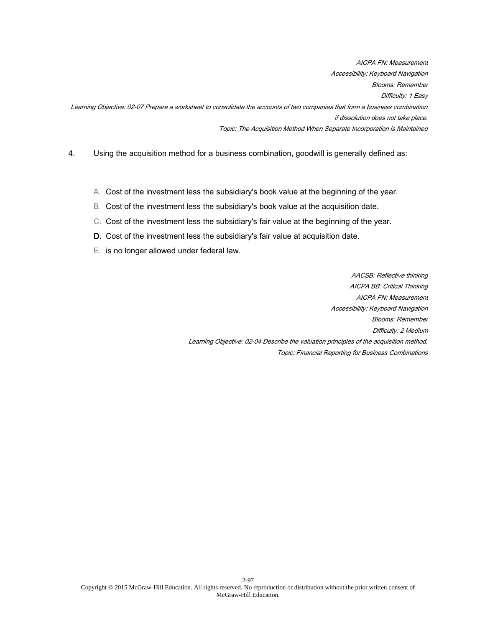AICPA FN: Measurement Accessibility: Keyboard Navigation Blooms: Remember Difficulty: 1 Easy Learning Objective: 02-07 Prepare a worksheet to consolidate the accounts of two companies that form a business combination if dissolution does not take place. Topic: The Acquisition Method When Separate Incorporation is Maintained

- 4. Using the acquisition method for a business combination, goodwill is generally defined as:
	- A. Cost of the investment less the subsidiary's book value at the beginning of the year.
	- B. Cost of the investment less the subsidiary's book value at the acquisition date.
	- C. Cost of the investment less the subsidiary's fair value at the beginning of the year.
	- D. Cost of the investment less the subsidiary's fair value at acquisition date.
	- E. is no longer allowed under federal law.

AACSB: Reflective thinking AICPA BB: Critical Thinking AICPA FN: Measurement Accessibility: Keyboard Navigation Blooms: Remember Difficulty: 2 Medium Learning Objective: 02-04 Describe the valuation principles of the acquisition method. Topic: Financial Reporting for Business Combinations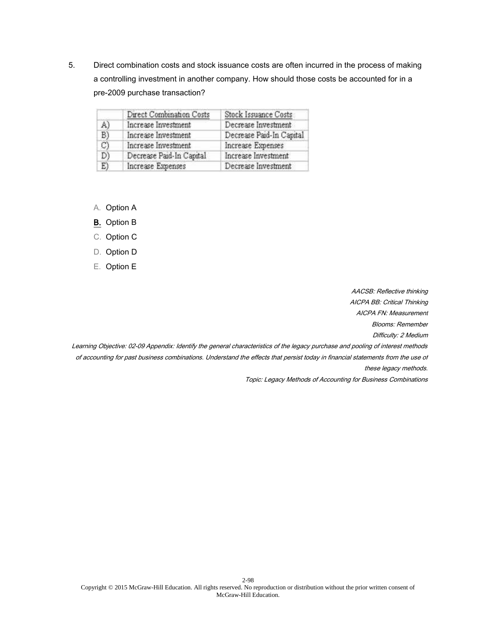5. Direct combination costs and stock issuance costs are often incurred in the process of making a controlling investment in another company. How should those costs be accounted for in a pre-2009 purchase transaction?

|              | Direct Combination Costs | Stock Issuance Costs     |
|--------------|--------------------------|--------------------------|
| A)           | Increase Investment      | Decrease Investment      |
| B)           | Increase Investment      | Decrease Paid-In Capital |
| $\mathbb{C}$ | Increase Investment      | Increase Expenses        |
| D)           | Decrease Paid-In Capital | Increase Investment      |
| E)           | Increase Expenses        | Decrease Investment      |

- A. Option A
- B. Option B
- C. Option C
- D. Option D
- E. Option E

AACSB: Reflective thinking

AICPA BB: Critical Thinking

AICPA FN: Measurement

Blooms: Remember

Difficulty: 2 Medium

Learning Objective: 02-09 Appendix: Identify the general characteristics of the legacy purchase and pooling of interest methods of accounting for past business combinations. Understand the effects that persist today in financial statements from the use of these legacy methods.

Topic: Legacy Methods of Accounting for Business Combinations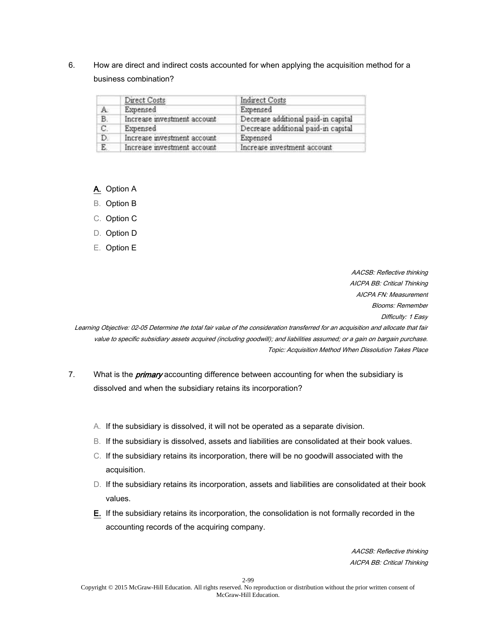6. How are direct and indirect costs accounted for when applying the acquisition method for a business combination?

|    | Direct Costs                | Indirect Costs                      |
|----|-----------------------------|-------------------------------------|
| А. | Expensed                    | Expensed                            |
| B. | Increase investment account | Decrease additional paid-in capital |
| C. | Expensed                    | Decrease additional paid-in capital |
| D. | Increase investment account | Expensed                            |
| E. | Increase investment account | Increase investment account         |

A. Option A

B. Option B

C. Option C

D. Option D

E. Option E

AACSB: Reflective thinking AICPA BB: Critical Thinking AICPA FN: Measurement Blooms: Remember

Difficulty: 1 Easy

Learning Objective: 02-05 Determine the total fair value of the consideration transferred for an acquisition and allocate that fair value to specific subsidiary assets acquired (including goodwill); and liabilities assumed; or a gain on bargain purchase. Topic: Acquisition Method When Dissolution Takes Place

- 7. What is the *primary* accounting difference between accounting for when the subsidiary is dissolved and when the subsidiary retains its incorporation?
	- A. If the subsidiary is dissolved, it will not be operated as a separate division.
	- B. If the subsidiary is dissolved, assets and liabilities are consolidated at their book values.
	- C. If the subsidiary retains its incorporation, there will be no goodwill associated with the acquisition.
	- D. If the subsidiary retains its incorporation, assets and liabilities are consolidated at their book values.
	- E. If the subsidiary retains its incorporation, the consolidation is not formally recorded in the accounting records of the acquiring company.

AACSB: Reflective thinking AICPA BB: Critical Thinking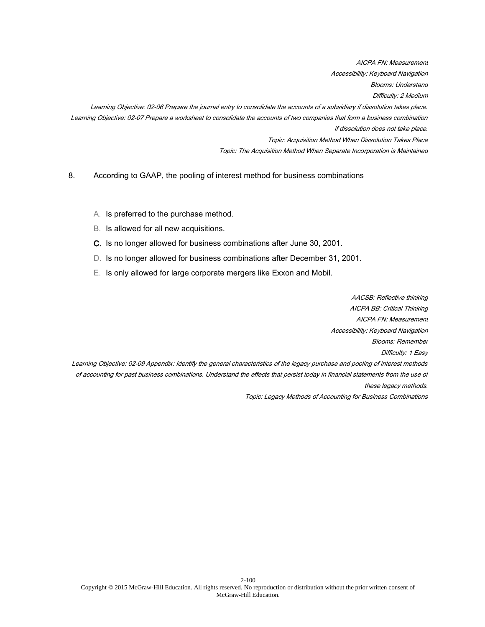AICPA FN: Measurement Accessibility: Keyboard Navigation Blooms: Understand Difficulty: 2 Medium Learning Objective: 02-06 Prepare the journal entry to consolidate the accounts of a subsidiary if dissolution takes place. Learning Objective: 02-07 Prepare a worksheet to consolidate the accounts of two companies that form a business combination if dissolution does not take place. Topic: Acquisition Method When Dissolution Takes Place Topic: The Acquisition Method When Separate Incorporation is Maintained

8. According to GAAP, the pooling of interest method for business combinations

- A. Is preferred to the purchase method.
- B. Is allowed for all new acquisitions.
- C. Is no longer allowed for business combinations after June 30, 2001.
- D. Is no longer allowed for business combinations after December 31, 2001.
- E. Is only allowed for large corporate mergers like Exxon and Mobil.

AACSB: Reflective thinking AICPA BB: Critical Thinking AICPA FN: Measurement Accessibility: Keyboard Navigation Blooms: Remember Difficulty: 1 Easy Learning Objective: 02-09 Appendix: Identify the general characteristics of the legacy purchase and pooling of interest methods of accounting for past business combinations. Understand the effects that persist today in financial statements from the use of these legacy methods. Topic: Legacy Methods of Accounting for Business Combinations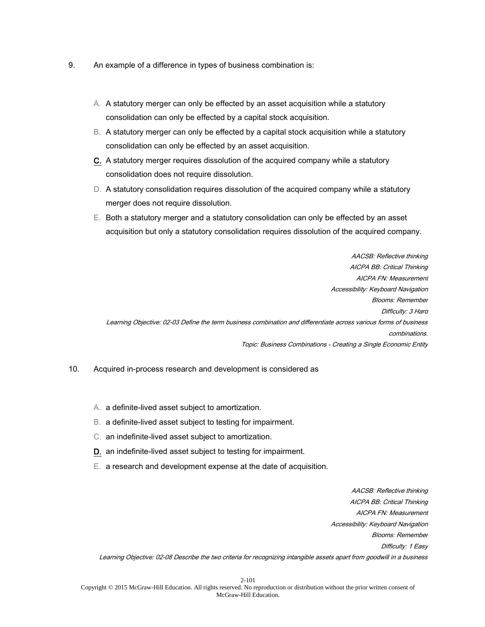- 9. An example of a difference in types of business combination is:
	- A. A statutory merger can only be effected by an asset acquisition while a statutory consolidation can only be effected by a capital stock acquisition.
	- B. A statutory merger can only be effected by a capital stock acquisition while a statutory consolidation can only be effected by an asset acquisition.
	- C. A statutory merger requires dissolution of the acquired company while a statutory consolidation does not require dissolution.
	- D. A statutory consolidation requires dissolution of the acquired company while a statutory merger does not require dissolution.
	- E. Both a statutory merger and a statutory consolidation can only be effected by an asset acquisition but only a statutory consolidation requires dissolution of the acquired company.

AACSB: Reflective thinking AICPA BB: Critical Thinking AICPA FN: Measurement Accessibility: Keyboard Navigation Blooms: Remember Difficulty: 3 Hard Learning Objective: 02-03 Define the term business combination and differentiate across various forms of business combinations. Topic: Business Combinations - Creating a Single Economic Entity

- 10. Acquired in-process research and development is considered as
	- A. a definite-lived asset subject to amortization.
	- B. a definite-lived asset subject to testing for impairment.
	- C. an indefinite-lived asset subject to amortization.
	- D. an indefinite-lived asset subject to testing for impairment.
	- E. a research and development expense at the date of acquisition.

AACSB: Reflective thinking AICPA BB: Critical Thinking AICPA FN: Measurement Accessibility: Keyboard Navigation Blooms: Remember Difficulty: 1 Easy Learning Objective: 02-08 Describe the two criteria for recognizing intangible assets apart from goodwill in a business

2-101 Copyright © 2015 McGraw-Hill Education. All rights reserved. No reproduction or distribution without the prior written consent of McGraw-Hill Education.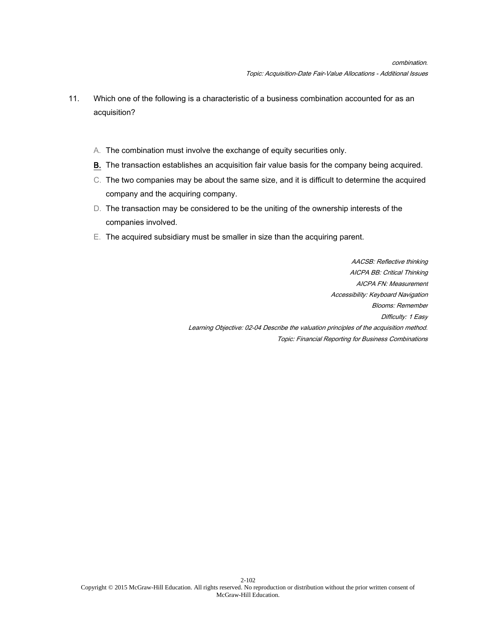- 11. Which one of the following is a characteristic of a business combination accounted for as an acquisition?
	- A. The combination must involve the exchange of equity securities only.
	- B. The transaction establishes an acquisition fair value basis for the company being acquired.
	- C. The two companies may be about the same size, and it is difficult to determine the acquired company and the acquiring company.
	- D. The transaction may be considered to be the uniting of the ownership interests of the companies involved.
	- E. The acquired subsidiary must be smaller in size than the acquiring parent.

AACSB: Reflective thinking AICPA BB: Critical Thinking AICPA FN: Measurement Accessibility: Keyboard Navigation Blooms: Remember Difficulty: 1 Easy Learning Objective: 02-04 Describe the valuation principles of the acquisition method. Topic: Financial Reporting for Business Combinations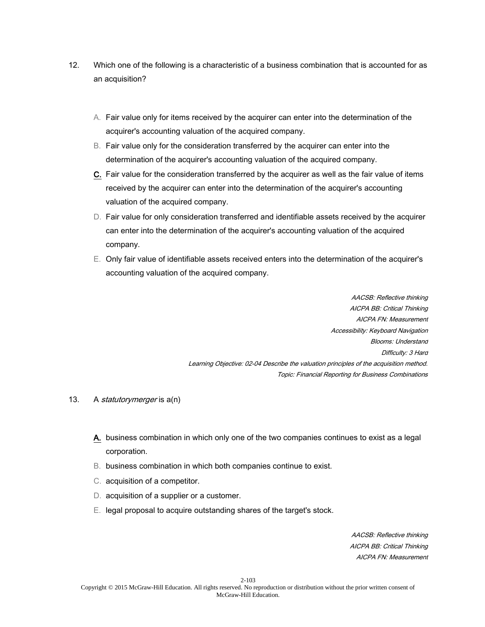- 12. Which one of the following is a characteristic of a business combination that is accounted for as an acquisition?
	- A. Fair value only for items received by the acquirer can enter into the determination of the acquirer's accounting valuation of the acquired company.
	- B. Fair value only for the consideration transferred by the acquirer can enter into the determination of the acquirer's accounting valuation of the acquired company.
	- C. Fair value for the consideration transferred by the acquirer as well as the fair value of items received by the acquirer can enter into the determination of the acquirer's accounting valuation of the acquired company.
	- D. Fair value for only consideration transferred and identifiable assets received by the acquirer can enter into the determination of the acquirer's accounting valuation of the acquired company.
	- E. Only fair value of identifiable assets received enters into the determination of the acquirer's accounting valuation of the acquired company.

AACSB: Reflective thinking AICPA BB: Critical Thinking AICPA FN: Measurement Accessibility: Keyboard Navigation Blooms: Understand Difficulty: 3 Hard Learning Objective: 02-04 Describe the valuation principles of the acquisition method. Topic: Financial Reporting for Business Combinations

- 13. A *statutorymerger* is a(n)
	- A. business combination in which only one of the two companies continues to exist as a legal corporation.
	- B. business combination in which both companies continue to exist.
	- C. acquisition of a competitor.
	- D. acquisition of a supplier or a customer.
	- E. legal proposal to acquire outstanding shares of the target's stock.

AACSB: Reflective thinking AICPA BB: Critical Thinking AICPA FN: Measurement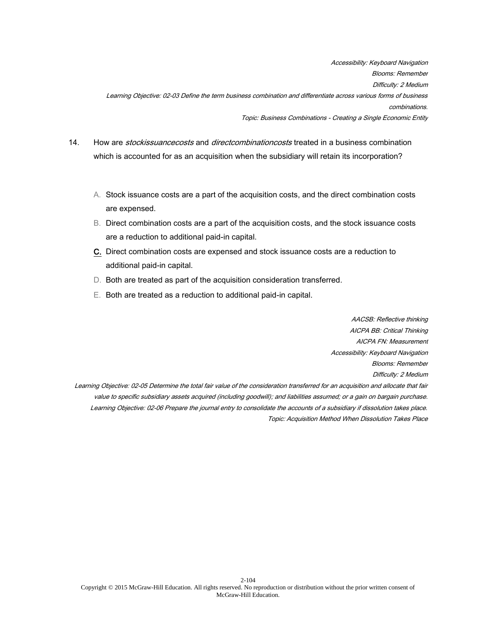Accessibility: Keyboard Navigation Blooms: Remember Difficulty: 2 Medium Learning Objective: 02-03 Define the term business combination and differentiate across various forms of business combinations. Topic: Business Combinations - Creating a Single Economic Entity

- 14. How are *stockissuancecosts* and *directcombinationcosts* treated in a business combination which is accounted for as an acquisition when the subsidiary will retain its incorporation?
	- A. Stock issuance costs are a part of the acquisition costs, and the direct combination costs are expensed.
	- B. Direct combination costs are a part of the acquisition costs, and the stock issuance costs are a reduction to additional paid-in capital.
	- C. Direct combination costs are expensed and stock issuance costs are a reduction to additional paid-in capital.
	- D. Both are treated as part of the acquisition consideration transferred.
	- E. Both are treated as a reduction to additional paid-in capital.

AACSB: Reflective thinking AICPA BB: Critical Thinking AICPA FN: Measurement Accessibility: Keyboard Navigation Blooms: Remember Difficulty: 2 Medium

Learning Objective: 02-05 Determine the total fair value of the consideration transferred for an acquisition and allocate that fair value to specific subsidiary assets acquired (including goodwill); and liabilities assumed; or a gain on bargain purchase. Learning Objective: 02-06 Prepare the journal entry to consolidate the accounts of a subsidiary if dissolution takes place. Topic: Acquisition Method When Dissolution Takes Place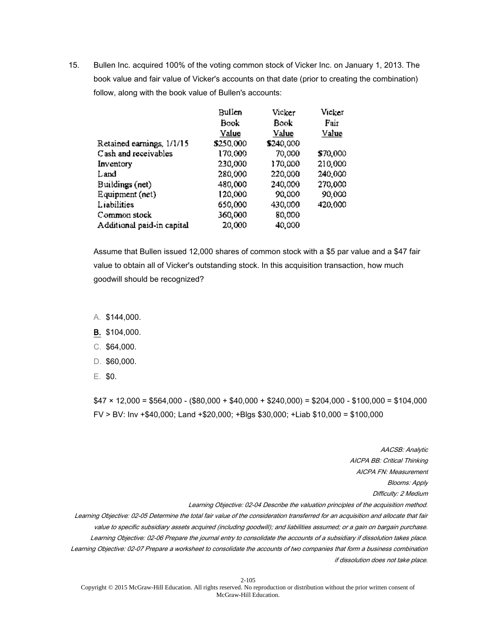15. Bullen Inc. acquired 100% of the voting common stock of Vicker Inc. on January 1, 2013. The book value and fair value of Vicker's accounts on that date (prior to creating the combination) follow, along with the book value of Bullen's accounts:

|                            | Bullen    | Vicker    | Vicker   |
|----------------------------|-----------|-----------|----------|
|                            | Book      | Book      | Fair     |
|                            | Value     | Value     | Value    |
| Retained earnings, 1/1/15  | \$250,000 | \$240,000 |          |
| Cash and receivables       | 170,000   | 70,000    | \$70,000 |
| Inventory                  | 230,000   | 170,000   | 210,000  |
| Land                       | 280,000   | 220,000   | 240,000  |
| Buildings (net)            | 480,000   | 240,000   | 270,000  |
| Equipment (net)            | 120,000   | 90,000    | 90,000   |
| Liabilities                | 650,000   | 430,000   | 420,000  |
| Common stock               | 360,000   | 80,000    |          |
| Additional paid-in capital | 20,000    | 40,000    |          |

Assume that Bullen issued 12,000 shares of common stock with a \$5 par value and a \$47 fair value to obtain all of Vicker's outstanding stock. In this acquisition transaction, how much goodwill should be recognized?

A. \$144,000.

B. \$104,000.

- C. \$64,000.
- D. \$60,000.
- E. \$0.

 $$47 \times 12,000 = $564,000 - $80,000 + $40,000 + $240,000 = $204,000 - $100,000 = $104,000$ FV > BV: Inv +\$40,000; Land +\$20,000; +Blgs \$30,000; +Liab \$10,000 = \$100,000

AACSB: Analytic AICPA BB: Critical Thinking AICPA FN: Measurement Blooms: Apply Difficulty: 2 Medium Learning Objective: 02-04 Describe the valuation principles of the acquisition method. Learning Objective: 02-05 Determine the total fair value of the consideration transferred for an acquisition and allocate that fair value to specific subsidiary assets acquired (including goodwill); and liabilities assumed; or a gain on bargain purchase. Learning Objective: 02-06 Prepare the journal entry to consolidate the accounts of a subsidiary if dissolution takes place. Learning Objective: 02-07 Prepare a worksheet to consolidate the accounts of two companies that form a business combination if dissolution does not take place.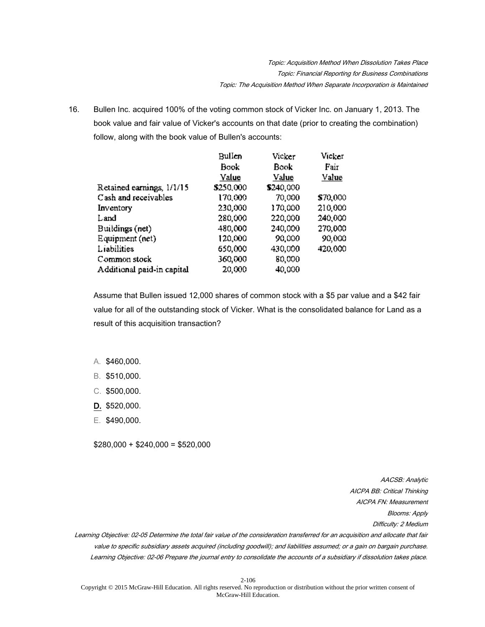16. Bullen Inc. acquired 100% of the voting common stock of Vicker Inc. on January 1, 2013. The book value and fair value of Vicker's accounts on that date (prior to creating the combination) follow, along with the book value of Bullen's accounts:

|                            | Bullen    | Vicker    | Vicker   |
|----------------------------|-----------|-----------|----------|
|                            | Book      | Bookl     | Fair     |
|                            | Value     | Value     | Value    |
| Retained earnings, 1/1/15  | \$250,000 | \$240,000 |          |
| Cash and receivables       | 170,000   | 70,000    | \$70,000 |
| Inventory                  | 230,000   | 170,000   | 210,000  |
| Land                       | 280,000   | 220,000   | 240,000  |
| Buildings (net)            | 480,000   | 240,000   | 270,000  |
| Equipment (net)            | 120,000   | 90,000    | 90,000   |
| Liabilities                | 650,000   | 430,000   | 420,000  |
| Common stock               | 360,000   | 80,000    |          |
| Additional paid-in capital | 20,000    | 40,000    |          |

Assume that Bullen issued 12,000 shares of common stock with a \$5 par value and a \$42 fair value for all of the outstanding stock of Vicker. What is the consolidated balance for Land as a result of this acquisition transaction?

- A. \$460,000.
- B. \$510,000.
- C. \$500,000.
- D. \$520,000.
- E. \$490,000.

 $$280,000 + $240,000 = $520,000$ 

AACSB: Analytic AICPA BB: Critical Thinking AICPA FN: Measurement Blooms: Apply Difficulty: 2 Medium Learning Objective: 02-05 Determine the total fair value of the consideration transferred for an acquisition and allocate that fair value to specific subsidiary assets acquired (including goodwill); and liabilities assumed; or a gain on bargain purchase.

Learning Objective: 02-06 Prepare the journal entry to consolidate the accounts of a subsidiary if dissolution takes place.

2-106 Copyright © 2015 McGraw-Hill Education. All rights reserved. No reproduction or distribution without the prior written consent of McGraw-Hill Education.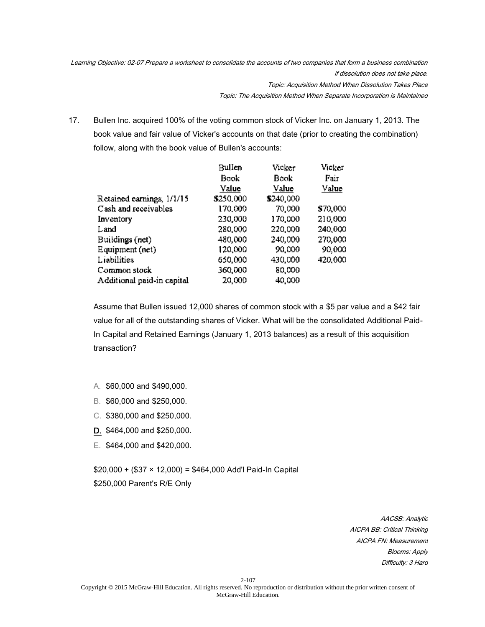Learning Objective: 02-07 Prepare a worksheet to consolidate the accounts of two companies that form a business combination if dissolution does not take place. Topic: Acquisition Method When Dissolution Takes Place

Topic: The Acquisition Method When Separate Incorporation is Maintained

17. Bullen Inc. acquired 100% of the voting common stock of Vicker Inc. on January 1, 2013. The book value and fair value of Vicker's accounts on that date (prior to creating the combination) follow, along with the book value of Bullen's accounts:

|                            | Bullen    | Vicker    | Vicker   |
|----------------------------|-----------|-----------|----------|
|                            | Book      | Book      | Fair     |
|                            | Value     | Value     | Value    |
| Retained earnings, 1/1/15  | \$250,000 | \$240,000 |          |
| Cash and receivables       | 170,000   | 70,000    | \$70,000 |
| Inventory                  | 230,000   | 170,000   | 210,000  |
| Land                       | 280,000   | 220,000   | 240,000  |
| Buildings (net)            | 480,000   | 240,000   | 270,000  |
| Equipment (net)            | 120,000   | 90,000    | 90,000   |
| Liabilities                | 650,000   | 430,000   | 420,000  |
| Common stock               | 360,000   | 80,000    |          |
| Additional paid-in capital | 20,000    | 40,000    |          |

Assume that Bullen issued 12,000 shares of common stock with a \$5 par value and a \$42 fair value for all of the outstanding shares of Vicker. What will be the consolidated Additional Paid-In Capital and Retained Earnings (January 1, 2013 balances) as a result of this acquisition transaction?

- A. \$60,000 and \$490,000.
- B. \$60,000 and \$250,000.
- C. \$380,000 and \$250,000.
- D. \$464,000 and \$250,000.
- E. \$464,000 and \$420,000.

 $$20,000 + ($37 * 12,000) = $464,000$  Add'l Paid-In Capital \$250,000 Parent's R/E Only

> AACSB: Analytic AICPA BB: Critical Thinking AICPA FN: Measurement Blooms: Apply Difficulty: 3 Hard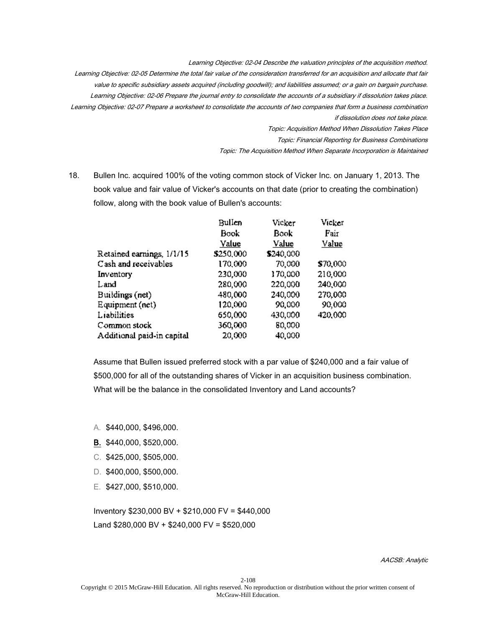Learning Objective: 02-04 Describe the valuation principles of the acquisition method. Learning Objective: 02-05 Determine the total fair value of the consideration transferred for an acquisition and allocate that fair value to specific subsidiary assets acquired (including goodwill); and liabilities assumed; or a gain on bargain purchase. Learning Objective: 02-06 Prepare the journal entry to consolidate the accounts of a subsidiary if dissolution takes place. Learning Objective: 02-07 Prepare a worksheet to consolidate the accounts of two companies that form a business combination if dissolution does not take place. Topic: Acquisition Method When Dissolution Takes Place

Topic: Financial Reporting for Business Combinations

Topic: The Acquisition Method When Separate Incorporation is Maintained

18. Bullen Inc. acquired 100% of the voting common stock of Vicker Inc. on January 1, 2013. The book value and fair value of Vicker's accounts on that date (prior to creating the combination) follow, along with the book value of Bullen's accounts:

|                            | Bullen    | Vicker    | Vicker   |
|----------------------------|-----------|-----------|----------|
|                            | Book      | Book      | Fair     |
|                            | Value     | Value     | Value    |
| Retained earnings, 1/1/15  | \$250,000 | \$240,000 |          |
| Cash and receivables       | 170,000   | 70,000    | \$70,000 |
| Inventory                  | 230,000   | 170,000   | 210,000  |
| Land                       | 280,000   | 220,000   | 240,000  |
| Buildings (net)            | 480,000   | 240,000   | 270,000  |
| Equipment (net)            | 120,000   | 90,000    | 90,000   |
| Liabilities                | 650,000   | 430,000   | 420,000  |
| Common stock               | 360,000   | 80,000    |          |
| Additional paid-in capital | 20,000    | 40,000    |          |

Assume that Bullen issued preferred stock with a par value of \$240,000 and a fair value of \$500,000 for all of the outstanding shares of Vicker in an acquisition business combination. What will be the balance in the consolidated Inventory and Land accounts?

- A. \$440,000, \$496,000.
- B. \$440,000, \$520,000.
- C. \$425,000, \$505,000.
- D. \$400,000, \$500,000.
- E. \$427,000, \$510,000.

Inventory \$230,000 BV + \$210,000 FV = \$440,000 Land \$280,000 BV + \$240,000 FV = \$520,000

AACSB: Analytic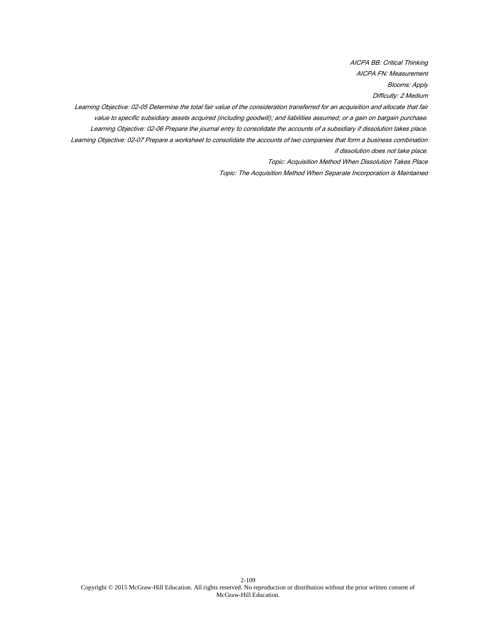AICPA BB: Critical Thinking AICPA FN: Measurement Blooms: Apply Difficulty: 2 Medium

Learning Objective: 02-05 Determine the total fair value of the consideration transferred for an acquisition and allocate that fair value to specific subsidiary assets acquired (including goodwill); and liabilities assumed; or a gain on bargain purchase. Learning Objective: 02-06 Prepare the journal entry to consolidate the accounts of a subsidiary if dissolution takes place. Learning Objective: 02-07 Prepare a worksheet to consolidate the accounts of two companies that form a business combination if dissolution does not take place.

Topic: Acquisition Method When Dissolution Takes Place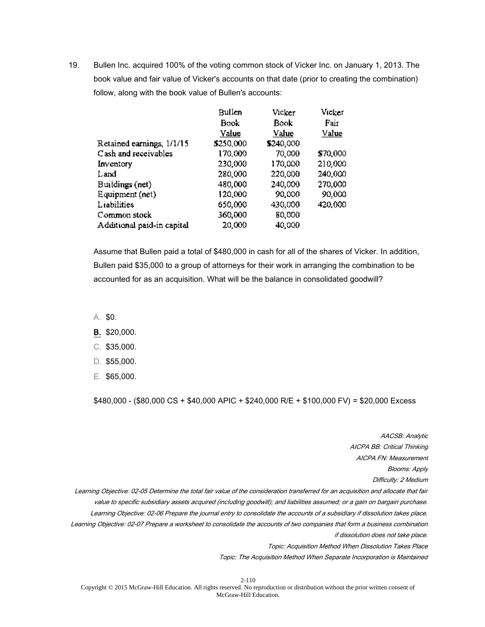19. Bullen Inc. acquired 100% of the voting common stock of Vicker Inc. on January 1, 2013. The book value and fair value of Vicker's accounts on that date (prior to creating the combination) follow, along with the book value of Bullen's accounts:

|                            | Bullen    | Vicker    | Vicker   |
|----------------------------|-----------|-----------|----------|
|                            | Book      | Book      | Fair     |
|                            | Value     | Value     | Value    |
| Retained earnings, 1/1/15  | \$250,000 | \$240,000 |          |
| Cash and receivables       | 170,000   | 70,000    | \$70,000 |
| Inventory                  | 230,000   | 170,000   | 210,000  |
| Land                       | 280,000   | 220,000   | 240,000  |
| Buildings (net)            | 480,000   | 240,000   | 270,000  |
| Equipment (net)            | 120,000   | 90,000    | 90,000   |
| Liabilities                | 650,000   | 430,000   | 420,000  |
| Common stock               | 360,000   | 80,000    |          |
| Additional paid-in capital | 20,000    | 40,000    |          |

Assume that Bullen paid a total of \$480,000 in cash for all of the shares of Vicker. In addition, Bullen paid \$35,000 to a group of attorneys for their work in arranging the combination to be accounted for as an acquisition. What will be the balance in consolidated goodwill?

- A. \$0.
- B. \$20,000.
- C. \$35,000.
- D. \$55,000.
- E. \$65,000.

\$480,000 - (\$80,000 CS + \$40,000 APIC + \$240,000 R/E + \$100,000 FV) = \$20,000 Excess

AACSB: Analytic AICPA BB: Critical Thinking AICPA FN: Measurement Blooms: Apply Difficulty: 2 Medium Learning Objective: 02-05 Determine the total fair value of the consideration transferred for an acquisition and allocate that fair value to specific subsidiary assets acquired (including goodwill); and liabilities assumed; or a gain on bargain purchase. Learning Objective: 02-06 Prepare the journal entry to consolidate the accounts of a subsidiary if dissolution takes place. Learning Objective: 02-07 Prepare a worksheet to consolidate the accounts of two companies that form a business combination if dissolution does not take place. Topic: Acquisition Method When Dissolution Takes Place

Topic: The Acquisition Method When Separate Incorporation is Maintained

2-110

Copyright © 2015 McGraw-Hill Education. All rights reserved. No reproduction or distribution without the prior written consent of McGraw-Hill Education.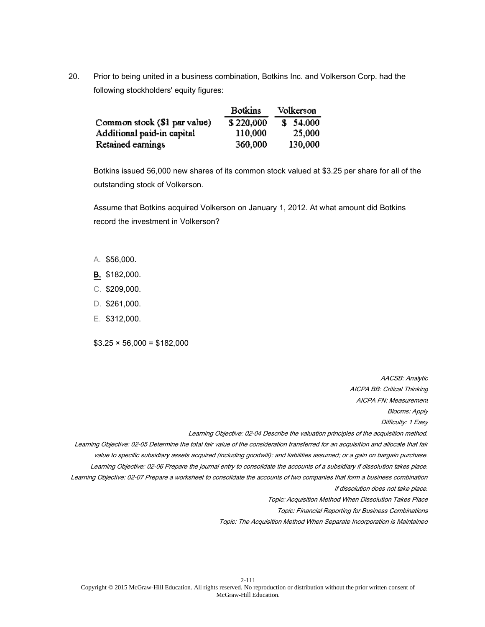20. Prior to being united in a business combination, Botkins Inc. and Volkerson Corp. had the following stockholders' equity figures:

|                              | <b>Botkins</b> | Volkerson |
|------------------------------|----------------|-----------|
| Common stock (\$1 par value) | \$220,000      | \$54,000  |
| Additional paid-in capital   | 110,000        | 25,000    |
| Retained earnings            | 360,000        | 130,000   |

Botkins issued 56,000 new shares of its common stock valued at \$3.25 per share for all of the outstanding stock of Volkerson.

Assume that Botkins acquired Volkerson on January 1, 2012. At what amount did Botkins record the investment in Volkerson?

- A. \$56,000.
- B. \$182,000.
- C. \$209,000.
- D. \$261,000.
- E. \$312,000.

 $$3.25 \times 56,000 = $182,000$ 

AACSB: Analytic AICPA BB: Critical Thinking AICPA FN: Measurement Blooms: Apply Difficulty: 1 Easy Learning Objective: 02-04 Describe the valuation principles of the acquisition method. Learning Objective: 02-05 Determine the total fair value of the consideration transferred for an acquisition and allocate that fair value to specific subsidiary assets acquired (including goodwill); and liabilities assumed; or a gain on bargain purchase. Learning Objective: 02-06 Prepare the journal entry to consolidate the accounts of a subsidiary if dissolution takes place.

Learning Objective: 02-07 Prepare a worksheet to consolidate the accounts of two companies that form a business combination if dissolution does not take place.

Topic: Acquisition Method When Dissolution Takes Place

Topic: Financial Reporting for Business Combinations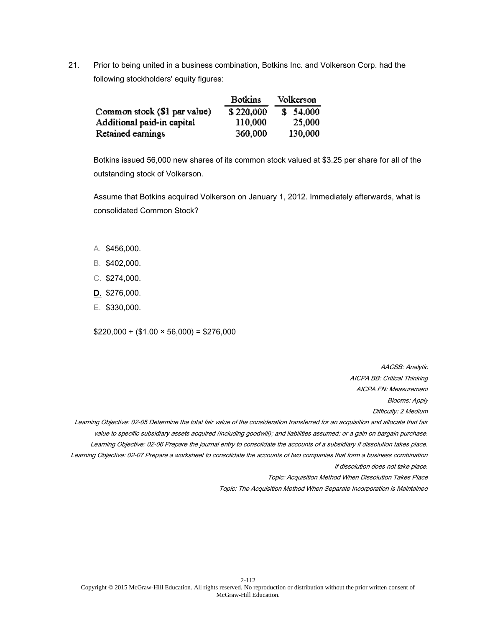21. Prior to being united in a business combination, Botkins Inc. and Volkerson Corp. had the following stockholders' equity figures:

|                              | <b>Botkins</b> | Volkerson |
|------------------------------|----------------|-----------|
| Common stock (\$1 par value) | \$220,000      | \$54,000  |
| Additional paid-in capital   | 110,000        | 25,000    |
| Retained earnings            | 360,000        | 130,000   |

Botkins issued 56,000 new shares of its common stock valued at \$3.25 per share for all of the outstanding stock of Volkerson.

Assume that Botkins acquired Volkerson on January 1, 2012. Immediately afterwards, what is consolidated Common Stock?

- A. \$456,000.
- B. \$402,000.
- C. \$274,000.
- D. \$276,000.
- E. \$330,000.

 $$220,000 + ($1.00 \times 56,000) = $276,000$ 

AACSB: Analytic AICPA BB: Critical Thinking AICPA FN: Measurement

Blooms: Apply

Difficulty: 2 Medium

Learning Objective: 02-05 Determine the total fair value of the consideration transferred for an acquisition and allocate that fair value to specific subsidiary assets acquired (including goodwill); and liabilities assumed; or a gain on bargain purchase. Learning Objective: 02-06 Prepare the journal entry to consolidate the accounts of a subsidiary if dissolution takes place. Learning Objective: 02-07 Prepare a worksheet to consolidate the accounts of two companies that form a business combination if dissolution does not take place.

Topic: Acquisition Method When Dissolution Takes Place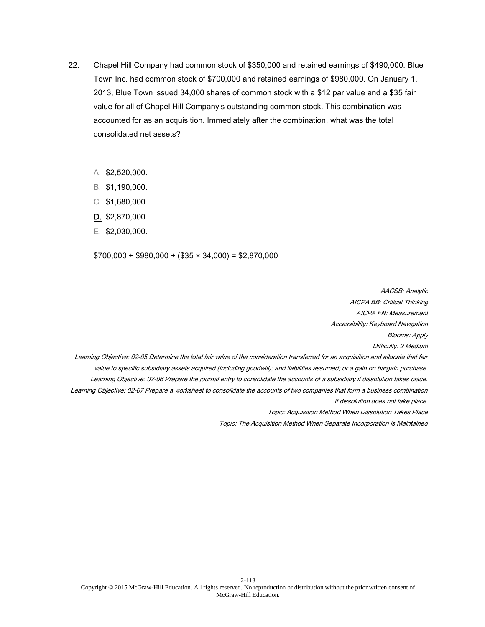- 22. Chapel Hill Company had common stock of \$350,000 and retained earnings of \$490,000. Blue Town Inc. had common stock of \$700,000 and retained earnings of \$980,000. On January 1, 2013, Blue Town issued 34,000 shares of common stock with a \$12 par value and a \$35 fair value for all of Chapel Hill Company's outstanding common stock. This combination was accounted for as an acquisition. Immediately after the combination, what was the total consolidated net assets?
	- A. \$2,520,000.
	- B. \$1,190,000.
	- C. \$1,680,000.
	- D. \$2,870,000.
	- E. \$2,030,000.

 $$700,000 + $980,000 + ($35 \times 34,000) = $2,870,000$ 

AACSB: Analytic AICPA BB: Critical Thinking AICPA FN: Measurement Accessibility: Keyboard Navigation Blooms: Apply Difficulty: 2 Medium Learning Objective: 02-05 Determine the total fair value of the consideration transferred for an acquisition and allocate that fair value to specific subsidiary assets acquired (including goodwill); and liabilities assumed; or a gain on bargain purchase. Learning Objective: 02-06 Prepare the journal entry to consolidate the accounts of a subsidiary if dissolution takes place. Learning Objective: 02-07 Prepare a worksheet to consolidate the accounts of two companies that form a business combination if dissolution does not take place. Topic: Acquisition Method When Dissolution Takes Place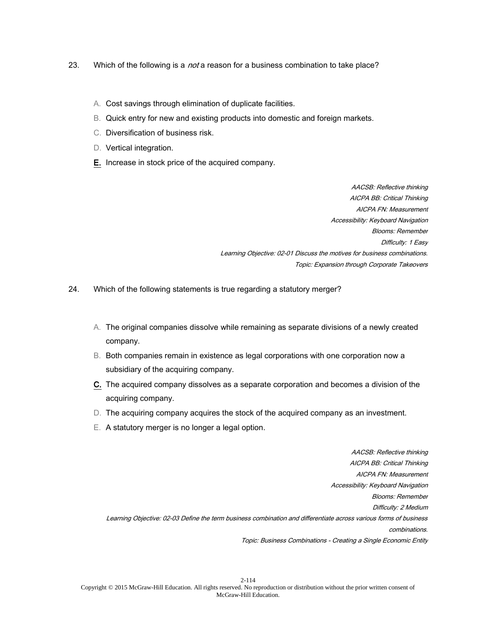- 23. Which of the following is a *not* a reason for a business combination to take place?
	- A. Cost savings through elimination of duplicate facilities.
	- B. Quick entry for new and existing products into domestic and foreign markets.
	- C. Diversification of business risk.
	- D. Vertical integration.
	- E. Increase in stock price of the acquired company.

AACSB: Reflective thinking AICPA BB: Critical Thinking AICPA FN: Measurement Accessibility: Keyboard Navigation Blooms: Remember Difficulty: 1 Easy Learning Objective: 02-01 Discuss the motives for business combinations. Topic: Expansion through Corporate Takeovers

- 24. Which of the following statements is true regarding a statutory merger?
	- A. The original companies dissolve while remaining as separate divisions of a newly created company.
	- B. Both companies remain in existence as legal corporations with one corporation now a subsidiary of the acquiring company.
	- C. The acquired company dissolves as a separate corporation and becomes a division of the acquiring company.
	- D. The acquiring company acquires the stock of the acquired company as an investment.
	- E. A statutory merger is no longer a legal option.

AACSB: Reflective thinking AICPA BB: Critical Thinking AICPA FN: Measurement Accessibility: Keyboard Navigation Blooms: Remember Difficulty: 2 Medium Learning Objective: 02-03 Define the term business combination and differentiate across various forms of business combinations. Topic: Business Combinations - Creating a Single Economic Entity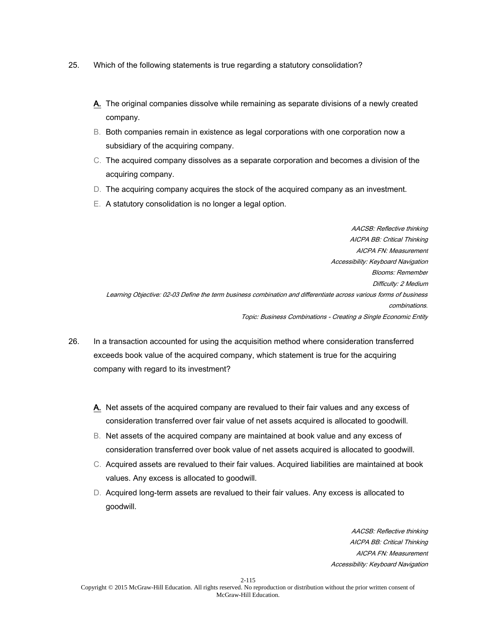- 25. Which of the following statements is true regarding a statutory consolidation?
	- A. The original companies dissolve while remaining as separate divisions of a newly created company.
	- B. Both companies remain in existence as legal corporations with one corporation now a subsidiary of the acquiring company.
	- C. The acquired company dissolves as a separate corporation and becomes a division of the acquiring company.
	- D. The acquiring company acquires the stock of the acquired company as an investment.
	- E. A statutory consolidation is no longer a legal option.

AACSB: Reflective thinking AICPA BB: Critical Thinking AICPA FN: Measurement Accessibility: Keyboard Navigation Blooms: Remember Difficulty: 2 Medium Learning Objective: 02-03 Define the term business combination and differentiate across various forms of business combinations. Topic: Business Combinations - Creating a Single Economic Entity

- 26. In a transaction accounted for using the acquisition method where consideration transferred exceeds book value of the acquired company, which statement is true for the acquiring company with regard to its investment?
	- A. Net assets of the acquired company are revalued to their fair values and any excess of consideration transferred over fair value of net assets acquired is allocated to goodwill.
	- B. Net assets of the acquired company are maintained at book value and any excess of consideration transferred over book value of net assets acquired is allocated to goodwill.
	- C. Acquired assets are revalued to their fair values. Acquired liabilities are maintained at book values. Any excess is allocated to goodwill.
	- D. Acquired long-term assets are revalued to their fair values. Any excess is allocated to goodwill.

AACSB: Reflective thinking AICPA BB: Critical Thinking AICPA FN: Measurement Accessibility: Keyboard Navigation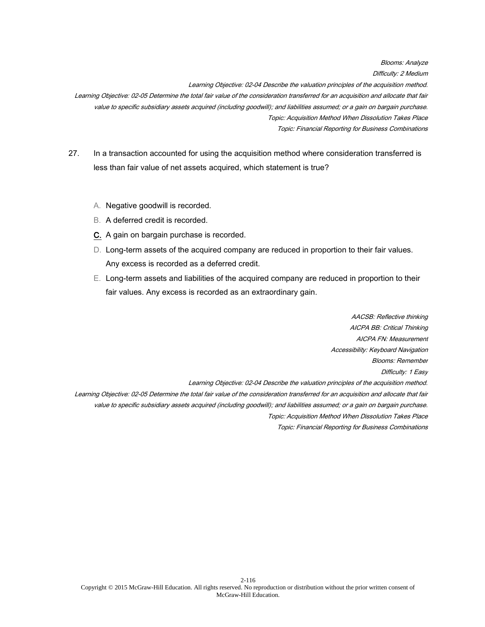Blooms: Analyze Difficulty: 2 Medium Learning Objective: 02-04 Describe the valuation principles of the acquisition method. Learning Objective: 02-05 Determine the total fair value of the consideration transferred for an acquisition and allocate that fair value to specific subsidiary assets acquired (including goodwill); and liabilities assumed; or a gain on bargain purchase. Topic: Acquisition Method When Dissolution Takes Place Topic: Financial Reporting for Business Combinations

- 27. In a transaction accounted for using the acquisition method where consideration transferred is less than fair value of net assets acquired, which statement is true?
	- A. Negative goodwill is recorded.
	- B. A deferred credit is recorded.
	- C. A gain on bargain purchase is recorded.
	- D. Long-term assets of the acquired company are reduced in proportion to their fair values. Any excess is recorded as a deferred credit.
	- E. Long-term assets and liabilities of the acquired company are reduced in proportion to their fair values. Any excess is recorded as an extraordinary gain.

AACSB: Reflective thinking AICPA BB: Critical Thinking AICPA FN: Measurement Accessibility: Keyboard Navigation Blooms: Remember Difficulty: 1 Easy Learning Objective: 02-04 Describe the valuation principles of the acquisition method. Learning Objective: 02-05 Determine the total fair value of the consideration transferred for an acquisition and allocate that fair value to specific subsidiary assets acquired (including goodwill); and liabilities assumed; or a gain on bargain purchase. Topic: Acquisition Method When Dissolution Takes Place Topic: Financial Reporting for Business Combinations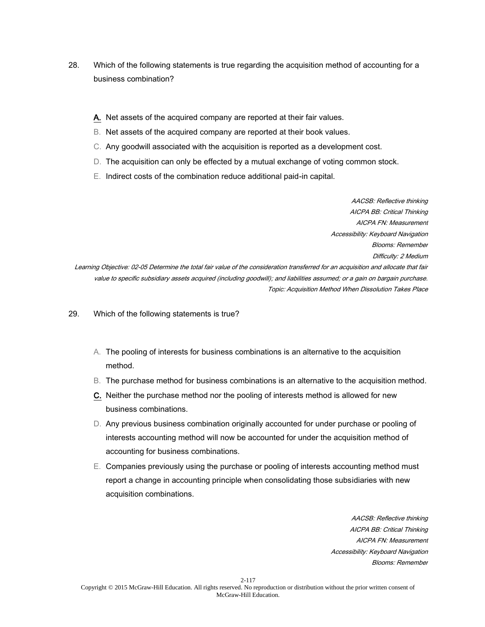- 28. Which of the following statements is true regarding the acquisition method of accounting for a business combination?
	- A. Net assets of the acquired company are reported at their fair values.
	- B. Net assets of the acquired company are reported at their book values.
	- C. Any goodwill associated with the acquisition is reported as a development cost.
	- D. The acquisition can only be effected by a mutual exchange of voting common stock.
	- E. Indirect costs of the combination reduce additional paid-in capital.

AACSB: Reflective thinking AICPA BB: Critical Thinking AICPA FN: Measurement Accessibility: Keyboard Navigation Blooms: Remember Difficulty: 2 Medium Learning Objective: 02-05 Determine the total fair value of the consideration transferred for an acquisition and allocate that fair value to specific subsidiary assets acquired (including goodwill); and liabilities assumed; or a gain on bargain purchase. Topic: Acquisition Method When Dissolution Takes Place

29. Which of the following statements is true?

- A. The pooling of interests for business combinations is an alternative to the acquisition method.
- B. The purchase method for business combinations is an alternative to the acquisition method.
- C. Neither the purchase method nor the pooling of interests method is allowed for new business combinations.
- D. Any previous business combination originally accounted for under purchase or pooling of interests accounting method will now be accounted for under the acquisition method of accounting for business combinations.
- E. Companies previously using the purchase or pooling of interests accounting method must report a change in accounting principle when consolidating those subsidiaries with new acquisition combinations.

AACSB: Reflective thinking AICPA BB: Critical Thinking AICPA FN: Measurement Accessibility: Keyboard Navigation Blooms: Remember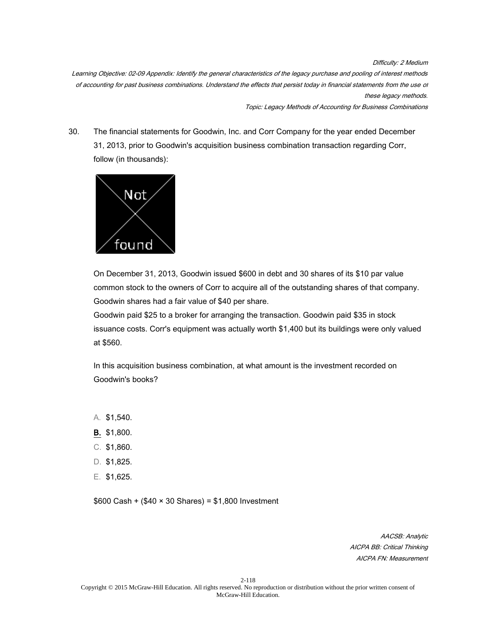Difficulty: 2 Medium Learning Objective: 02-09 Appendix: Identify the general characteristics of the legacy purchase and pooling of interest methods of accounting for past business combinations. Understand the effects that persist today in financial statements from the use of these legacy methods.

Topic: Legacy Methods of Accounting for Business Combinations

30. The financial statements for Goodwin, Inc. and Corr Company for the year ended December 31, 2013, prior to Goodwin's acquisition business combination transaction regarding Corr, follow (in thousands):



On December 31, 2013, Goodwin issued \$600 in debt and 30 shares of its \$10 par value common stock to the owners of Corr to acquire all of the outstanding shares of that company. Goodwin shares had a fair value of \$40 per share.

Goodwin paid \$25 to a broker for arranging the transaction. Goodwin paid \$35 in stock issuance costs. Corr's equipment was actually worth \$1,400 but its buildings were only valued at \$560.

In this acquisition business combination, at what amount is the investment recorded on Goodwin's books?

- A. \$1,540.
- B. \$1,800.
- C. \$1,860.
- D. \$1,825.
- E. \$1,625.

\$600 Cash + (\$40 × 30 Shares) = \$1,800 Investment

AACSB: Analytic AICPA BB: Critical Thinking AICPA FN: Measurement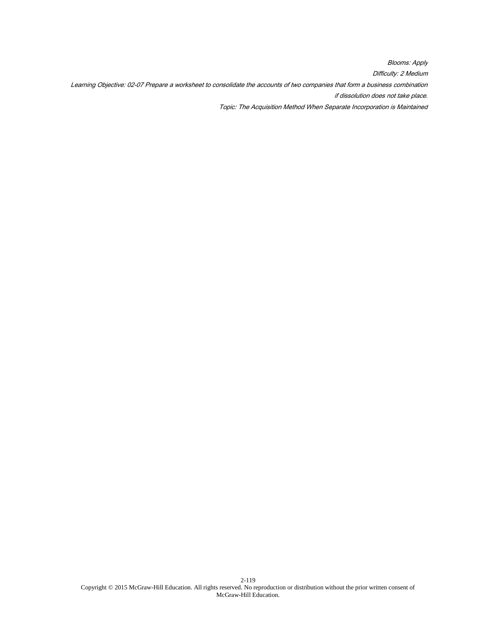Blooms: Apply Difficulty: 2 Medium Learning Objective: 02-07 Prepare a worksheet to consolidate the accounts of two companies that form a business combination if dissolution does not take place. Topic: The Acquisition Method When Separate Incorporation is Maintained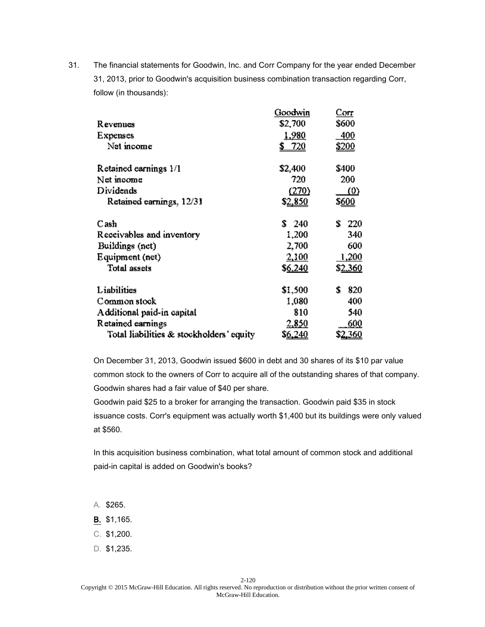| Revenues<br>Expenses<br>Net income       | Goodwin<br>\$2,700<br><u>1,980</u><br>720<br>S. | Corr<br>\$600<br>400<br><u>\$200</u> |
|------------------------------------------|-------------------------------------------------|--------------------------------------|
| Retained earnings 1/1                    | \$2,400                                         | \$400                                |
| Net income                               | 720                                             | 200                                  |
| Dividends                                | (270)                                           | $\langle 0 \rangle$                  |
| Retained earnings, 12/31                 | \$ <u>2,850</u>                                 | \$ <u>600</u>                        |
| Cash                                     | \$240                                           | Ť.<br>220                            |
| Receivables and inventory                | 1,200                                           | 340                                  |
| Buildings (net)                          | 2,700                                           | 600                                  |
| Equipment (net)                          | 2,100                                           | 1,200                                |
| <b>Total assets</b>                      | \$6,240                                         | \$ <u>2,360</u>                      |
| Liabilities                              | \$1,500                                         | \$<br>820                            |
| Common stock                             | 1,080                                           | 400                                  |
| Additional paid-in capital               | 810                                             | 540                                  |
| Retained earnings                        | 2,850                                           | 600                                  |
| Total liabilities & stockholders' equity | \$ <u>6,240</u>                                 | \$ <u>2,360</u>                      |
|                                          |                                                 |                                      |

On December 31, 2013, Goodwin issued \$600 in debt and 30 shares of its \$10 par value common stock to the owners of Corr to acquire all of the outstanding shares of that company. Goodwin shares had a fair value of \$40 per share.

Goodwin paid \$25 to a broker for arranging the transaction. Goodwin paid \$35 in stock issuance costs. Corr's equipment was actually worth \$1,400 but its buildings were only valued at \$560.

In this acquisition business combination, what total amount of common stock and additional paid-in capital is added on Goodwin's books?

- A. \$265.
- B. \$1,165.
- C. \$1,200.
- D. \$1,235.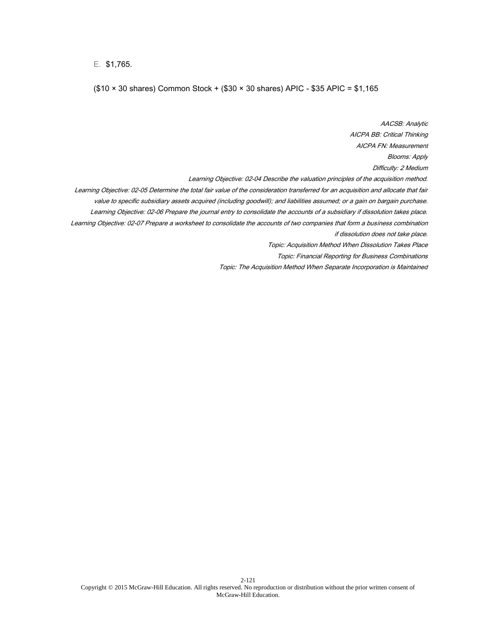E. \$1,765.

## (\$10 × 30 shares) Common Stock + (\$30 × 30 shares) APIC - \$35 APIC = \$1,165

AACSB: Analytic AICPA BB: Critical Thinking AICPA FN: Measurement Blooms: Apply Difficulty: 2 Medium Learning Objective: 02-04 Describe the valuation principles of the acquisition method. Learning Objective: 02-05 Determine the total fair value of the consideration transferred for an acquisition and allocate that fair value to specific subsidiary assets acquired (including goodwill); and liabilities assumed; or a gain on bargain purchase. Learning Objective: 02-06 Prepare the journal entry to consolidate the accounts of a subsidiary if dissolution takes place. Learning Objective: 02-07 Prepare a worksheet to consolidate the accounts of two companies that form a business combination if dissolution does not take place. Topic: Acquisition Method When Dissolution Takes Place Topic: Financial Reporting for Business Combinations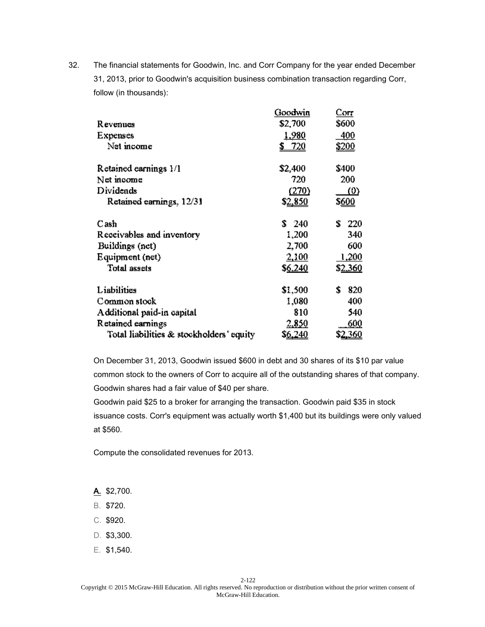|                                          | Goodwin         | Corr                |
|------------------------------------------|-----------------|---------------------|
| R evenues                                | \$2,700         | \$600               |
| Expenses                                 | <u>1,980</u>    | 400                 |
| Net income                               | 720             | <u>\$200</u>        |
| Retained earnings 1/1                    | \$2,400         | \$400               |
| Net income                               | 720             | 200                 |
| Dividends                                | (270)           | $\langle 0 \rangle$ |
| Retained earnings, 12/31                 | \$ <u>2,850</u> | \$ <u>600</u>       |
| Cash                                     | \$240           | ÷.<br>220           |
| Receivables and inventory                | 1,200           | 340                 |
| Buildings (net)                          | 2,700           | 600                 |
| Equipment (net)                          | 2,100           | 1,200               |
| <b>Total assets</b>                      | \$6,240         | \$ <u>2,360</u>     |
| Liabilities                              | \$1,500         | \$<br>820           |
| Common stock                             | 1,080           | 400                 |
| Additional paid-in capital               | 810             | 540                 |
| Retained earnings                        | 2,850           | 600                 |
| Total liabilities & stockholders' equity | \$ <u>6,240</u> | \$ <u>2,360</u>     |

On December 31, 2013, Goodwin issued \$600 in debt and 30 shares of its \$10 par value common stock to the owners of Corr to acquire all of the outstanding shares of that company. Goodwin shares had a fair value of \$40 per share.

Goodwin paid \$25 to a broker for arranging the transaction. Goodwin paid \$35 in stock issuance costs. Corr's equipment was actually worth \$1,400 but its buildings were only valued at \$560.

Compute the consolidated revenues for 2013.

A. \$2,700.

- B. \$720.
- C. \$920.
- D. \$3,300.
- E. \$1,540.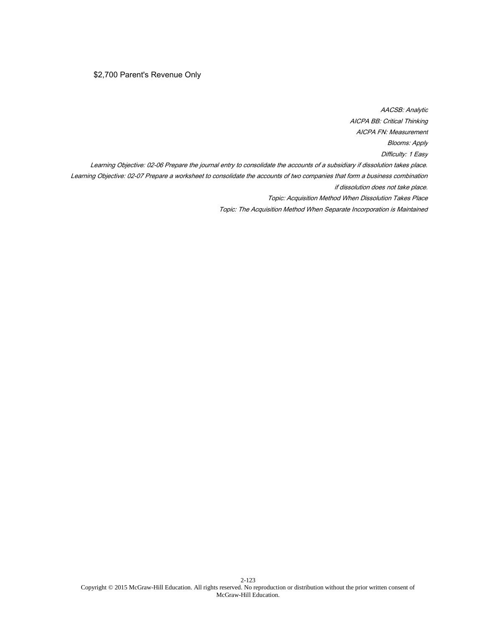# \$2,700 Parent's Revenue Only

AACSB: Analytic AICPA BB: Critical Thinking AICPA FN: Measurement Blooms: Apply Difficulty: 1 Easy Learning Objective: 02-06 Prepare the journal entry to consolidate the accounts of a subsidiary if dissolution takes place. Learning Objective: 02-07 Prepare a worksheet to consolidate the accounts of two companies that form a business combination if dissolution does not take place. Topic: Acquisition Method When Dissolution Takes Place Topic: The Acquisition Method When Separate Incorporation is Maintained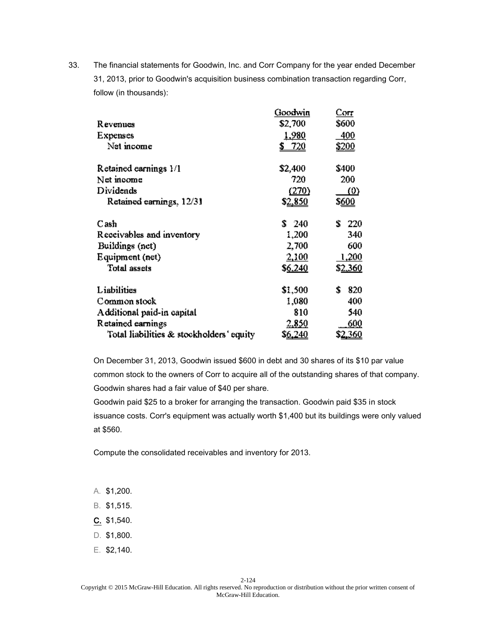|                                          | Goodwin         | Corr                |
|------------------------------------------|-----------------|---------------------|
| R evenues                                | \$2,700         | \$600               |
| Expenses                                 | <u>1,980</u>    | <u>400</u>          |
| Net income                               | 720             | <u>\$200</u>        |
| Retained earnings 1/1                    | \$2,400         | \$400               |
| Net moome                                | 720             | 200                 |
| Dividends                                | (270)           | $\langle 0 \rangle$ |
| Retained earnings, 12/31                 | \$2,850         | \$ <u>600</u>       |
| Cash                                     | \$240           | Ť.<br>220           |
| Receivables and inventory                | 1,200           | 340                 |
| Buildings (net)                          | 2,700           | 600                 |
| Equipment (net)                          | 2,100           | 1,200               |
| <b>Total assets</b>                      | \$6,240         | \$ <u>2,360</u>     |
| Liabilities                              | \$1,500         | S<br>820            |
| Common stock                             | 1,080           | 400                 |
| Additional paid-in capital               | 810             | 540                 |
| Retained earnings                        | 2,850           | 600                 |
| Total liabilities & stockholders' equity | \$ <u>6,240</u> | \$2 <u>.360</u>     |

On December 31, 2013, Goodwin issued \$600 in debt and 30 shares of its \$10 par value common stock to the owners of Corr to acquire all of the outstanding shares of that company. Goodwin shares had a fair value of \$40 per share.

Goodwin paid \$25 to a broker for arranging the transaction. Goodwin paid \$35 in stock issuance costs. Corr's equipment was actually worth \$1,400 but its buildings were only valued at \$560.

Compute the consolidated receivables and inventory for 2013.

- A. \$1,200.
- B. \$1,515.
- C. \$1,540.
- D. \$1,800.
- E. \$2,140.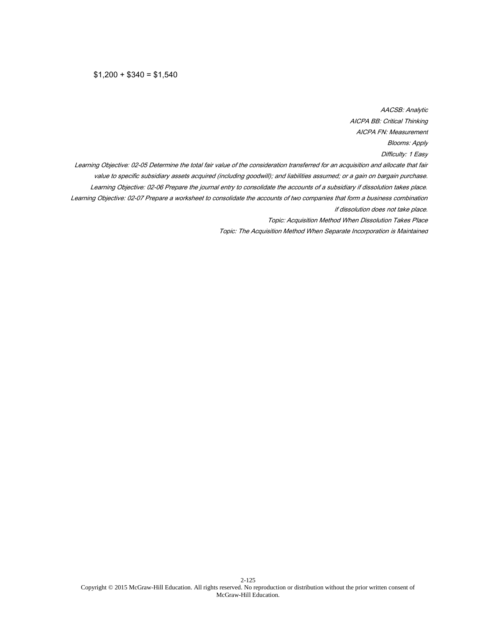AACSB: Analytic AICPA BB: Critical Thinking AICPA FN: Measurement Blooms: Apply Difficulty: 1 Easy Learning Objective: 02-05 Determine the total fair value of the consideration transferred for an acquisition and allocate that fair value to specific subsidiary assets acquired (including goodwill); and liabilities assumed; or a gain on bargain purchase. Learning Objective: 02-06 Prepare the journal entry to consolidate the accounts of a subsidiary if dissolution takes place. Learning Objective: 02-07 Prepare a worksheet to consolidate the accounts of two companies that form a business combination if dissolution does not take place. Topic: Acquisition Method When Dissolution Takes Place Topic: The Acquisition Method When Separate Incorporation is Maintained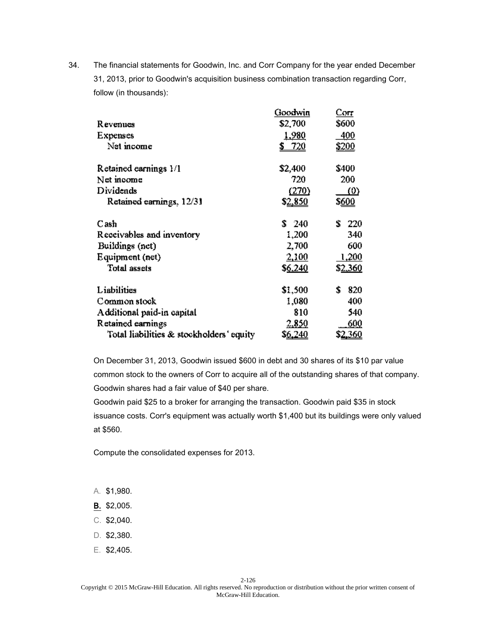|                                          | Goodwin         | Corr                |
|------------------------------------------|-----------------|---------------------|
| R evenues                                | \$2,700         | \$600               |
| Expenses                                 | <u>1,980</u>    | <u>400</u>          |
| Net income                               | 720             | <u>\$200</u>        |
| Retained earnings 1/1                    | \$2,400         | \$400               |
| Net moome                                | 720             | 200                 |
| Dividends                                | (270)           | $\langle 0 \rangle$ |
| Retained earnings, 12/31                 | \$2,850         | \$ <u>600</u>       |
| Cash                                     | \$240           | Ť.<br>220           |
| Receivables and inventory                | 1,200           | 340                 |
| Buildings (net)                          | 2,700           | 600                 |
| Equipment (net)                          | 2,100           | 1,200               |
| <b>Total assets</b>                      | \$6,240         | \$ <u>2,360</u>     |
| Liabilities                              | \$1,500         | S<br>820            |
| Common stock                             | 1,080           | 400                 |
| Additional paid-in capital               | 810             | 540                 |
| Retained earnings                        | 2,850           | 600                 |
| Total liabilities & stockholders' equity | \$ <u>6,240</u> | \$2 <u>.360</u>     |

On December 31, 2013, Goodwin issued \$600 in debt and 30 shares of its \$10 par value common stock to the owners of Corr to acquire all of the outstanding shares of that company. Goodwin shares had a fair value of \$40 per share.

Goodwin paid \$25 to a broker for arranging the transaction. Goodwin paid \$35 in stock issuance costs. Corr's equipment was actually worth \$1,400 but its buildings were only valued at \$560.

Compute the consolidated expenses for 2013.

- A. \$1,980.
- B. \$2,005.
- C. \$2,040.
- D. \$2,380.
- E. \$2,405.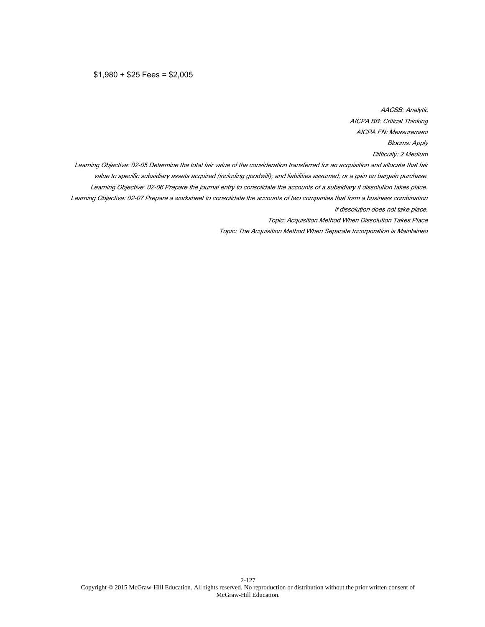$$1,980 + $25$  Fees = \$2,005

AACSB: Analytic AICPA BB: Critical Thinking AICPA FN: Measurement Blooms: Apply Difficulty: 2 Medium Learning Objective: 02-05 Determine the total fair value of the consideration transferred for an acquisition and allocate that fair value to specific subsidiary assets acquired (including goodwill); and liabilities assumed; or a gain on bargain purchase. Learning Objective: 02-06 Prepare the journal entry to consolidate the accounts of a subsidiary if dissolution takes place. Learning Objective: 02-07 Prepare a worksheet to consolidate the accounts of two companies that form a business combination if dissolution does not take place. Topic: Acquisition Method When Dissolution Takes Place Topic: The Acquisition Method When Separate Incorporation is Maintained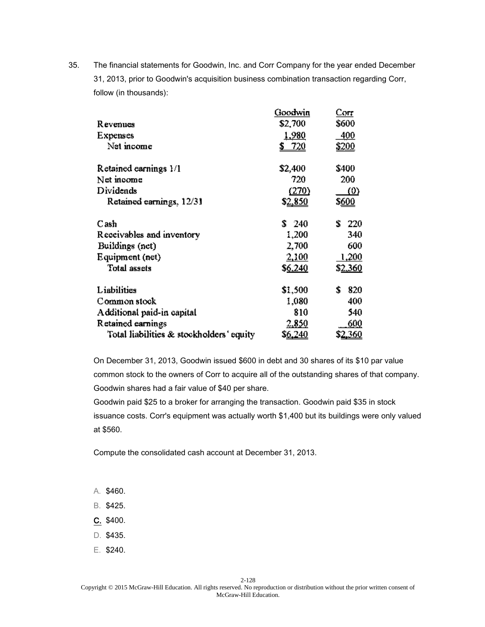|                                          | Goodwin         | Corr                |
|------------------------------------------|-----------------|---------------------|
| R evenues                                | \$2,700         | \$600               |
| Expenses                                 | <u>1,980</u>    | <u>400</u>          |
| Net income                               | 720             | <u>\$200</u>        |
| Retained earnings 1/1                    | \$2,400         | \$400               |
| Net moome                                | 720             | 200                 |
| Dividends                                | (270)           | $\langle 0 \rangle$ |
| Retained earnings, 12/31                 | \$2,850         | \$ <u>600</u>       |
| Cash                                     | \$240           | Ť.<br>220           |
| Receivables and inventory                | 1,200           | 340                 |
| Buildings (net)                          | 2,700           | 600                 |
| Equipment (net)                          | 2,100           | 1,200               |
| <b>Total assets</b>                      | \$6,240         | \$ <u>2,360</u>     |
| Liabilities                              | \$1,500         | S<br>820            |
| Common stock                             | 1,080           | 400                 |
| Additional paid-in capital               | 810             | 540                 |
| Retained earnings                        | 2,850           | 600                 |
| Total liabilities & stockholders' equity | \$ <u>6,240</u> | \$2 <u>.360</u>     |

On December 31, 2013, Goodwin issued \$600 in debt and 30 shares of its \$10 par value common stock to the owners of Corr to acquire all of the outstanding shares of that company. Goodwin shares had a fair value of \$40 per share.

Goodwin paid \$25 to a broker for arranging the transaction. Goodwin paid \$35 in stock issuance costs. Corr's equipment was actually worth \$1,400 but its buildings were only valued at \$560.

Compute the consolidated cash account at December 31, 2013.

- A. \$460.
- B. \$425.
- C. \$400.
- D. \$435.
- E. \$240.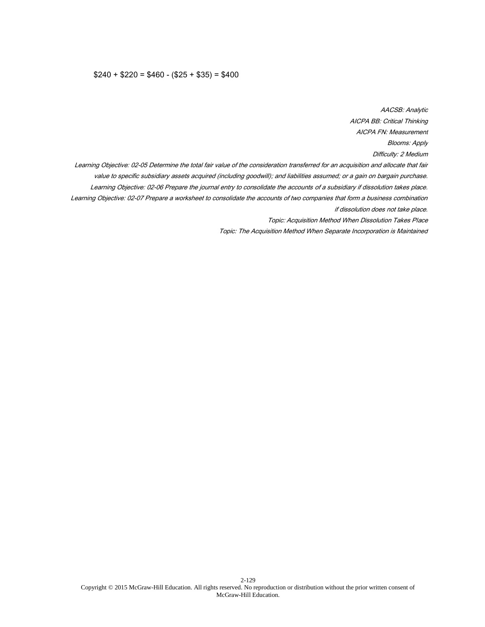#### $$240 + $220 = $460 - ($25 + $35) = $400$

AACSB: Analytic AICPA BB: Critical Thinking AICPA FN: Measurement Blooms: Apply Difficulty: 2 Medium Learning Objective: 02-05 Determine the total fair value of the consideration transferred for an acquisition and allocate that fair value to specific subsidiary assets acquired (including goodwill); and liabilities assumed; or a gain on bargain purchase. Learning Objective: 02-06 Prepare the journal entry to consolidate the accounts of a subsidiary if dissolution takes place. Learning Objective: 02-07 Prepare a worksheet to consolidate the accounts of two companies that form a business combination if dissolution does not take place. Topic: Acquisition Method When Dissolution Takes Place Topic: The Acquisition Method When Separate Incorporation is Maintained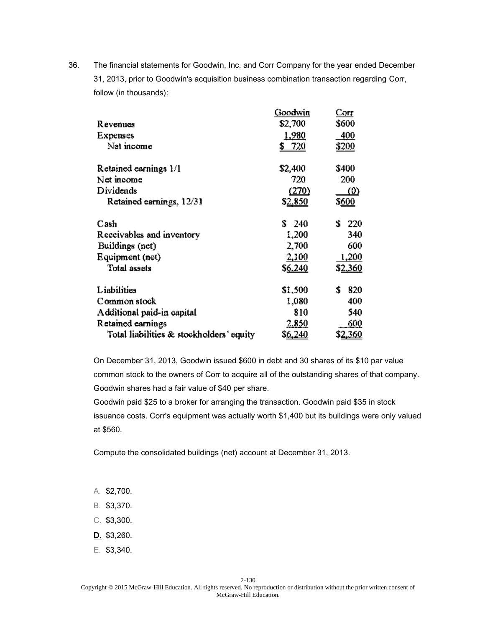|                                          | Goodwin         | Corr                |
|------------------------------------------|-----------------|---------------------|
| R evenues                                | \$2,700         | \$600               |
| Expenses                                 | <u>1,980</u>    | 400                 |
| Net income                               | 720             | <u>\$200</u>        |
| Retained earnings 1/1                    | \$2,400         | \$400               |
| Net moome                                | 720             | 200                 |
| Dividends                                | (270)           | $\langle 0 \rangle$ |
| Retained earnings, 12/31                 | \$2,850         | \$ <u>600</u>       |
| Cash                                     | \$240           | Ť.<br>220           |
| Receivables and inventory                | 1,200           | 340                 |
| Buildings (net)                          | 2,700           | 600                 |
| Equipment (net)                          | 2,100           | 1,200               |
| <b>Total assets</b>                      | \$6,240         | \$ <u>2,360</u>     |
| Liabilities                              | \$1,500         | S<br>820            |
| Common stock                             | 1,080           | 400                 |
| Additional paid-in capital               | 810             | 540                 |
| Retained earnings                        | 2,850           | 600                 |
| Total liabilities & stockholders' equity | \$ <u>6,240</u> | \$2 <u>.360</u>     |

On December 31, 2013, Goodwin issued \$600 in debt and 30 shares of its \$10 par value common stock to the owners of Corr to acquire all of the outstanding shares of that company. Goodwin shares had a fair value of \$40 per share.

Goodwin paid \$25 to a broker for arranging the transaction. Goodwin paid \$35 in stock issuance costs. Corr's equipment was actually worth \$1,400 but its buildings were only valued at \$560.

Compute the consolidated buildings (net) account at December 31, 2013.

- A. \$2,700.
- B. \$3,370.
- C. \$3,300.
- D. \$3,260.
- E. \$3,340.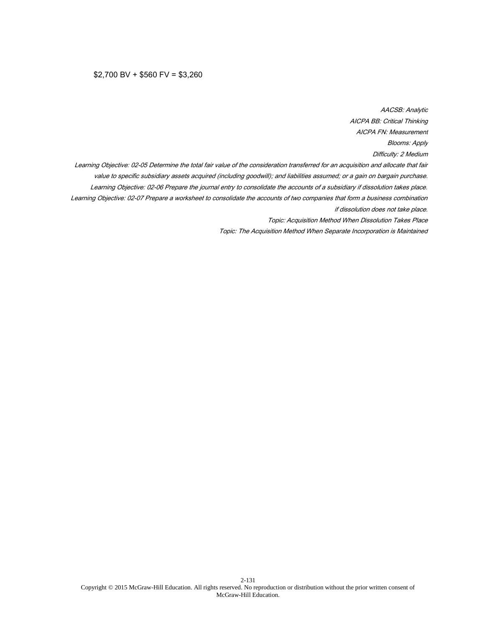#### $$2,700$  BV +  $$560$  FV =  $$3,260$

AACSB: Analytic AICPA BB: Critical Thinking AICPA FN: Measurement Blooms: Apply Difficulty: 2 Medium Learning Objective: 02-05 Determine the total fair value of the consideration transferred for an acquisition and allocate that fair value to specific subsidiary assets acquired (including goodwill); and liabilities assumed; or a gain on bargain purchase. Learning Objective: 02-06 Prepare the journal entry to consolidate the accounts of a subsidiary if dissolution takes place. Learning Objective: 02-07 Prepare a worksheet to consolidate the accounts of two companies that form a business combination if dissolution does not take place. Topic: Acquisition Method When Dissolution Takes Place Topic: The Acquisition Method When Separate Incorporation is Maintained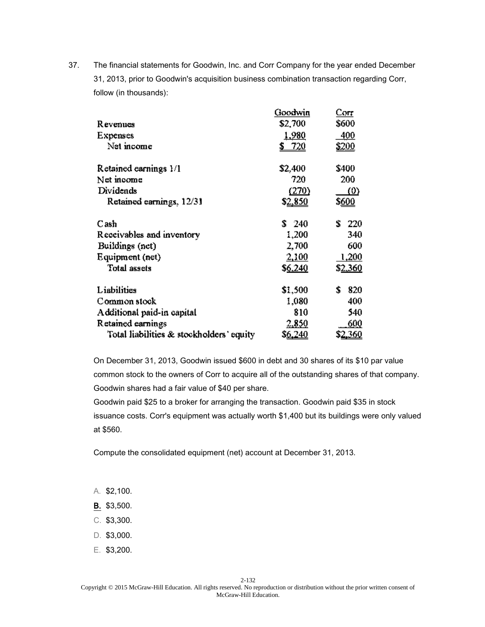|                                          | Goodwin         | Corr            |
|------------------------------------------|-----------------|-----------------|
| R evenues                                | \$2,700         | \$600           |
| Expenses                                 | <u>1,980</u>    | 400             |
| Net income                               | 720             | <u>\$200</u>    |
| Retained earnings 1/1                    | \$2,400         | \$400           |
| Net income                               | 720             | 200             |
| Dividends                                | (270)           | <u>(0)</u>      |
| Retained earnings, 12/31                 | \$ <u>2,850</u> | \$ <u>600</u>   |
| Cash                                     | \$240           | ÷.<br>220       |
| Receivables and inventory                | 1,200           | 340             |
| Buildings (net)                          | 2,700           | 600             |
| Equipment (net)                          | 2,100           | 1,200           |
| <b>Total assets</b>                      | \$6,240         | \$ <u>2,360</u> |
| Liabilities                              | \$1,500         | \$<br>820       |
| Common stock                             | 1,080           | 400             |
| Additional paid-in capital               | 810             | 540             |
| Retained earnings                        | 2,850           | 600             |
| Total liabilities & stockholders' equity | S <u>6,240</u>  | \$ <u>2,360</u> |

On December 31, 2013, Goodwin issued \$600 in debt and 30 shares of its \$10 par value common stock to the owners of Corr to acquire all of the outstanding shares of that company. Goodwin shares had a fair value of \$40 per share.

Goodwin paid \$25 to a broker for arranging the transaction. Goodwin paid \$35 in stock issuance costs. Corr's equipment was actually worth \$1,400 but its buildings were only valued at \$560.

Compute the consolidated equipment (net) account at December 31, 2013.

- A. \$2,100.
- B. \$3,500.
- C. \$3,300.
- D. \$3,000.
- E. \$3,200.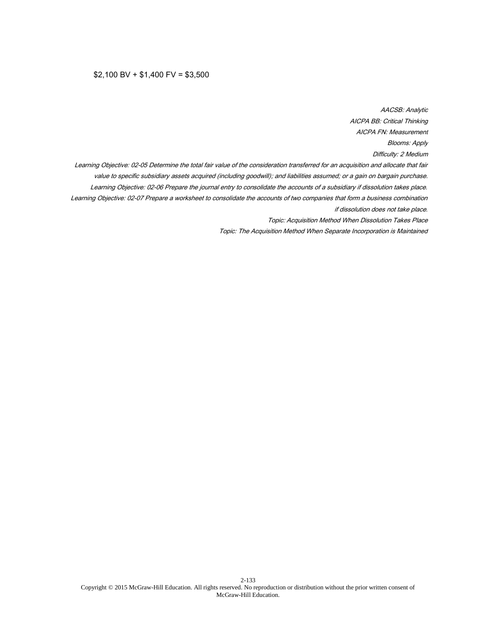## $$2,100$  BV +  $$1,400$  FV =  $$3,500$

AACSB: Analytic AICPA BB: Critical Thinking AICPA FN: Measurement Blooms: Apply Difficulty: 2 Medium Learning Objective: 02-05 Determine the total fair value of the consideration transferred for an acquisition and allocate that fair value to specific subsidiary assets acquired (including goodwill); and liabilities assumed; or a gain on bargain purchase. Learning Objective: 02-06 Prepare the journal entry to consolidate the accounts of a subsidiary if dissolution takes place. Learning Objective: 02-07 Prepare a worksheet to consolidate the accounts of two companies that form a business combination if dissolution does not take place. Topic: Acquisition Method When Dissolution Takes Place Topic: The Acquisition Method When Separate Incorporation is Maintained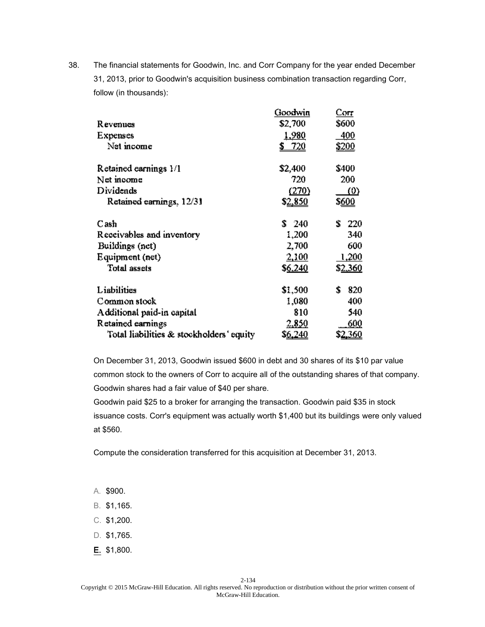|                                          | Goodwin         | Corr                |
|------------------------------------------|-----------------|---------------------|
| R evenues                                | \$2,700         | \$600               |
| Expenses                                 | <u>1,980</u>    | <u>400</u>          |
| Net income                               | 720             | <u>\$200</u>        |
| Retained earnings 1/1                    | \$2,400         | \$400               |
| Net moome                                | 720             | 200                 |
| Dividends                                | (270)           | $\langle 0 \rangle$ |
| Retained earnings, 12/31                 | \$ <u>2,850</u> | \$ <u>600</u>       |
| Cash                                     | \$240           | ÷.<br>220           |
| Receivables and inventory                | 1,200           | 340                 |
| Buildings (net)                          | 2,700           | 600                 |
| Equipment (net)                          | 2,100           | 1,200               |
| <b>Total assets</b>                      | \$6,240         | \$ <u>2,360</u>     |
| Liabilities                              | \$1,500         | \$<br>820           |
| Common stock                             | 1,080           | 400                 |
| Additional paid-in capital               | 810             | 540                 |
| Retained earnings                        | 2,850           | 600                 |
| Total liabilities & stockholders' equity | \$ <u>6,240</u> | \$ <u>2,360</u>     |

On December 31, 2013, Goodwin issued \$600 in debt and 30 shares of its \$10 par value common stock to the owners of Corr to acquire all of the outstanding shares of that company. Goodwin shares had a fair value of \$40 per share.

Goodwin paid \$25 to a broker for arranging the transaction. Goodwin paid \$35 in stock issuance costs. Corr's equipment was actually worth \$1,400 but its buildings were only valued at \$560.

Compute the consideration transferred for this acquisition at December 31, 2013.

- A. \$900.
- B. \$1,165.
- C. \$1,200.
- D. \$1,765.
- E. \$1,800.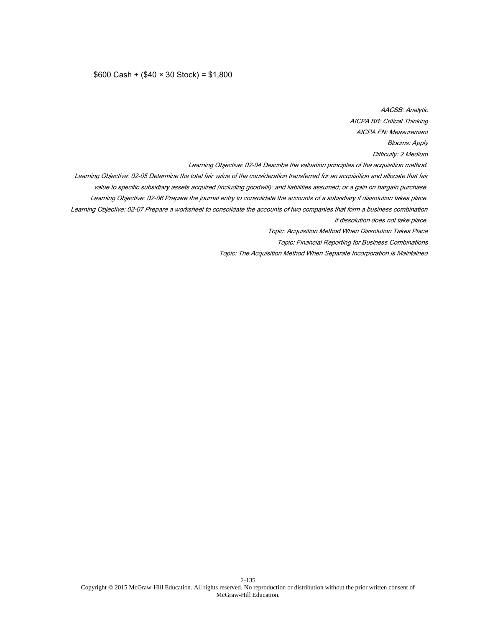#### \$600 Cash + (\$40 × 30 Stock) = \$1,800

AACSB: Analytic AICPA BB: Critical Thinking AICPA FN: Measurement Blooms: Apply Difficulty: 2 Medium Learning Objective: 02-04 Describe the valuation principles of the acquisition method. Learning Objective: 02-05 Determine the total fair value of the consideration transferred for an acquisition and allocate that fair value to specific subsidiary assets acquired (including goodwill); and liabilities assumed; or a gain on bargain purchase. Learning Objective: 02-06 Prepare the journal entry to consolidate the accounts of a subsidiary if dissolution takes place. Learning Objective: 02-07 Prepare a worksheet to consolidate the accounts of two companies that form a business combination if dissolution does not take place. Topic: Acquisition Method When Dissolution Takes Place Topic: Financial Reporting for Business Combinations Topic: The Acquisition Method When Separate Incorporation is Maintained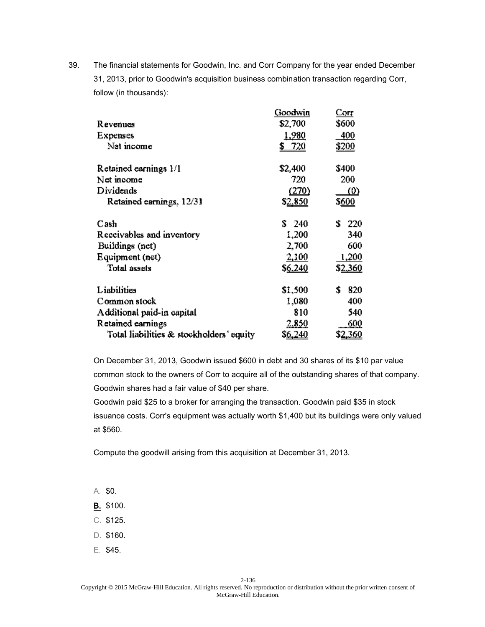|                                          | Goodwin         | Corr                |
|------------------------------------------|-----------------|---------------------|
| R evenues                                | \$2,700         | \$600               |
| Expenses                                 | <u>1,980</u>    | 400                 |
| Net income                               | 720             | <u>\$200</u>        |
| Retained earnings 1/1                    | \$2,400         | \$400               |
| Net moome                                | 720             | 200                 |
| Dividends                                | (270)           | $\langle 0 \rangle$ |
| Retained earnings, 12/31                 | \$2,850         | \$ <u>600</u>       |
| Cash                                     | \$240           | Ť.<br>220           |
| Receivables and inventory                | 1,200           | 340                 |
| Buildings (net)                          | 2,700           | 600                 |
| Equipment (net)                          | 2,100           | 1,200               |
| <b>Total assets</b>                      | \$6,240         | \$ <u>2,360</u>     |
| Liabilities                              | \$1,500         | S<br>820            |
| Common stock                             | 1,080           | 400                 |
| Additional paid-in capital               | 810             | 540                 |
| Retained earnings                        | 2,850           | 600                 |
| Total liabilities & stockholders' equity | \$ <u>6,240</u> | \$2 <u>.360</u>     |

On December 31, 2013, Goodwin issued \$600 in debt and 30 shares of its \$10 par value common stock to the owners of Corr to acquire all of the outstanding shares of that company. Goodwin shares had a fair value of \$40 per share.

Goodwin paid \$25 to a broker for arranging the transaction. Goodwin paid \$35 in stock issuance costs. Corr's equipment was actually worth \$1,400 but its buildings were only valued at \$560.

Compute the goodwill arising from this acquisition at December 31, 2013.

A. \$0.

- B. \$100.
- C. \$125.
- D. \$160.
- E. \$45.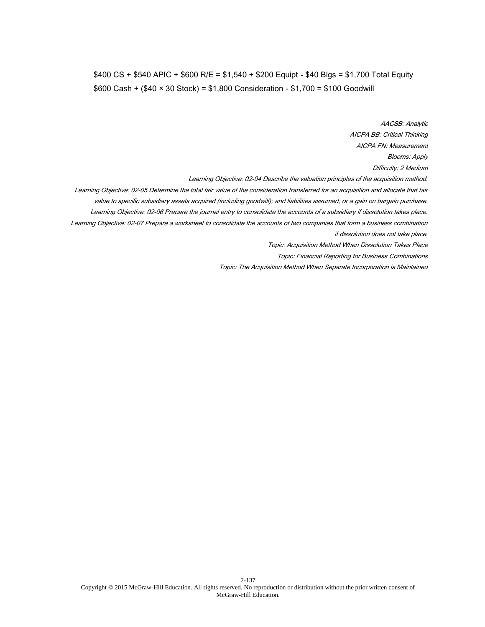# \$400 CS + \$540 APIC + \$600 R/E = \$1,540 + \$200 Equipt - \$40 Blgs = \$1,700 Total Equity \$600 Cash + (\$40 × 30 Stock) = \$1,800 Consideration - \$1,700 = \$100 Goodwill

AACSB: Analytic AICPA BB: Critical Thinking AICPA FN: Measurement Blooms: Apply Difficulty: 2 Medium Learning Objective: 02-04 Describe the valuation principles of the acquisition method. Learning Objective: 02-05 Determine the total fair value of the consideration transferred for an acquisition and allocate that fair value to specific subsidiary assets acquired (including goodwill); and liabilities assumed; or a gain on bargain purchase. Learning Objective: 02-06 Prepare the journal entry to consolidate the accounts of a subsidiary if dissolution takes place. Learning Objective: 02-07 Prepare a worksheet to consolidate the accounts of two companies that form a business combination if dissolution does not take place. Topic: Acquisition Method When Dissolution Takes Place Topic: Financial Reporting for Business Combinations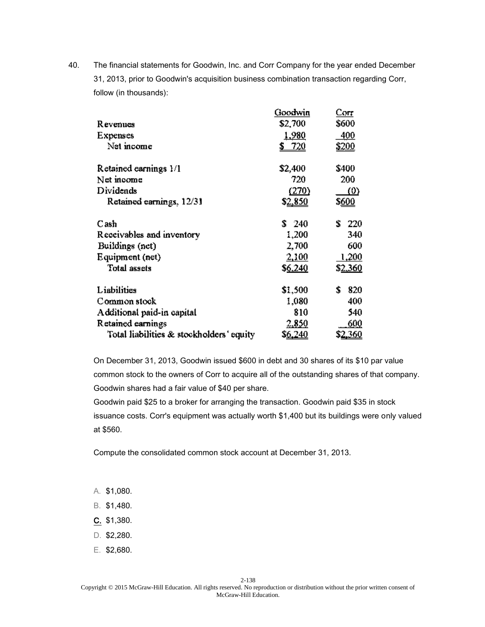|                                          | Goodwin        | Corr                |
|------------------------------------------|----------------|---------------------|
| R evenues                                | \$2,700        | \$600               |
| Expenses                                 | <u>1,980</u>   | 400                 |
| Net income                               | 720            | <u>\$200</u>        |
| Retained earnings 1/1                    | \$2,400        | \$400               |
| Net income                               | 720            | 200                 |
| Dividends                                | (270)          | $\langle 0 \rangle$ |
| Retained earnings, 12/31                 | \$2,850        | \$ <u>600</u>       |
| Cash                                     | \$240          | Ť.<br>220           |
| Receivables and inventory                | 1,200          | 340                 |
| Buildings (net)                          | 2,700          | 600                 |
| Equipment (net)                          | 2,100          | 1,200               |
| <b>Total assets</b>                      | \$6,240        | \$ <u>2,360</u>     |
| Liabilities                              | \$1,500        | 820<br>s            |
| Common stock                             | 1,080          | 400                 |
| Additional paid-in capital               | 810            | 540                 |
| Retained earnings                        | 2,850          | 600                 |
| Total liabilities & stockholders' equity | S <u>6,240</u> | \$ <u>2,360</u>     |

On December 31, 2013, Goodwin issued \$600 in debt and 30 shares of its \$10 par value common stock to the owners of Corr to acquire all of the outstanding shares of that company. Goodwin shares had a fair value of \$40 per share.

Goodwin paid \$25 to a broker for arranging the transaction. Goodwin paid \$35 in stock issuance costs. Corr's equipment was actually worth \$1,400 but its buildings were only valued at \$560.

Compute the consolidated common stock account at December 31, 2013.

- A. \$1,080.
- B. \$1,480.
- C. \$1,380.
- D. \$2,280.
- E. \$2,680.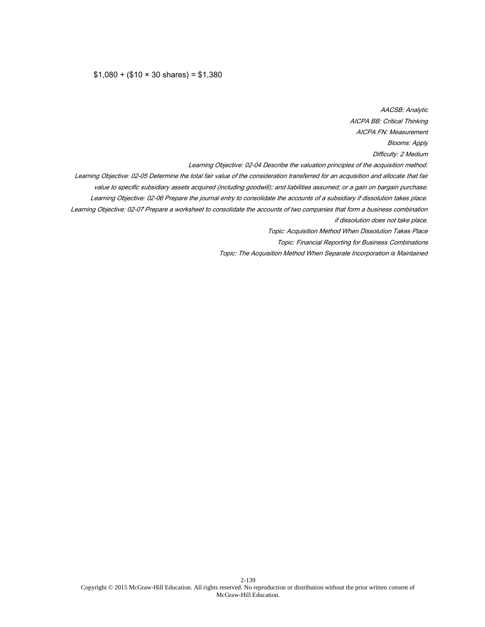#### $$1,080 + ($10 \times 30 \text{ shares}) = $1,380$

AACSB: Analytic AICPA BB: Critical Thinking AICPA FN: Measurement Blooms: Apply Difficulty: 2 Medium Learning Objective: 02-04 Describe the valuation principles of the acquisition method. Learning Objective: 02-05 Determine the total fair value of the consideration transferred for an acquisition and allocate that fair value to specific subsidiary assets acquired (including goodwill); and liabilities assumed; or a gain on bargain purchase. Learning Objective: 02-06 Prepare the journal entry to consolidate the accounts of a subsidiary if dissolution takes place. Learning Objective: 02-07 Prepare a worksheet to consolidate the accounts of two companies that form a business combination if dissolution does not take place. Topic: Acquisition Method When Dissolution Takes Place Topic: Financial Reporting for Business Combinations Topic: The Acquisition Method When Separate Incorporation is Maintained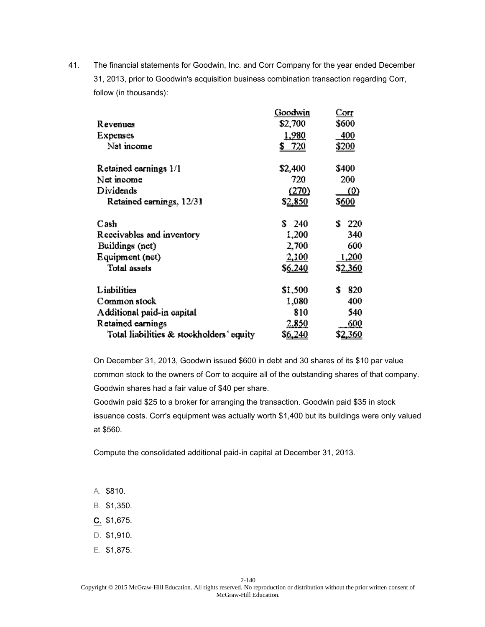|                                          | Goodwin         | Corr                |
|------------------------------------------|-----------------|---------------------|
| R evenues                                | \$2,700         | \$600               |
| Expenses                                 | <u>1,980</u>    | 400                 |
| Net income                               | 720             | <u>\$200</u>        |
| Retained earnings 1/1                    | \$2,400         | \$400               |
| Net moome                                | 720             | 200                 |
| Dividends                                | (270)           | $\langle 0 \rangle$ |
| Retained earnings, 12/31                 | \$2,850         | \$ <u>600</u>       |
| Cash                                     | \$240           | Ť.<br>220           |
| Receivables and inventory                | 1,200           | 340                 |
| Buildings (net)                          | 2,700           | 600                 |
| Equipment (net)                          | 2,100           | 1,200               |
| <b>Total assets</b>                      | \$6,240         | \$ <u>2,360</u>     |
| Liabilities                              | \$1,500         | S<br>820            |
| Common stock                             | 1,080           | 400                 |
| Additional paid-in capital               | 810             | 540                 |
| Retained earnings                        | 2,850           | 600                 |
| Total liabilities & stockholders' equity | \$ <u>6,240</u> | \$2 <u>.360</u>     |

On December 31, 2013, Goodwin issued \$600 in debt and 30 shares of its \$10 par value common stock to the owners of Corr to acquire all of the outstanding shares of that company. Goodwin shares had a fair value of \$40 per share.

Goodwin paid \$25 to a broker for arranging the transaction. Goodwin paid \$35 in stock issuance costs. Corr's equipment was actually worth \$1,400 but its buildings were only valued at \$560.

Compute the consolidated additional paid-in capital at December 31, 2013.

A. \$810.

- B. \$1,350.
- C. \$1,675.
- D. \$1,910.
- E. \$1,875.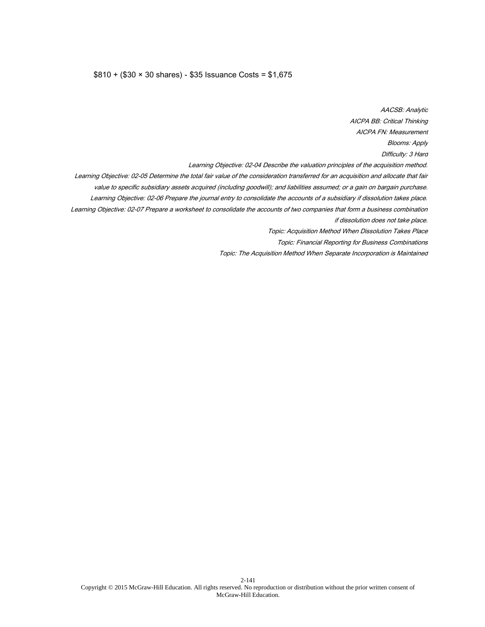#### \$810 + (\$30 × 30 shares) - \$35 Issuance Costs = \$1,675

AACSB: Analytic AICPA BB: Critical Thinking AICPA FN: Measurement Blooms: Apply Difficulty: 3 Hard Learning Objective: 02-04 Describe the valuation principles of the acquisition method. Learning Objective: 02-05 Determine the total fair value of the consideration transferred for an acquisition and allocate that fair value to specific subsidiary assets acquired (including goodwill); and liabilities assumed; or a gain on bargain purchase. Learning Objective: 02-06 Prepare the journal entry to consolidate the accounts of a subsidiary if dissolution takes place. Learning Objective: 02-07 Prepare a worksheet to consolidate the accounts of two companies that form a business combination if dissolution does not take place. Topic: Acquisition Method When Dissolution Takes Place Topic: Financial Reporting for Business Combinations Topic: The Acquisition Method When Separate Incorporation is Maintained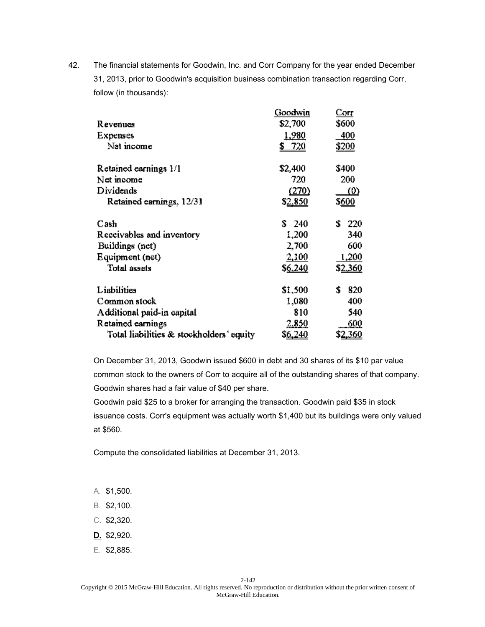|                                          | Goodwin        | Corr                |
|------------------------------------------|----------------|---------------------|
| R evenues                                | \$2,700        | \$600               |
| Expenses                                 | <u>1,980</u>   | 400                 |
| Net income                               | 720            | <u>\$200</u>        |
| Retained earnings 1/1                    | \$2,400        | \$400               |
| Net income                               | 720            | 200                 |
| Dividends                                | (270)          | $\langle 0 \rangle$ |
| Retained earnings, 12/31                 | \$2,850        | \$ <u>600</u>       |
| Cash                                     | \$240          | Ť.<br>220           |
| Receivables and inventory                | 1,200          | 340                 |
| Buildings (net)                          | 2,700          | 600                 |
| Equipment (net)                          | 2,100          | 1,200               |
| <b>Total assets</b>                      | \$6,240        | \$ <u>2,360</u>     |
| Liabilities                              | \$1,500        | 820<br>s            |
| Common stock                             | 1,080          | 400                 |
| Additional paid-in capital               | 810            | 540                 |
| Retained earnings                        | 2,850          | 600                 |
| Total liabilities & stockholders' equity | S <u>6,240</u> | \$ <u>2,360</u>     |

On December 31, 2013, Goodwin issued \$600 in debt and 30 shares of its \$10 par value common stock to the owners of Corr to acquire all of the outstanding shares of that company. Goodwin shares had a fair value of \$40 per share.

Goodwin paid \$25 to a broker for arranging the transaction. Goodwin paid \$35 in stock issuance costs. Corr's equipment was actually worth \$1,400 but its buildings were only valued at \$560.

Compute the consolidated liabilities at December 31, 2013.

- A. \$1,500.
- B. \$2,100.
- C. \$2,320.
- D. \$2,920.
- E. \$2,885.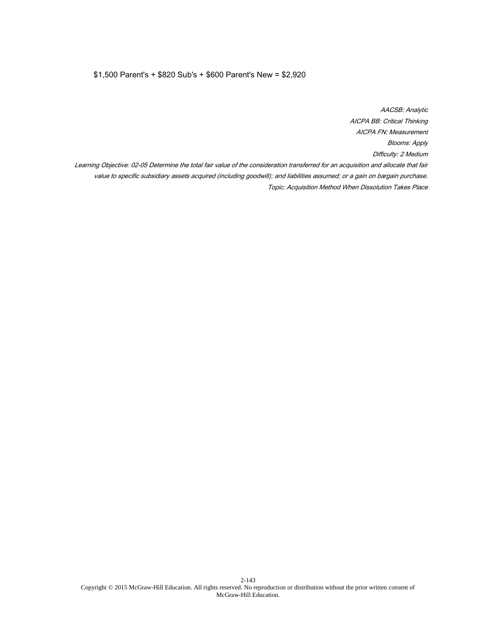## \$1,500 Parent's + \$820 Sub's + \$600 Parent's New = \$2,920

AACSB: Analytic AICPA BB: Critical Thinking AICPA FN: Measurement Blooms: Apply Difficulty: 2 Medium Learning Objective: 02-05 Determine the total fair value of the consideration transferred for an acquisition and allocate that fair value to specific subsidiary assets acquired (including goodwill); and liabilities assumed; or a gain on bargain purchase. Topic: Acquisition Method When Dissolution Takes Place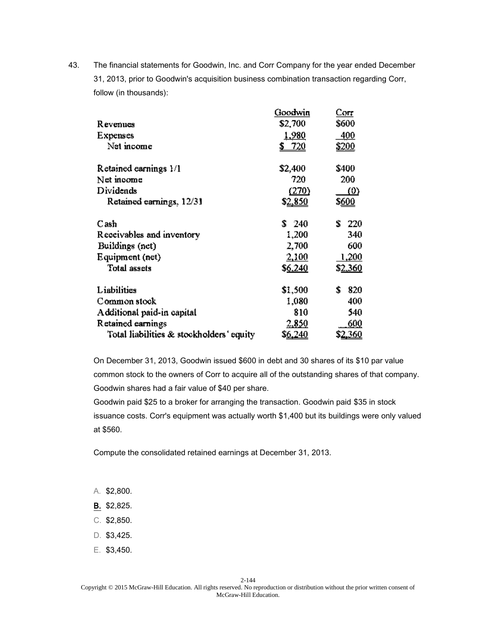|                                          | Goodwin         | Corr                |
|------------------------------------------|-----------------|---------------------|
| R evenues                                | \$2,700         | \$600               |
| Expenses                                 | <u>1,980</u>    | 400                 |
| Net income                               | 720             | <u>\$200</u>        |
| Retained earnings 1/1                    | \$2,400         | \$400               |
| Net income                               | 720             | 200                 |
| Dividends                                | (270)           | $\langle 0 \rangle$ |
| Retained earnings, 12/31                 | \$ <u>2,850</u> | \$ <u>600</u>       |
| Cash                                     | \$240           | ÷.<br>220           |
| Receivables and inventory                | 1,200           | 340                 |
| Buildings (net)                          | 2,700           | 600                 |
| Equipment (net)                          | 2,100           | 1,200               |
| <b>Total assets</b>                      | \$6,240         | \$ <u>2,360</u>     |
| Liabilities                              | \$1,500         | \$<br>820           |
| Common stock                             | 1,080           | 400                 |
| Additional paid-in capital               | 810             | 540                 |
| Retained earnings                        | 2,850           | 600                 |
| Total liabilities & stockholders' equity | \$ <u>6,240</u> | \$ <u>2,360</u>     |

On December 31, 2013, Goodwin issued \$600 in debt and 30 shares of its \$10 par value common stock to the owners of Corr to acquire all of the outstanding shares of that company. Goodwin shares had a fair value of \$40 per share.

Goodwin paid \$25 to a broker for arranging the transaction. Goodwin paid \$35 in stock issuance costs. Corr's equipment was actually worth \$1,400 but its buildings were only valued at \$560.

Compute the consolidated retained earnings at December 31, 2013.

- A. \$2,800.
- B. \$2,825.
- C. \$2,850.
- D. \$3,425.
- E. \$3,450.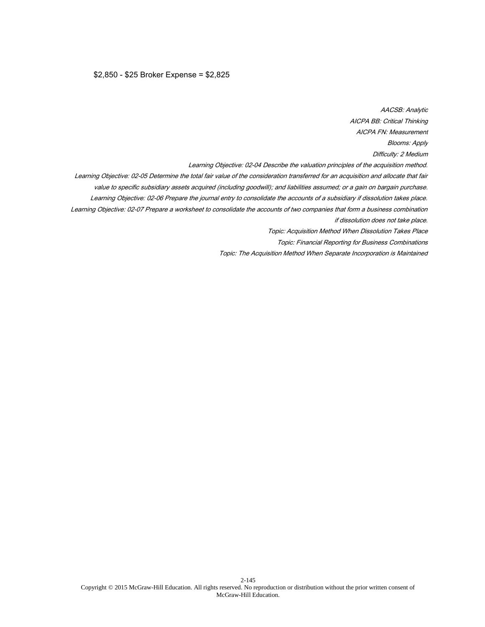## \$2,850 - \$25 Broker Expense = \$2,825

AACSB: Analytic AICPA BB: Critical Thinking AICPA FN: Measurement Blooms: Apply Difficulty: 2 Medium Learning Objective: 02-04 Describe the valuation principles of the acquisition method. Learning Objective: 02-05 Determine the total fair value of the consideration transferred for an acquisition and allocate that fair value to specific subsidiary assets acquired (including goodwill); and liabilities assumed; or a gain on bargain purchase. Learning Objective: 02-06 Prepare the journal entry to consolidate the accounts of a subsidiary if dissolution takes place. Learning Objective: 02-07 Prepare a worksheet to consolidate the accounts of two companies that form a business combination if dissolution does not take place. Topic: Acquisition Method When Dissolution Takes Place Topic: Financial Reporting for Business Combinations Topic: The Acquisition Method When Separate Incorporation is Maintained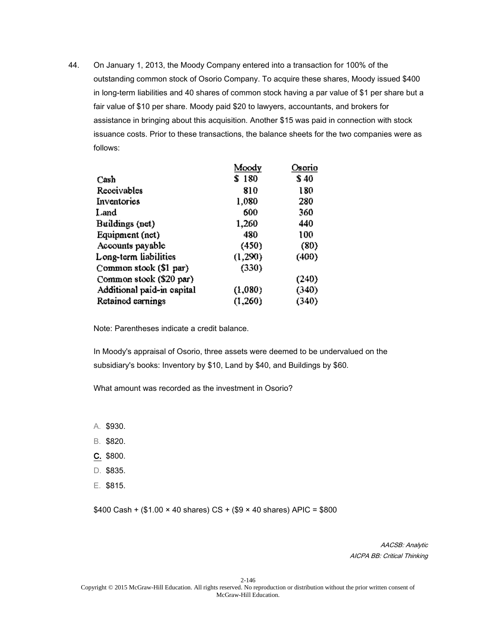|                            | Moody   | Osorio |
|----------------------------|---------|--------|
| Cash                       | \$180   | \$ 40  |
| Receivables                | 810     | 180    |
| Inventories                | 1,080   | 280    |
| Land.                      | 600     | 360    |
| Buildings (net)            | 1,260   | 440    |
| Equipment (net)            | 480     | 100    |
| Accounts payable           | (450)   | (80)   |
| Long-term liabilities      | (1,290) | (400)  |
| Common stook (\$1 par)     | (330)   |        |
| Common stook (\$20 par)    |         | (240)  |
| Additional paid-in eapital | (1,080) | (340)  |
| Retained earnings          | (1,260) | (340)  |

Note: Parentheses indicate a credit balance.

In Moody's appraisal of Osorio, three assets were deemed to be undervalued on the subsidiary's books: Inventory by \$10, Land by \$40, and Buildings by \$60.

What amount was recorded as the investment in Osorio?

- A. \$930.
- B. \$820.
- C. \$800.
- D. \$835.
- E. \$815.

 $$400$  Cash + (\$1.00  $\times$  40 shares) CS + (\$9  $\times$  40 shares) APIC = \$800

AACSB: Analytic AICPA BB: Critical Thinking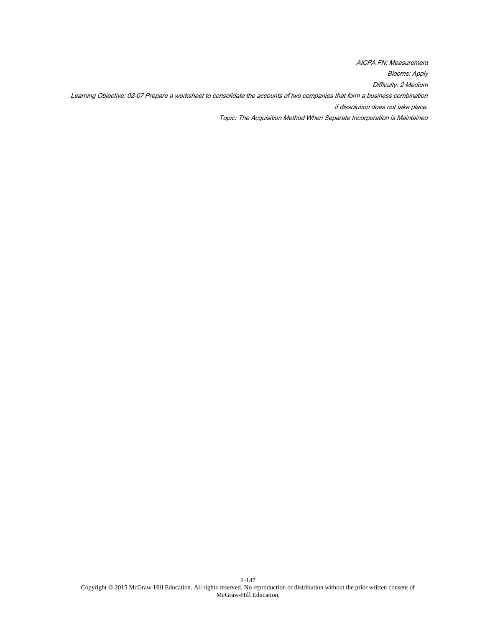AICPA FN: Measurement Blooms: Apply Difficulty: 2 Medium Learning Objective: 02-07 Prepare a worksheet to consolidate the accounts of two companies that form a business combination if dissolution does not take place. Topic: The Acquisition Method When Separate Incorporation is Maintained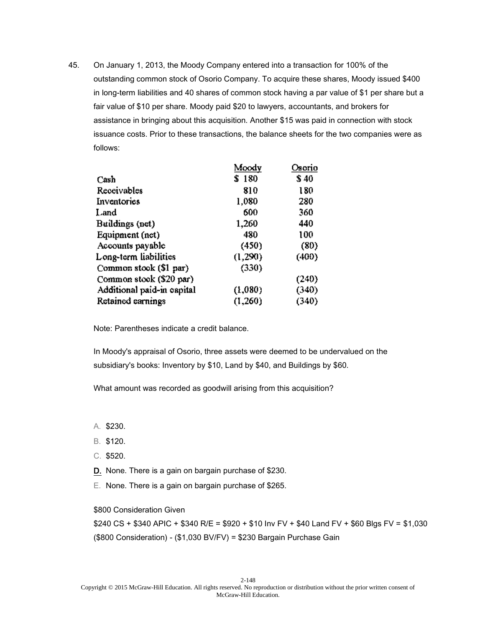|                            | Moody   | Osorio |
|----------------------------|---------|--------|
| Cash                       | \$180   | \$40   |
| Receivables                | 810     | 180    |
| Inventories                | 1,080   | 280    |
| Land                       | 600     | 360    |
| Buildings (net)            | 1,260   | 440    |
| Equipment (net)            | 480     | 100    |
| Accounts payable           | (450)   | (80)   |
| Long-term liabilities      | (1,290) | (400)  |
| Common stook (\$1 par)     | (330)   |        |
| Common stook (\$20 par)    |         | (240)  |
| Additional paid-in eapital | (1,080) | (340)  |
| Retained earnings          | (1,260) | (340)  |

Note: Parentheses indicate a credit balance.

In Moody's appraisal of Osorio, three assets were deemed to be undervalued on the subsidiary's books: Inventory by \$10, Land by \$40, and Buildings by \$60.

What amount was recorded as goodwill arising from this acquisition?

- A. \$230.
- B. \$120.
- C. \$520.
- D. None. There is a gain on bargain purchase of \$230.
- E. None. There is a gain on bargain purchase of \$265.

\$800 Consideration Given

\$240 CS + \$340 APIC + \$340 R/E = \$920 + \$10 Inv FV + \$40 Land FV + \$60 Blgs FV = \$1,030 (\$800 Consideration) - (\$1,030 BV/FV) = \$230 Bargain Purchase Gain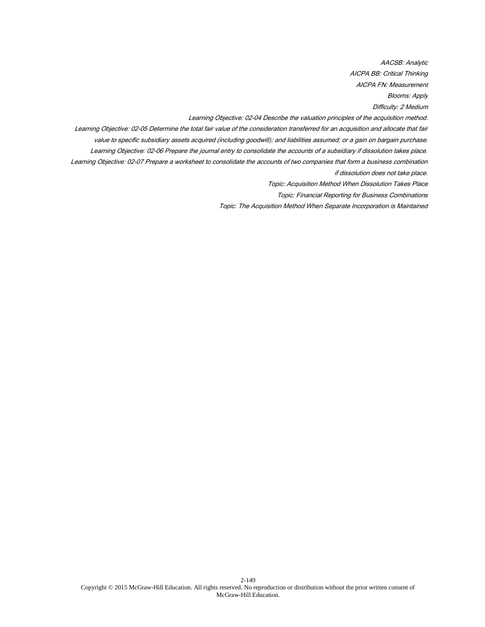AACSB: Analytic AICPA BB: Critical Thinking AICPA FN: Measurement

Blooms: Apply

Difficulty: 2 Medium

Learning Objective: 02-04 Describe the valuation principles of the acquisition method.

Learning Objective: 02-05 Determine the total fair value of the consideration transferred for an acquisition and allocate that fair value to specific subsidiary assets acquired (including goodwill); and liabilities assumed; or a gain on bargain purchase.

Learning Objective: 02-06 Prepare the journal entry to consolidate the accounts of a subsidiary if dissolution takes place.

Learning Objective: 02-07 Prepare a worksheet to consolidate the accounts of two companies that form a business combination if dissolution does not take place.

Topic: Acquisition Method When Dissolution Takes Place

Topic: Financial Reporting for Business Combinations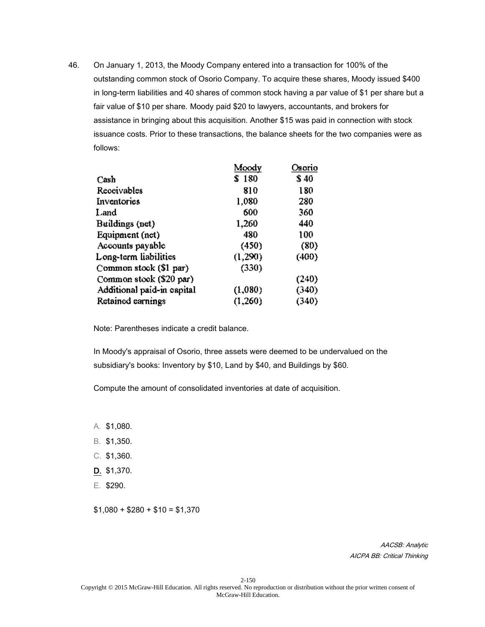|                            | Moody   | Osorio |
|----------------------------|---------|--------|
| Cash                       | \$180   | \$40   |
| Receivables                | 810     | 180    |
| Inventories                | 1,080   | 280    |
| Land.                      | 600     | 360    |
| Buildings (net)            | 1,260   | 440    |
| Equipment (net)            | 480     | 100    |
| Accounts payable           | (450)   | (80)   |
| Long-term liabilities      | (1,290) | (400)  |
| Common stock (\$1 par)     | (330)   |        |
| Common stook (\$20 par)    |         | (240)  |
| Additional paid-in eapital | (1,080) | (340)  |
| Retained earnings          | (1,260) | (340)  |

Note: Parentheses indicate a credit balance.

In Moody's appraisal of Osorio, three assets were deemed to be undervalued on the subsidiary's books: Inventory by \$10, Land by \$40, and Buildings by \$60.

Compute the amount of consolidated inventories at date of acquisition.

- A. \$1,080.
- B. \$1,350.
- C. \$1,360.
- D. \$1,370.
- E. \$290.

 $$1,080 + $280 + $10 = $1,370$ 

AACSB: Analytic AICPA BB: Critical Thinking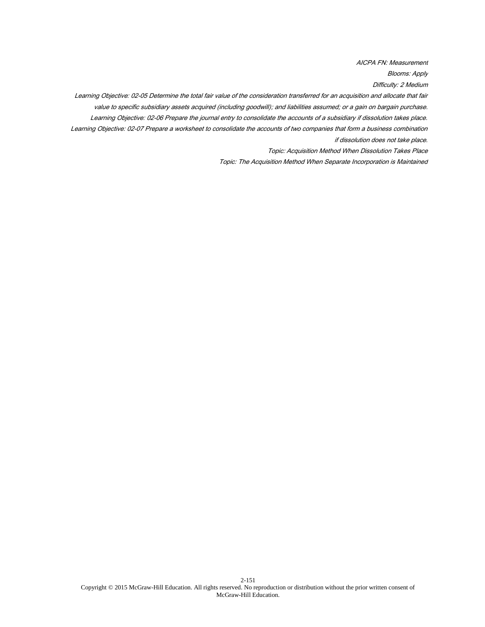AICPA FN: Measurement

Blooms: Apply

Difficulty: 2 Medium

Learning Objective: 02-05 Determine the total fair value of the consideration transferred for an acquisition and allocate that fair value to specific subsidiary assets acquired (including goodwill); and liabilities assumed; or a gain on bargain purchase. Learning Objective: 02-06 Prepare the journal entry to consolidate the accounts of a subsidiary if dissolution takes place. Learning Objective: 02-07 Prepare a worksheet to consolidate the accounts of two companies that form a business combination

if dissolution does not take place.

Topic: Acquisition Method When Dissolution Takes Place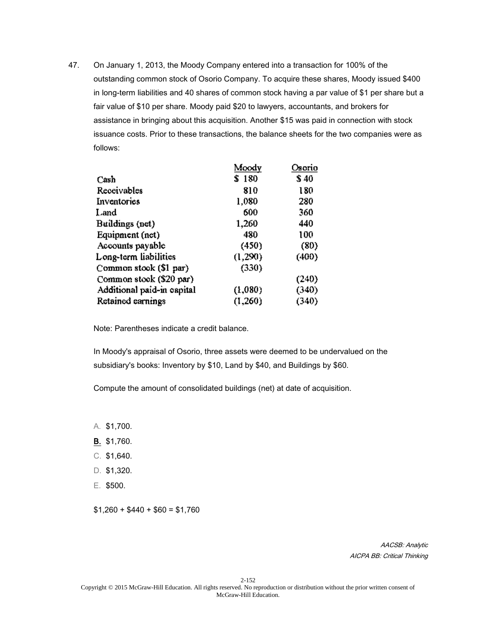|                            | Moody   | Osorio |
|----------------------------|---------|--------|
| Cash                       | \$180   | \$ 40  |
| Receivables                | 810     | 180    |
| Inventories                | 1,080   | 280    |
| Land.                      | 600     | 360    |
| Buildings (net)            | 1,260   | 440    |
| Equipment (net)            | 480     | 100    |
| Accounts payable           | (450)   | (80)   |
| Long-term liabilities      | (1,290) | (400)  |
| Common stook (\$1 par)     | (330)   |        |
| Common stook (\$20 par)    |         | (240)  |
| Additional paid-in eapital | (1,080) | (340)  |
| Retained earnings          | (1,260) | (340)  |

Note: Parentheses indicate a credit balance.

In Moody's appraisal of Osorio, three assets were deemed to be undervalued on the subsidiary's books: Inventory by \$10, Land by \$40, and Buildings by \$60.

Compute the amount of consolidated buildings (net) at date of acquisition.

- A. \$1,700.
- B. \$1,760.
- C. \$1,640.
- D. \$1,320.
- E. \$500.

 $$1,260 + $440 + $60 = $1,760$ 

AACSB: Analytic AICPA BB: Critical Thinking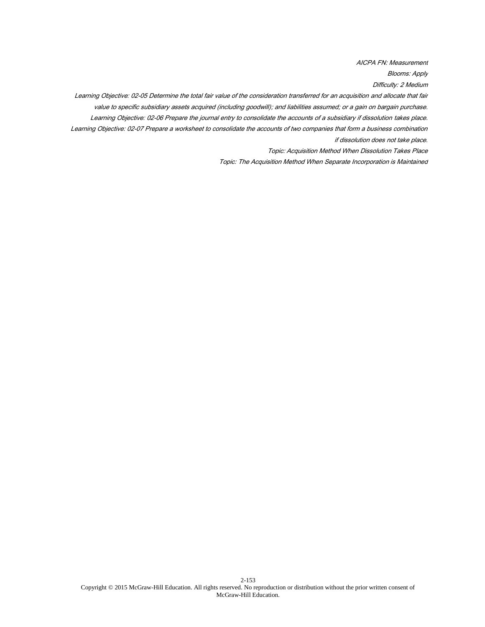AICPA FN: Measurement

Blooms: Apply

Difficulty: 2 Medium

Learning Objective: 02-05 Determine the total fair value of the consideration transferred for an acquisition and allocate that fair value to specific subsidiary assets acquired (including goodwill); and liabilities assumed; or a gain on bargain purchase. Learning Objective: 02-06 Prepare the journal entry to consolidate the accounts of a subsidiary if dissolution takes place. Learning Objective: 02-07 Prepare a worksheet to consolidate the accounts of two companies that form a business combination if dissolution does not take place.

Topic: Acquisition Method When Dissolution Takes Place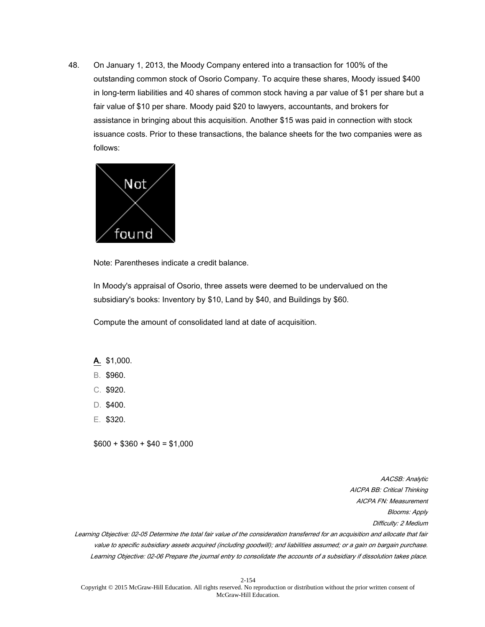

Note: Parentheses indicate a credit balance.

In Moody's appraisal of Osorio, three assets were deemed to be undervalued on the subsidiary's books: Inventory by \$10, Land by \$40, and Buildings by \$60.

Compute the amount of consolidated land at date of acquisition.

## A. \$1,000.

- B. \$960.
- C. \$920.
- D. \$400.
- E. \$320.

 $$600 + $360 + $40 = $1,000$ 

AACSB: Analytic AICPA BB: Critical Thinking AICPA FN: Measurement Blooms: Apply Difficulty: 2 Medium

Learning Objective: 02-05 Determine the total fair value of the consideration transferred for an acquisition and allocate that fair value to specific subsidiary assets acquired (including goodwill); and liabilities assumed; or a gain on bargain purchase. Learning Objective: 02-06 Prepare the journal entry to consolidate the accounts of a subsidiary if dissolution takes place.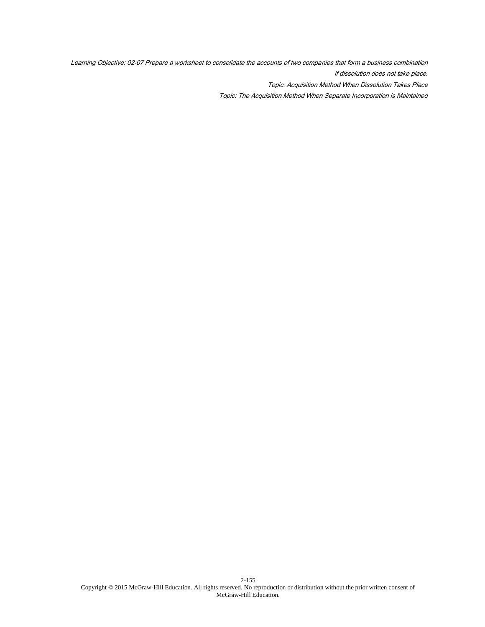Learning Objective: 02-07 Prepare a worksheet to consolidate the accounts of two companies that form a business combination if dissolution does not take place.

Topic: Acquisition Method When Dissolution Takes Place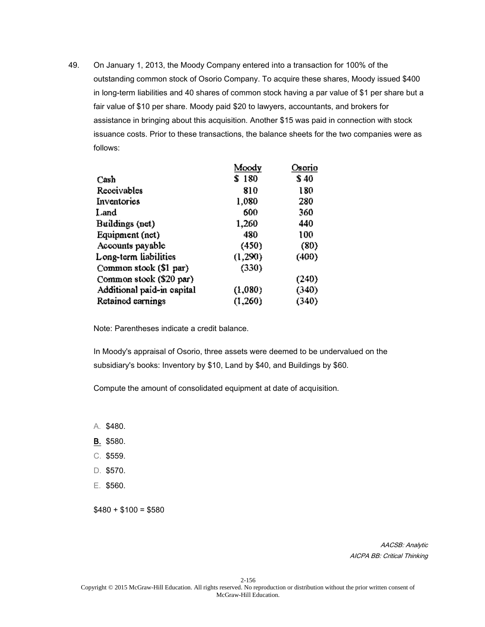|                            | Moody   | Osorio |
|----------------------------|---------|--------|
| Cash                       | \$180   | \$40   |
| Receivables                | 810     | 180    |
| Inventories                | 1,080   | 280    |
| Land.                      | 600     | 360    |
| Buildings (net)            | 1,260   | 440    |
| Equipment (net)            | 480     | 100    |
| Accounts payable           | (450)   | (80)   |
| Long-term liabilities      | (1,290) | (400)  |
| Common stook (\$1 par)     | (330)   |        |
| Common stook (\$20 par)    |         | (240)  |
| Additional paid-in eapital | (1,080) | (340)  |
| Retained earnings          | (1,260) | (340)  |

Note: Parentheses indicate a credit balance.

In Moody's appraisal of Osorio, three assets were deemed to be undervalued on the subsidiary's books: Inventory by \$10, Land by \$40, and Buildings by \$60.

Compute the amount of consolidated equipment at date of acquisition.

- A. \$480.
- B. \$580.
- C. \$559.
- D. \$570.
- E. \$560.

 $$480 + $100 = $580$ 

AACSB: Analytic AICPA BB: Critical Thinking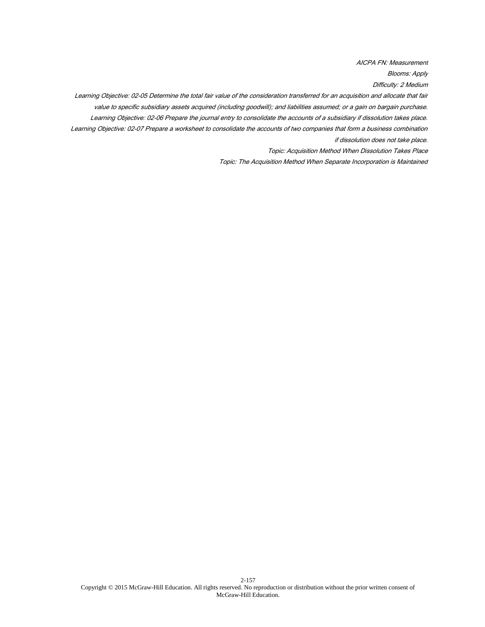AICPA FN: Measurement

Blooms: Apply

Difficulty: 2 Medium

Learning Objective: 02-05 Determine the total fair value of the consideration transferred for an acquisition and allocate that fair value to specific subsidiary assets acquired (including goodwill); and liabilities assumed; or a gain on bargain purchase. Learning Objective: 02-06 Prepare the journal entry to consolidate the accounts of a subsidiary if dissolution takes place. Learning Objective: 02-07 Prepare a worksheet to consolidate the accounts of two companies that form a business combination if dissolution does not take place.

Topic: Acquisition Method When Dissolution Takes Place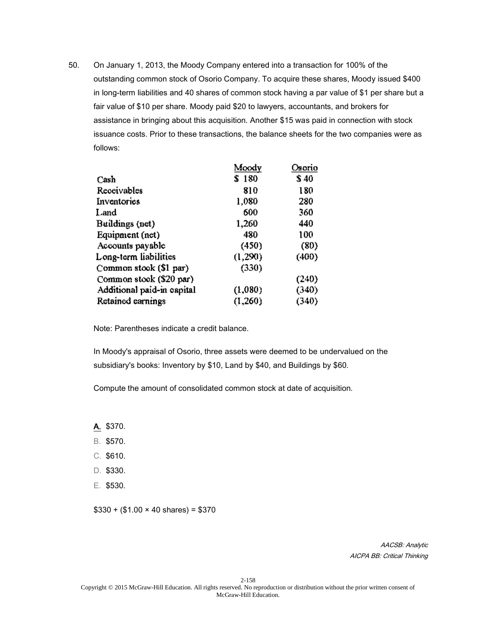|                            | Moody   | Osorio |
|----------------------------|---------|--------|
| Cash                       | \$180   | \$40   |
| Receivables                | 810     | 180    |
| Inventories                | 1,080   | 280    |
| Land.                      | 600     | 360    |
| Buildings (net)            | 1,260   | 440    |
| Equipment (net)            | 480     | 100    |
| Accounts payable           | (450)   | (80)   |
| Long-term liabilities      | (1,290) | (400)  |
| Common stook (\$1 par)     | (330)   |        |
| Common stook (\$20 par)    |         | (240)  |
| Additional paid-in eapital | (1,080) | (340)  |
| Retained earnings          | (1,260) | (340)  |

Note: Parentheses indicate a credit balance.

In Moody's appraisal of Osorio, three assets were deemed to be undervalued on the subsidiary's books: Inventory by \$10, Land by \$40, and Buildings by \$60.

Compute the amount of consolidated common stock at date of acquisition.

- A. \$370.
- B. \$570.
- C. \$610.
- D. \$330.
- E. \$530.

 $$330 + ($1.00 \times 40 \text{ shares}) = $370$ 

AACSB: Analytic AICPA BB: Critical Thinking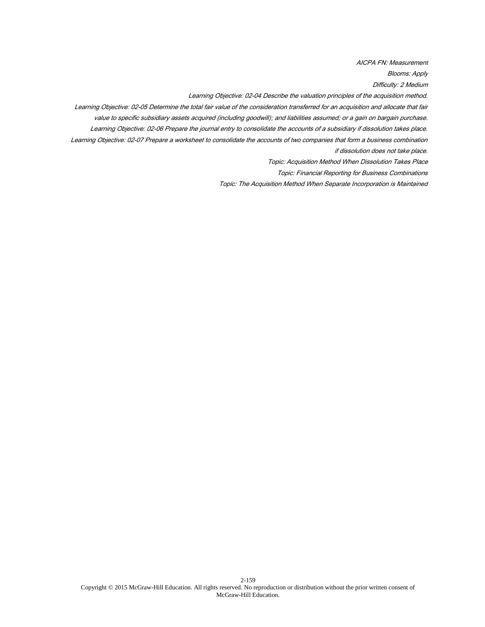AICPA FN: Measurement

Blooms: Apply

Difficulty: 2 Medium

Learning Objective: 02-04 Describe the valuation principles of the acquisition method.

Learning Objective: 02-05 Determine the total fair value of the consideration transferred for an acquisition and allocate that fair value to specific subsidiary assets acquired (including goodwill); and liabilities assumed; or a gain on bargain purchase.

Learning Objective: 02-06 Prepare the journal entry to consolidate the accounts of a subsidiary if dissolution takes place.

Learning Objective: 02-07 Prepare a worksheet to consolidate the accounts of two companies that form a business combination if dissolution does not take place.

Topic: Acquisition Method When Dissolution Takes Place

Topic: Financial Reporting for Business Combinations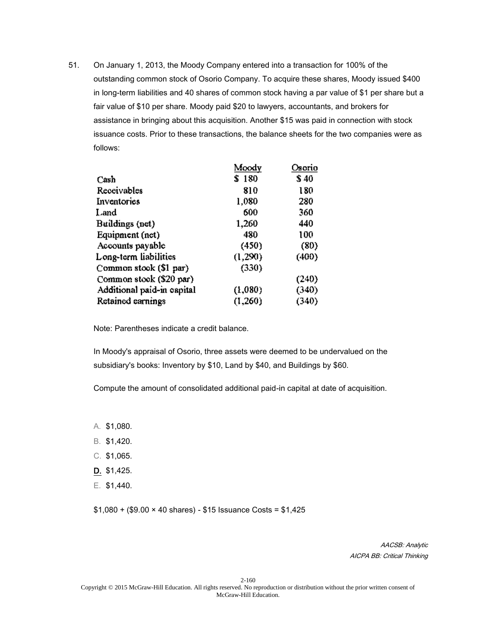|                            | Moody   | Osorio |
|----------------------------|---------|--------|
| Cash                       | \$180   | \$40   |
| Receivables                | 810     | 180    |
| Inventories                | 1,080   | 280    |
| Land.                      | 600     | 360    |
| Buildings (net)            | 1,260   | 440    |
| Equipment (net)            | 480     | 100    |
| Accounts payable           | (450)   | (80)   |
| Long-term liabilities      | (1,290) | (400)  |
| Common stook (\$1 par)     | (330)   |        |
| Common stook (\$20 par)    |         | (240)  |
| Additional paid-in eapital | (1,080) | (340)  |
| Retained earnings          | (1,260) | (340)  |

Note: Parentheses indicate a credit balance.

In Moody's appraisal of Osorio, three assets were deemed to be undervalued on the subsidiary's books: Inventory by \$10, Land by \$40, and Buildings by \$60.

Compute the amount of consolidated additional paid-in capital at date of acquisition.

- A. \$1,080.
- B. \$1,420.
- C. \$1,065.
- D. \$1,425.
- E. \$1,440.

\$1,080 + (\$9.00 × 40 shares) - \$15 Issuance Costs = \$1,425

AACSB: Analytic AICPA BB: Critical Thinking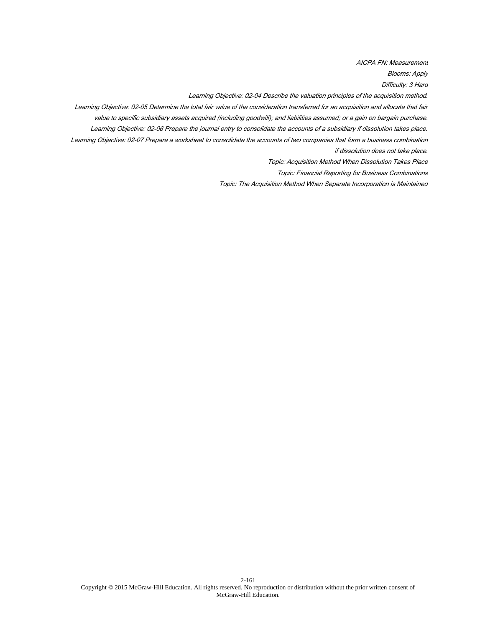AICPA FN: Measurement

Blooms: Apply

Difficulty: 3 Hard

Learning Objective: 02-04 Describe the valuation principles of the acquisition method.

Learning Objective: 02-05 Determine the total fair value of the consideration transferred for an acquisition and allocate that fair value to specific subsidiary assets acquired (including goodwill); and liabilities assumed; or a gain on bargain purchase.

Learning Objective: 02-06 Prepare the journal entry to consolidate the accounts of a subsidiary if dissolution takes place.

Learning Objective: 02-07 Prepare a worksheet to consolidate the accounts of two companies that form a business combination if dissolution does not take place.

Topic: Acquisition Method When Dissolution Takes Place

Topic: Financial Reporting for Business Combinations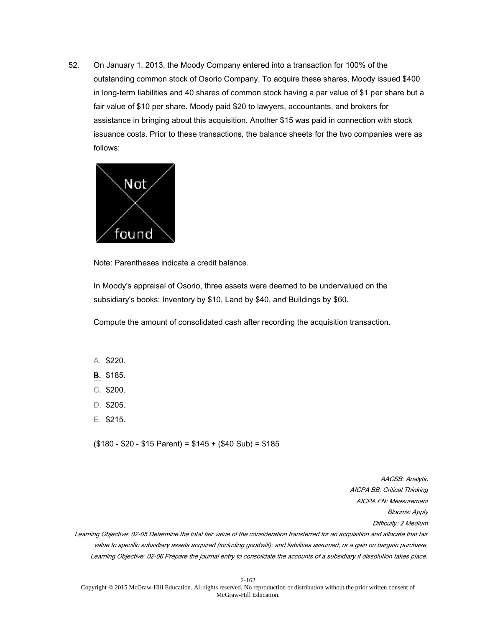

Note: Parentheses indicate a credit balance.

In Moody's appraisal of Osorio, three assets were deemed to be undervalued on the subsidiary's books: Inventory by \$10, Land by \$40, and Buildings by \$60.

Compute the amount of consolidated cash after recording the acquisition transaction.

## A. \$220.

- B. \$185.
- C. \$200.
- D. \$205.
- E. \$215.

 $($180 - $20 - $15$  Parent) = \$145 + (\$40 Sub) = \$185

AACSB: Analytic AICPA BB: Critical Thinking AICPA FN: Measurement Blooms: Apply Difficulty: 2 Medium

Learning Objective: 02-05 Determine the total fair value of the consideration transferred for an acquisition and allocate that fair value to specific subsidiary assets acquired (including goodwill); and liabilities assumed; or a gain on bargain purchase. Learning Objective: 02-06 Prepare the journal entry to consolidate the accounts of a subsidiary if dissolution takes place.

2-162 Copyright © 2015 McGraw-Hill Education. All rights reserved. No reproduction or distribution without the prior written consent of McGraw-Hill Education.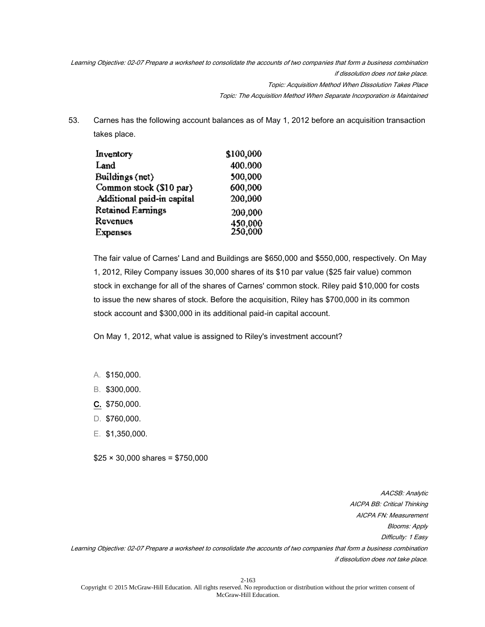Learning Objective: 02-07 Prepare a worksheet to consolidate the accounts of two companies that form a business combination if dissolution does not take place. Topic: Acquisition Method When Dissolution Takes Place Topic: The Acquisition Method When Separate Incorporation is Maintained

53. Carnes has the following account balances as of May 1, 2012 before an acquisition transaction takes place.

| Inventory                  | \$100,000          |
|----------------------------|--------------------|
| Land                       | 400.000            |
| Buildings (net)            | 500,000            |
| Common stock (\$10 par)    | 600.000            |
| Additional paid-in capital | 200,000            |
| Retained Earnings          | 200,000            |
| Revenues                   |                    |
| Expenses                   | 450,000<br>250,000 |

The fair value of Carnes' Land and Buildings are \$650,000 and \$550,000, respectively. On May 1, 2012, Riley Company issues 30,000 shares of its \$10 par value (\$25 fair value) common stock in exchange for all of the shares of Carnes' common stock. Riley paid \$10,000 for costs to issue the new shares of stock. Before the acquisition, Riley has \$700,000 in its common stock account and \$300,000 in its additional paid-in capital account.

On May 1, 2012, what value is assigned to Riley's investment account?

- A. \$150,000.
- B. \$300,000.
- C. \$750,000.
- D. \$760,000.
- E. \$1,350,000.

 $$25 \times 30,000$  shares = \$750,000

AACSB: Analytic AICPA BB: Critical Thinking AICPA FN: Measurement Blooms: Apply Difficulty: 1 Easy Learning Objective: 02-07 Prepare a worksheet to consolidate the accounts of two companies that form a business combination if dissolution does not take place.

2-163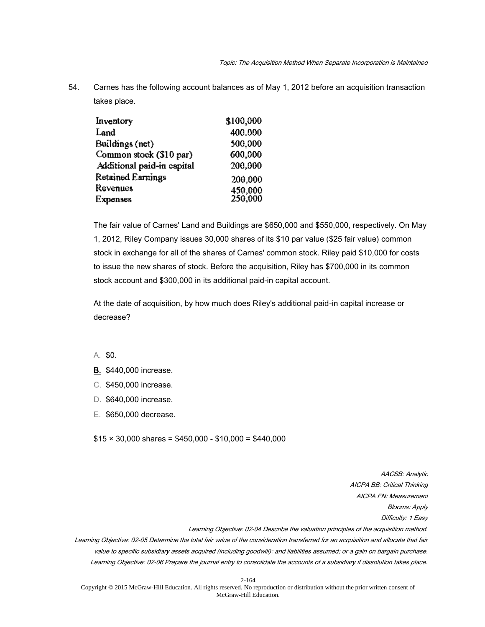54. Carnes has the following account balances as of May 1, 2012 before an acquisition transaction takes place.

| \$100,000          |
|--------------------|
| 400.000            |
| 500,000            |
| 600.000            |
| 200,000            |
| 200,000            |
|                    |
| 450,000<br>250,000 |
|                    |

The fair value of Carnes' Land and Buildings are \$650,000 and \$550,000, respectively. On May 1, 2012, Riley Company issues 30,000 shares of its \$10 par value (\$25 fair value) common stock in exchange for all of the shares of Carnes' common stock. Riley paid \$10,000 for costs to issue the new shares of stock. Before the acquisition, Riley has \$700,000 in its common stock account and \$300,000 in its additional paid-in capital account.

At the date of acquisition, by how much does Riley's additional paid-in capital increase or decrease?

- A. \$0.
- B. \$440,000 increase.
- C. \$450,000 increase.
- D. \$640,000 increase.
- E. \$650,000 decrease.

 $$15 \times 30,000$  shares = \$450,000 - \$10,000 = \$440,000

AACSB: Analytic AICPA BB: Critical Thinking AICPA FN: Measurement Blooms: Apply Difficulty: 1 Easy Learning Objective: 02-04 Describe the valuation principles of the acquisition method. Learning Objective: 02-05 Determine the total fair value of the consideration transferred for an acquisition and allocate that fair

value to specific subsidiary assets acquired (including goodwill); and liabilities assumed; or a gain on bargain purchase. Learning Objective: 02-06 Prepare the journal entry to consolidate the accounts of a subsidiary if dissolution takes place.

2-164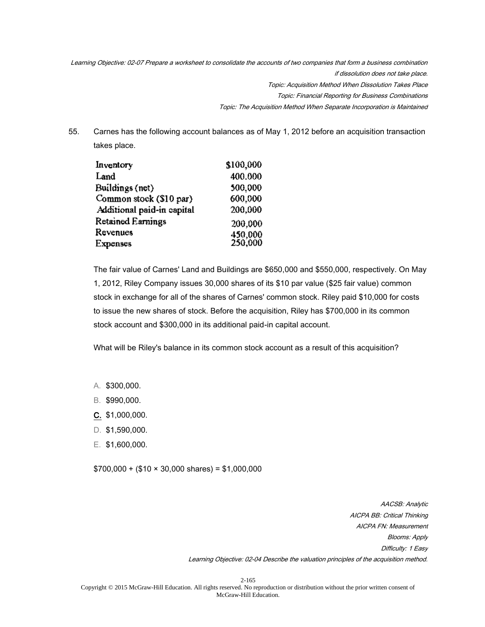Learning Objective: 02-07 Prepare a worksheet to consolidate the accounts of two companies that form a business combination if dissolution does not take place. Topic: Acquisition Method When Dissolution Takes Place Topic: Financial Reporting for Business Combinations Topic: The Acquisition Method When Separate Incorporation is Maintained

55. Carnes has the following account balances as of May 1, 2012 before an acquisition transaction takes place.

| Inventory                  | \$100,000          |
|----------------------------|--------------------|
| Land                       | 400.000            |
| Buildings (net)            | 500,000            |
| Common stock (\$10 par)    | 600.000            |
| Additional paid-in capital | 200,000            |
| Retained Earnings          | 200,000            |
| Revenues                   |                    |
| Expenses                   | 450,000<br>250,000 |

The fair value of Carnes' Land and Buildings are \$650,000 and \$550,000, respectively. On May 1, 2012, Riley Company issues 30,000 shares of its \$10 par value (\$25 fair value) common stock in exchange for all of the shares of Carnes' common stock. Riley paid \$10,000 for costs to issue the new shares of stock. Before the acquisition, Riley has \$700,000 in its common stock account and \$300,000 in its additional paid-in capital account.

What will be Riley's balance in its common stock account as a result of this acquisition?

- A. \$300,000.
- B. \$990,000.
- C. \$1,000,000.
- D. \$1,590,000.
- E. \$1,600,000.

 $$700,000 + ($10 \times 30,000 \text{ shares}) = $1,000,000$ 

AACSB: Analytic AICPA BB: Critical Thinking AICPA FN: Measurement Blooms: Apply Difficulty: 1 Easy Learning Objective: 02-04 Describe the valuation principles of the acquisition method.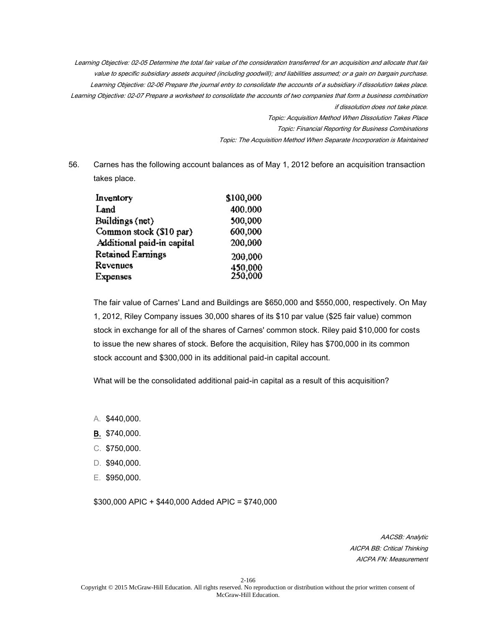Learning Objective: 02-05 Determine the total fair value of the consideration transferred for an acquisition and allocate that fair value to specific subsidiary assets acquired (including goodwill); and liabilities assumed; or a gain on bargain purchase. Learning Objective: 02-06 Prepare the journal entry to consolidate the accounts of a subsidiary if dissolution takes place. Learning Objective: 02-07 Prepare a worksheet to consolidate the accounts of two companies that form a business combination if dissolution does not take place. Topic: Acquisition Method When Dissolution Takes Place

Topic: Financial Reporting for Business Combinations

Topic: The Acquisition Method When Separate Incorporation is Maintained

56. Carnes has the following account balances as of May 1, 2012 before an acquisition transaction takes place.

| \$100,000          |
|--------------------|
| 400.000            |
| 500,000            |
| 600.000            |
| 200,000            |
| 200,000            |
|                    |
| 450,000<br>250,000 |
|                    |

The fair value of Carnes' Land and Buildings are \$650,000 and \$550,000, respectively. On May 1, 2012, Riley Company issues 30,000 shares of its \$10 par value (\$25 fair value) common stock in exchange for all of the shares of Carnes' common stock. Riley paid \$10,000 for costs to issue the new shares of stock. Before the acquisition, Riley has \$700,000 in its common stock account and \$300,000 in its additional paid-in capital account.

What will be the consolidated additional paid-in capital as a result of this acquisition?

- A. \$440,000.
- B. \$740,000.
- C. \$750,000.
- D. \$940,000.
- E. \$950,000.

\$300,000 APIC + \$440,000 Added APIC = \$740,000

AACSB: Analytic AICPA BB: Critical Thinking AICPA FN: Measurement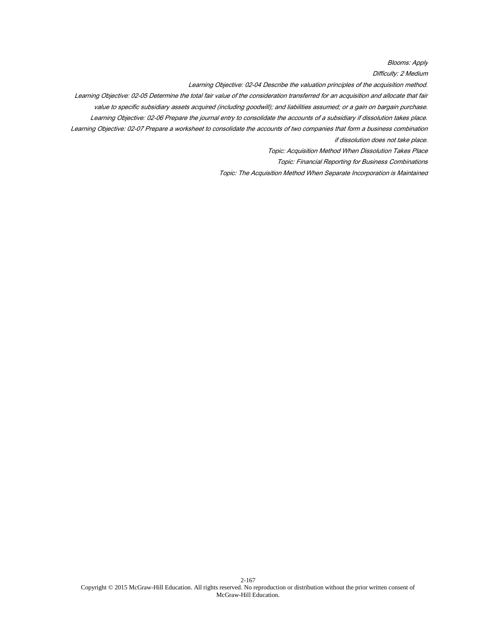Blooms: Apply

Difficulty: 2 Medium

Learning Objective: 02-04 Describe the valuation principles of the acquisition method.

Learning Objective: 02-05 Determine the total fair value of the consideration transferred for an acquisition and allocate that fair

value to specific subsidiary assets acquired (including goodwill); and liabilities assumed; or a gain on bargain purchase.

Learning Objective: 02-06 Prepare the journal entry to consolidate the accounts of a subsidiary if dissolution takes place.

Learning Objective: 02-07 Prepare a worksheet to consolidate the accounts of two companies that form a business combination if dissolution does not take place.

Topic: Acquisition Method When Dissolution Takes Place

Topic: Financial Reporting for Business Combinations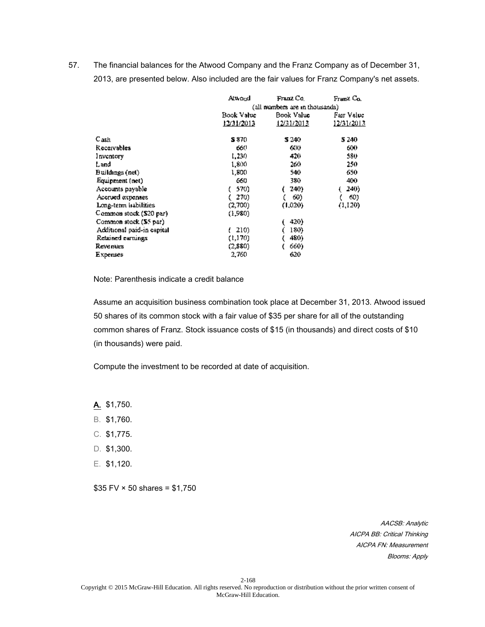57. The financial balances for the Atwood Company and the Franz Company as of December 31, 2013, are presented below. Also included are the fair values for Franz Company's net assets.

|                            | Atwond                          | Franz Co.  | Franz Co.   |
|----------------------------|---------------------------------|------------|-------------|
|                            | (all numbers are in thousands). |            |             |
|                            | Book Value                      | Book Value | Fair Value. |
|                            | 12/31/2013                      | 12/31/2013 | 12/31/2013  |
| C <sub>ash</sub>           | S 870.                          | 5 240      | 5 240       |
| Receivables                | 660                             | 600        | 600         |
| Inventory                  | 1,230                           | 420        | 580         |
| Land                       | 1,800                           | 260        | 250         |
| Buildings (net)            | 1.800                           | 540        | 650.        |
| Equipment (net)            | 660                             | 380.       | 400         |
| Accounts payable           | 570)                            | 240)       | 240)        |
| Accrued expenses           | 270)                            | 60)        | 60)         |
| Long-term habilities       | (2,700)                         | (1,020)    | (1,120)     |
| Common stock (\$20 par)    | (1,980)                         |            |             |
| Common stock (\$5 par)     |                                 | 420)       |             |
| Additional paid-in capital | 210)                            | 180)       |             |
| Retained earnings          | (1,170)                         | 480)       |             |
| Revenues                   | (2,880)                         | 660)       |             |
| Expenses                   | 2,760                           | 620        |             |

Note: Parenthesis indicate a credit balance

Assume an acquisition business combination took place at December 31, 2013. Atwood issued 50 shares of its common stock with a fair value of \$35 per share for all of the outstanding common shares of Franz. Stock issuance costs of \$15 (in thousands) and direct costs of \$10 (in thousands) were paid.

Compute the investment to be recorded at date of acquisition.

A. \$1,750.

- B. \$1,760.
- C. \$1,775.
- D. \$1,300.
- E. \$1,120.

 $$35 FV \times 50$  shares = \$1,750

AACSB: Analytic AICPA BB: Critical Thinking AICPA FN: Measurement Blooms: Apply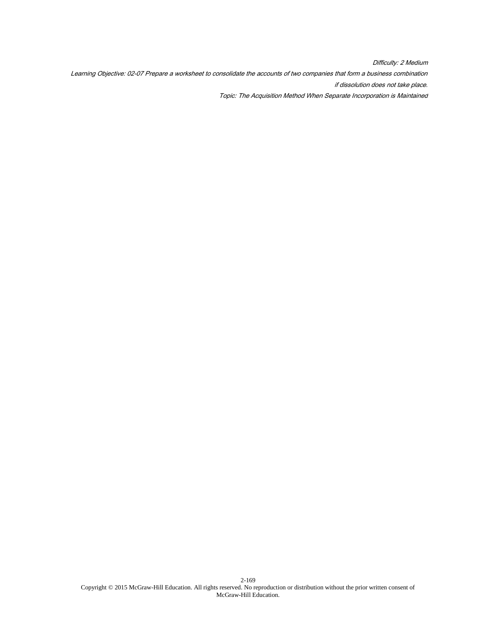Difficulty: 2 Medium Learning Objective: 02-07 Prepare a worksheet to consolidate the accounts of two companies that form a business combination if dissolution does not take place. Topic: The Acquisition Method When Separate Incorporation is Maintained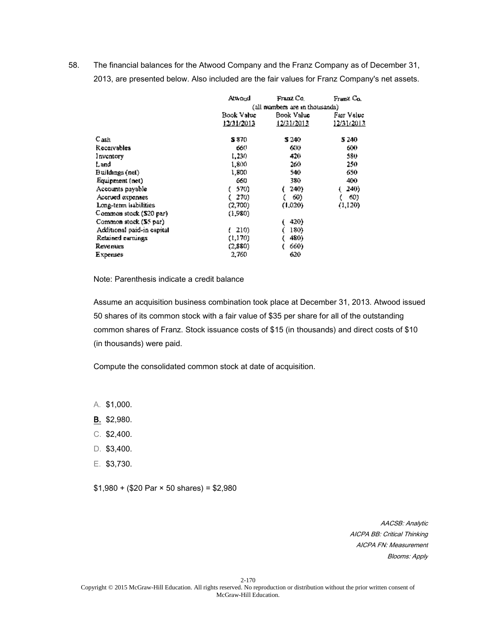58. The financial balances for the Atwood Company and the Franz Company as of December 31, 2013, are presented below. Also included are the fair values for Franz Company's net assets.

|                            | Atwond     | Franz Co.                      | Franz Co.  |  |
|----------------------------|------------|--------------------------------|------------|--|
|                            |            | (all numbers are in thousands) |            |  |
|                            | Book Value | Book Value                     |            |  |
|                            | 12/31/2013 | 12/31/2013                     | 12/31/2013 |  |
| C <sub>ash</sub>           | S 870.     | 5 240                          | 5 240      |  |
| Receivables                | 660        | 600                            | 600        |  |
| Inventory                  | 1,230      | 420                            | 580.       |  |
| Land                       | 1,800      | 260                            | 250        |  |
| Buildings (net)            | 1.800      | 540                            | 650        |  |
| Equipment (net)            | 660        | 380.                           | 400        |  |
| Accounts payable           | 570)       | 240).                          | 240)       |  |
| Accrued expenses           | 270)       | 60)                            | 60)        |  |
| Long-term habilities       | (2,700)    | (1,020)                        | (1,120)    |  |
| Common stock (\$20 par)    | (1,980)    |                                |            |  |
| Common stock (\$5 par)     |            | 420)                           |            |  |
| Additional paid-in capital | 210)       | 180)                           |            |  |
| Retained earnings          | (1,170)    | 480)                           |            |  |
| Revenues                   | (2,880)    | 660)                           |            |  |
| Expenses                   | 2,760      | 620                            |            |  |

Note: Parenthesis indicate a credit balance

Assume an acquisition business combination took place at December 31, 2013. Atwood issued 50 shares of its common stock with a fair value of \$35 per share for all of the outstanding common shares of Franz. Stock issuance costs of \$15 (in thousands) and direct costs of \$10 (in thousands) were paid.

Compute the consolidated common stock at date of acquisition.

A. \$1,000.

- B. \$2,980.
- C. \$2,400.
- D. \$3,400.
- E. \$3,730.

 $$1,980 + ($20 \text{ Par} \times 50 \text{ shares}) = $2,980$ 

AACSB: Analytic AICPA BB: Critical Thinking AICPA FN: Measurement Blooms: Apply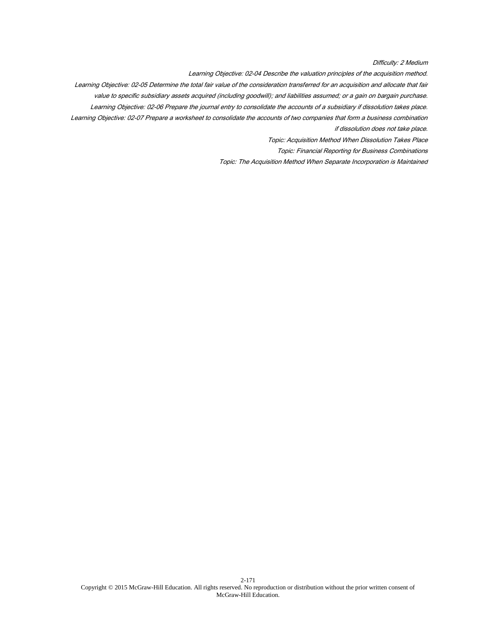Difficulty: 2 Medium

Learning Objective: 02-04 Describe the valuation principles of the acquisition method.

Learning Objective: 02-05 Determine the total fair value of the consideration transferred for an acquisition and allocate that fair value to specific subsidiary assets acquired (including goodwill); and liabilities assumed; or a gain on bargain purchase. Learning Objective: 02-06 Prepare the journal entry to consolidate the accounts of a subsidiary if dissolution takes place.

Learning Objective: 02-07 Prepare a worksheet to consolidate the accounts of two companies that form a business combination

if dissolution does not take place.

Topic: Acquisition Method When Dissolution Takes Place

Topic: Financial Reporting for Business Combinations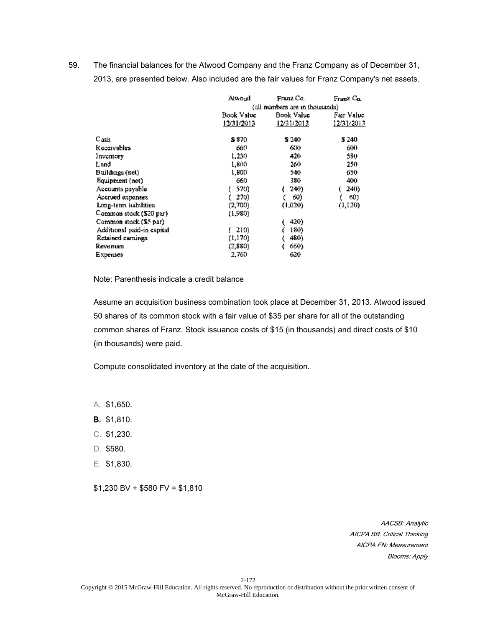59. The financial balances for the Atwood Company and the Franz Company as of December 31, 2013, are presented below. Also included are the fair values for Franz Company's net assets.

|                            | Atwond     | Franz Co.                      | Franz Co.  |  |
|----------------------------|------------|--------------------------------|------------|--|
|                            |            | (all numbers are in thousands) |            |  |
|                            | Book Value | Book Value<br>Fair Value       |            |  |
|                            | 12/31/2013 | 12/31/2013                     | 12/31/2013 |  |
| Cash                       | S 870.     | S 240.                         | 5 240      |  |
| <b>Receivables</b>         | 660        | 600                            | 600        |  |
| Inventory                  | 1,230      | 420                            | 580        |  |
| Land                       | 1,800      | 260                            | 250        |  |
| Buildings (net)            | 1,800      | 540                            | 650        |  |
| Equipment (net)            | 660        | 380.                           | 400        |  |
| Accounts payable           | 570)       | 240)                           | 240)       |  |
| Accrued expenses           | 270)       | 60)                            | 60)        |  |
| Long-term habilities       | (2,700)    | (1,020)                        | (1,120)    |  |
| Common stock (\$20 par)    | (1.980)    |                                |            |  |
| Common stock (\$5 par)     |            | 420)                           |            |  |
| Additional paid-in capital | 210)       | 180)                           |            |  |
| Retained earnings          | (1,170)    | 480)                           |            |  |
| Revenues                   | (2,880)    | 660)                           |            |  |
| Expenses                   | 2,760      | 620                            |            |  |

Note: Parenthesis indicate a credit balance

Assume an acquisition business combination took place at December 31, 2013. Atwood issued 50 shares of its common stock with a fair value of \$35 per share for all of the outstanding common shares of Franz. Stock issuance costs of \$15 (in thousands) and direct costs of \$10 (in thousands) were paid.

Compute consolidated inventory at the date of the acquisition.

A. \$1,650.

- B. \$1,810.
- C. \$1,230.
- D. \$580.
- E. \$1,830.

 $$1,230$  BV +  $$580$  FV =  $$1,810$ 

AACSB: Analytic AICPA BB: Critical Thinking AICPA FN: Measurement Blooms: Apply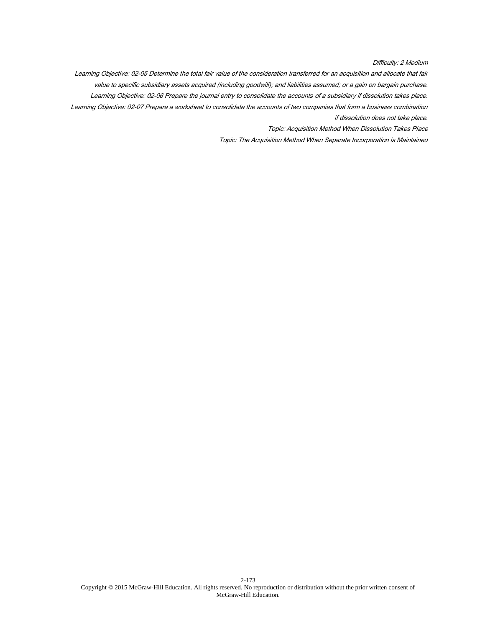Difficulty: 2 Medium

Learning Objective: 02-05 Determine the total fair value of the consideration transferred for an acquisition and allocate that fair value to specific subsidiary assets acquired (including goodwill); and liabilities assumed; or a gain on bargain purchase. Learning Objective: 02-06 Prepare the journal entry to consolidate the accounts of a subsidiary if dissolution takes place. Learning Objective: 02-07 Prepare a worksheet to consolidate the accounts of two companies that form a business combination if dissolution does not take place.

Topic: Acquisition Method When Dissolution Takes Place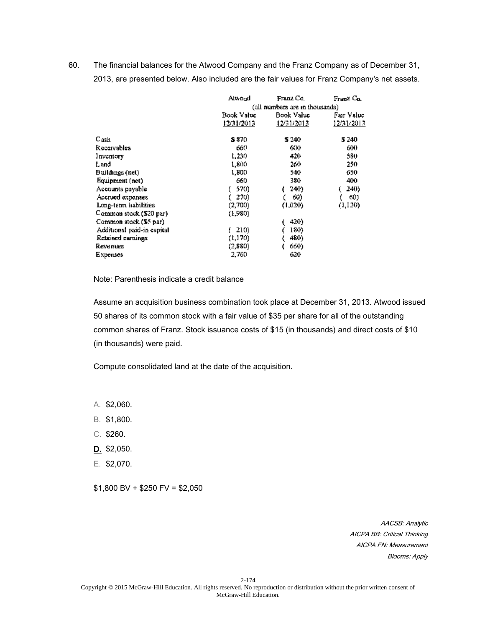60. The financial balances for the Atwood Company and the Franz Company as of December 31, 2013, are presented below. Also included are the fair values for Franz Company's net assets.

|                            | Atwond     | Franz Co.                      | Franz Co.  |  |
|----------------------------|------------|--------------------------------|------------|--|
|                            |            | (all numbers are in thousands) |            |  |
|                            | Book Value | Book Value                     |            |  |
|                            | 12/31/2013 | 12/31/2013                     | 12/31/2013 |  |
| Cash                       | S 870.     | S 240                          | 5 240      |  |
| Receivables                | 660        | 600                            | 600        |  |
| Inventory                  | 1,230      | 420                            | 580        |  |
| Land                       | 1,800      | 260.                           | 250        |  |
| Buildings (net)            | 1,800      | 540                            | 650        |  |
| Equipment (net)            | 660        | 380.                           | 400        |  |
| Accounts payable           | 570)       | 240)                           | 240)       |  |
| Accrued expenses           | 270)       | 60)                            | 60)        |  |
| Long-term habilities       | (2,700)    | (1,020)                        | (1,120)    |  |
| Common stock (\$20 par)    | (1,980)    |                                |            |  |
| Common stock (\$5 par)     |            | 420)                           |            |  |
| Additional paid-in capital | 210)       | 180)                           |            |  |
| Retained earnings          | (1,170)    | 480)                           |            |  |
| Revenues                   | (2,880).   | 660)                           |            |  |
| Expenses                   | 2,760      | 620                            |            |  |

Note: Parenthesis indicate a credit balance

Assume an acquisition business combination took place at December 31, 2013. Atwood issued 50 shares of its common stock with a fair value of \$35 per share for all of the outstanding common shares of Franz. Stock issuance costs of \$15 (in thousands) and direct costs of \$10 (in thousands) were paid.

Compute consolidated land at the date of the acquisition.

A. \$2,060.

- B. \$1,800.
- C. \$260.
- D. \$2,050.
- E. \$2,070.

 $$1,800$  BV +  $$250$  FV =  $$2,050$ 

AACSB: Analytic AICPA BB: Critical Thinking AICPA FN: Measurement Blooms: Apply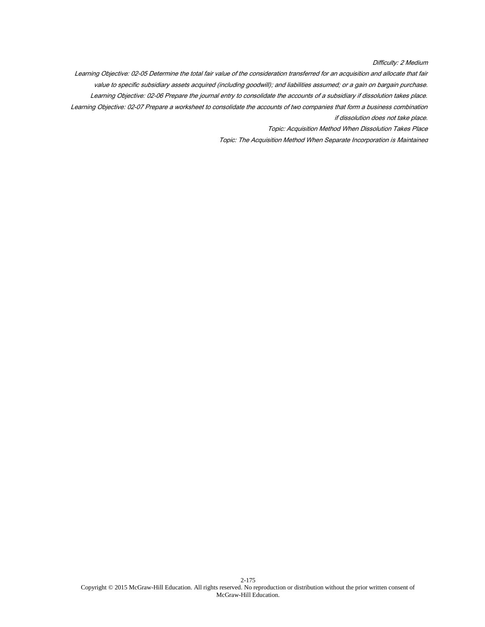Difficulty: 2 Medium

Learning Objective: 02-05 Determine the total fair value of the consideration transferred for an acquisition and allocate that fair value to specific subsidiary assets acquired (including goodwill); and liabilities assumed; or a gain on bargain purchase. Learning Objective: 02-06 Prepare the journal entry to consolidate the accounts of a subsidiary if dissolution takes place. Learning Objective: 02-07 Prepare a worksheet to consolidate the accounts of two companies that form a business combination if dissolution does not take place.

Topic: Acquisition Method When Dissolution Takes Place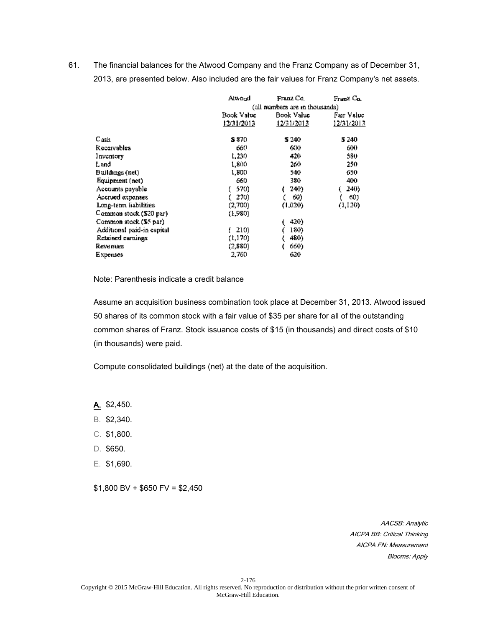61. The financial balances for the Atwood Company and the Franz Company as of December 31, 2013, are presented below. Also included are the fair values for Franz Company's net assets.

|                            | Atwond     | Franz Co.                       | Franz Co.  |  |
|----------------------------|------------|---------------------------------|------------|--|
|                            |            | (all numbers are in thousands). |            |  |
|                            | Book Value | Book Value                      |            |  |
|                            | 12/31/2013 | 12/31/2013                      | 12/31/2013 |  |
| C <sub>ash</sub>           | S 870.     | 5 240                           | 5 240      |  |
| Receivables                | 660        | 600                             | 600        |  |
| Inventory                  | 1,230      | 420                             | 580        |  |
| Land                       | 1,800      | 260                             | 250        |  |
| Buildings (net)            | 1,800      | 540                             | 650.       |  |
| Equipment (net)            | 660        | 380.                            | 400        |  |
| Accounts payable           | 570)       | 240)                            | 240)       |  |
| Accrued expenses           | 270)       | 60)                             | 60)        |  |
| Long-term liabilities      | (2,700)    | (1,020)                         | (1,120)    |  |
| Common stock (\$20 par)    | (1,980).   |                                 |            |  |
| Common stock (\$5 par)     |            | 420)                            |            |  |
| Additional paid-in capital | 210)       | 180)                            |            |  |
| Retained earnings          | (1,170)    | 480)                            |            |  |
| Revenues                   | (2,880)    | 660)                            |            |  |
| Expenses                   | 2,760      | 620                             |            |  |

Note: Parenthesis indicate a credit balance

Assume an acquisition business combination took place at December 31, 2013. Atwood issued 50 shares of its common stock with a fair value of \$35 per share for all of the outstanding common shares of Franz. Stock issuance costs of \$15 (in thousands) and direct costs of \$10 (in thousands) were paid.

Compute consolidated buildings (net) at the date of the acquisition.

A. \$2,450.

- B. \$2,340.
- C. \$1,800.
- D. \$650.
- E. \$1,690.

 $$1,800$  BV +  $$650$  FV =  $$2,450$ 

AACSB: Analytic AICPA BB: Critical Thinking AICPA FN: Measurement Blooms: Apply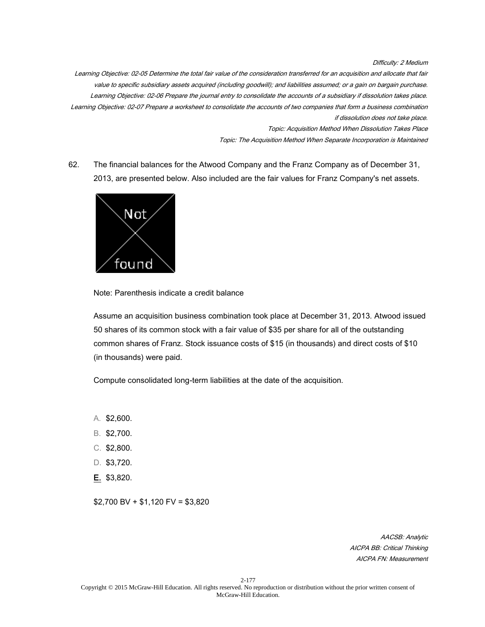Difficulty: 2 Medium

Learning Objective: 02-05 Determine the total fair value of the consideration transferred for an acquisition and allocate that fair value to specific subsidiary assets acquired (including goodwill); and liabilities assumed; or a gain on bargain purchase. Learning Objective: 02-06 Prepare the journal entry to consolidate the accounts of a subsidiary if dissolution takes place. Learning Objective: 02-07 Prepare a worksheet to consolidate the accounts of two companies that form a business combination if dissolution does not take place.

Topic: Acquisition Method When Dissolution Takes Place

Topic: The Acquisition Method When Separate Incorporation is Maintained

62. The financial balances for the Atwood Company and the Franz Company as of December 31, 2013, are presented below. Also included are the fair values for Franz Company's net assets.



Note: Parenthesis indicate a credit balance

Assume an acquisition business combination took place at December 31, 2013. Atwood issued 50 shares of its common stock with a fair value of \$35 per share for all of the outstanding common shares of Franz. Stock issuance costs of \$15 (in thousands) and direct costs of \$10 (in thousands) were paid.

Compute consolidated long-term liabilities at the date of the acquisition.

- A. \$2,600.
- B. \$2,700.
- C. \$2,800.
- D. \$3,720.
- E. \$3,820.

\$2,700 BV + \$1,120 FV = \$3,820

AACSB: Analytic AICPA BB: Critical Thinking AICPA FN: Measurement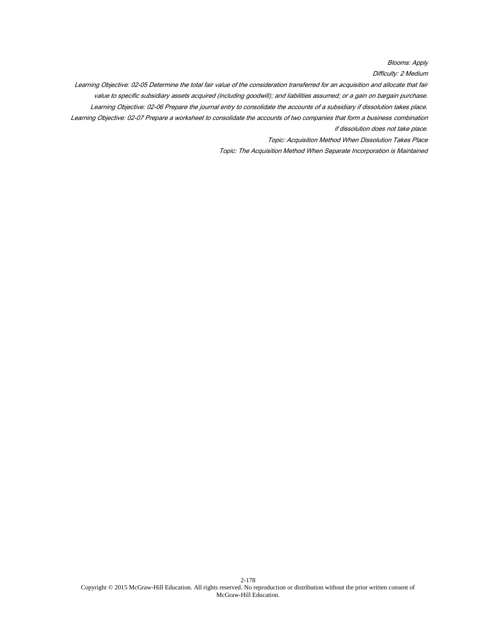Blooms: Apply

Difficulty: 2 Medium

Learning Objective: 02-05 Determine the total fair value of the consideration transferred for an acquisition and allocate that fair value to specific subsidiary assets acquired (including goodwill); and liabilities assumed; or a gain on bargain purchase. Learning Objective: 02-06 Prepare the journal entry to consolidate the accounts of a subsidiary if dissolution takes place. Learning Objective: 02-07 Prepare a worksheet to consolidate the accounts of two companies that form a business combination if dissolution does not take place.

Topic: Acquisition Method When Dissolution Takes Place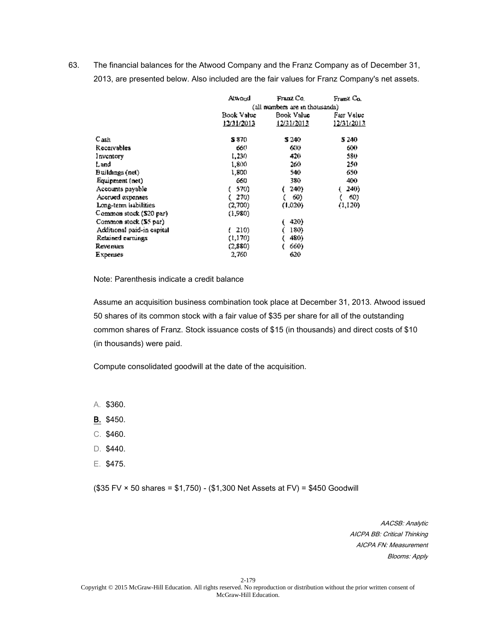63. The financial balances for the Atwood Company and the Franz Company as of December 31, 2013, are presented below. Also included are the fair values for Franz Company's net assets.

|                            | Atwond     | Franz Co.                       | Franz Co.  |  |
|----------------------------|------------|---------------------------------|------------|--|
|                            |            | (all numbers are in thousands). |            |  |
|                            | Book Value | Book Value                      |            |  |
|                            | 12/31/2013 | 12/31/2013                      | 12/31/2013 |  |
| C <sub>ash</sub>           | S 870.     | 5 240                           | 5 240      |  |
| Receivables                | 660        | 600                             | 600        |  |
| Inventory                  | 1,230      | 420                             | 580        |  |
| Land                       | 1,800      | 260                             | 250        |  |
| Buildings (net)            | 1.800      | 540                             | 650.       |  |
| Equipment (net)            | 660        | 380.                            | 400        |  |
| Accounts payable           | 570)       | 240)                            | 240)       |  |
| Accrued expenses           | 270)       | 60)                             | 60)        |  |
| Long-term habilities       | (2,700)    | (1,020)                         | (1,120)    |  |
| Common stock (\$20 par)    | (1,980)    |                                 |            |  |
| Common stock (\$5 par)     |            | 420)                            |            |  |
| Additional paid-in capital | 210)       | 180)                            |            |  |
| Retained earnings          | (1,170)    | 480)                            |            |  |
| Revenues                   | (2,880)    | 660)                            |            |  |
| Expenses                   | 2,760      | 620                             |            |  |

Note: Parenthesis indicate a credit balance

Assume an acquisition business combination took place at December 31, 2013. Atwood issued 50 shares of its common stock with a fair value of \$35 per share for all of the outstanding common shares of Franz. Stock issuance costs of \$15 (in thousands) and direct costs of \$10 (in thousands) were paid.

Compute consolidated goodwill at the date of the acquisition.

A. \$360.

- B. \$450.
- C. \$460.
- D. \$440.
- E. \$475.

(\$35 FV × 50 shares = \$1,750) - (\$1,300 Net Assets at FV) = \$450 Goodwill

AACSB: Analytic AICPA BB: Critical Thinking AICPA FN: Measurement Blooms: Apply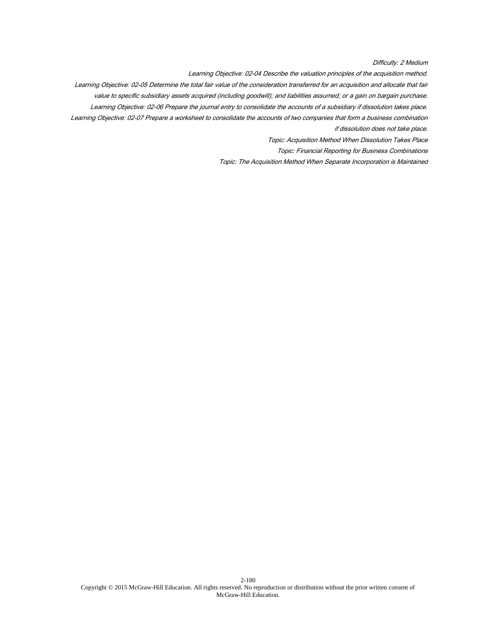Difficulty: 2 Medium

Learning Objective: 02-04 Describe the valuation principles of the acquisition method.

Learning Objective: 02-05 Determine the total fair value of the consideration transferred for an acquisition and allocate that fair value to specific subsidiary assets acquired (including goodwill); and liabilities assumed; or a gain on bargain purchase. Learning Objective: 02-06 Prepare the journal entry to consolidate the accounts of a subsidiary if dissolution takes place.

Learning Objective: 02-07 Prepare a worksheet to consolidate the accounts of two companies that form a business combination

if dissolution does not take place.

Topic: Acquisition Method When Dissolution Takes Place

Topic: Financial Reporting for Business Combinations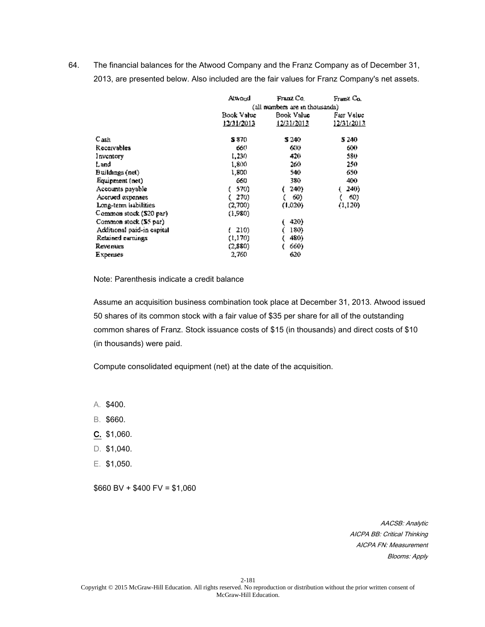64. The financial balances for the Atwood Company and the Franz Company as of December 31, 2013, are presented below. Also included are the fair values for Franz Company's net assets.

|                            | Atwond                          | Franz Co.  | Franz Co.  |
|----------------------------|---------------------------------|------------|------------|
|                            | (all numbers are in thousands). |            |            |
|                            | Book Value                      | Book Value | Fair Value |
|                            | 12/31/2013                      | 12/31/2013 | 12/31/2013 |
| Cash                       | S 870.                          | S 240      | 5 240      |
| Receivables                | 660                             | 600        | 600        |
| Inventory                  | 1,230                           | 420        | 580        |
| Land                       | 1,800                           | 260        | 250        |
| Buildings (net)            | 1,800                           | 540        | 650.       |
| Equipment (net)            | 660                             | 380        | 400        |
| Accounts payable           | 570)                            | 240)       | 240)       |
| Accrued expenses           | 270)                            | 60)        | 60)        |
| Long-term habilities       | (2,700)                         | (1,020)    | (1,120)    |
| Common stock (\$20 par)    | (1,980)                         |            |            |
| Common stock (\$5 par)     |                                 | 420)       |            |
| Additional paid-in capital | 210)                            | 180)       |            |
| Retained earnings          | (1,170)                         | 480)       |            |
| Revenues                   | (2,880)                         | 660)       |            |
| Expenses                   | 2,760                           | 620        |            |

Note: Parenthesis indicate a credit balance

Assume an acquisition business combination took place at December 31, 2013. Atwood issued 50 shares of its common stock with a fair value of \$35 per share for all of the outstanding common shares of Franz. Stock issuance costs of \$15 (in thousands) and direct costs of \$10 (in thousands) were paid.

Compute consolidated equipment (net) at the date of the acquisition.

A. \$400.

- B. \$660.
- C. \$1,060.
- D. \$1,040.
- E. \$1,050.

 $$660$  BV + \$400 FV = \$1,060

AACSB: Analytic AICPA BB: Critical Thinking AICPA FN: Measurement Blooms: Apply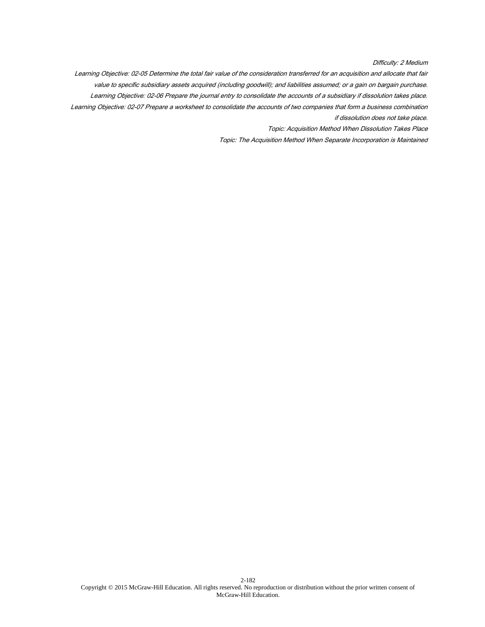Difficulty: 2 Medium

Learning Objective: 02-05 Determine the total fair value of the consideration transferred for an acquisition and allocate that fair value to specific subsidiary assets acquired (including goodwill); and liabilities assumed; or a gain on bargain purchase. Learning Objective: 02-06 Prepare the journal entry to consolidate the accounts of a subsidiary if dissolution takes place. Learning Objective: 02-07 Prepare a worksheet to consolidate the accounts of two companies that form a business combination if dissolution does not take place.

Topic: Acquisition Method When Dissolution Takes Place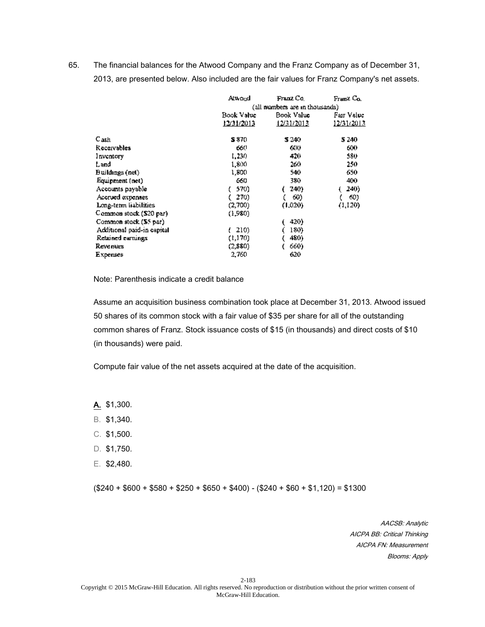65. The financial balances for the Atwood Company and the Franz Company as of December 31, 2013, are presented below. Also included are the fair values for Franz Company's net assets.

|                            | Atwond                          | Franz Co.  | Franz Co.   |
|----------------------------|---------------------------------|------------|-------------|
|                            | (all numbers are in thousands). |            |             |
|                            | Book Value                      | Book Value | Fair Value. |
|                            | 12/31/2013                      | 12/31/2013 | 12/31/2013  |
| C <sub>ash</sub>           | S 870.                          | 5 240      | 5 240       |
| Receivables                | 660                             | 600        | 600         |
| Inventory                  | 1,230                           | 420        | 580         |
| Land                       | 1,800                           | 260        | 250         |
| Buildings (net)            | 1.800                           | 540        | 650.        |
| Equipment (net)            | 660                             | 380.       | 400         |
| Accounts payable           | 570)                            | 240)       | 240)        |
| Accrued expenses           | 270)                            | 60)        | 60)         |
| Long-term liabilities      | (2,700)                         | (1,020)    | (1,120)     |
| Common stock (\$20 par)    | (1,980)                         |            |             |
| Common stock (\$5 par)     |                                 | 420)       |             |
| Additional paid-in capital | 210)                            | 180)       |             |
| Retained earnings          | (1,170)                         | 480)       |             |
| Revenues                   | (2,880)                         | 660)       |             |
| Expenses                   | 2,760                           | 620        |             |

Note: Parenthesis indicate a credit balance

Assume an acquisition business combination took place at December 31, 2013. Atwood issued 50 shares of its common stock with a fair value of \$35 per share for all of the outstanding common shares of Franz. Stock issuance costs of \$15 (in thousands) and direct costs of \$10 (in thousands) were paid.

Compute fair value of the net assets acquired at the date of the acquisition.

A. \$1,300.

- B. \$1,340.
- C. \$1,500.
- D. \$1,750.
- E. \$2,480.

 $($240 + $600 + $580 + $250 + $650 + $400) - ($240 + $60 + $1,120) = $1300$ 

AACSB: Analytic AICPA BB: Critical Thinking AICPA FN: Measurement Blooms: Apply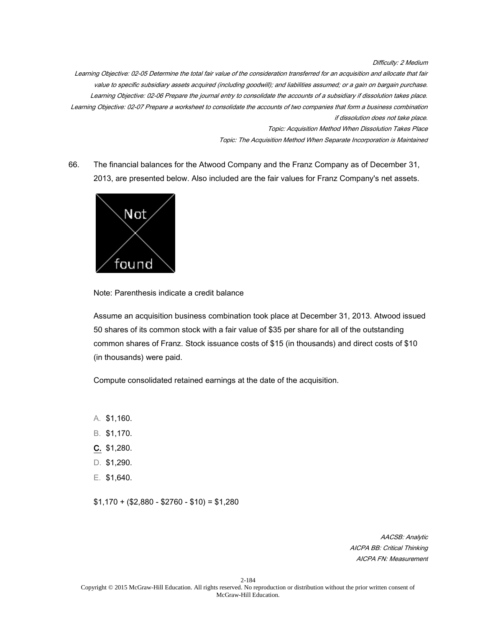Difficulty: 2 Medium

Learning Objective: 02-05 Determine the total fair value of the consideration transferred for an acquisition and allocate that fair value to specific subsidiary assets acquired (including goodwill); and liabilities assumed; or a gain on bargain purchase. Learning Objective: 02-06 Prepare the journal entry to consolidate the accounts of a subsidiary if dissolution takes place. Learning Objective: 02-07 Prepare a worksheet to consolidate the accounts of two companies that form a business combination if dissolution does not take place.

Topic: Acquisition Method When Dissolution Takes Place

Topic: The Acquisition Method When Separate Incorporation is Maintained

66. The financial balances for the Atwood Company and the Franz Company as of December 31, 2013, are presented below. Also included are the fair values for Franz Company's net assets.



Note: Parenthesis indicate a credit balance

Assume an acquisition business combination took place at December 31, 2013. Atwood issued 50 shares of its common stock with a fair value of \$35 per share for all of the outstanding common shares of Franz. Stock issuance costs of \$15 (in thousands) and direct costs of \$10 (in thousands) were paid.

Compute consolidated retained earnings at the date of the acquisition.

- A. \$1,160.
- B. \$1,170.
- C. \$1,280.
- D. \$1,290.
- E. \$1,640.

 $$1,170 + ($2,880 - $2760 - $10) = $1,280$ 

AACSB: Analytic AICPA BB: Critical Thinking AICPA FN: Measurement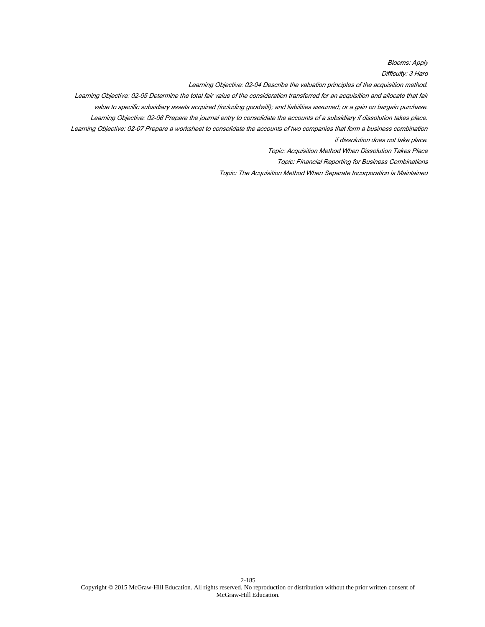Blooms: Apply

Difficulty: 3 Hard

Learning Objective: 02-04 Describe the valuation principles of the acquisition method.

Learning Objective: 02-05 Determine the total fair value of the consideration transferred for an acquisition and allocate that fair

value to specific subsidiary assets acquired (including goodwill); and liabilities assumed; or a gain on bargain purchase.

Learning Objective: 02-06 Prepare the journal entry to consolidate the accounts of a subsidiary if dissolution takes place.

Learning Objective: 02-07 Prepare a worksheet to consolidate the accounts of two companies that form a business combination if dissolution does not take place.

Topic: Acquisition Method When Dissolution Takes Place

Topic: Financial Reporting for Business Combinations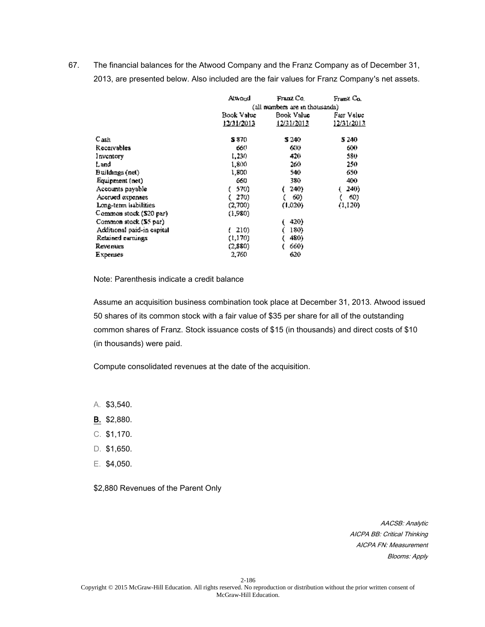67. The financial balances for the Atwood Company and the Franz Company as of December 31, 2013, are presented below. Also included are the fair values for Franz Company's net assets.

|                            | Atwond     | Franz Co.                       | Franz Co.    |  |
|----------------------------|------------|---------------------------------|--------------|--|
|                            |            | (all numbers are in thousands). |              |  |
|                            | Book Value | Book Value                      | Fair Value I |  |
|                            | 12/31/2013 | 12/31/2013                      | 12/31/2013   |  |
| C <sub>ash</sub>           | S 870.     | 5 240                           | 5 240        |  |
| Receivables                | 660        | 600                             | 600          |  |
| Inventory                  | 1,230      | 420                             | 580          |  |
| Land                       | 1,800      | 260                             | 250          |  |
| Buildings (net)            | 1,800      | 540                             | 650.         |  |
| Equipment (net)            | 660        | 380.                            | 400          |  |
| Accounts payable           | 570)       | 240)                            | 240)         |  |
| Accrued expenses           | 270)       | 60)                             | 60)          |  |
| Long-term habilities       | (2,700)    | (1,020)                         | (1,120)      |  |
| Common stock (\$20 par)    | (1,980).   |                                 |              |  |
| Common stock (\$5 par)     |            | 420)                            |              |  |
| Additional paid-in capital | 210)       | 180)                            |              |  |
| Retained earnings          | (1,170)    | 480)                            |              |  |
| Revenues                   | (2,880)    | 660)                            |              |  |
| Expenses                   | 2,760      | 620                             |              |  |

Note: Parenthesis indicate a credit balance

Assume an acquisition business combination took place at December 31, 2013. Atwood issued 50 shares of its common stock with a fair value of \$35 per share for all of the outstanding common shares of Franz. Stock issuance costs of \$15 (in thousands) and direct costs of \$10 (in thousands) were paid.

Compute consolidated revenues at the date of the acquisition.

A. \$3,540.

- B. \$2,880.
- C. \$1,170.
- D. \$1,650.
- E. \$4,050.

\$2,880 Revenues of the Parent Only

AACSB: Analytic AICPA BB: Critical Thinking AICPA FN: Measurement Blooms: Apply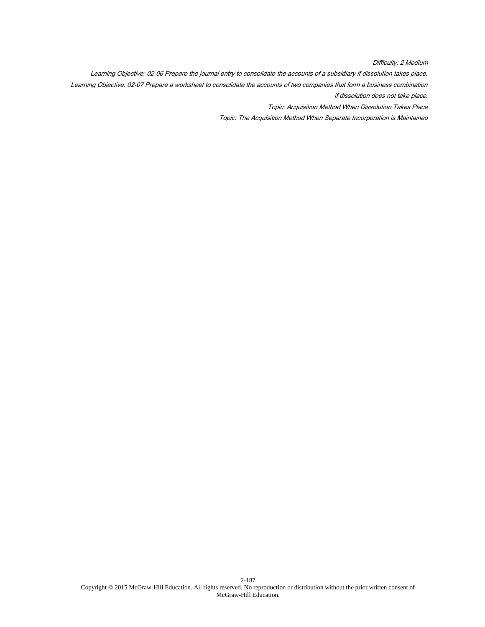Difficulty: 2 Medium

Learning Objective: 02-06 Prepare the journal entry to consolidate the accounts of a subsidiary if dissolution takes place. Learning Objective: 02-07 Prepare a worksheet to consolidate the accounts of two companies that form a business combination if dissolution does not take place.

Topic: Acquisition Method When Dissolution Takes Place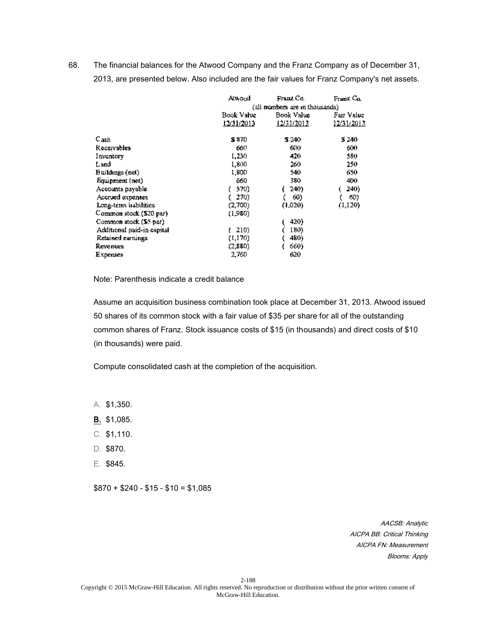68. The financial balances for the Atwood Company and the Franz Company as of December 31, 2013, are presented below. Also included are the fair values for Franz Company's net assets.

|                            | Atwond     | Franz Co.                      | Franz Co.  |  |
|----------------------------|------------|--------------------------------|------------|--|
|                            |            | (all numbers are in thousands) |            |  |
|                            | Book Value | Book Value                     | Fair Value |  |
|                            | 12/31/2013 | 12/31/2013                     | 12/31/2013 |  |
| C <sub>ash</sub>           | S 870.     | 5 240                          | 5 240      |  |
| Receivables                | 660        | 600                            | 600        |  |
| Inventory                  | 1,230      | 420                            | 580.       |  |
| Land                       | 1,800      | 260                            | 250        |  |
| Buildings (net)            | 1.800      | 540                            | 650        |  |
| Equipment (net)            | 660        | 380.                           | 400        |  |
| Accounts payable           | 570)       | 240).                          | 240)       |  |
| Accrued expenses           | 270)       | 60)                            | 60)        |  |
| Long-term habilities       | (2,700)    | (1,020)                        | (1,120)    |  |
| Common stock (\$20 par)    | (1,980)    |                                |            |  |
| Common stock (\$5 par)     |            | 420)                           |            |  |
| Additional paid-in capital | 210)       | 180)                           |            |  |
| Retained earnings          | (1,170)    | 480)                           |            |  |
| Revenues                   | (2,880)    | 660)                           |            |  |
| Expenses                   | 2,760      | 620                            |            |  |

Note: Parenthesis indicate a credit balance

Assume an acquisition business combination took place at December 31, 2013. Atwood issued 50 shares of its common stock with a fair value of \$35 per share for all of the outstanding common shares of Franz. Stock issuance costs of \$15 (in thousands) and direct costs of \$10 (in thousands) were paid.

Compute consolidated cash at the completion of the acquisition.

A. \$1,350.

- B. \$1,085.
- C. \$1,110.
- D. \$870.
- E. \$845.

 $$870 + $240 - $15 - $10 = $1,085$ 

AACSB: Analytic AICPA BB: Critical Thinking AICPA FN: Measurement Blooms: Apply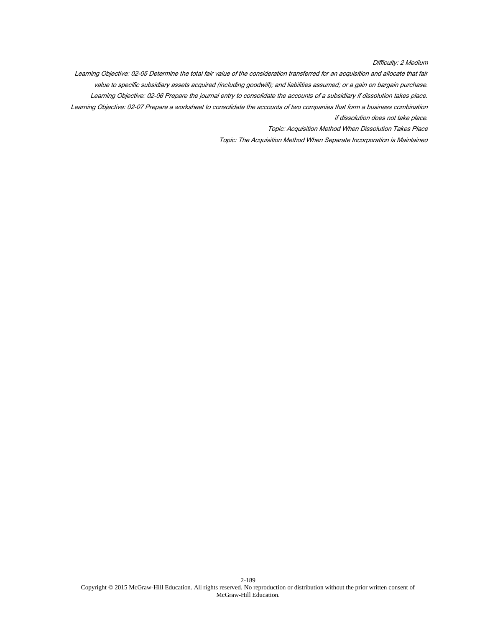Difficulty: 2 Medium

Learning Objective: 02-05 Determine the total fair value of the consideration transferred for an acquisition and allocate that fair value to specific subsidiary assets acquired (including goodwill); and liabilities assumed; or a gain on bargain purchase. Learning Objective: 02-06 Prepare the journal entry to consolidate the accounts of a subsidiary if dissolution takes place. Learning Objective: 02-07 Prepare a worksheet to consolidate the accounts of two companies that form a business combination if dissolution does not take place.

Topic: Acquisition Method When Dissolution Takes Place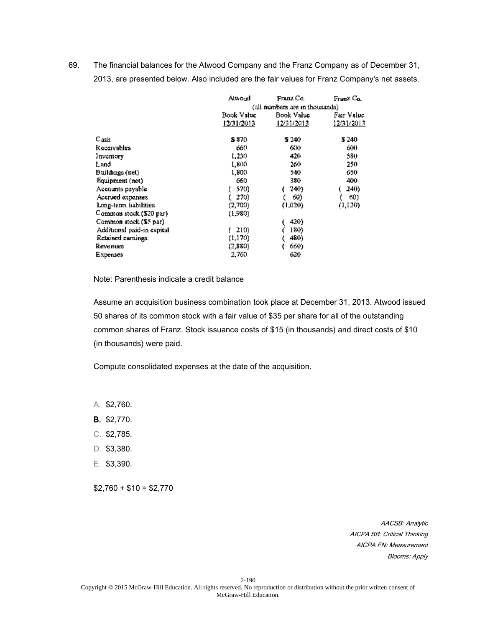69. The financial balances for the Atwood Company and the Franz Company as of December 31, 2013, are presented below. Also included are the fair values for Franz Company's net assets.

|                            | Atwond                         | Franz Co.  | Franz Co.  |
|----------------------------|--------------------------------|------------|------------|
|                            | (all numbers are in thousands) |            |            |
|                            | Book Value                     | Book Value | Fair Value |
|                            | 12/31/2013                     | 12/31/2013 | 12/31/2013 |
| Cash                       | S 870.                         | S 240      | 5 240      |
| Receivables                | 660                            | 600        | 600        |
| Inventory                  | 1,230                          | 420        | 580        |
| Land                       | 1,800                          | 260.       | 250        |
| Buildings (net)            | 1.800                          | 540        | 650        |
| Equipment (net)            | 660                            | 380.       | 400        |
| Accounts payable           | 570)                           | 240)       | 240)       |
| Accrued expenses           | 270)                           | 60)        | 60)        |
| Long-term liabilities      | (2,700)                        | (1,020)    | (1,120)    |
| Common stock (\$20 par)    | (1,980)                        |            |            |
| Common stock (\$5 par)     |                                | 420)       |            |
| Additional paid-in capital | 210)                           | 180)       |            |
| Retained earnings          | (1,170)                        | 480)       |            |
| Revenues                   | (2,880).                       | 660)       |            |
| Expenses                   | 2,760                          | 620        |            |

Note: Parenthesis indicate a credit balance

Assume an acquisition business combination took place at December 31, 2013. Atwood issued 50 shares of its common stock with a fair value of \$35 per share for all of the outstanding common shares of Franz. Stock issuance costs of \$15 (in thousands) and direct costs of \$10 (in thousands) were paid.

Compute consolidated expenses at the date of the acquisition.

A. \$2,760.

- B. \$2,770.
- C. \$2,785.
- D. \$3,380.
- E. \$3,390.

 $$2,760 + $10 = $2,770$ 

AACSB: Analytic AICPA BB: Critical Thinking AICPA FN: Measurement Blooms: Apply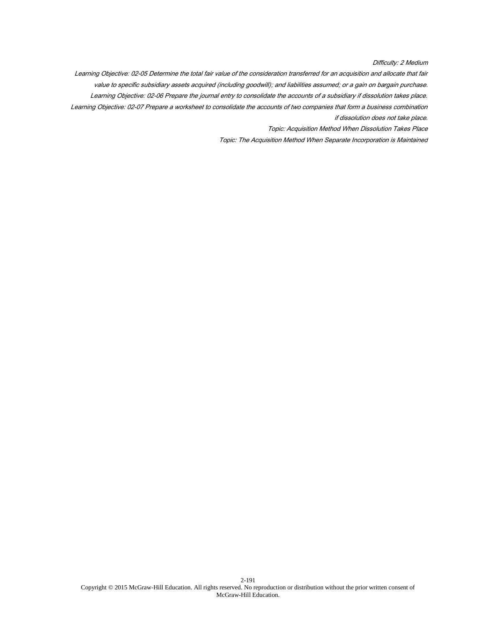Difficulty: 2 Medium

Learning Objective: 02-05 Determine the total fair value of the consideration transferred for an acquisition and allocate that fair value to specific subsidiary assets acquired (including goodwill); and liabilities assumed; or a gain on bargain purchase. Learning Objective: 02-06 Prepare the journal entry to consolidate the accounts of a subsidiary if dissolution takes place. Learning Objective: 02-07 Prepare a worksheet to consolidate the accounts of two companies that form a business combination if dissolution does not take place.

Topic: Acquisition Method When Dissolution Takes Place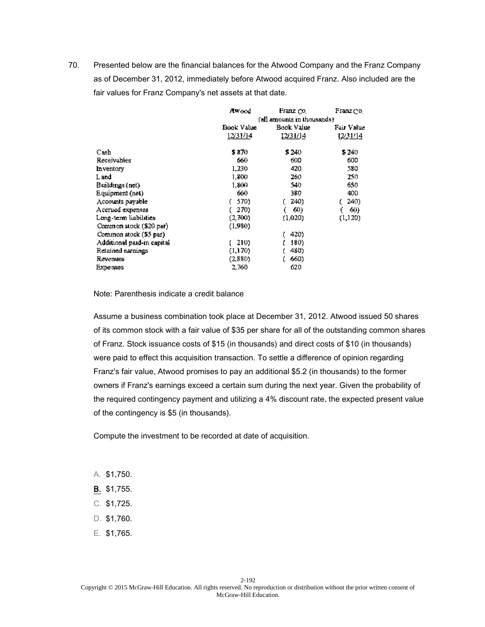|                            | Awood      | Franz Co.                   | Franz do I |  |
|----------------------------|------------|-----------------------------|------------|--|
|                            |            | (all amounts in thousands). |            |  |
|                            | Book Value | Book Value                  | Fair Value |  |
|                            | 12/31/14   | 12/31/14                    | 1231/14    |  |
| Cash                       | \$ 870     | \$240                       | \$240      |  |
| <b>Receivables</b>         | 660        | 600                         | 600        |  |
| Inventory                  | 1,230      | 420                         | 580        |  |
| L and                      | 1,800      | 260                         | 250        |  |
| Buildings (net)            | 1,800      | 540                         | 650        |  |
| Equipment (net)            | 660        | 380                         | 400        |  |
| Accounts payable           | 570)       | 240)                        | 240)       |  |
| Accrued expenses           | 270)       | 60)                         | 60)        |  |
| Long-term liabilities      | (2,700)    | (1.020)                     | (1, 120)   |  |
| Common stock (\$20 par)    | (1,980)    |                             |            |  |
| Common stock (\$5 par)     |            | 420)                        |            |  |
| Additional paid-in capital | 210)       | 180)                        |            |  |
| Retained earnings          | (1,170)    | 480)                        |            |  |
| Revenues                   | (2,880)    | 660)                        |            |  |
| <b>Expenses</b>            | 2,760      | 620                         |            |  |

Note: Parenthesis indicate a credit balance

Assume a business combination took place at December 31, 2012. Atwood issued 50 shares of its common stock with a fair value of \$35 per share for all of the outstanding common shares of Franz. Stock issuance costs of \$15 (in thousands) and direct costs of \$10 (in thousands) were paid to effect this acquisition transaction. To settle a difference of opinion regarding Franz's fair value, Atwood promises to pay an additional \$5.2 (in thousands) to the former owners if Franz's earnings exceed a certain sum during the next year. Given the probability of the required contingency payment and utilizing a 4% discount rate, the expected present value of the contingency is \$5 (in thousands).

Compute the investment to be recorded at date of acquisition.

- A. \$1,750.
- B. \$1,755.
- C. \$1,725.
- D. \$1,760.
- E. \$1,765.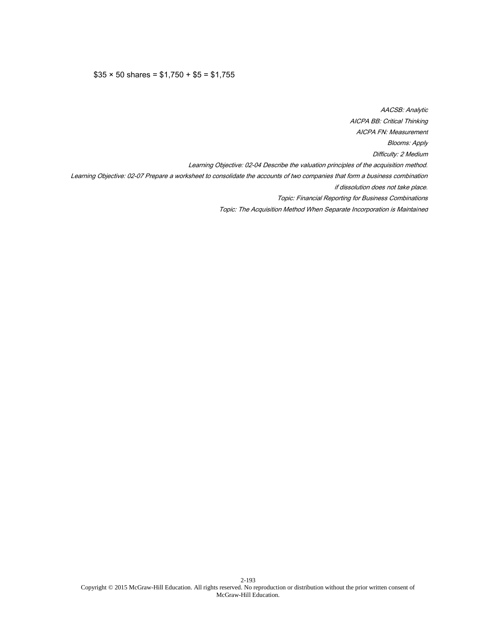# $$35 \times 50 \text{ shares} = $1,750 + $5 = $1,755$

AACSB: Analytic AICPA BB: Critical Thinking AICPA FN: Measurement Blooms: Apply Difficulty: 2 Medium Learning Objective: 02-04 Describe the valuation principles of the acquisition method. Learning Objective: 02-07 Prepare a worksheet to consolidate the accounts of two companies that form a business combination if dissolution does not take place. Topic: Financial Reporting for Business Combinations Topic: The Acquisition Method When Separate Incorporation is Maintained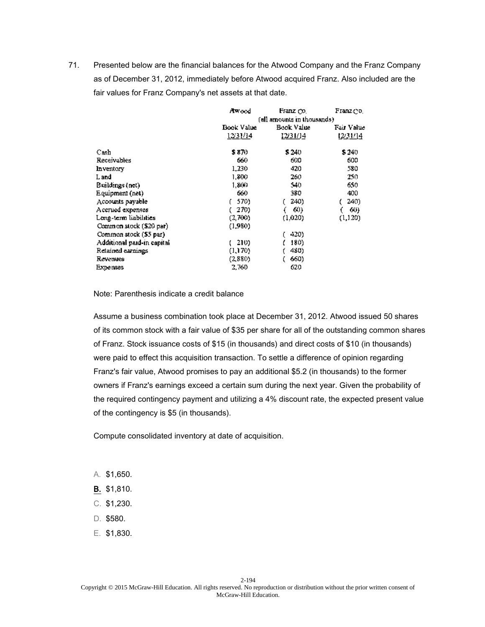|                            | Awood            | Franz Co.                   | Franz do I |  |
|----------------------------|------------------|-----------------------------|------------|--|
|                            |                  | (all amounts in thousands). |            |  |
|                            | Book Value       | Book Value                  | Fair Value |  |
|                            | <u> 12/31/14</u> | 12/31/14                    | 1231/14    |  |
| Cash                       | \$ 870           | \$240                       | \$240      |  |
| <b>Receivables</b>         | 660              | 600                         | 600        |  |
| Inventory                  | 1,230            | 420                         | 580        |  |
| L and                      | 1,800            | 260                         | 250.       |  |
| Buildings (net)            | 1,800            | 540                         | 650        |  |
| Equipment (net)            | 660              | 380                         | 400        |  |
| Accounts payable           | 570)             | 240)                        | 240)       |  |
| Accrued expenses           | 270)             | 60)                         | 60)        |  |
| Long-term liabilities      | (2,700)          | (1.020)                     | (1,120)    |  |
| Common stock (\$20 par)    | (1,980)          |                             |            |  |
| Common stock (\$5 par)     |                  | 420)                        |            |  |
| Additional paid-in capital | 210)             | 180)                        |            |  |
| Retained earnings          | (1,170)          | 480)                        |            |  |
| Revenues                   | (2,880)          | 660)                        |            |  |
| <b>Expenses</b>            | 2,760            | 620                         |            |  |

Note: Parenthesis indicate a credit balance

Assume a business combination took place at December 31, 2012. Atwood issued 50 shares of its common stock with a fair value of \$35 per share for all of the outstanding common shares of Franz. Stock issuance costs of \$15 (in thousands) and direct costs of \$10 (in thousands) were paid to effect this acquisition transaction. To settle a difference of opinion regarding Franz's fair value, Atwood promises to pay an additional \$5.2 (in thousands) to the former owners if Franz's earnings exceed a certain sum during the next year. Given the probability of the required contingency payment and utilizing a 4% discount rate, the expected present value of the contingency is \$5 (in thousands).

Compute consolidated inventory at date of acquisition.

- A. \$1,650.
- B. \$1,810.
- C. \$1,230.
- D. \$580.
- E. \$1,830.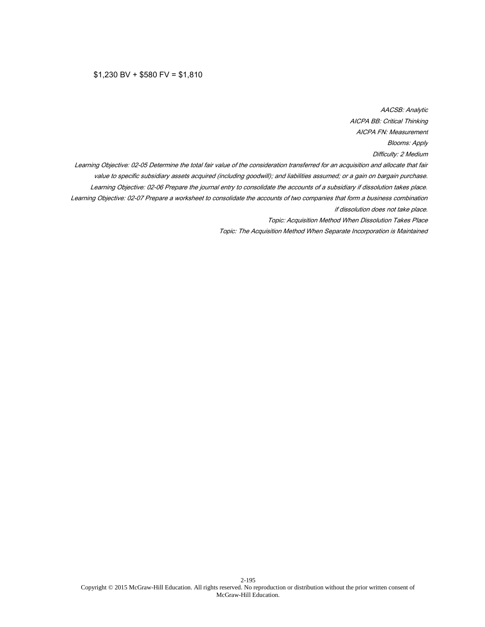#### $$1,230$  BV +  $$580$  FV =  $$1,810$

AACSB: Analytic AICPA BB: Critical Thinking AICPA FN: Measurement Blooms: Apply Difficulty: 2 Medium Learning Objective: 02-05 Determine the total fair value of the consideration transferred for an acquisition and allocate that fair value to specific subsidiary assets acquired (including goodwill); and liabilities assumed; or a gain on bargain purchase. Learning Objective: 02-06 Prepare the journal entry to consolidate the accounts of a subsidiary if dissolution takes place. Learning Objective: 02-07 Prepare a worksheet to consolidate the accounts of two companies that form a business combination if dissolution does not take place. Topic: Acquisition Method When Dissolution Takes Place Topic: The Acquisition Method When Separate Incorporation is Maintained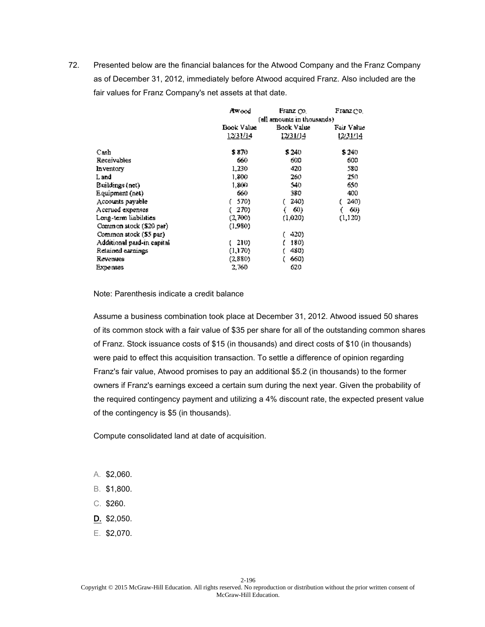|                            | Awood            | Franz Co.                   | Franz do I |  |
|----------------------------|------------------|-----------------------------|------------|--|
|                            |                  | (all amounts in thousands). |            |  |
|                            | Book Value       | Book Value                  | Fair Value |  |
|                            | <u> 12/31/14</u> | <u>12/31/14</u>             | 12231/14   |  |
| Cash                       | \$ 870           | \$240                       | \$240      |  |
| Receivables                | 660              | 600                         | 600        |  |
| Inventory                  | 1,230            | 420                         | 580        |  |
| L and                      | 1,800            | 260                         | 250        |  |
| Buildings (net)            | 1,800            | 540                         | 650        |  |
| Equipment (net)            | 660              | 380                         | 400        |  |
| Accounts payable           | 570)             | 240)                        | 240)       |  |
| Accrued expenses           | 270)             | 60)                         | 60)        |  |
| Long-term liabilities      | (2,700)          | (1.020)                     | (1,120)    |  |
| Common stock (\$20 par)    | (1.980)          |                             |            |  |
| Common stock (\$5 par)     |                  | 420)                        |            |  |
| Additional paid-in capital | 210)             | 180)                        |            |  |
| Retained earnings          | (1,170)          | 480)                        |            |  |
| Revenues                   | (2,880)          | 660)                        |            |  |
| <b>Expenses</b>            | 2,760            | 620                         |            |  |

Note: Parenthesis indicate a credit balance

Assume a business combination took place at December 31, 2012. Atwood issued 50 shares of its common stock with a fair value of \$35 per share for all of the outstanding common shares of Franz. Stock issuance costs of \$15 (in thousands) and direct costs of \$10 (in thousands) were paid to effect this acquisition transaction. To settle a difference of opinion regarding Franz's fair value, Atwood promises to pay an additional \$5.2 (in thousands) to the former owners if Franz's earnings exceed a certain sum during the next year. Given the probability of the required contingency payment and utilizing a 4% discount rate, the expected present value of the contingency is \$5 (in thousands).

Compute consolidated land at date of acquisition.

- A. \$2,060.
- B. \$1,800.
- C. \$260.
- D. \$2,050.
- E. \$2,070.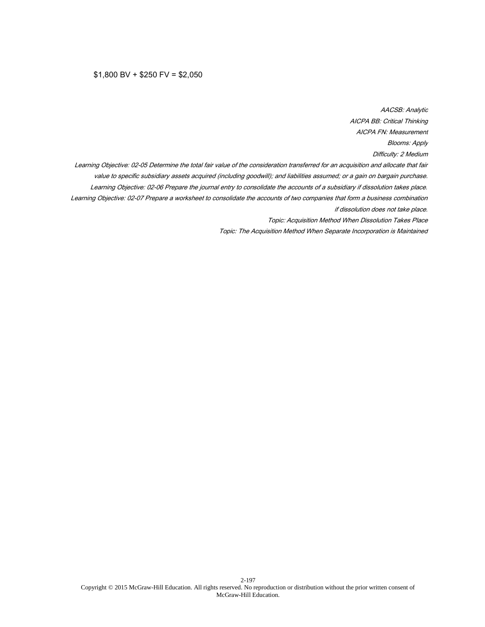#### $$1,800$  BV +  $$250$  FV =  $$2,050$

AACSB: Analytic AICPA BB: Critical Thinking AICPA FN: Measurement Blooms: Apply Difficulty: 2 Medium Learning Objective: 02-05 Determine the total fair value of the consideration transferred for an acquisition and allocate that fair value to specific subsidiary assets acquired (including goodwill); and liabilities assumed; or a gain on bargain purchase. Learning Objective: 02-06 Prepare the journal entry to consolidate the accounts of a subsidiary if dissolution takes place. Learning Objective: 02-07 Prepare a worksheet to consolidate the accounts of two companies that form a business combination if dissolution does not take place. Topic: Acquisition Method When Dissolution Takes Place Topic: The Acquisition Method When Separate Incorporation is Maintained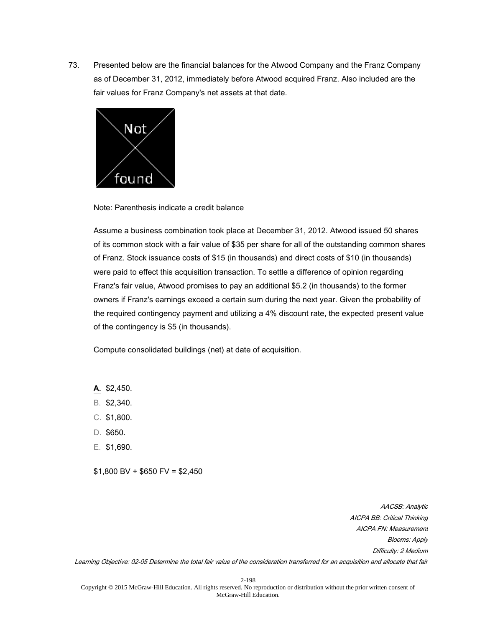

Note: Parenthesis indicate a credit balance

Assume a business combination took place at December 31, 2012. Atwood issued 50 shares of its common stock with a fair value of \$35 per share for all of the outstanding common shares of Franz. Stock issuance costs of \$15 (in thousands) and direct costs of \$10 (in thousands) were paid to effect this acquisition transaction. To settle a difference of opinion regarding Franz's fair value, Atwood promises to pay an additional \$5.2 (in thousands) to the former owners if Franz's earnings exceed a certain sum during the next year. Given the probability of the required contingency payment and utilizing a 4% discount rate, the expected present value of the contingency is \$5 (in thousands).

Compute consolidated buildings (net) at date of acquisition.

- A. \$2,450.
- B. \$2,340.
- C. \$1,800.
- D. \$650.
- E. \$1,690.

 $$1,800$  BV +  $$650$  FV =  $$2,450$ 

AACSB: Analytic AICPA BB: Critical Thinking AICPA FN: Measurement Blooms: Apply Difficulty: 2 Medium

Learning Objective: 02-05 Determine the total fair value of the consideration transferred for an acquisition and allocate that fair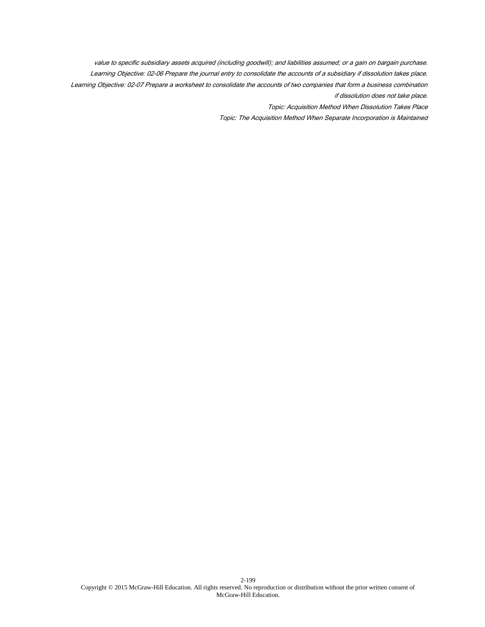value to specific subsidiary assets acquired (including goodwill); and liabilities assumed; or a gain on bargain purchase. Learning Objective: 02-06 Prepare the journal entry to consolidate the accounts of a subsidiary if dissolution takes place. Learning Objective: 02-07 Prepare a worksheet to consolidate the accounts of two companies that form a business combination if dissolution does not take place.

Topic: Acquisition Method When Dissolution Takes Place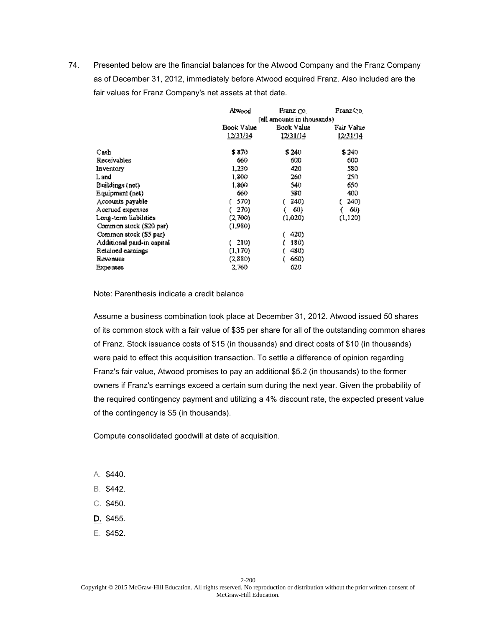|                            | Alwood     | Franz Co.                   | Franz Co.  |  |
|----------------------------|------------|-----------------------------|------------|--|
|                            |            | (all amounts in thousands). |            |  |
|                            | Book Value | Book Value                  | Fair Value |  |
|                            | 12/31/14   | 12/31/14                    | 12/31/14   |  |
| Cash                       | \$ 870     | \$240                       | \$240      |  |
| Receivables                | 660        | 600                         | 600        |  |
| Inventory                  | 1,230      | 420                         | 580        |  |
| L and                      | 1,800      | 260                         | 250        |  |
| Buildings (net)            | 1.800      | 540                         | 650        |  |
| Equipment (net)            | 660        | 380                         | 400        |  |
| Accounts payable           | 570)       | 240)                        | 240)       |  |
| Accrued expenses           | 270)       | 60)                         | 60)        |  |
| Long-term liabilities      | (2,700)    | (1.020)                     | (1,120)    |  |
| Common stock (\$20 par)    | (1,980)    |                             |            |  |
| Common stock (\$5 par)     |            | 420)                        |            |  |
| Additional paid-in capital | 210)       | 180)                        |            |  |
| Retained earnings          | (1,170)    | 480)                        |            |  |
| Revenues                   | (2,880)    | 660)                        |            |  |
| <b>Expenses</b>            | 2,760      | 620                         |            |  |

Note: Parenthesis indicate a credit balance

Assume a business combination took place at December 31, 2012. Atwood issued 50 shares of its common stock with a fair value of \$35 per share for all of the outstanding common shares of Franz. Stock issuance costs of \$15 (in thousands) and direct costs of \$10 (in thousands) were paid to effect this acquisition transaction. To settle a difference of opinion regarding Franz's fair value, Atwood promises to pay an additional \$5.2 (in thousands) to the former owners if Franz's earnings exceed a certain sum during the next year. Given the probability of the required contingency payment and utilizing a 4% discount rate, the expected present value of the contingency is \$5 (in thousands).

Compute consolidated goodwill at date of acquisition.

- A. \$440.
- B. \$442.
- C. \$450.
- D. \$455.
- E. \$452.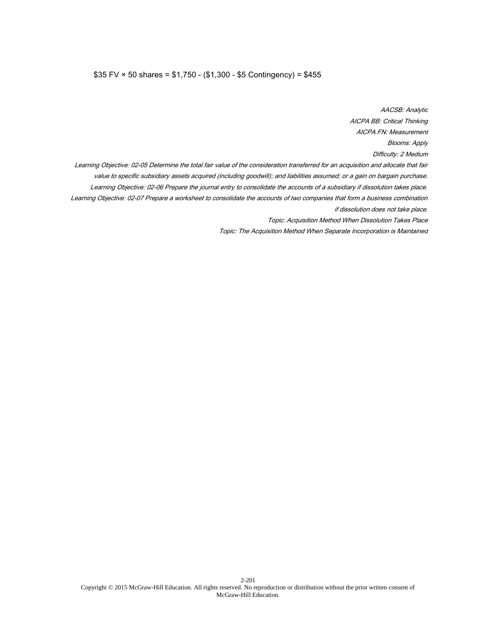## \$35 FV × 50 shares = \$1,750 - (\$1,300 - \$5 Contingency) = \$455

AACSB: Analytic AICPA BB: Critical Thinking AICPA FN: Measurement Blooms: Apply Difficulty: 2 Medium Learning Objective: 02-05 Determine the total fair value of the consideration transferred for an acquisition and allocate that fair value to specific subsidiary assets acquired (including goodwill); and liabilities assumed; or a gain on bargain purchase. Learning Objective: 02-06 Prepare the journal entry to consolidate the accounts of a subsidiary if dissolution takes place. Learning Objective: 02-07 Prepare a worksheet to consolidate the accounts of two companies that form a business combination if dissolution does not take place. Topic: Acquisition Method When Dissolution Takes Place Topic: The Acquisition Method When Separate Incorporation is Maintained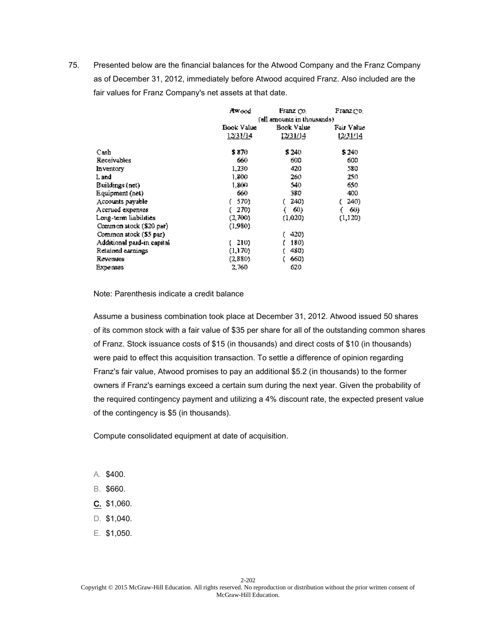|                            | Awood                       | Franz Co.  | Franz do I |
|----------------------------|-----------------------------|------------|------------|
|                            | (all amounts in thousands). |            |            |
|                            | Book Value                  | Book Value | Fair Value |
|                            | 12/31/14                    | 12/31/14   | 1231/14    |
| Cash                       | \$ 870                      | \$240      | \$240      |
| Receivables                | 660                         | 600        | 600        |
| Inventory                  | 1,230                       | 420        | 580        |
| L and                      | 1,800                       | 260        | 250        |
| Buildings (net)            | 1,800                       | 540        | 650        |
| Equipment (net)            | 660                         | 380        | 400        |
| Accounts payable           | 570)                        | 240)       | 240)       |
| Accrued expenses           | 270)                        | 60)        | 60)        |
| Long-term liabilities      | (2,700)                     | (1.020)    | (1,120)    |
| Common stock (\$20 par)    | (1,980)                     |            |            |
| Common stock (\$5 par)     |                             | 420)       |            |
| Additional paid-in capital | 210)                        | 180)       |            |
| Retained earnings          | (1,170)                     | 480)       |            |
| Revenues                   | (2,880)                     | 660)       |            |
| <b>Expenses</b>            | 2,760                       | 620        |            |

Note: Parenthesis indicate a credit balance

Assume a business combination took place at December 31, 2012. Atwood issued 50 shares of its common stock with a fair value of \$35 per share for all of the outstanding common shares of Franz. Stock issuance costs of \$15 (in thousands) and direct costs of \$10 (in thousands) were paid to effect this acquisition transaction. To settle a difference of opinion regarding Franz's fair value, Atwood promises to pay an additional \$5.2 (in thousands) to the former owners if Franz's earnings exceed a certain sum during the next year. Given the probability of the required contingency payment and utilizing a 4% discount rate, the expected present value of the contingency is \$5 (in thousands).

Compute consolidated equipment at date of acquisition.

- A. \$400.
- B. \$660.
- C. \$1,060.
- D. \$1,040.
- E. \$1,050.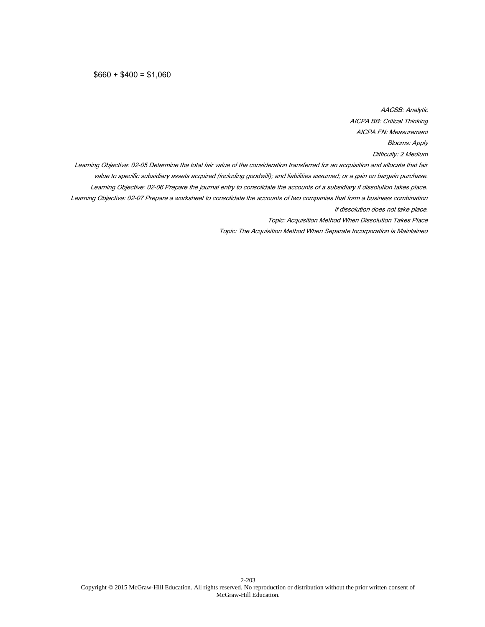$$660 + $400 = $1,060$ 

AACSB: Analytic AICPA BB: Critical Thinking AICPA FN: Measurement Blooms: Apply Difficulty: 2 Medium Learning Objective: 02-05 Determine the total fair value of the consideration transferred for an acquisition and allocate that fair value to specific subsidiary assets acquired (including goodwill); and liabilities assumed; or a gain on bargain purchase. Learning Objective: 02-06 Prepare the journal entry to consolidate the accounts of a subsidiary if dissolution takes place. Learning Objective: 02-07 Prepare a worksheet to consolidate the accounts of two companies that form a business combination if dissolution does not take place. Topic: Acquisition Method When Dissolution Takes Place Topic: The Acquisition Method When Separate Incorporation is Maintained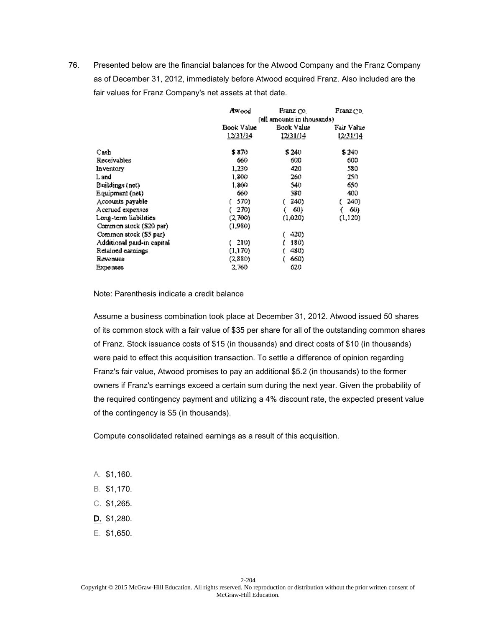|                            | Awood                       | Franz Co.  | Franz do I |
|----------------------------|-----------------------------|------------|------------|
|                            | (all amounts in thousands). |            |            |
|                            | Book Value                  | Book Value | Fair Value |
|                            | 12/31/14                    | 12/31/14   | 1231/14    |
| Cash                       | \$ 870                      | \$240      | \$240      |
| Receivables                | 660                         | 600        | 600        |
| Inventory                  | 1,230                       | 420        | 580        |
| L and                      | 1,800                       | 260        | 250        |
| Buildings (net)            | 1,800                       | 540        | 650        |
| Equipment (net)            | 660                         | 380        | 400        |
| Accounts payable           | 570)                        | 240)       | 240)       |
| Accrued expenses           | 270)                        | 60)        | 60)        |
| Long-term liabilities      | (2,700)                     | (1.020)    | (1,120)    |
| Common stock (\$20 par)    | (1,980)                     |            |            |
| Common stock (\$5 par)     |                             | 420)       |            |
| Additional paid-in capital | 210)                        | 180)       |            |
| Retained earnings          | (1,170)                     | 480)       |            |
| Revenues                   | (2,880)                     | 660)       |            |
| <b>Expenses</b>            | 2,760                       | 620        |            |

Note: Parenthesis indicate a credit balance

Assume a business combination took place at December 31, 2012. Atwood issued 50 shares of its common stock with a fair value of \$35 per share for all of the outstanding common shares of Franz. Stock issuance costs of \$15 (in thousands) and direct costs of \$10 (in thousands) were paid to effect this acquisition transaction. To settle a difference of opinion regarding Franz's fair value, Atwood promises to pay an additional \$5.2 (in thousands) to the former owners if Franz's earnings exceed a certain sum during the next year. Given the probability of the required contingency payment and utilizing a 4% discount rate, the expected present value of the contingency is \$5 (in thousands).

Compute consolidated retained earnings as a result of this acquisition.

- A. \$1,160.
- B. \$1,170.
- C. \$1,265.
- D. \$1,280.
- E. \$1,650.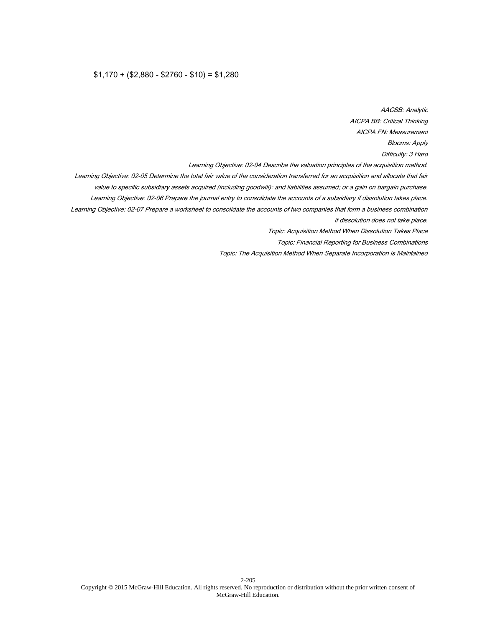## $$1,170 + ($2,880 - $2760 - $10) = $1,280$

AACSB: Analytic AICPA BB: Critical Thinking AICPA FN: Measurement Blooms: Apply Difficulty: 3 Hard Learning Objective: 02-04 Describe the valuation principles of the acquisition method. Learning Objective: 02-05 Determine the total fair value of the consideration transferred for an acquisition and allocate that fair value to specific subsidiary assets acquired (including goodwill); and liabilities assumed; or a gain on bargain purchase. Learning Objective: 02-06 Prepare the journal entry to consolidate the accounts of a subsidiary if dissolution takes place. Learning Objective: 02-07 Prepare a worksheet to consolidate the accounts of two companies that form a business combination if dissolution does not take place. Topic: Acquisition Method When Dissolution Takes Place Topic: Financial Reporting for Business Combinations Topic: The Acquisition Method When Separate Incorporation is Maintained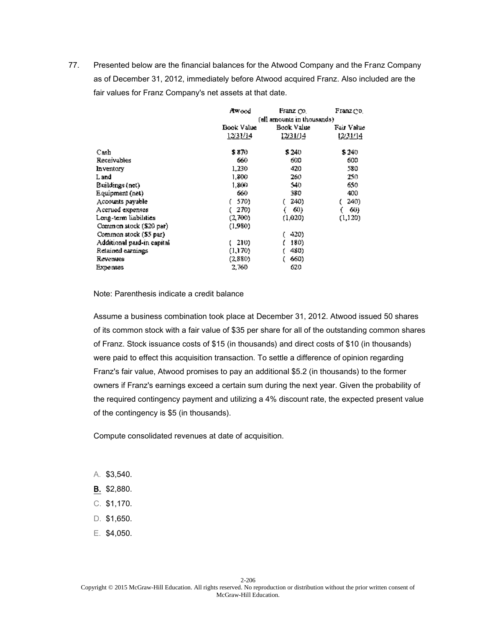|                            | Awood            | Franz co.                  | Franz do I |  |
|----------------------------|------------------|----------------------------|------------|--|
|                            |                  | (all amounts in thousands) |            |  |
|                            | Book Value       | Book Value                 | Fair Value |  |
|                            | <u> 12/31/14</u> | <u>12/31/14</u>            | 12231/14   |  |
| Cash                       | \$ 870           | \$240                      | \$240      |  |
| Receivables                | 660              | 600                        | 600        |  |
| Inventory                  | 1,230            | 420                        | 580        |  |
| L and                      | 1,800            | 260                        | 250.       |  |
| Buildings (net)            | 1,800            | 540                        | 650        |  |
| Equipment (net)            | 660              | 380                        | 400        |  |
| Accounts payable           | 570)             | 240)                       | 240)       |  |
| Accrued expenses           | 270)             | 60)                        | 60)        |  |
| Long-term liabilities      | (2,700)          | (1.020)                    | (1,120)    |  |
| Common stock (\$20 par)    | (1,980)          |                            |            |  |
| Common stock (\$5 par)     |                  | 420)                       |            |  |
| Additional paid-in capital | 210)             | 180)                       |            |  |
| Retained earnings          | (1,170)          | 480)                       |            |  |
| Revenues                   | (2,880)          | 660)                       |            |  |
| <b>Expenses</b>            | 2,760            | 620                        |            |  |

Note: Parenthesis indicate a credit balance

Assume a business combination took place at December 31, 2012. Atwood issued 50 shares of its common stock with a fair value of \$35 per share for all of the outstanding common shares of Franz. Stock issuance costs of \$15 (in thousands) and direct costs of \$10 (in thousands) were paid to effect this acquisition transaction. To settle a difference of opinion regarding Franz's fair value, Atwood promises to pay an additional \$5.2 (in thousands) to the former owners if Franz's earnings exceed a certain sum during the next year. Given the probability of the required contingency payment and utilizing a 4% discount rate, the expected present value of the contingency is \$5 (in thousands).

Compute consolidated revenues at date of acquisition.

- A. \$3,540.
- B. \$2,880.
- C. \$1,170.
- D. \$1,650.
- E. \$4,050.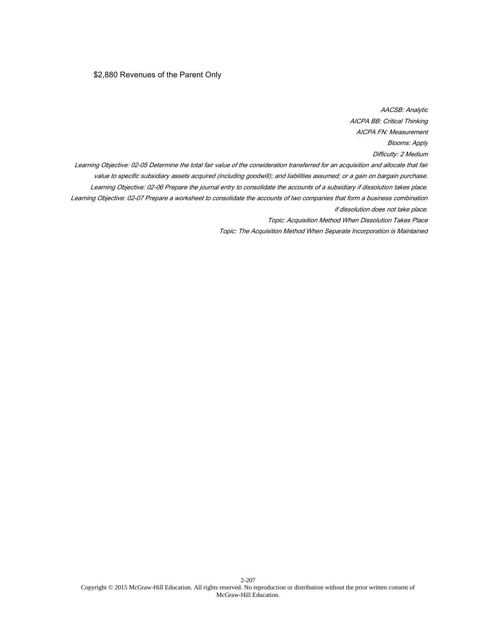# \$2,880 Revenues of the Parent Only

AACSB: Analytic AICPA BB: Critical Thinking AICPA FN: Measurement Blooms: Apply Difficulty: 2 Medium Learning Objective: 02-05 Determine the total fair value of the consideration transferred for an acquisition and allocate that fair value to specific subsidiary assets acquired (including goodwill); and liabilities assumed; or a gain on bargain purchase. Learning Objective: 02-06 Prepare the journal entry to consolidate the accounts of a subsidiary if dissolution takes place. Learning Objective: 02-07 Prepare a worksheet to consolidate the accounts of two companies that form a business combination if dissolution does not take place. Topic: Acquisition Method When Dissolution Takes Place Topic: The Acquisition Method When Separate Incorporation is Maintained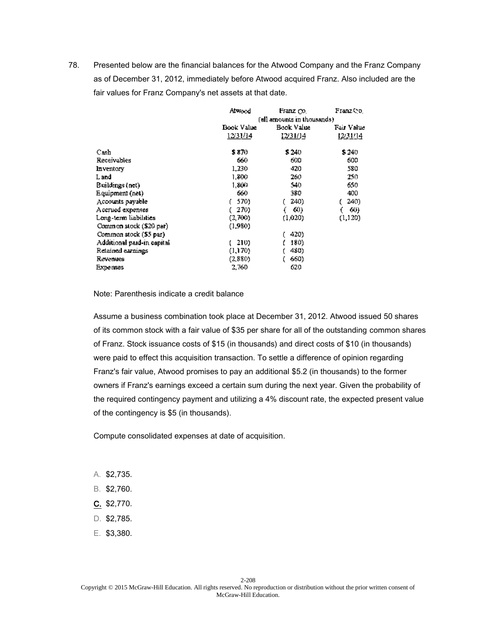|                            | Alwood                      | Franz Co.  | Franz Co.  |
|----------------------------|-----------------------------|------------|------------|
|                            | (all amounts in thousands). |            |            |
|                            | Book Value                  | Book Value | Fair Value |
|                            | 12/31/14                    | 12/31/14   | 12/31/14   |
| Cash                       | \$ 870                      | \$240      | \$240      |
| Receivables                | 660                         | 600        | 600        |
| Inventory                  | 1,230                       | 420        | 580        |
| L and                      | 1,800                       | 260        | 250        |
| Buildings (net)            | 1.800                       | 540        | 650        |
| Equipment (net)            | 660                         | 380        | 400        |
| Accounts payable           | 570)                        | 240)       | 240)       |
| Accrued expenses           | 270)                        | 60)        | 60)        |
| Long-term liabilities      | (2,700)                     | (1.020)    | (1,120)    |
| Common stock (\$20 par)    | (1,980)                     |            |            |
| Common stock (\$5 par)     |                             | 420)       |            |
| Additional paid-in capital | 210)                        | 180)       |            |
| Retained earnings          | (1,170)                     | 480)       |            |
| Revenues                   | (2,880)                     | 660)       |            |
| <b>Expenses</b>            | 2,760                       | 620        |            |

Note: Parenthesis indicate a credit balance

Assume a business combination took place at December 31, 2012. Atwood issued 50 shares of its common stock with a fair value of \$35 per share for all of the outstanding common shares of Franz. Stock issuance costs of \$15 (in thousands) and direct costs of \$10 (in thousands) were paid to effect this acquisition transaction. To settle a difference of opinion regarding Franz's fair value, Atwood promises to pay an additional \$5.2 (in thousands) to the former owners if Franz's earnings exceed a certain sum during the next year. Given the probability of the required contingency payment and utilizing a 4% discount rate, the expected present value of the contingency is \$5 (in thousands).

Compute consolidated expenses at date of acquisition.

- A. \$2,735.
- B. \$2,760.
- C. \$2,770.
- D. \$2,785.
- E. \$3,380.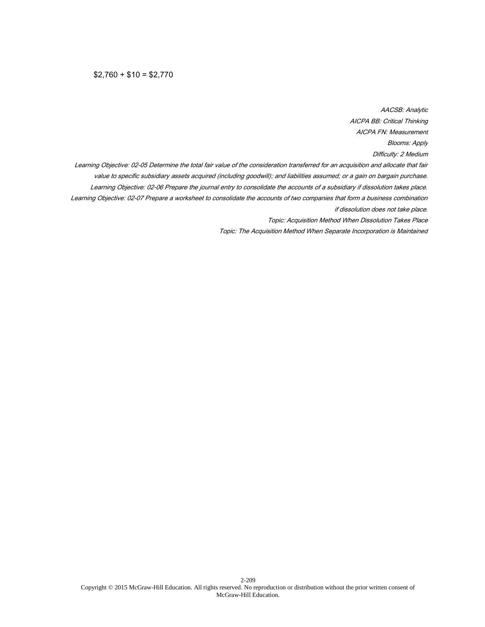$$2,760 + $10 = $2,770$ 

AACSB: Analytic AICPA BB: Critical Thinking AICPA FN: Measurement Blooms: Apply Difficulty: 2 Medium Learning Objective: 02-05 Determine the total fair value of the consideration transferred for an acquisition and allocate that fair value to specific subsidiary assets acquired (including goodwill); and liabilities assumed; or a gain on bargain purchase. Learning Objective: 02-06 Prepare the journal entry to consolidate the accounts of a subsidiary if dissolution takes place. Learning Objective: 02-07 Prepare a worksheet to consolidate the accounts of two companies that form a business combination if dissolution does not take place. Topic: Acquisition Method When Dissolution Takes Place Topic: The Acquisition Method When Separate Incorporation is Maintained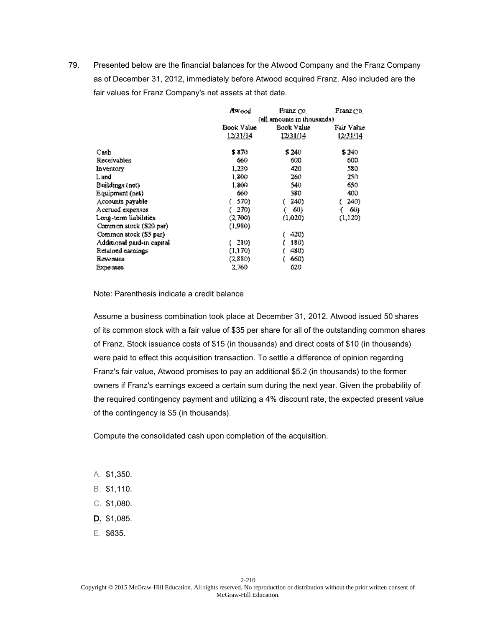|                            | Awood                       | Franz Co.  | Franz dol  |
|----------------------------|-----------------------------|------------|------------|
|                            | (all amounts in thousands). |            |            |
|                            | Book Value                  | Book Value | Fair Value |
|                            | 12/31/14                    | 12/31/14   | 1231/14    |
| Cash                       | \$ 870                      | \$240      | \$240      |
| Receivables                | 660                         | 600        | 600        |
| Inventory                  | 1,230                       | 420        | 580        |
| L and                      | 1,800                       | 260        | 250        |
| Buildings (net)            | 1.800                       | 540        | 650        |
| Equipment (net)            | 660                         | 380        | 400        |
| Accounts payable           | 570)                        | 240)       | 240)       |
| Accrued expenses           | 270)                        | 60)        | 60)        |
| Long-term liabilities      | (2,700)                     | (1.020)    | (1,120)    |
| Common stock (\$20 par)    | (1,980)                     |            |            |
| Common stock (\$5 par)     |                             | 420)       |            |
| Additional paid-in capital | 210)                        | 180)       |            |
| Retained earnings          | (1,170)                     | 480)       |            |
| Revenues                   | (2,880)                     | 660)       |            |
| <b>Expenses</b>            | 2,760                       | 620        |            |

Note: Parenthesis indicate a credit balance

Assume a business combination took place at December 31, 2012. Atwood issued 50 shares of its common stock with a fair value of \$35 per share for all of the outstanding common shares of Franz. Stock issuance costs of \$15 (in thousands) and direct costs of \$10 (in thousands) were paid to effect this acquisition transaction. To settle a difference of opinion regarding Franz's fair value, Atwood promises to pay an additional \$5.2 (in thousands) to the former owners if Franz's earnings exceed a certain sum during the next year. Given the probability of the required contingency payment and utilizing a 4% discount rate, the expected present value of the contingency is \$5 (in thousands).

Compute the consolidated cash upon completion of the acquisition.

- A. \$1,350.
- B. \$1,110.
- C. \$1,080.
- D. \$1,085.
- E. \$635.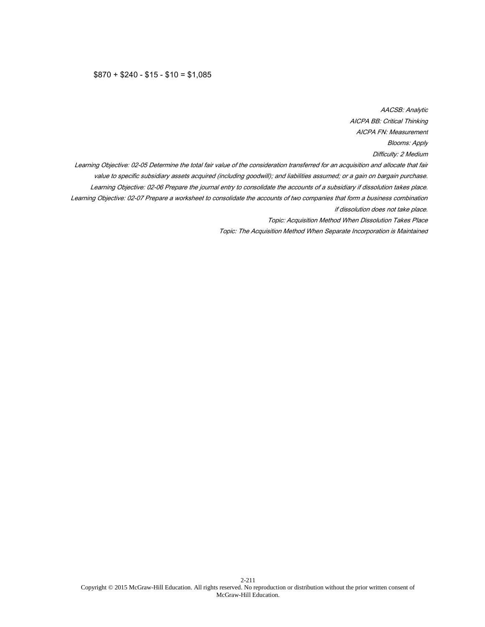# $$870 + $240 - $15 - $10 = $1,085$

AACSB: Analytic AICPA BB: Critical Thinking AICPA FN: Measurement Blooms: Apply Difficulty: 2 Medium Learning Objective: 02-05 Determine the total fair value of the consideration transferred for an acquisition and allocate that fair value to specific subsidiary assets acquired (including goodwill); and liabilities assumed; or a gain on bargain purchase. Learning Objective: 02-06 Prepare the journal entry to consolidate the accounts of a subsidiary if dissolution takes place. Learning Objective: 02-07 Prepare a worksheet to consolidate the accounts of two companies that form a business combination if dissolution does not take place. Topic: Acquisition Method When Dissolution Takes Place Topic: The Acquisition Method When Separate Incorporation is Maintained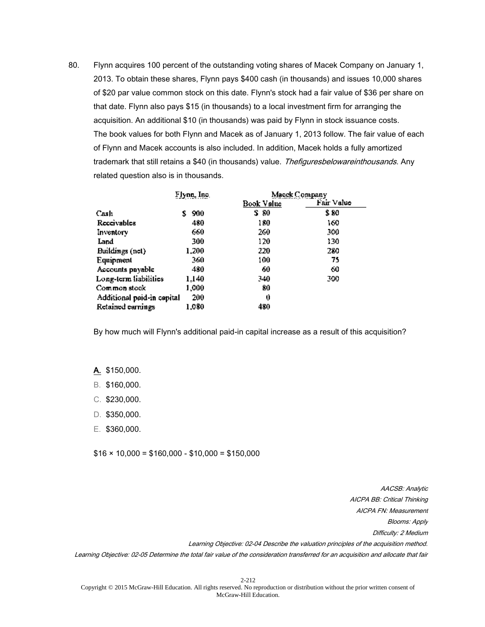80. Flynn acquires 100 percent of the outstanding voting shares of Macek Company on January 1, 2013. To obtain these shares, Flynn pays \$400 cash (in thousands) and issues 10,000 shares of \$20 par value common stock on this date. Flynn's stock had a fair value of \$36 per share on that date. Flynn also pays \$15 (in thousands) to a local investment firm for arranging the acquisition. An additional \$10 (in thousands) was paid by Flynn in stock issuance costs. The book values for both Flynn and Macek as of January 1, 2013 follow. The fair value of each of Flynn and Macek accounts is also included. In addition, Macek holds a fully amortized trademark that still retains a \$40 (in thousands) value. Thefiguresbelowareinthousands. Any related question also is in thousands.

|                            | Flynn, Inc. |            | Macek Company |
|----------------------------|-------------|------------|---------------|
|                            |             | Book Value | Fair Value    |
| Cash                       | 900<br>s.   | S 80       | \$ 80         |
| Receivables                | 480         | 180        | 160           |
| Inventory                  | 660         | 260        | 500           |
| Land                       | 300         | 120        | 130           |
| Buildings (not)            | 1.200       | 220        | 280           |
| Equipment                  | 360         | 100        | 75            |
| Accounts pnyable           | 480         | 60         | 60            |
| Long-term liabilities      | 1.140       | 340        | 300           |
| Common stock               | 1,000       | 80         |               |
| Additional paid-in cepital | 200         | 0          |               |
| Retained earnings          | 1,080       | 480        |               |

By how much will Flynn's additional paid-in capital increase as a result of this acquisition?

A. \$150,000.

- B. \$160,000.
- C. \$230,000.
- D. \$350,000.
- E. \$360,000.

 $$16 \times 10,000 = $160,000 - $10,000 = $150,000$ 

AACSB: Analytic AICPA BB: Critical Thinking AICPA FN: Measurement Blooms: Apply Difficulty: 2 Medium Learning Objective: 02-04 Describe the valuation principles of the acquisition method. Learning Objective: 02-05 Determine the total fair value of the consideration transferred for an acquisition and allocate that fair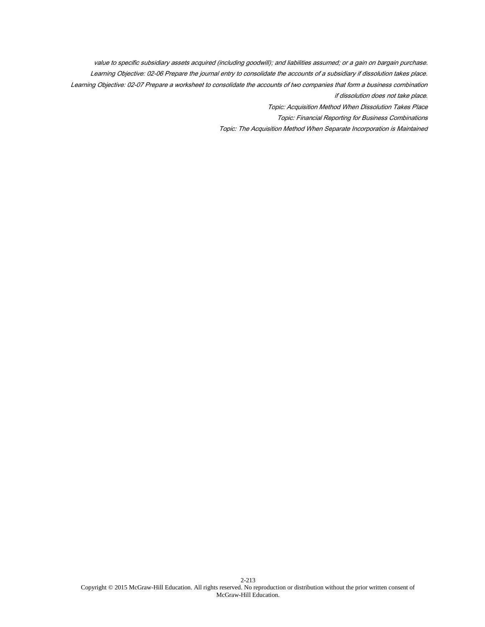value to specific subsidiary assets acquired (including goodwill); and liabilities assumed; or a gain on bargain purchase. Learning Objective: 02-06 Prepare the journal entry to consolidate the accounts of a subsidiary if dissolution takes place. Learning Objective: 02-07 Prepare a worksheet to consolidate the accounts of two companies that form a business combination if dissolution does not take place.

Topic: Acquisition Method When Dissolution Takes Place

Topic: Financial Reporting for Business Combinations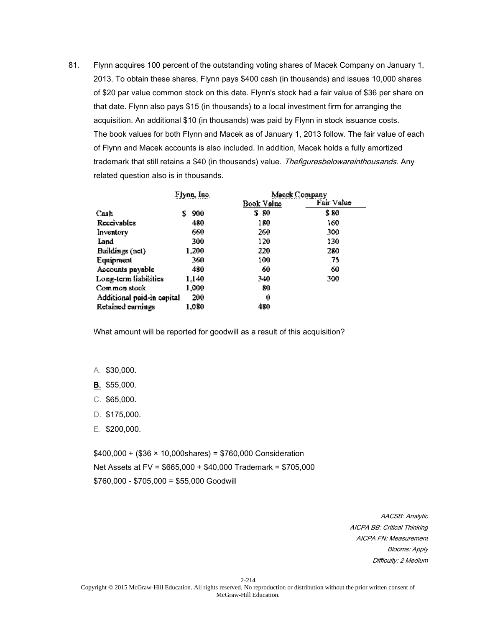81. Flynn acquires 100 percent of the outstanding voting shares of Macek Company on January 1, 2013. To obtain these shares, Flynn pays \$400 cash (in thousands) and issues 10,000 shares of \$20 par value common stock on this date. Flynn's stock had a fair value of \$36 per share on that date. Flynn also pays \$15 (in thousands) to a local investment firm for arranging the acquisition. An additional \$10 (in thousands) was paid by Flynn in stock issuance costs. The book values for both Flynn and Macek as of January 1, 2013 follow. The fair value of each of Flynn and Macek accounts is also included. In addition, Macek holds a fully amortized trademark that still retains a \$40 (in thousands) value. Thefiguresbelowareinthousands. Any related question also is in thousands.

|                            | Flynn, Inc. |            | Macek Company |
|----------------------------|-------------|------------|---------------|
|                            |             | Book Value | Fair Value    |
| Cash                       | 900<br>s    | S 80       | \$ 80         |
| Receivables                | 480         | 180        | 160           |
| Inventory                  | 660         | 260        | 500           |
| Land                       | 300         | 120        | 130           |
| Buildings (not)            | 1.200       | 220        | 280           |
| Equipment                  | 360         | 100        | 75            |
| Accounts pnyable           | 480         | 60         | 60            |
| Long-term liabilities      | 1,140       | 340        | 300           |
| Common stock               | 1,000       | 80         |               |
| Additional paid-in cepital | 200         | 0          |               |
| Retained earnings          | 1,080       | 480        |               |

What amount will be reported for goodwill as a result of this acquisition?

A. \$30,000.

B. \$55,000.

- C. \$65,000.
- D. \$175,000.
- E. \$200,000.

 $$400,000 + ($36 \times 10,000$ shares) = \$760,000 Consideration Net Assets at FV = \$665,000 + \$40,000 Trademark = \$705,000 \$760,000 - \$705,000 = \$55,000 Goodwill

> AACSB: Analytic AICPA BB: Critical Thinking AICPA FN: Measurement Blooms: Apply Difficulty: 2 Medium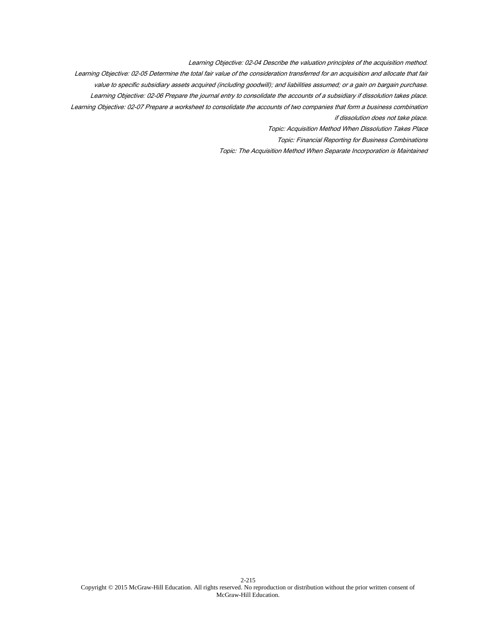Learning Objective: 02-04 Describe the valuation principles of the acquisition method. Learning Objective: 02-05 Determine the total fair value of the consideration transferred for an acquisition and allocate that fair value to specific subsidiary assets acquired (including goodwill); and liabilities assumed; or a gain on bargain purchase. Learning Objective: 02-06 Prepare the journal entry to consolidate the accounts of a subsidiary if dissolution takes place. Learning Objective: 02-07 Prepare a worksheet to consolidate the accounts of two companies that form a business combination if dissolution does not take place. Topic: Acquisition Method When Dissolution Takes Place

Topic: Financial Reporting for Business Combinations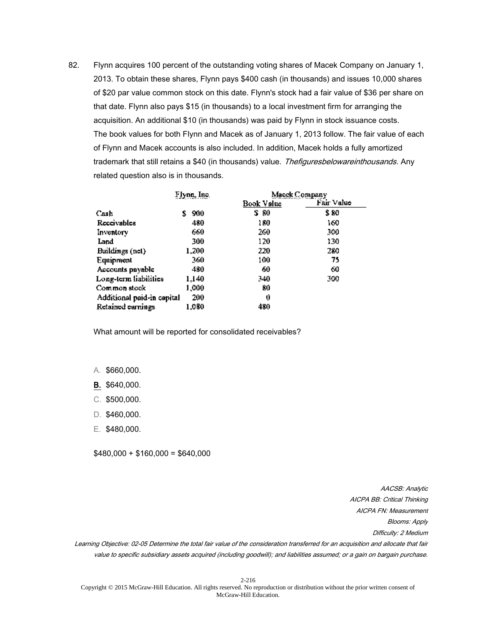82. Flynn acquires 100 percent of the outstanding voting shares of Macek Company on January 1, 2013. To obtain these shares, Flynn pays \$400 cash (in thousands) and issues 10,000 shares of \$20 par value common stock on this date. Flynn's stock had a fair value of \$36 per share on that date. Flynn also pays \$15 (in thousands) to a local investment firm for arranging the acquisition. An additional \$10 (in thousands) was paid by Flynn in stock issuance costs. The book values for both Flynn and Macek as of January 1, 2013 follow. The fair value of each of Flynn and Macek accounts is also included. In addition, Macek holds a fully amortized trademark that still retains a \$40 (in thousands) value. Thefiguresbelowareinthousands. Any related question also is in thousands.

|                            | Flynn, Inc. |            | Macek Company |
|----------------------------|-------------|------------|---------------|
|                            |             | Book Value | Fair Value    |
| Cash                       | 900<br>s    | S 80       | \$ 80         |
| Receivables                | 480         | 180        | 160           |
| Inventory                  | 660         | 260        | 500           |
| Land                       | 300         | 120        | 130           |
| Buildings (not)            | 1.200       | 220        | 280           |
| Equipment                  | 360         | 100        | 75            |
| Accounts pnyable           | 480         | 60         | 60            |
| Long-term liabilities      | 1.140       | 340        | 300           |
| Common stock               | 1,000       | 80         |               |
| Additional paid-in capital | 200         | 0          |               |
| Retained earnings          | 1.080       | 480        |               |

What amount will be reported for consolidated receivables?

- A. \$660,000.
- B. \$640,000.
- C. \$500,000.
- D. \$460,000.
- E. \$480,000.

 $$480,000 + $160,000 = $640,000$ 

AACSB: Analytic AICPA BB: Critical Thinking AICPA FN: Measurement Blooms: Apply Difficulty: 2 Medium

Learning Objective: 02-05 Determine the total fair value of the consideration transferred for an acquisition and allocate that fair value to specific subsidiary assets acquired (including goodwill); and liabilities assumed; or a gain on bargain purchase.

2-216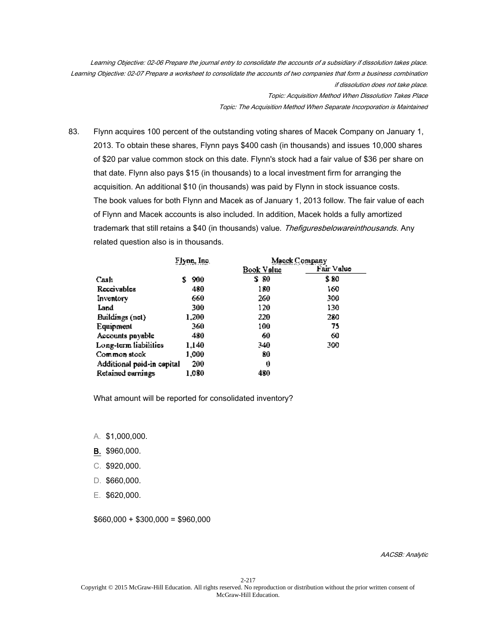Learning Objective: 02-06 Prepare the journal entry to consolidate the accounts of a subsidiary if dissolution takes place. Learning Objective: 02-07 Prepare a worksheet to consolidate the accounts of two companies that form a business combination if dissolution does not take place. Topic: Acquisition Method When Dissolution Takes Place

Topic: The Acquisition Method When Separate Incorporation is Maintained

83. Flynn acquires 100 percent of the outstanding voting shares of Macek Company on January 1, 2013. To obtain these shares, Flynn pays \$400 cash (in thousands) and issues 10,000 shares of \$20 par value common stock on this date. Flynn's stock had a fair value of \$36 per share on that date. Flynn also pays \$15 (in thousands) to a local investment firm for arranging the acquisition. An additional \$10 (in thousands) was paid by Flynn in stock issuance costs. The book values for both Flynn and Macek as of January 1, 2013 follow. The fair value of each of Flynn and Macek accounts is also included. In addition, Macek holds a fully amortized trademark that still retains a \$40 (in thousands) value. Thefiguresbelowareinthousands. Any related question also is in thousands.

|                            | Flynn, Inc. | Macek Company |            |
|----------------------------|-------------|---------------|------------|
|                            |             | Book Value    | Fair Value |
| Cash                       | 900<br>s    | S 80          | \$ 80      |
| Receivables                | 480         | 180           | 160        |
| Inventory                  | 660         | 260.          | 500        |
| Land                       | 300         | 120           | 130        |
| Buildings (net)            | 1.200       | 220           | 280        |
| Equipment                  | 360         | 100           | 75         |
| Accounts pnyable           | 480         | 60            | 60         |
| Long-term liabilities      | 1.140       | 340           | 300        |
| Common stock               | 1,000       | 80            |            |
| Additional paid-in capital | 200         | 0             |            |
| Retained earnings          | 1,080       | 480           |            |

What amount will be reported for consolidated inventory?

- A. \$1,000,000.
- B. \$960,000.
- C. \$920,000.
- D. \$660,000.
- E. \$620,000.

 $$660,000 + $300,000 = $960,000$ 

AACSB: Analytic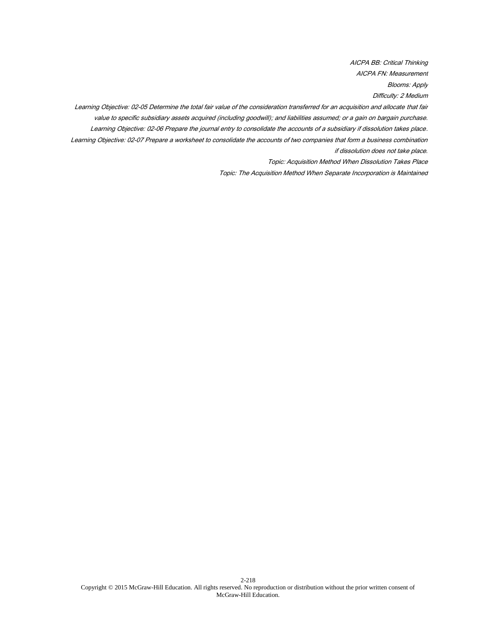AICPA BB: Critical Thinking AICPA FN: Measurement Blooms: Apply Difficulty: 2 Medium

Learning Objective: 02-05 Determine the total fair value of the consideration transferred for an acquisition and allocate that fair value to specific subsidiary assets acquired (including goodwill); and liabilities assumed; or a gain on bargain purchase. Learning Objective: 02-06 Prepare the journal entry to consolidate the accounts of a subsidiary if dissolution takes place. Learning Objective: 02-07 Prepare a worksheet to consolidate the accounts of two companies that form a business combination if dissolution does not take place.

Topic: Acquisition Method When Dissolution Takes Place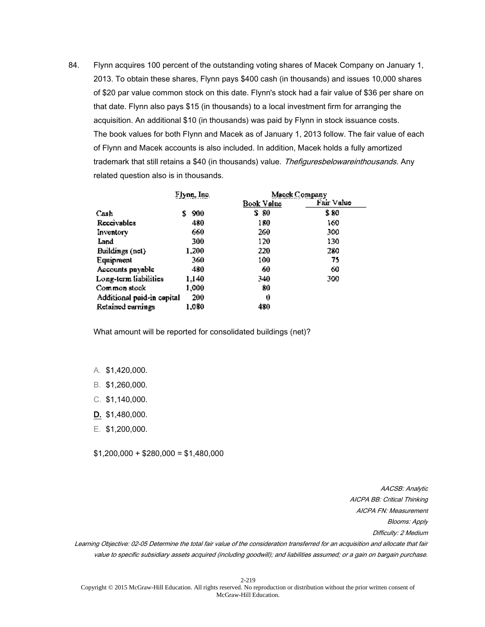84. Flynn acquires 100 percent of the outstanding voting shares of Macek Company on January 1, 2013. To obtain these shares, Flynn pays \$400 cash (in thousands) and issues 10,000 shares of \$20 par value common stock on this date. Flynn's stock had a fair value of \$36 per share on that date. Flynn also pays \$15 (in thousands) to a local investment firm for arranging the acquisition. An additional \$10 (in thousands) was paid by Flynn in stock issuance costs. The book values for both Flynn and Macek as of January 1, 2013 follow. The fair value of each of Flynn and Macek accounts is also included. In addition, Macek holds a fully amortized trademark that still retains a \$40 (in thousands) value. Thefiguresbelowareinthousands. Any related question also is in thousands.

|                            | Flynn, Inc. | Macek Company |            |
|----------------------------|-------------|---------------|------------|
|                            |             | Book Value    | Fair Value |
| Cash                       | 900<br>s    | S 80          | \$ 80      |
| Receivables                | 480         | 180           | 160        |
| Inventory                  | 660         | 260           | 500        |
| Land                       | 300         | 120           | 130        |
| Buildings (not)            | 1.200       | 220           | 280        |
| Equipment                  | 360         | 100           | 75         |
| Accounts pnyable           | 480         | 60            | 60         |
| Long-term liabilities      | 1.140       | 340           | 300        |
| Common stock               | 1,000       | 80            |            |
| Additional paid-in capital | 200         | 0             |            |
| Retained earnings          | 1,080       | 480           |            |

What amount will be reported for consolidated buildings (net)?

- A. \$1,420,000.
- B. \$1,260,000.
- C. \$1,140,000.
- D. \$1,480,000.
- E. \$1,200,000.

 $$1,200,000 + $280,000 = $1,480,000$ 

AACSB: Analytic AICPA BB: Critical Thinking AICPA FN: Measurement Blooms: Apply Difficulty: 2 Medium

Learning Objective: 02-05 Determine the total fair value of the consideration transferred for an acquisition and allocate that fair value to specific subsidiary assets acquired (including goodwill); and liabilities assumed; or a gain on bargain purchase.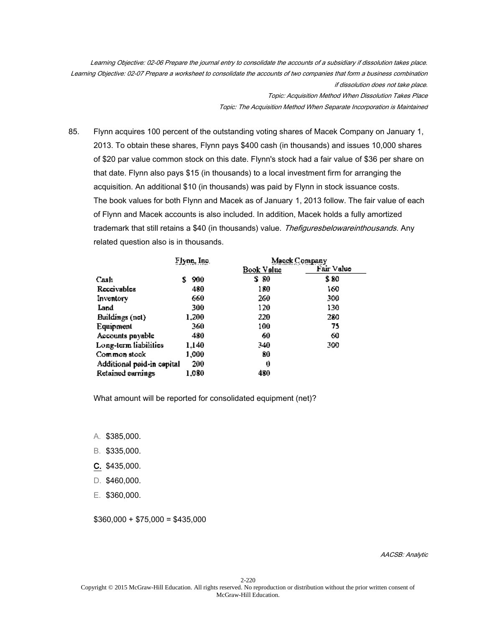Learning Objective: 02-06 Prepare the journal entry to consolidate the accounts of a subsidiary if dissolution takes place. Learning Objective: 02-07 Prepare a worksheet to consolidate the accounts of two companies that form a business combination if dissolution does not take place. Topic: Acquisition Method When Dissolution Takes Place Topic: The Acquisition Method When Separate Incorporation is Maintained

85. Flynn acquires 100 percent of the outstanding voting shares of Macek Company on January 1, 2013. To obtain these shares, Flynn pays \$400 cash (in thousands) and issues 10,000 shares of \$20 par value common stock on this date. Flynn's stock had a fair value of \$36 per share on that date. Flynn also pays \$15 (in thousands) to a local investment firm for arranging the acquisition. An additional \$10 (in thousands) was paid by Flynn in stock issuance costs. The book values for both Flynn and Macek as of January 1, 2013 follow. The fair value of each of Flynn and Macek accounts is also included. In addition, Macek holds a fully amortized trademark that still retains a \$40 (in thousands) value. Thefiguresbelowareinthousands. Any related question also is in thousands.

|                            | Flynn, Inc. | Macek Company |            |
|----------------------------|-------------|---------------|------------|
|                            |             | Book Value    | Fair Value |
| Cash                       | 900<br>S    | S 80          | \$ 80      |
| Receivables                | 480         | 180           | 160        |
| Inventory                  | 660         | 260.          | 500        |
| Land                       | 300         | 120           | 130        |
| Buildings (net)            | 1.200       | 220           | 280        |
| Equipment                  | 360.        | 100           | 75         |
| Accounts pnyable           | 480         | 60            | 60         |
| Long-term liabilities      | 1.140       | 340           | 300        |
| Common stock               | 1,000       | 80            |            |
| Additional paid-in capital | 200         | 0             |            |
| Retained earnings          | 1.080       | 480           |            |

What amount will be reported for consolidated equipment (net)?

- A. \$385,000.
- B. \$335,000.
- C. \$435,000.
- D. \$460,000.
- E. \$360,000.

 $$360,000 + $75,000 = $435,000$ 

AACSB: Analytic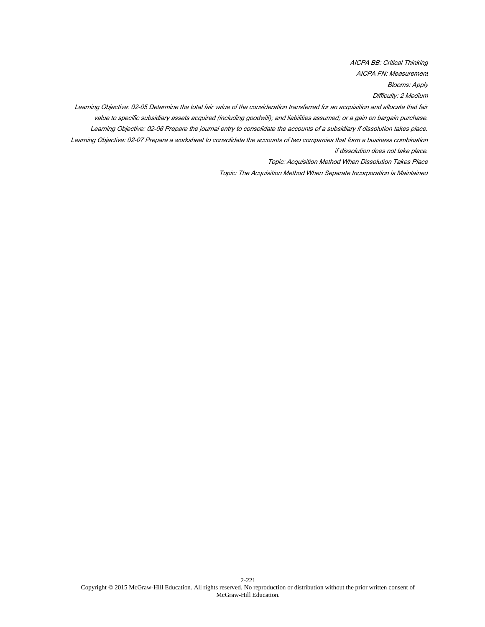AICPA BB: Critical Thinking AICPA FN: Measurement Blooms: Apply Difficulty: 2 Medium

Learning Objective: 02-05 Determine the total fair value of the consideration transferred for an acquisition and allocate that fair value to specific subsidiary assets acquired (including goodwill); and liabilities assumed; or a gain on bargain purchase. Learning Objective: 02-06 Prepare the journal entry to consolidate the accounts of a subsidiary if dissolution takes place. Learning Objective: 02-07 Prepare a worksheet to consolidate the accounts of two companies that form a business combination if dissolution does not take place.

Topic: Acquisition Method When Dissolution Takes Place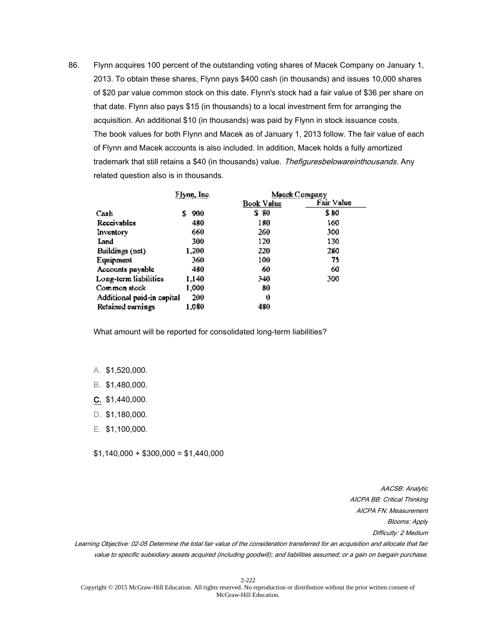86. Flynn acquires 100 percent of the outstanding voting shares of Macek Company on January 1, 2013. To obtain these shares, Flynn pays \$400 cash (in thousands) and issues 10,000 shares of \$20 par value common stock on this date. Flynn's stock had a fair value of \$36 per share on that date. Flynn also pays \$15 (in thousands) to a local investment firm for arranging the acquisition. An additional \$10 (in thousands) was paid by Flynn in stock issuance costs. The book values for both Flynn and Macek as of January 1, 2013 follow. The fair value of each of Flynn and Macek accounts is also included. In addition, Macek holds a fully amortized trademark that still retains a \$40 (in thousands) value. Thefiguresbelowareinthousands. Any related question also is in thousands.

|                            | Flynn, Inc. | Macek Company |            |
|----------------------------|-------------|---------------|------------|
|                            |             | Book Value    | Fair Value |
| Cash                       | 900<br>S    | S 80          | \$ 80      |
| Receivables                | 480         | 180           | 160        |
| Inventory                  | 660         | 260.          | 500        |
| Land                       | 300         | 120           | 130        |
| Buildings (net)            | 1.200       | 220           | 280        |
| Equipment                  | 360         | 100           | 75         |
| Accounts payable           | 480         | 60            | 60         |
| Long-term liabilities      | 1.140       | 340           | 300        |
| Common stock               | 1,000       | 80            |            |
| Additional paid-in capital | 200         | 0             |            |
| Retained earnings          | 1,080       | 480           |            |

What amount will be reported for consolidated long-term liabilities?

- A. \$1,520,000.
- B. \$1,480,000.
- C. \$1,440,000.
- D. \$1,180,000.
- E. \$1,100,000.

 $$1,140,000 + $300,000 = $1,440,000$ 

AACSB: Analytic AICPA BB: Critical Thinking AICPA FN: Measurement Blooms: Apply Difficulty: 2 Medium

Learning Objective: 02-05 Determine the total fair value of the consideration transferred for an acquisition and allocate that fair value to specific subsidiary assets acquired (including goodwill); and liabilities assumed; or a gain on bargain purchase.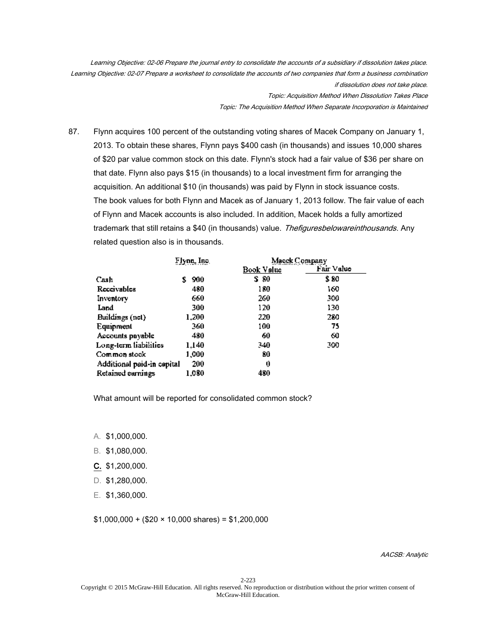Learning Objective: 02-06 Prepare the journal entry to consolidate the accounts of a subsidiary if dissolution takes place. Learning Objective: 02-07 Prepare a worksheet to consolidate the accounts of two companies that form a business combination if dissolution does not take place. Topic: Acquisition Method When Dissolution Takes Place Topic: The Acquisition Method When Separate Incorporation is Maintained

87. Flynn acquires 100 percent of the outstanding voting shares of Macek Company on January 1, 2013. To obtain these shares, Flynn pays \$400 cash (in thousands) and issues 10,000 shares of \$20 par value common stock on this date. Flynn's stock had a fair value of \$36 per share on that date. Flynn also pays \$15 (in thousands) to a local investment firm for arranging the acquisition. An additional \$10 (in thousands) was paid by Flynn in stock issuance costs. The book values for both Flynn and Macek as of January 1, 2013 follow. The fair value of each of Flynn and Macek accounts is also included. In addition, Macek holds a fully amortized trademark that still retains a \$40 (in thousands) value. Thefiguresbelowareinthousands. Any related question also is in thousands.

|                            | Flynn, Inc. | Macek Company |            |
|----------------------------|-------------|---------------|------------|
|                            |             | Book Value    | Fair Value |
| Cash                       | 900<br>s    | S 80          | \$ 80      |
| Receivables                | 480         | 180           | 160        |
| Inventory                  | 660         | 260.          | 500        |
| Land                       | 300         | 120           | 130        |
| Buildings (net)            | 1.200       | 220           | 280        |
| Equipment                  | 360         | 100           | 75         |
| Accounts pnyable           | 480         | 60            | 60         |
| Long-term liabilities      | 1,140       | 340           | 300        |
| Common stock               | 1,000       | 80            |            |
| Additional paid-in cepital | 200         | 0             |            |
| Retained earnings          | 1.080       | 480           |            |

What amount will be reported for consolidated common stock?

- A. \$1,000,000.
- B. \$1,080,000.
- C. \$1,200,000.
- D. \$1,280,000.
- E. \$1,360,000.

 $$1,000,000 + ($20 \times 10,000 \text{ shares}) = $1,200,000$ 

AACSB: Analytic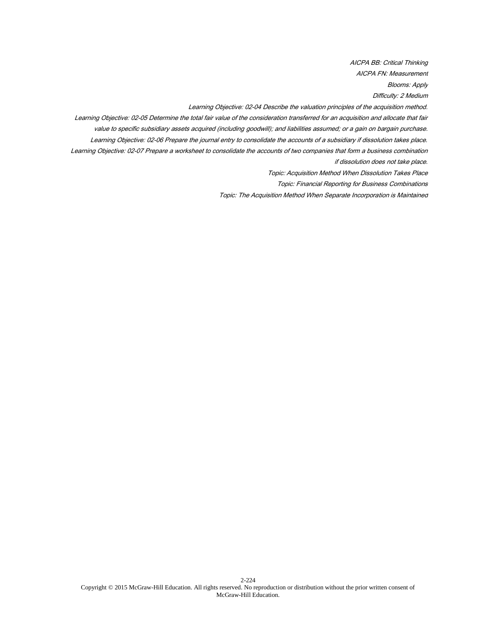AICPA BB: Critical Thinking AICPA FN: Measurement Blooms: Apply Difficulty: 2 Medium

Learning Objective: 02-04 Describe the valuation principles of the acquisition method.

Learning Objective: 02-05 Determine the total fair value of the consideration transferred for an acquisition and allocate that fair value to specific subsidiary assets acquired (including goodwill); and liabilities assumed; or a gain on bargain purchase.

Learning Objective: 02-06 Prepare the journal entry to consolidate the accounts of a subsidiary if dissolution takes place. Learning Objective: 02-07 Prepare a worksheet to consolidate the accounts of two companies that form a business combination

if dissolution does not take place.

Topic: Acquisition Method When Dissolution Takes Place

Topic: Financial Reporting for Business Combinations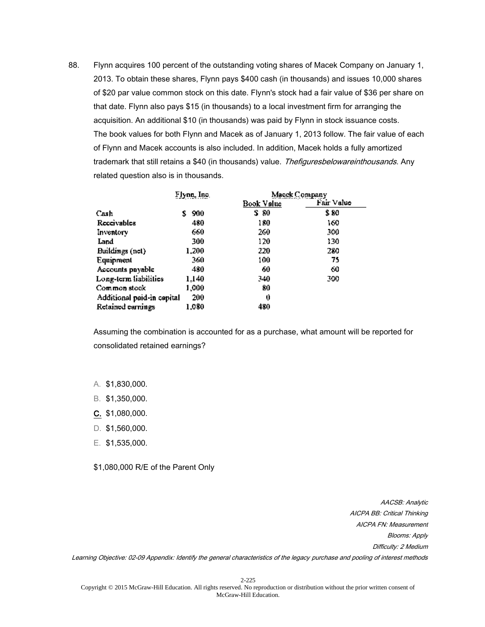88. Flynn acquires 100 percent of the outstanding voting shares of Macek Company on January 1, 2013. To obtain these shares, Flynn pays \$400 cash (in thousands) and issues 10,000 shares of \$20 par value common stock on this date. Flynn's stock had a fair value of \$36 per share on that date. Flynn also pays \$15 (in thousands) to a local investment firm for arranging the acquisition. An additional \$10 (in thousands) was paid by Flynn in stock issuance costs. The book values for both Flynn and Macek as of January 1, 2013 follow. The fair value of each of Flynn and Macek accounts is also included. In addition, Macek holds a fully amortized trademark that still retains a \$40 (in thousands) value. Thefiguresbelowareinthousands. Any related question also is in thousands.

|                            | Flynn, Inc. | Macek Company |            |
|----------------------------|-------------|---------------|------------|
|                            |             | Book Value    | Fair Value |
| Cash                       | 900<br>S.   | S 80          | \$ 80      |
| Receivables                | 480         | 180           | 160        |
| Inventory                  | 660         | 260           | 500        |
| Land                       | 300         | 120           | 130        |
| Buildings (net)            | 1.200       | 220           | 280        |
| Equipment                  | 360         | 100           | 75         |
| Accounts pnyable           | 480         | 60            | 60         |
| Long-term liabilities      | 1.140       | 340           | 300        |
| Common stock               | 1,000       | 80            |            |
| Additional paid-in capital | 200         | 0             |            |
| Retained earnings          | 1.080       | 480           |            |

Assuming the combination is accounted for as a purchase, what amount will be reported for consolidated retained earnings?

- A. \$1,830,000.
- B. \$1,350,000.
- C. \$1,080,000.
- D. \$1,560,000.
- E. \$1,535,000.

\$1,080,000 R/E of the Parent Only

AACSB: Analytic AICPA BB: Critical Thinking AICPA FN: Measurement Blooms: Apply Difficulty: 2 Medium Learning Objective: 02-09 Appendix: Identify the general characteristics of the legacy purchase and pooling of interest methods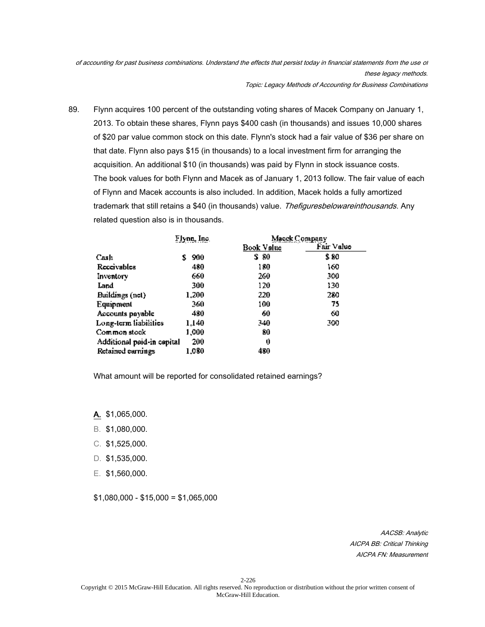of accounting for past business combinations. Understand the effects that persist today in financial statements from the use of these legacy methods. Topic: Legacy Methods of Accounting for Business Combinations

89. Flynn acquires 100 percent of the outstanding voting shares of Macek Company on January 1, 2013. To obtain these shares, Flynn pays \$400 cash (in thousands) and issues 10,000 shares of \$20 par value common stock on this date. Flynn's stock had a fair value of \$36 per share on that date. Flynn also pays \$15 (in thousands) to a local investment firm for arranging the acquisition. An additional \$10 (in thousands) was paid by Flynn in stock issuance costs. The book values for both Flynn and Macek as of January 1, 2013 follow. The fair value of each of Flynn and Macek accounts is also included. In addition, Macek holds a fully amortized trademark that still retains a \$40 (in thousands) value. Thefiguresbelowareinthousands. Any related question also is in thousands.

|                            | Flynn, Inc. | Macek Company |            |
|----------------------------|-------------|---------------|------------|
|                            |             | Book Value    | Fair Value |
| Cash                       | 900<br>S.   | S 80          | \$ 80      |
| Receivables                | 480         | 180           | 160        |
| Inventory                  | 660         | 260.          | 500        |
| Land                       | 300         | 120           | 130        |
| Buildings (net)            | 1.200       | 220           | 280        |
| Equipment                  | 360.        | 100           | 75         |
| Accounts payable           | 480         | 60            | 60         |
| Long-term liabilities      | 1.140       | 340           | 300        |
| Common stock               | 1,000       | 80            |            |
| Additional paid-in capital | 200         | 0             |            |
| Retained earnings          | 1.080       | 480           |            |

What amount will be reported for consolidated retained earnings?

- A. \$1,065,000.
- B. \$1,080,000.
- C. \$1,525,000.
- D. \$1,535,000.
- E. \$1,560,000.

\$1,080,000 - \$15,000 = \$1,065,000

AACSB: Analytic AICPA BB: Critical Thinking AICPA FN: Measurement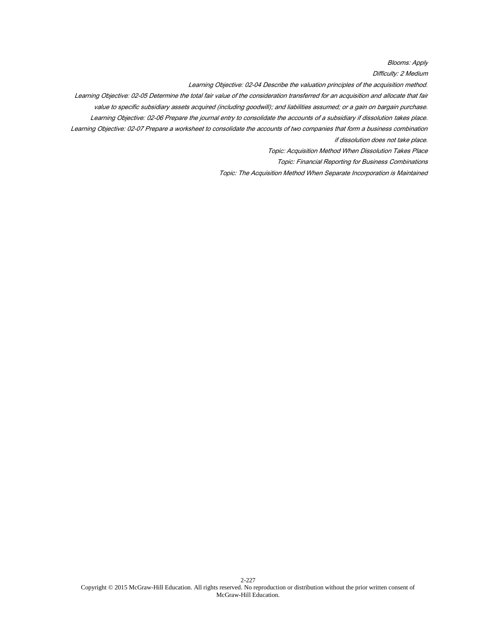Blooms: Apply

Difficulty: 2 Medium

Learning Objective: 02-04 Describe the valuation principles of the acquisition method.

Learning Objective: 02-05 Determine the total fair value of the consideration transferred for an acquisition and allocate that fair

value to specific subsidiary assets acquired (including goodwill); and liabilities assumed; or a gain on bargain purchase.

Learning Objective: 02-06 Prepare the journal entry to consolidate the accounts of a subsidiary if dissolution takes place.

Learning Objective: 02-07 Prepare a worksheet to consolidate the accounts of two companies that form a business combination if dissolution does not take place.

Topic: Acquisition Method When Dissolution Takes Place

Topic: Financial Reporting for Business Combinations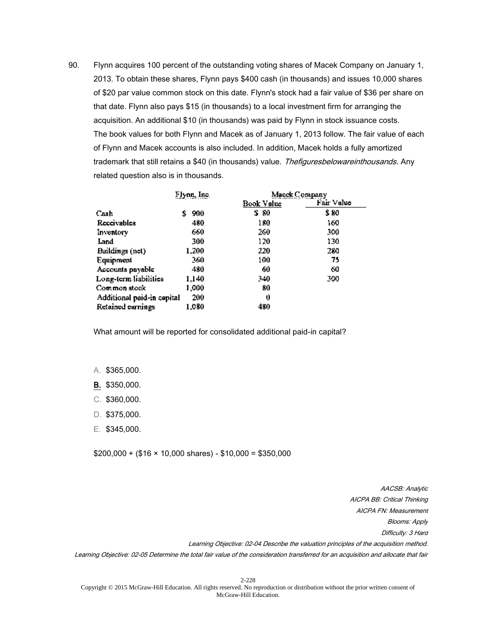90. Flynn acquires 100 percent of the outstanding voting shares of Macek Company on January 1, 2013. To obtain these shares, Flynn pays \$400 cash (in thousands) and issues 10,000 shares of \$20 par value common stock on this date. Flynn's stock had a fair value of \$36 per share on that date. Flynn also pays \$15 (in thousands) to a local investment firm for arranging the acquisition. An additional \$10 (in thousands) was paid by Flynn in stock issuance costs. The book values for both Flynn and Macek as of January 1, 2013 follow. The fair value of each of Flynn and Macek accounts is also included. In addition, Macek holds a fully amortized trademark that still retains a \$40 (in thousands) value. Thefiguresbelowareinthousands. Any related question also is in thousands.

|                            | Flynn, Inc. | Macek Company |            |
|----------------------------|-------------|---------------|------------|
|                            |             | Book Value    | Fair Value |
| Cash                       | 900<br>s    | S 80          | \$ 80      |
| Receivables                | 480         | 180           | 160        |
| Inventory                  | 660         | 260           | ,00        |
| Land                       | 300         | 120           | 130        |
| Buildings (not)            | 1,200       | 220           | 280        |
| Equipment                  | 360         | 100           | 75         |
| Accounts pnyable           | 480         | 60            | 60         |
| Long-term liabilities      | 1.140       | 340           | 300        |
| Common stock.              | 1,000       | 80            |            |
| Additional paid-in cepital | 200         | 0             |            |
| Retained earnings          | 1,080       | 480           |            |

What amount will be reported for consolidated additional paid-in capital?

- A. \$365,000.
- B. \$350,000.
- C. \$360,000.
- D. \$375,000.
- E. \$345,000.

 $$200,000 + ($16 \times 10,000 \text{ shares}) - $10,000 = $350,000$ 

AACSB: Analytic AICPA BB: Critical Thinking AICPA FN: Measurement Blooms: Apply Difficulty: 3 Hard Learning Objective: 02-04 Describe the valuation principles of the acquisition method. Learning Objective: 02-05 Determine the total fair value of the consideration transferred for an acquisition and allocate that fair

Copyright © 2015 McGraw-Hill Education. All rights reserved. No reproduction or distribution without the prior written consent of McGraw-Hill Education.

2-228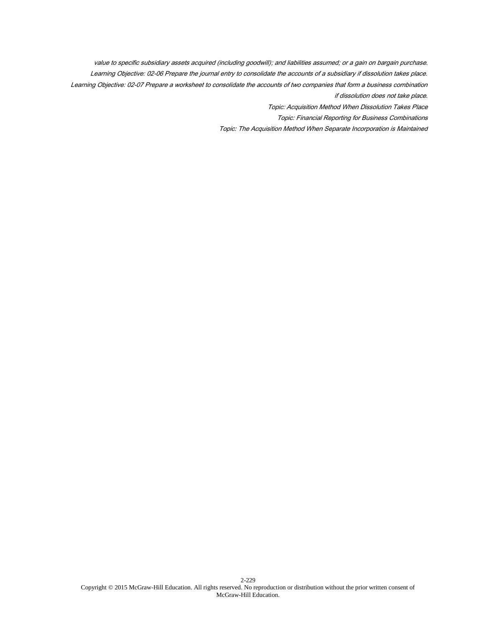value to specific subsidiary assets acquired (including goodwill); and liabilities assumed; or a gain on bargain purchase. Learning Objective: 02-06 Prepare the journal entry to consolidate the accounts of a subsidiary if dissolution takes place. Learning Objective: 02-07 Prepare a worksheet to consolidate the accounts of two companies that form a business combination if dissolution does not take place.

Topic: Acquisition Method When Dissolution Takes Place

Topic: Financial Reporting for Business Combinations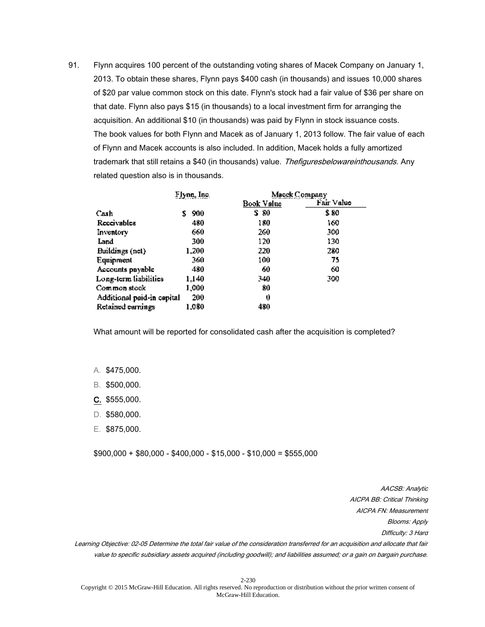91. Flynn acquires 100 percent of the outstanding voting shares of Macek Company on January 1, 2013. To obtain these shares, Flynn pays \$400 cash (in thousands) and issues 10,000 shares of \$20 par value common stock on this date. Flynn's stock had a fair value of \$36 per share on that date. Flynn also pays \$15 (in thousands) to a local investment firm for arranging the acquisition. An additional \$10 (in thousands) was paid by Flynn in stock issuance costs. The book values for both Flynn and Macek as of January 1, 2013 follow. The fair value of each of Flynn and Macek accounts is also included. In addition, Macek holds a fully amortized trademark that still retains a \$40 (in thousands) value. Thefiguresbelowareinthousands. Any related question also is in thousands.

|                            | Flynn, Inc. | Macek Company |            |
|----------------------------|-------------|---------------|------------|
|                            |             | Book Value    | Fair Value |
| Cash                       | 900<br>S    | S 80          | \$ 80      |
| Receivables                | 480         | 180           | 160        |
| Inventory                  | 660         | 260.          | 500        |
| Land                       | 300         | 120           | 130        |
| Buildings (net)            | 1.200       | 220           | 280        |
| Equipment                  | 360         | 100           | 75         |
| Accounts pnyable           | 480         | 60            | 60         |
| Long-term liabilities      | 1.140       | 340           | 300        |
| Common stock               | 1,000       | 80            |            |
| Additional paid-in capital | 200         | 0             |            |
| Retained earnings          | 1,080       | 480           |            |

What amount will be reported for consolidated cash after the acquisition is completed?

- A. \$475,000.
- B. \$500,000.
- C. \$555,000.
- D. \$580,000.
- E. \$875,000.

 $$900,000 + $80,000 - $400,000 - $15,000 - $10,000 = $555,000$ 

AACSB: Analytic AICPA BB: Critical Thinking AICPA FN: Measurement Blooms: Apply Difficulty: 3 Hard

Learning Objective: 02-05 Determine the total fair value of the consideration transferred for an acquisition and allocate that fair value to specific subsidiary assets acquired (including goodwill); and liabilities assumed; or a gain on bargain purchase.

2-230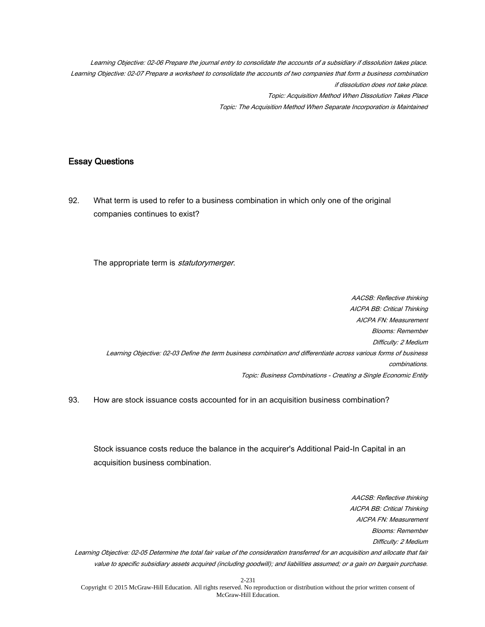Learning Objective: 02-06 Prepare the journal entry to consolidate the accounts of a subsidiary if dissolution takes place. Learning Objective: 02-07 Prepare a worksheet to consolidate the accounts of two companies that form a business combination if dissolution does not take place. Topic: Acquisition Method When Dissolution Takes Place Topic: The Acquisition Method When Separate Incorporation is Maintained

## Essay Questions

92. What term is used to refer to a business combination in which only one of the original companies continues to exist?

The appropriate term is *statutorymerger*.

AACSB: Reflective thinking AICPA BB: Critical Thinking AICPA FN: Measurement Blooms: Remember Difficulty: 2 Medium Learning Objective: 02-03 Define the term business combination and differentiate across various forms of business combinations. Topic: Business Combinations - Creating a Single Economic Entity

93. How are stock issuance costs accounted for in an acquisition business combination?

Stock issuance costs reduce the balance in the acquirer's Additional Paid-In Capital in an acquisition business combination.

AICPA BB: Critical Thinking AICPA FN: Measurement Blooms: Remember Difficulty: 2 Medium Learning Objective: 02-05 Determine the total fair value of the consideration transferred for an acquisition and allocate that fair value to specific subsidiary assets acquired (including goodwill); and liabilities assumed; or a gain on bargain purchase.

AACSB: Reflective thinking

Copyright © 2015 McGraw-Hill Education. All rights reserved. No reproduction or distribution without the prior written consent of McGraw-Hill Education.

2-231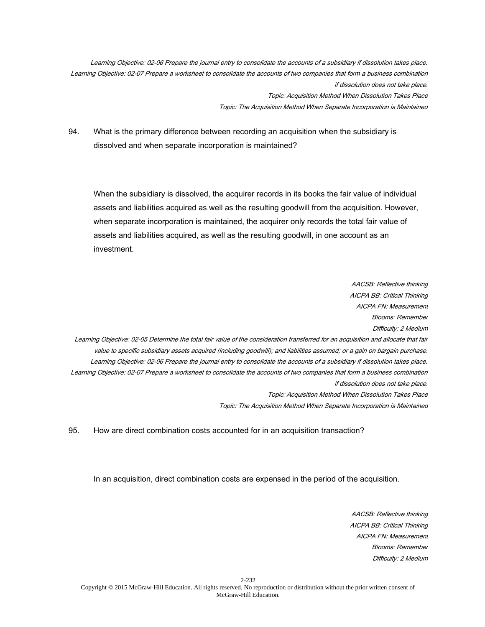Learning Objective: 02-06 Prepare the journal entry to consolidate the accounts of a subsidiary if dissolution takes place. Learning Objective: 02-07 Prepare a worksheet to consolidate the accounts of two companies that form a business combination if dissolution does not take place. Topic: Acquisition Method When Dissolution Takes Place Topic: The Acquisition Method When Separate Incorporation is Maintained

94. What is the primary difference between recording an acquisition when the subsidiary is dissolved and when separate incorporation is maintained?

When the subsidiary is dissolved, the acquirer records in its books the fair value of individual assets and liabilities acquired as well as the resulting goodwill from the acquisition. However, when separate incorporation is maintained, the acquirer only records the total fair value of assets and liabilities acquired, as well as the resulting goodwill, in one account as an investment.

AACSB: Reflective thinking AICPA BB: Critical Thinking AICPA FN: Measurement Blooms: Remember Difficulty: 2 Medium Learning Objective: 02-05 Determine the total fair value of the consideration transferred for an acquisition and allocate that fair value to specific subsidiary assets acquired (including goodwill); and liabilities assumed; or a gain on bargain purchase. Learning Objective: 02-06 Prepare the journal entry to consolidate the accounts of a subsidiary if dissolution takes place. Learning Objective: 02-07 Prepare a worksheet to consolidate the accounts of two companies that form a business combination if dissolution does not take place. Topic: Acquisition Method When Dissolution Takes Place Topic: The Acquisition Method When Separate Incorporation is Maintained

95. How are direct combination costs accounted for in an acquisition transaction?

In an acquisition, direct combination costs are expensed in the period of the acquisition.

AACSB: Reflective thinking AICPA BB: Critical Thinking AICPA FN: Measurement Blooms: Remember Difficulty: 2 Medium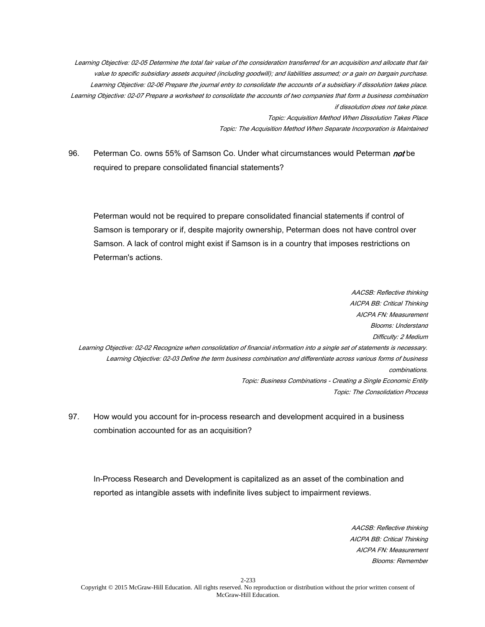Learning Objective: 02-05 Determine the total fair value of the consideration transferred for an acquisition and allocate that fair value to specific subsidiary assets acquired (including goodwill); and liabilities assumed; or a gain on bargain purchase. Learning Objective: 02-06 Prepare the journal entry to consolidate the accounts of a subsidiary if dissolution takes place. Learning Objective: 02-07 Prepare a worksheet to consolidate the accounts of two companies that form a business combination if dissolution does not take place. Topic: Acquisition Method When Dissolution Takes Place Topic: The Acquisition Method When Separate Incorporation is Maintained

96. Peterman Co. owns 55% of Samson Co. Under what circumstances would Peterman *not* be required to prepare consolidated financial statements?

Peterman would not be required to prepare consolidated financial statements if control of Samson is temporary or if, despite majority ownership, Peterman does not have control over Samson. A lack of control might exist if Samson is in a country that imposes restrictions on Peterman's actions.

AACSB: Reflective thinking AICPA BB: Critical Thinking AICPA FN: Measurement Blooms: Understand Difficulty: 2 Medium Learning Objective: 02-02 Recognize when consolidation of financial information into a single set of statements is necessary. Learning Objective: 02-03 Define the term business combination and differentiate across various forms of business combinations. Topic: Business Combinations - Creating a Single Economic Entity Topic: The Consolidation Process

97. How would you account for in-process research and development acquired in a business combination accounted for as an acquisition?

In-Process Research and Development is capitalized as an asset of the combination and reported as intangible assets with indefinite lives subject to impairment reviews.

> AACSB: Reflective thinking AICPA BB: Critical Thinking AICPA FN: Measurement Blooms: Remember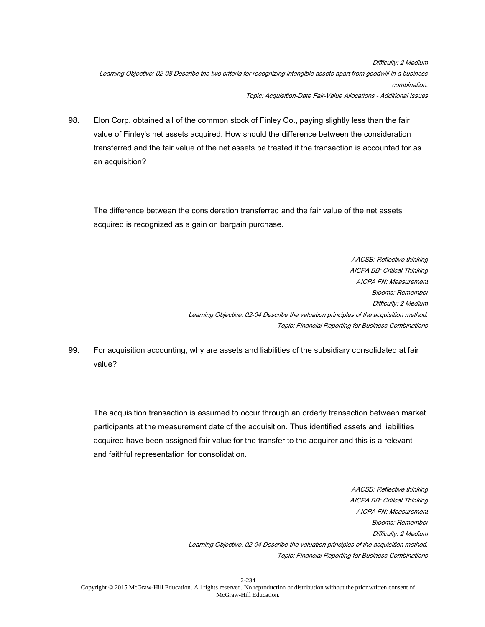Difficulty: 2 Medium Learning Objective: 02-08 Describe the two criteria for recognizing intangible assets apart from goodwill in a business combination. Topic: Acquisition-Date Fair-Value Allocations - Additional Issues

98. Elon Corp. obtained all of the common stock of Finley Co., paying slightly less than the fair value of Finley's net assets acquired. How should the difference between the consideration transferred and the fair value of the net assets be treated if the transaction is accounted for as an acquisition?

The difference between the consideration transferred and the fair value of the net assets acquired is recognized as a gain on bargain purchase.

> AACSB: Reflective thinking AICPA BB: Critical Thinking AICPA FN: Measurement Blooms: Remember Difficulty: 2 Medium Learning Objective: 02-04 Describe the valuation principles of the acquisition method. Topic: Financial Reporting for Business Combinations

99. For acquisition accounting, why are assets and liabilities of the subsidiary consolidated at fair value?

The acquisition transaction is assumed to occur through an orderly transaction between market participants at the measurement date of the acquisition. Thus identified assets and liabilities acquired have been assigned fair value for the transfer to the acquirer and this is a relevant and faithful representation for consolidation.

> AACSB: Reflective thinking AICPA BB: Critical Thinking AICPA FN: Measurement Blooms: Remember Difficulty: 2 Medium Learning Objective: 02-04 Describe the valuation principles of the acquisition method. Topic: Financial Reporting for Business Combinations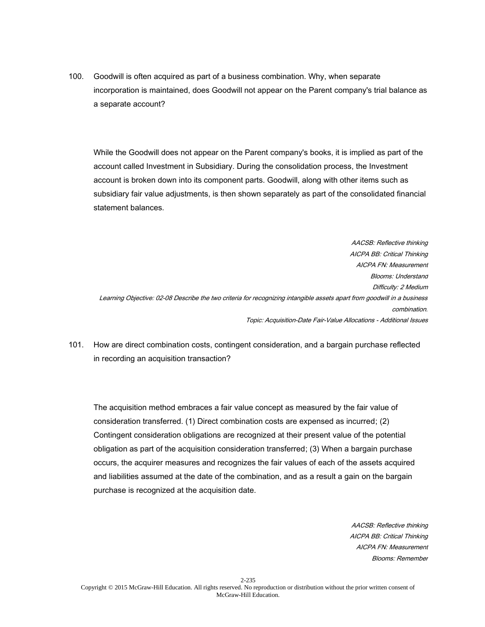100. Goodwill is often acquired as part of a business combination. Why, when separate incorporation is maintained, does Goodwill not appear on the Parent company's trial balance as a separate account?

While the Goodwill does not appear on the Parent company's books, it is implied as part of the account called Investment in Subsidiary. During the consolidation process, the Investment account is broken down into its component parts. Goodwill, along with other items such as subsidiary fair value adjustments, is then shown separately as part of the consolidated financial statement balances.

AACSB: Reflective thinking AICPA BB: Critical Thinking AICPA FN: Measurement Blooms: Understand Difficulty: 2 Medium Learning Objective: 02-08 Describe the two criteria for recognizing intangible assets apart from goodwill in a business combination. Topic: Acquisition-Date Fair-Value Allocations - Additional Issues

101. How are direct combination costs, contingent consideration, and a bargain purchase reflected in recording an acquisition transaction?

The acquisition method embraces a fair value concept as measured by the fair value of consideration transferred. (1) Direct combination costs are expensed as incurred; (2) Contingent consideration obligations are recognized at their present value of the potential obligation as part of the acquisition consideration transferred; (3) When a bargain purchase occurs, the acquirer measures and recognizes the fair values of each of the assets acquired and liabilities assumed at the date of the combination, and as a result a gain on the bargain purchase is recognized at the acquisition date.

> AACSB: Reflective thinking AICPA BB: Critical Thinking AICPA FN: Measurement Blooms: Remember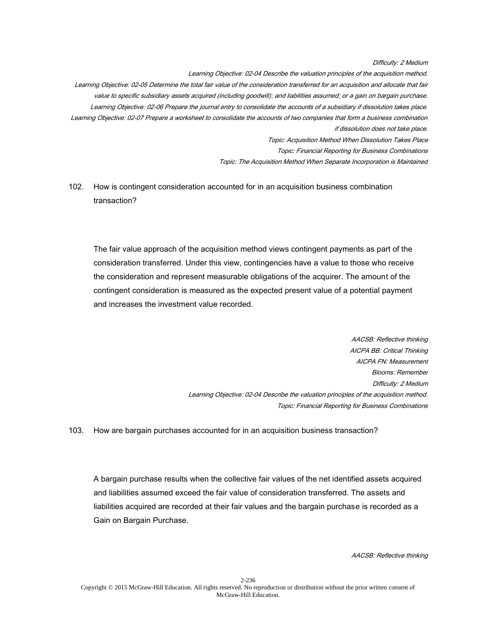Difficulty: 2 Medium

Learning Objective: 02-04 Describe the valuation principles of the acquisition method. Learning Objective: 02-05 Determine the total fair value of the consideration transferred for an acquisition and allocate that fair value to specific subsidiary assets acquired (including goodwill); and liabilities assumed; or a gain on bargain purchase. Learning Objective: 02-06 Prepare the journal entry to consolidate the accounts of a subsidiary if dissolution takes place. Learning Objective: 02-07 Prepare a worksheet to consolidate the accounts of two companies that form a business combination if dissolution does not take place. Topic: Acquisition Method When Dissolution Takes Place Topic: Financial Reporting for Business Combinations Topic: The Acquisition Method When Separate Incorporation is Maintained

102. How is contingent consideration accounted for in an acquisition business combination transaction?

The fair value approach of the acquisition method views contingent payments as part of the consideration transferred. Under this view, contingencies have a value to those who receive the consideration and represent measurable obligations of the acquirer. The amount of the contingent consideration is measured as the expected present value of a potential payment and increases the investment value recorded.

> AACSB: Reflective thinking AICPA BB: Critical Thinking AICPA FN: Measurement Blooms: Remember Difficulty: 2 Medium Learning Objective: 02-04 Describe the valuation principles of the acquisition method. Topic: Financial Reporting for Business Combinations

103. How are bargain purchases accounted for in an acquisition business transaction?

A bargain purchase results when the collective fair values of the net identified assets acquired and liabilities assumed exceed the fair value of consideration transferred. The assets and liabilities acquired are recorded at their fair values and the bargain purchase is recorded as a Gain on Bargain Purchase.

AACSB: Reflective thinking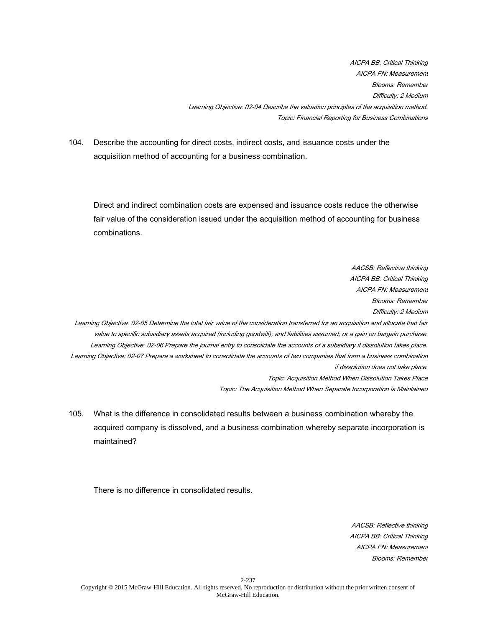AICPA BB: Critical Thinking AICPA FN: Measurement Blooms: Remember Difficulty: 2 Medium Learning Objective: 02-04 Describe the valuation principles of the acquisition method. Topic: Financial Reporting for Business Combinations

104. Describe the accounting for direct costs, indirect costs, and issuance costs under the acquisition method of accounting for a business combination.

Direct and indirect combination costs are expensed and issuance costs reduce the otherwise fair value of the consideration issued under the acquisition method of accounting for business combinations.

AACSB: Reflective thinking AICPA BB: Critical Thinking AICPA FN: Measurement Blooms: Remember Difficulty: 2 Medium Learning Objective: 02-05 Determine the total fair value of the consideration transferred for an acquisition and allocate that fair value to specific subsidiary assets acquired (including goodwill); and liabilities assumed; or a gain on bargain purchase. Learning Objective: 02-06 Prepare the journal entry to consolidate the accounts of a subsidiary if dissolution takes place. Learning Objective: 02-07 Prepare a worksheet to consolidate the accounts of two companies that form a business combination if dissolution does not take place. Topic: Acquisition Method When Dissolution Takes Place Topic: The Acquisition Method When Separate Incorporation is Maintained

105. What is the difference in consolidated results between a business combination whereby the acquired company is dissolved, and a business combination whereby separate incorporation is maintained?

There is no difference in consolidated results.

AACSB: Reflective thinking AICPA BB: Critical Thinking AICPA FN: Measurement Blooms: Remember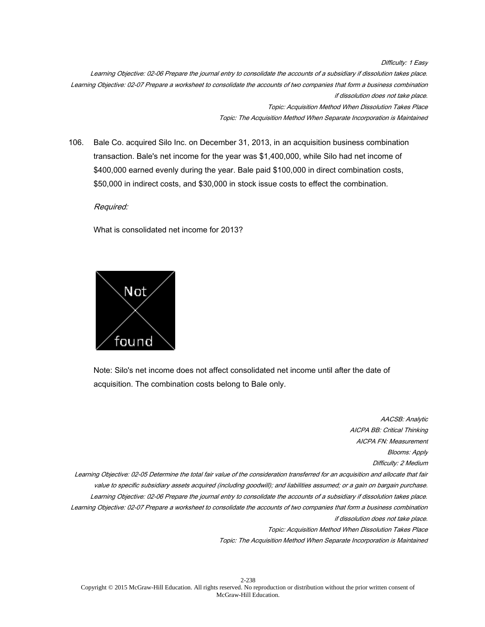Difficulty: 1 Easy Learning Objective: 02-06 Prepare the journal entry to consolidate the accounts of a subsidiary if dissolution takes place. Learning Objective: 02-07 Prepare a worksheet to consolidate the accounts of two companies that form a business combination if dissolution does not take place. Topic: Acquisition Method When Dissolution Takes Place

Topic: The Acquisition Method When Separate Incorporation is Maintained

106. Bale Co. acquired Silo Inc. on December 31, 2013, in an acquisition business combination transaction. Bale's net income for the year was \$1,400,000, while Silo had net income of \$400,000 earned evenly during the year. Bale paid \$100,000 in direct combination costs, \$50,000 in indirect costs, and \$30,000 in stock issue costs to effect the combination.

Required:

What is consolidated net income for 2013?



Note: Silo's net income does not affect consolidated net income until after the date of acquisition. The combination costs belong to Bale only.

AACSB: Analytic AICPA BB: Critical Thinking AICPA FN: Measurement Blooms: Apply Difficulty: 2 Medium Learning Objective: 02-05 Determine the total fair value of the consideration transferred for an acquisition and allocate that fair value to specific subsidiary assets acquired (including goodwill); and liabilities assumed; or a gain on bargain purchase. Learning Objective: 02-06 Prepare the journal entry to consolidate the accounts of a subsidiary if dissolution takes place. Learning Objective: 02-07 Prepare a worksheet to consolidate the accounts of two companies that form a business combination if dissolution does not take place. Topic: Acquisition Method When Dissolution Takes Place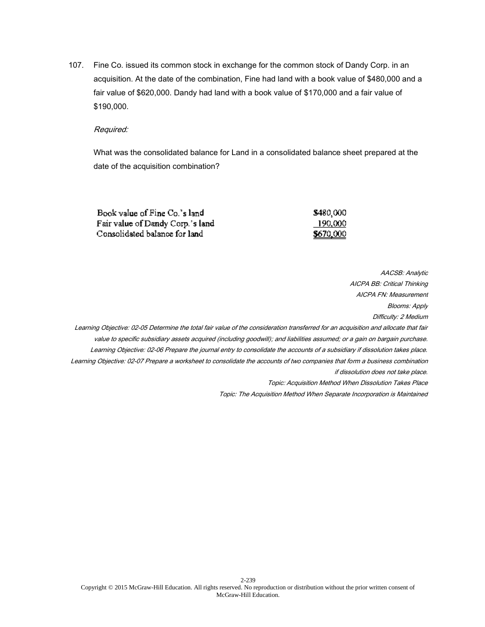107. Fine Co. issued its common stock in exchange for the common stock of Dandy Corp. in an acquisition. At the date of the combination, Fine had land with a book value of \$480,000 and a fair value of \$620,000. Dandy had land with a book value of \$170,000 and a fair value of \$190,000.

### Required:

What was the consolidated balance for Land in a consolidated balance sheet prepared at the date of the acquisition combination?

| Book value of Fine Co.'s land    | \$480,000 |
|----------------------------------|-----------|
| Fair value of Dandy Corp.'s land | 190,000   |
| Consolidated balance for land    | \$670,000 |

AACSB: Analytic AICPA BB: Critical Thinking AICPA FN: Measurement Blooms: Apply Difficulty: 2 Medium Learning Objective: 02-05 Determine the total fair value of the consideration transferred for an acquisition and allocate that fair value to specific subsidiary assets acquired (including goodwill); and liabilities assumed; or a gain on bargain purchase. Learning Objective: 02-06 Prepare the journal entry to consolidate the accounts of a subsidiary if dissolution takes place. Learning Objective: 02-07 Prepare a worksheet to consolidate the accounts of two companies that form a business combination if dissolution does not take place. Topic: Acquisition Method When Dissolution Takes Place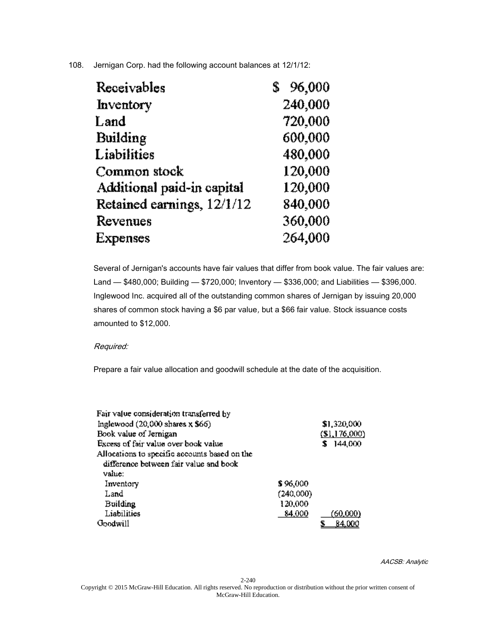# 108. Jernigan Corp. had the following account balances at 12/1/12:

| Receivables                | 96,000  |
|----------------------------|---------|
| Inventory                  | 240,000 |
| Land                       | 720,000 |
| Building                   | 600,000 |
| Liabilities                | 480,000 |
| Common stock               | 120,000 |
| Additional paid-in capital | 120,000 |
| Retained earnings, 12/1/12 | 840,000 |
| Revenues                   | 360,000 |
| <b>Expenses</b>            | 264,000 |

Several of Jernigan's accounts have fair values that differ from book value. The fair values are: Land — \$480,000; Building — \$720,000; Inventory — \$336,000; and Liabilities — \$396,000. Inglewood Inc. acquired all of the outstanding common shares of Jernigan by issuing 20,000 shares of common stock having a \$6 par value, but a \$66 fair value. Stock issuance costs amounted to \$12,000.

# Required:

Prepare a fair value allocation and goodwill schedule at the date of the acquisition.

| Fajr value consideration transferred by       |           |                   |
|-----------------------------------------------|-----------|-------------------|
| Inglewood $(20,000 \text{ shares } x, 366)$   |           | \$1,320,000       |
| Book value of Jernigan                        |           | $($ [SI, 176,000) |
| Excess of fair value over book value          |           | 144,000           |
| Allocations to specific accounts based on the |           |                   |
| difference between fair value and book        |           |                   |
| value:                                        |           |                   |
| Inventory                                     | \$96,000  |                   |
| Land                                          | (240,000) |                   |
| <b>Building</b>                               | 120,000   |                   |
| Liabilities                                   | 84,000    | (60,000)          |
| Goodwill                                      |           | <u>84.000</u>     |

AACSB: Analytic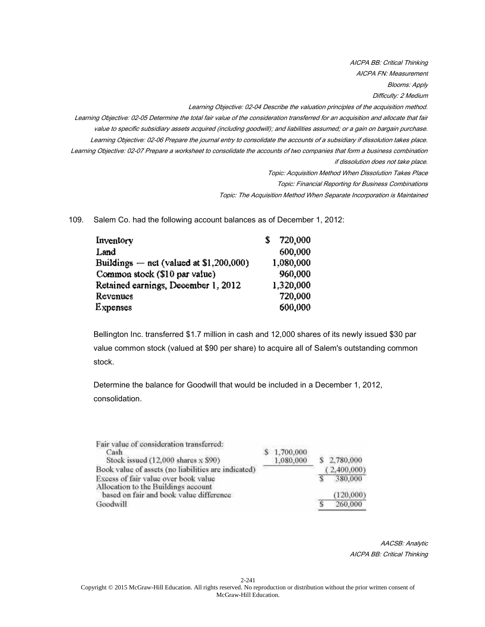AICPA BB: Critical Thinking AICPA FN: Measurement Blooms: Apply Difficulty: 2 Medium

Learning Objective: 02-04 Describe the valuation principles of the acquisition method.

Learning Objective: 02-05 Determine the total fair value of the consideration transferred for an acquisition and allocate that fair value to specific subsidiary assets acquired (including goodwill); and liabilities assumed; or a gain on bargain purchase. Learning Objective: 02-06 Prepare the journal entry to consolidate the accounts of a subsidiary if dissolution takes place. Learning Objective: 02-07 Prepare a worksheet to consolidate the accounts of two companies that form a business combination if dissolution does not take place.

Topic: Acquisition Method When Dissolution Takes Place

Topic: Financial Reporting for Business Combinations

Topic: The Acquisition Method When Separate Incorporation is Maintained

109. Salem Co. had the following account balances as of December 1, 2012:

| Inventory                                 | 720,000   |
|-------------------------------------------|-----------|
| Land                                      | 600.000   |
| Buildings $-$ net (valued at \$1,200,000) | 1,080,000 |
| Common stock (\$10 par value)             | 960,000   |
| Retained earnings, December 1, 2012       | 1,320,000 |
| Revenues                                  | 720,000   |
| <b>Expenses</b>                           | 600,000   |

Bellington Inc. transferred \$1.7 million in cash and 12,000 shares of its newly issued \$30 par value common stock (valued at \$90 per share) to acquire all of Salem's outstanding common stock.

Determine the balance for Goodwill that would be included in a December 1, 2012, consolidation.

| Fair value of consideration transferred:<br>Cash                            | 1,700,000 |             |
|-----------------------------------------------------------------------------|-----------|-------------|
| Stock issued (12,000 shares x \$90)                                         | 1.080.000 | 2,780,000   |
| Book value of assets (no liabilities are indicated)                         |           | (2,400,000) |
| Excess of fair value over book value<br>Allocation to the Buildings account |           | 380,000     |
| based on fair and book value difference                                     |           | (120.000)   |
| Goodwill                                                                    |           | 260,000     |

AACSB: Analytic AICPA BB: Critical Thinking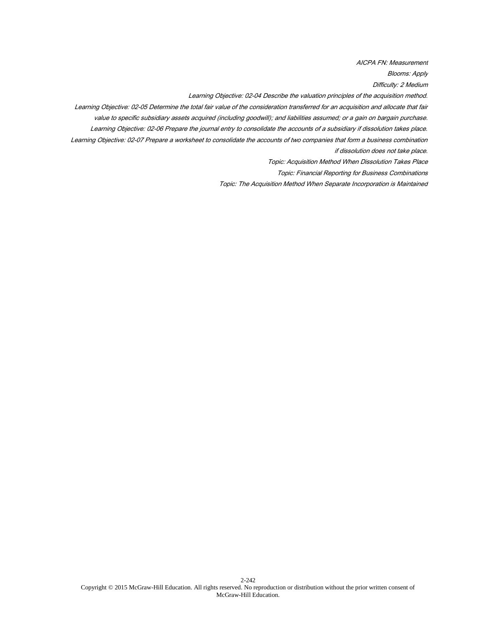AICPA FN: Measurement

Blooms: Apply

Difficulty: 2 Medium

Learning Objective: 02-04 Describe the valuation principles of the acquisition method.

Learning Objective: 02-05 Determine the total fair value of the consideration transferred for an acquisition and allocate that fair value to specific subsidiary assets acquired (including goodwill); and liabilities assumed; or a gain on bargain purchase.

Learning Objective: 02-06 Prepare the journal entry to consolidate the accounts of a subsidiary if dissolution takes place.

Learning Objective: 02-07 Prepare a worksheet to consolidate the accounts of two companies that form a business combination if dissolution does not take place.

Topic: Acquisition Method When Dissolution Takes Place

Topic: Financial Reporting for Business Combinations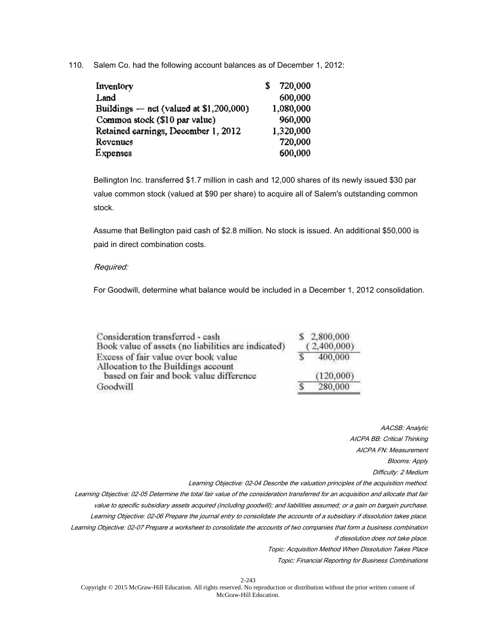110. Salem Co. had the following account balances as of December 1, 2012:

| Inventory                                 | 720,000   |
|-------------------------------------------|-----------|
| Land                                      | 600.000   |
| Buildings $-$ net (valued at \$1,200,000) | 1,080,000 |
| Common stock (\$10 par value)             | 960,000   |
| Retained earnings, December 1, 2012       | 1,320,000 |
| Revenues                                  | 720,000   |
| <b>Expenses</b>                           | 600,000   |

Bellington Inc. transferred \$1.7 million in cash and 12,000 shares of its newly issued \$30 par value common stock (valued at \$90 per share) to acquire all of Salem's outstanding common stock.

Assume that Bellington paid cash of \$2.8 million. No stock is issued. An additional \$50,000 is paid in direct combination costs.

## Required:

For Goodwill, determine what balance would be included in a December 1, 2012 consolidation.

| Consideration transferred - cash<br>Book value of assets (no liabilities are indicated) | \$2,800,000<br>(2,400,000) |
|-----------------------------------------------------------------------------------------|----------------------------|
| Excess of fair value over book value<br>Allocation to the Buildings account             | 400,000                    |
| based on fair and book value difference                                                 | (120.000)                  |
| Goodwill                                                                                | 280,000                    |

AACSB: Analytic AICPA BB: Critical Thinking AICPA FN: Measurement Blooms: Apply Difficulty: 2 Medium

Learning Objective: 02-04 Describe the valuation principles of the acquisition method.

Learning Objective: 02-05 Determine the total fair value of the consideration transferred for an acquisition and allocate that fair value to specific subsidiary assets acquired (including goodwill); and liabilities assumed; or a gain on bargain purchase. Learning Objective: 02-06 Prepare the journal entry to consolidate the accounts of a subsidiary if dissolution takes place. Learning Objective: 02-07 Prepare a worksheet to consolidate the accounts of two companies that form a business combination if dissolution does not take place.

Topic: Acquisition Method When Dissolution Takes Place

Topic: Financial Reporting for Business Combinations

2-243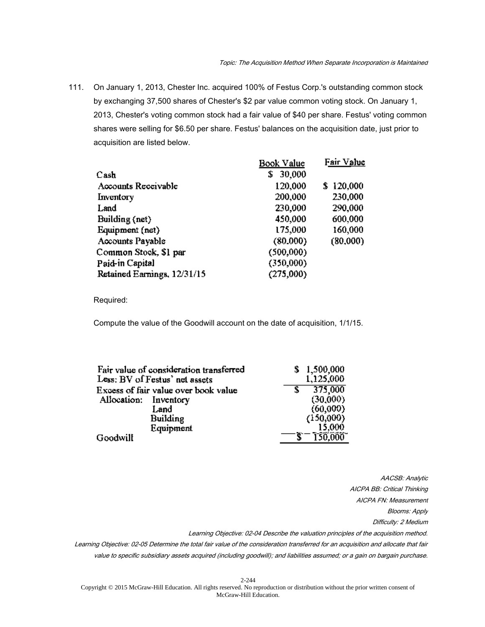111. On January 1, 2013, Chester Inc. acquired 100% of Festus Corp.'s outstanding common stock by exchanging 37,500 shares of Chester's \$2 par value common voting stock. On January 1, 2013, Chester's voting common stock had a fair value of \$40 per share. Festus' voting common shares were selling for \$6.50 per share. Festus' balances on the acquisition date, just prior to acquisition are listed below.

|                             | Book Value   | Fair Value |
|-----------------------------|--------------|------------|
| Cash                        | 30,000<br>\$ |            |
| Accounts Receivable         | 120,000      | \$120,000  |
| Inventory                   | 200,000      | 230,000    |
| Land                        | 230,000      | 290,000    |
| Building (net)              | 450,000      | 600,000    |
| Equipment (net)             | 175,000      | 160,000    |
| Accounts Payable            | (80.000)     | (80,000)   |
| Common Stock, \$1 par       | (500.000)    |            |
| Paid-in Capital             | (350,000)    |            |
| Retained Earnings, 12/31/15 | (275,000)    |            |

Required:

Compute the value of the Goodwill account on the date of acquisition, 1/1/15.

| Fair value of consideration transferred | 1,500,000 |
|-----------------------------------------|-----------|
| Less: BV of Festus' net assets          | 1,125,000 |
| Excess of fair value over book value    | 375,000   |
| Allocation: Inventory                   | (30,000)  |
| Land                                    | (60,000)  |
| Building                                | (150,000) |
| Equipment                               | 15,000    |
| Goodwill                                | 150.000   |

AACSB: Analytic AICPA BB: Critical Thinking AICPA FN: Measurement Blooms: Apply Difficulty: 2 Medium

Learning Objective: 02-04 Describe the valuation principles of the acquisition method.

Learning Objective: 02-05 Determine the total fair value of the consideration transferred for an acquisition and allocate that fair value to specific subsidiary assets acquired (including goodwill); and liabilities assumed; or a gain on bargain purchase.

2-244 Copyright © 2015 McGraw-Hill Education. All rights reserved. No reproduction or distribution without the prior written consent of McGraw-Hill Education.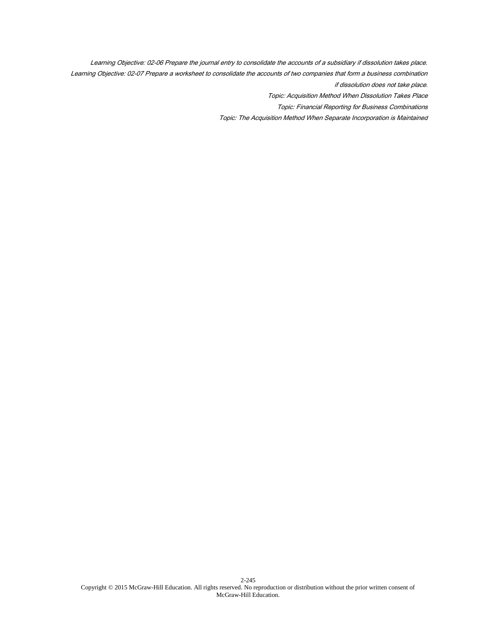Learning Objective: 02-06 Prepare the journal entry to consolidate the accounts of a subsidiary if dissolution takes place. Learning Objective: 02-07 Prepare a worksheet to consolidate the accounts of two companies that form a business combination if dissolution does not take place. Topic: Acquisition Method When Dissolution Takes Place Topic: Financial Reporting for Business Combinations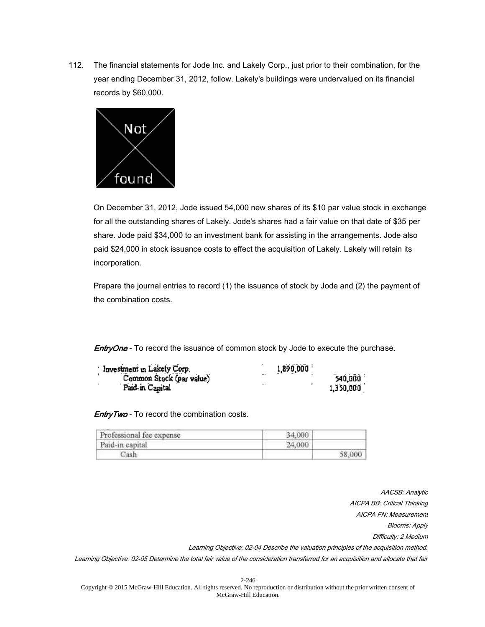112. The financial statements for Jode Inc. and Lakely Corp., just prior to their combination, for the year ending December 31, 2012, follow. Lakely's buildings were undervalued on its financial records by \$60,000.



On December 31, 2012, Jode issued 54,000 new shares of its \$10 par value stock in exchange for all the outstanding shares of Lakely. Jode's shares had a fair value on that date of \$35 per share. Jode paid \$34,000 to an investment bank for assisting in the arrangements. Jode also paid \$24,000 in stock issuance costs to effect the acquisition of Lakely. Lakely will retain its incorporation.

Prepare the journal entries to record (1) the issuance of stock by Jode and (2) the payment of the combination costs.

**EntryOne** - To record the issuance of common stock by Jode to execute the purchase.

| Investment in Lakely Corp.<br>Common Stock (par value) | 1,890,000            |
|--------------------------------------------------------|----------------------|
|                                                        | $\cdots$<br>540,000  |
| Paid-in Camital                                        | $\cdot$<br>1,350,000 |

**EntryTwo** - To record the combination costs.

| Professional fee expense | 34,000 |  |
|--------------------------|--------|--|
| Paid-in capital          | 24,000 |  |
| ash.                     | 58,000 |  |

AACSB: Analytic AICPA BB: Critical Thinking AICPA FN: Measurement Blooms: Apply Difficulty: 2 Medium Learning Objective: 02-04 Describe the valuation principles of the acquisition method. Learning Objective: 02-05 Determine the total fair value of the consideration transferred for an acquisition and allocate that fair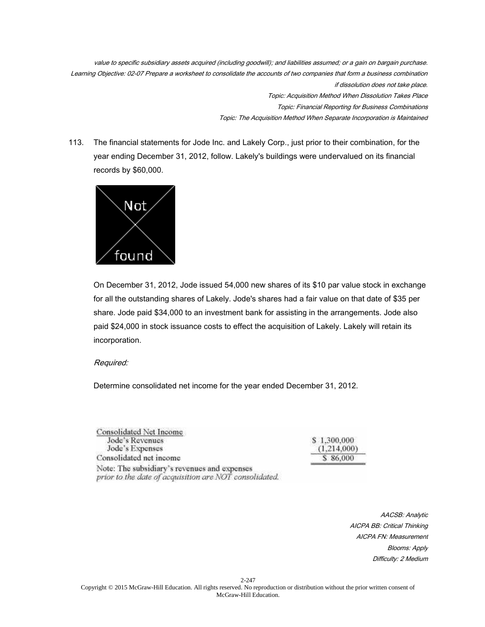value to specific subsidiary assets acquired (including goodwill); and liabilities assumed; or a gain on bargain purchase. Learning Objective: 02-07 Prepare a worksheet to consolidate the accounts of two companies that form a business combination if dissolution does not take place. Topic: Acquisition Method When Dissolution Takes Place Topic: Financial Reporting for Business Combinations Topic: The Acquisition Method When Separate Incorporation is Maintained

113. The financial statements for Jode Inc. and Lakely Corp., just prior to their combination, for the year ending December 31, 2012, follow. Lakely's buildings were undervalued on its financial records by \$60,000.



On December 31, 2012, Jode issued 54,000 new shares of its \$10 par value stock in exchange for all the outstanding shares of Lakely. Jode's shares had a fair value on that date of \$35 per share. Jode paid \$34,000 to an investment bank for assisting in the arrangements. Jode also paid \$24,000 in stock issuance costs to effect the acquisition of Lakely. Lakely will retain its incorporation.

## Required:

Determine consolidated net income for the year ended December 31, 2012.

| Consolidated Net Income                                                                                |             |
|--------------------------------------------------------------------------------------------------------|-------------|
| Jode's Revenues                                                                                        | \$1,300,000 |
| Jode's Expenses                                                                                        | (1,214,000) |
| Consolidated net income                                                                                | \$86,000    |
| Note: The subsidiary's revenues and expenses<br>prior to the date of acquisition are NOT consolidated. |             |

AACSB: Analytic AICPA BB: Critical Thinking AICPA FN: Measurement Blooms: Apply Difficulty: 2 Medium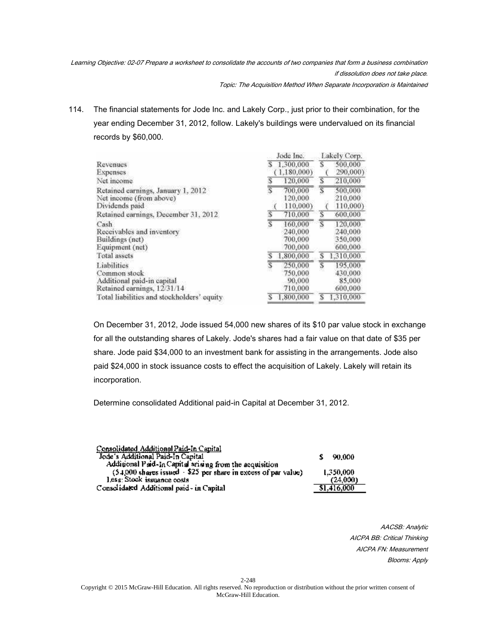Learning Objective: 02-07 Prepare a worksheet to consolidate the accounts of two companies that form a business combination if dissolution does not take place. Topic: The Acquisition Method When Separate Incorporation is Maintained

114. The financial statements for Jode Inc. and Lakely Corp., just prior to their combination, for the year ending December 31, 2012, follow. Lakely's buildings were undervalued on its financial records by \$60,000.

|                                                                                          | Jode Inc.                                        |   | Lakely Corp.                             |
|------------------------------------------------------------------------------------------|--------------------------------------------------|---|------------------------------------------|
| Revenues<br><b>Expenses</b>                                                              | 1,300,000<br>s<br>(1.180.000)                    |   | 500,000<br>290,000)                      |
| Net moome                                                                                | 120,000                                          | S | 210,000                                  |
| Retained earnings, January 1, 2012<br>Net income (from above)<br>Dividends paid          | $\overline{s}$<br>700,000<br>120,000<br>110,000) | S | 500,000<br>210,000<br>110,000)           |
| Retained earnings, December 31, 2012.                                                    | 710,000                                          | S | 600,000                                  |
| Cash<br>Receivables and inventory<br>Buildings (net)<br>Equipment (net)                  | S<br>160,000<br>240,000<br>700,000<br>700,000    | S | 120,000<br>240,000<br>350,000<br>600,000 |
| Total assets                                                                             | 1,800,000                                        | s | 1,310,000                                |
| Liabilities<br>Common stock<br>Additional paid-in capital<br>Retained earnings, 12/31/14 | 250,000<br>750,000<br>90,000<br>710,000          | S | 195,000<br>430,000<br>85,000<br>600,000  |
| Total liabilities and stockholders' equity                                               | 1.800,000<br>s                                   | s | 1,310,000                                |

On December 31, 2012, Jode issued 54,000 new shares of its \$10 par value stock in exchange for all the outstanding shares of Lakely. Jode's shares had a fair value on that date of \$35 per share. Jode paid \$34,000 to an investment bank for assisting in the arrangements. Jode also paid \$24,000 in stock issuance costs to effect the acquisition of Lakely. Lakely will retain its incorporation.

Determine consolidated Additional paid-in Capital at December 31, 2012.

| Consolidated Additional Paid-In Capital<br>Jode's Additional Paid-In Capital                                               | 90.000                  |
|----------------------------------------------------------------------------------------------------------------------------|-------------------------|
| Additional Paid-In Capital srining from the acquisition<br>(5.4.000 shares issued - \$25 per share in excess of par value) | 1.350.000               |
| Less: Stock issuance costs<br>Consolidated Additional paid- in Capital                                                     | (24,000)<br>\$1,416,000 |
|                                                                                                                            |                         |

AACSB: Analytic AICPA BB: Critical Thinking AICPA FN: Measurement Blooms: Apply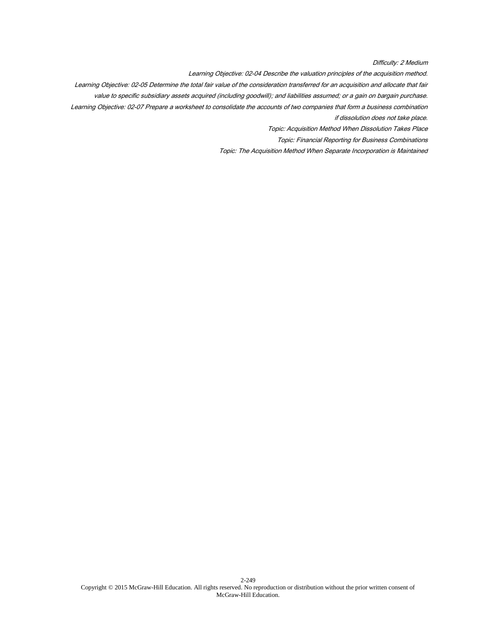Difficulty: 2 Medium

Learning Objective: 02-04 Describe the valuation principles of the acquisition method.

Learning Objective: 02-05 Determine the total fair value of the consideration transferred for an acquisition and allocate that fair

value to specific subsidiary assets acquired (including goodwill); and liabilities assumed; or a gain on bargain purchase.

Learning Objective: 02-07 Prepare a worksheet to consolidate the accounts of two companies that form a business combination

if dissolution does not take place.

Topic: Acquisition Method When Dissolution Takes Place

Topic: Financial Reporting for Business Combinations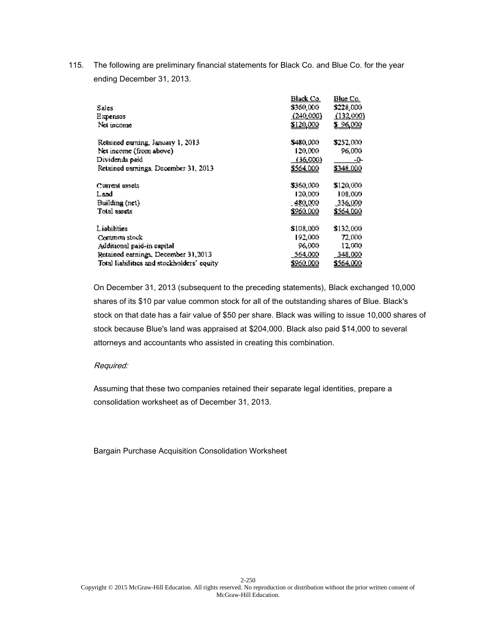115. The following are preliminary financial statements for Black Co. and Blue Co. for the year ending December 31, 2013.

|                                            | Black Co.        | Blue Co.         |
|--------------------------------------------|------------------|------------------|
| Sales                                      | \$360,000        | \$228,000        |
| E xpensos                                  | (240,000)        | (132,000)        |
| Net income                                 | \$120,000        | \$96,000         |
| Relained carning, January 1, 2013          | \$480.000        | \$252,000.       |
| Net income (from above)                    | 120,000          | 96,000           |
| Dividends paid                             | (36,000)         | -0-              |
| Retained carrings. December 31, 2013       | \$564,000        | <u>\$348,000</u> |
| Current assets.                            | \$360,000.       | \$120,000.       |
| Land                                       | 120,000          | 108,000          |
| Building (net)                             | - 480.000 -      | .336.000         |
| Total assets                               | \$960.000        | <u>\$564,000</u> |
| Liabilities                                | \$108,000        | \$132,000        |
| Common stock                               | 192,000          | 72,000           |
| Additional paid-in capital                 | 96,000           | 12,000           |
| Retained earnings, December 31, 2013       | 564,000          | 348,000          |
| Total liabilities and stockholders' equity | <u>\$960.000</u> | \$564,000        |
|                                            |                  |                  |

On December 31, 2013 (subsequent to the preceding statements), Black exchanged 10,000 shares of its \$10 par value common stock for all of the outstanding shares of Blue. Black's stock on that date has a fair value of \$50 per share. Black was willing to issue 10,000 shares of stock because Blue's land was appraised at \$204,000. Black also paid \$14,000 to several attorneys and accountants who assisted in creating this combination.

# Required:

Assuming that these two companies retained their separate legal identities, prepare a consolidation worksheet as of December 31, 2013.

Bargain Purchase Acquisition Consolidation Worksheet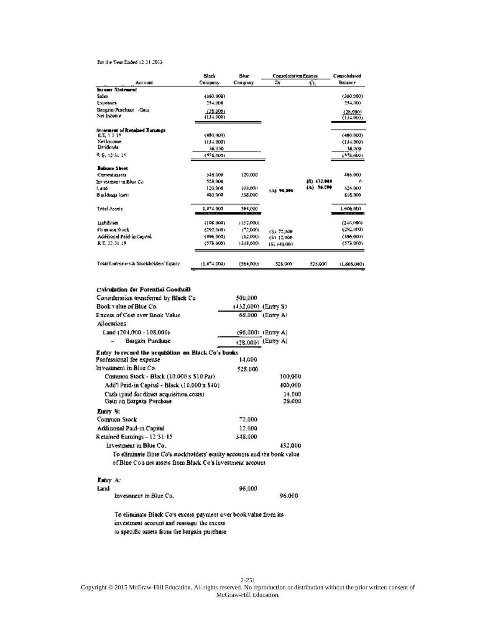#### For the Year Ended 12.31.2015

| Black          | Blue<br>Company                                                       | <b>Consoledation Entries</b>                   |                                                          | Consolodated                         |
|----------------|-----------------------------------------------------------------------|------------------------------------------------|----------------------------------------------------------|--------------------------------------|
| Compoury       |                                                                       | Đr.                                            | Ç₫.                                                      | Balance                              |
|                |                                                                       |                                                |                                                          |                                      |
| 1360.0001      |                                                                       |                                                |                                                          | (360.200)                            |
| 214.000        |                                                                       |                                                |                                                          | 254,000                              |
|                |                                                                       |                                                |                                                          | 428,0000                             |
| 4134.0001      |                                                                       |                                                |                                                          | (134.000)                            |
|                |                                                                       |                                                |                                                          |                                      |
| (480,000)      |                                                                       |                                                |                                                          | (489, 600)                           |
| 4134.0001      |                                                                       |                                                |                                                          | (134,000)                            |
| 36.000         |                                                                       |                                                |                                                          | 36,000                               |
| (116,000)      |                                                                       |                                                |                                                          | (118,800)                            |
|                |                                                                       |                                                |                                                          |                                      |
| 346.000        | 120,000                                                               |                                                |                                                          | 466,000                              |
| 528,000        |                                                                       |                                                |                                                          | Λ                                    |
| 120,000        | LOB.DÓHL                                                              |                                                |                                                          | 524,000                              |
| 480,000        | 535,000                                                               |                                                |                                                          | <b>BLG.RCO</b>                       |
| 1,171,000<br>. | 564,000<br>. <b>.</b>                                                 |                                                |                                                          | 1,606,000<br>                        |
|                |                                                                       |                                                |                                                          | (246,000)                            |
|                |                                                                       |                                                |                                                          | (295,000)                            |
|                |                                                                       |                                                |                                                          | (496,000)                            |
| (575,000)      | 1348,0001                                                             | 15) 548,000                                    |                                                          | (575.000)                            |
|                |                                                                       |                                                |                                                          | 11.606.000)                          |
|                | (28,000)<br><b>FIRE UON)</b><br>(292,000)<br>(496,000)<br>(1.474,000) | 1132.0001<br>172,0001<br>152,0001<br>[564,DOU] | 181 94.000<br>(S) 72.000<br><b>ES1 12.008</b><br>525.000 | (6) 432.000<br>(A) 76.000<br>528,000 |

### Calculation for Potential Goodwill:

| Consideration transferred by Black Co.                                   | 500,000              |                  |  |
|--------------------------------------------------------------------------|----------------------|------------------|--|
| Book value of Blue Co.                                                   | (432,000) (Entry S)  |                  |  |
| Excess of Cost over Book Value.                                          | 68.000 (Entry A)     |                  |  |
| Allocations:                                                             |                      |                  |  |
| Land (204,000 - 108,000)                                                 | $(96,000)$ (Entry A) |                  |  |
| Bargain Purchase                                                         | (28.000) (Entry A)   |                  |  |
| Entry to record the negalsition on Black Co's books                      |                      |                  |  |
| Professional fee expense                                                 | 14.000               |                  |  |
| Investment in Blue Co                                                    | \$28,000             |                  |  |
| Common Stock - Black (10.000 x 510 Par)                                  |                      | 100,000          |  |
| Add'l Paid-in Capital - Black (10.000 x \$40).                           |                      | 400,000          |  |
| Cash (paid for direct acquisition costs).<br>Gain on Bargain Purchase    |                      | 14.000<br>28.000 |  |
| Lutry St                                                                 |                      |                  |  |
| Common Stock                                                             | 72.000               |                  |  |
| Additional Paid-in Capital                                               | 12,000               |                  |  |
| Retained Earnings - 12:31:15                                             | 348,000              |                  |  |
| Investment in Blue Co                                                    |                      | 432.000          |  |
| To eliminate Blue Co's stockholders' equity accounts and the book value. |                      |                  |  |
| of Blue Co's net assets from Black Co's investment account               |                      |                  |  |
| liny Ar                                                                  |                      |                  |  |
| Land                                                                     | 96,000               |                  |  |
| investingnt in Blue Co.                                                  |                      | 96.000           |  |

To eliminate Black Co's excess payment over book value from its investment account and reassign the excess to specific assets from the burgain purchase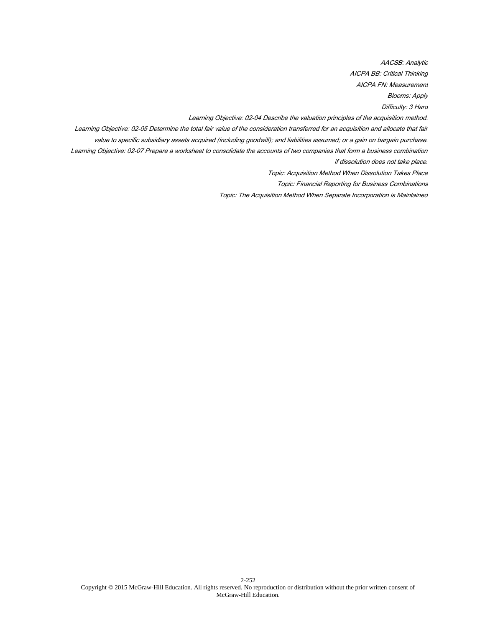AACSB: Analytic AICPA BB: Critical Thinking

AICPA FN: Measurement

Blooms: Apply

Difficulty: 3 Hard

Learning Objective: 02-04 Describe the valuation principles of the acquisition method.

Learning Objective: 02-05 Determine the total fair value of the consideration transferred for an acquisition and allocate that fair

value to specific subsidiary assets acquired (including goodwill); and liabilities assumed; or a gain on bargain purchase.

Learning Objective: 02-07 Prepare a worksheet to consolidate the accounts of two companies that form a business combination if dissolution does not take place.

Topic: Acquisition Method When Dissolution Takes Place

Topic: Financial Reporting for Business Combinations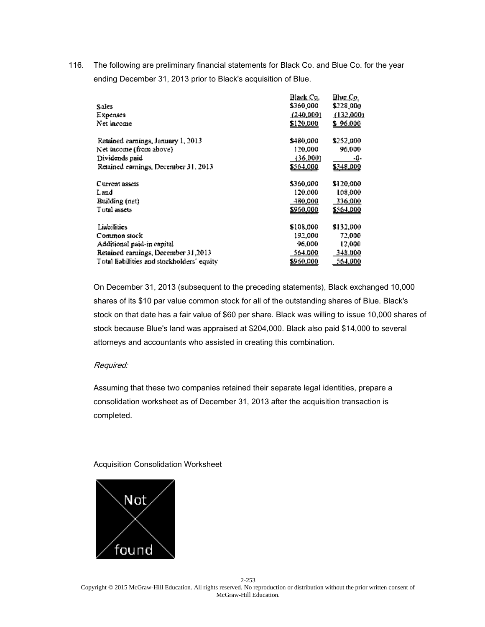116. The following are preliminary financial statements for Black Co. and Blue Co. for the year ending December 31, 2013 prior to Black's acquisition of Blue.

|                                            | Black Co. | Blue Co.   |
|--------------------------------------------|-----------|------------|
| <b>Sales</b>                               | \$360,000 | \$228,000  |
| Expenses                                   | (240,000) | (132,000)  |
| Net income                                 | \$120,000 | \$96.000   |
| Retained earnings, January 1, 2013         | \$480,000 | \$252,000. |
| Net income (from above)                    | 120,000   | 96,000     |
| Dividends paid                             | (36,000)  | -0-        |
| Retained earnings, December 31, 2013       | \$564,000 | 5348.000   |
| Current assets                             | \$360,000 | \$120,000  |
| Land                                       | 120.000   | 108,000    |
| Building (net)                             | 480,000   | 336,000    |
| Total assets                               | \$960,000 | \$564,000  |
| Liabilities                                | \$108,000 | \$132,000  |
| Common stock                               | 192.000   | 72,000.    |
| Additional paid-in capital                 | 96,000    | 12,000     |
| Retained earnings, December 31,2013        | 564.000   | 348.000    |
| Total liabilities and stockholders' equity | \$960,000 | 564,000    |
|                                            |           |            |

On December 31, 2013 (subsequent to the preceding statements), Black exchanged 10,000 shares of its \$10 par value common stock for all of the outstanding shares of Blue. Black's stock on that date has a fair value of \$60 per share. Black was willing to issue 10,000 shares of stock because Blue's land was appraised at \$204,000. Black also paid \$14,000 to several attorneys and accountants who assisted in creating this combination.

## Required:

Assuming that these two companies retained their separate legal identities, prepare a consolidation worksheet as of December 31, 2013 after the acquisition transaction is completed.

## Acquisition Consolidation Worksheet

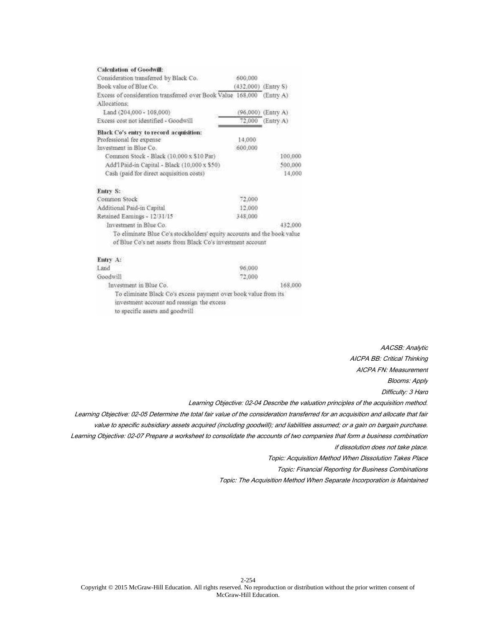| <b>Calculation of Goodwill:</b>                                                       |         |                       |
|---------------------------------------------------------------------------------------|---------|-----------------------|
| Consideration transferred by Black Co.                                                | 600,000 |                       |
| Book value of Blue Co.                                                                |         | $(432,000)$ (Entry S) |
| Excess of consideration transferred over Book Value 168,000                           |         | (Entx A)              |
| Allocations:                                                                          |         |                       |
| Land (204,000 - 108,000)                                                              |         | (96,000) (Entry A)    |
| Excess cost not identified - Goodwill                                                 |         | 72,000 (Entry A)      |
| Black Co's entry to record acquisition:                                               |         |                       |
| Professional fee expense                                                              | 14.000  |                       |
| Investment in Blue Co.                                                                | 600,000 |                       |
| Common Stock - Black (10,000 x \$10 Par)                                              |         | 100,000               |
| Add'i Paid-in Capital - Black (10,000 x \$50)                                         |         | 500,000               |
| Cash (paid for direct acquisition costs)                                              |         | 14,000                |
| Entry S:                                                                              |         |                       |
| Common Stock                                                                          | 72,000  |                       |
| Additional Paid-in Capital                                                            | 12,000  |                       |
| Retained Earnings - 12/31/15                                                          | 348,000 |                       |
| Investment in Blue Co.                                                                |         | 432,000               |
| To eliminate Blue Co's stockholders' equity accounts and the book value               |         |                       |
| of Blue Co's net assets from Black Co's investment account                            |         |                       |
| Entry A:                                                                              |         |                       |
| Land                                                                                  | 96,000  |                       |
| Goodwill                                                                              | 72,000  |                       |
| Investment in Blue Co.                                                                |         | 168,000               |
| To eliminate Black Co's excess payment over book value from its                       |         |                       |
| investment account and reassign the excess                                            |         |                       |
| and the second of the concentration of the second contract the second property of the |         |                       |

to specific assets and goodwill

AACSB: Analytic AICPA BB: Critical Thinking AICPA FN: Measurement Blooms: Apply Difficulty: 3 Hard

Learning Objective: 02-04 Describe the valuation principles of the acquisition method.

Learning Objective: 02-05 Determine the total fair value of the consideration transferred for an acquisition and allocate that fair value to specific subsidiary assets acquired (including goodwill); and liabilities assumed; or a gain on bargain purchase. Learning Objective: 02-07 Prepare a worksheet to consolidate the accounts of two companies that form a business combination if dissolution does not take place.

Topic: Acquisition Method When Dissolution Takes Place

Topic: Financial Reporting for Business Combinations

Topic: The Acquisition Method When Separate Incorporation is Maintained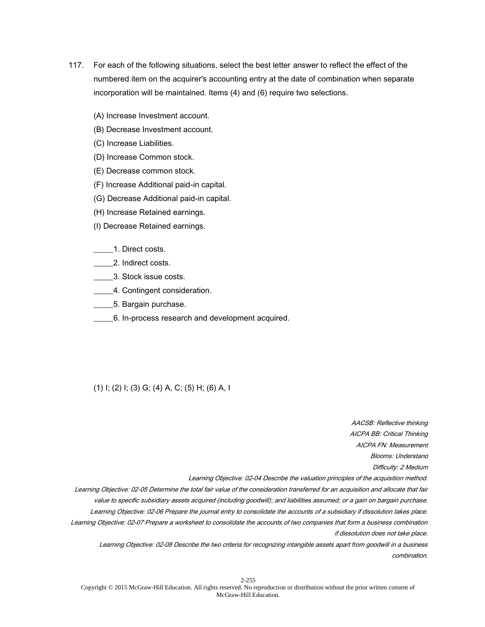- 117. For each of the following situations, select the best letter answer to reflect the effect of the numbered item on the acquirer's accounting entry at the date of combination when separate incorporation will be maintained. Items (4) and (6) require two selections.
	- (A) Increase Investment account.
	- (B) Decrease Investment account.
	- (C) Increase Liabilities.
	- (D) Increase Common stock.
	- (E) Decrease common stock.
	- (F) Increase Additional paid-in capital.
	- (G) Decrease Additional paid-in capital.
	- (H) Increase Retained earnings.
	- (I) Decrease Retained earnings.

## \_\_\_\_\_1. Direct costs.

- \_\_\_\_\_2. Indirect costs.
- \_\_\_\_\_3. Stock issue costs.
- \_\_\_\_\_4. Contingent consideration.
- \_\_\_\_\_5. Bargain purchase.
- \_\_\_\_\_6. In-process research and development acquired.

## (1) I; (2) I; (3) G; (4) A, C; (5) H; (6) A, I

AICPA BB: Critical Thinking AICPA FN: Measurement Blooms: Understand Difficulty: 2 Medium Learning Objective: 02-04 Describe the valuation principles of the acquisition method. Learning Objective: 02-05 Determine the total fair value of the consideration transferred for an acquisition and allocate that fair value to specific subsidiary assets acquired (including goodwill); and liabilities assumed; or a gain on bargain purchase. Learning Objective: 02-06 Prepare the journal entry to consolidate the accounts of a subsidiary if dissolution takes place. Learning Objective: 02-07 Prepare a worksheet to consolidate the accounts of two companies that form a business combination if dissolution does not take place.

AACSB: Reflective thinking

Learning Objective: 02-08 Describe the two criteria for recognizing intangible assets apart from goodwill in a business combination.